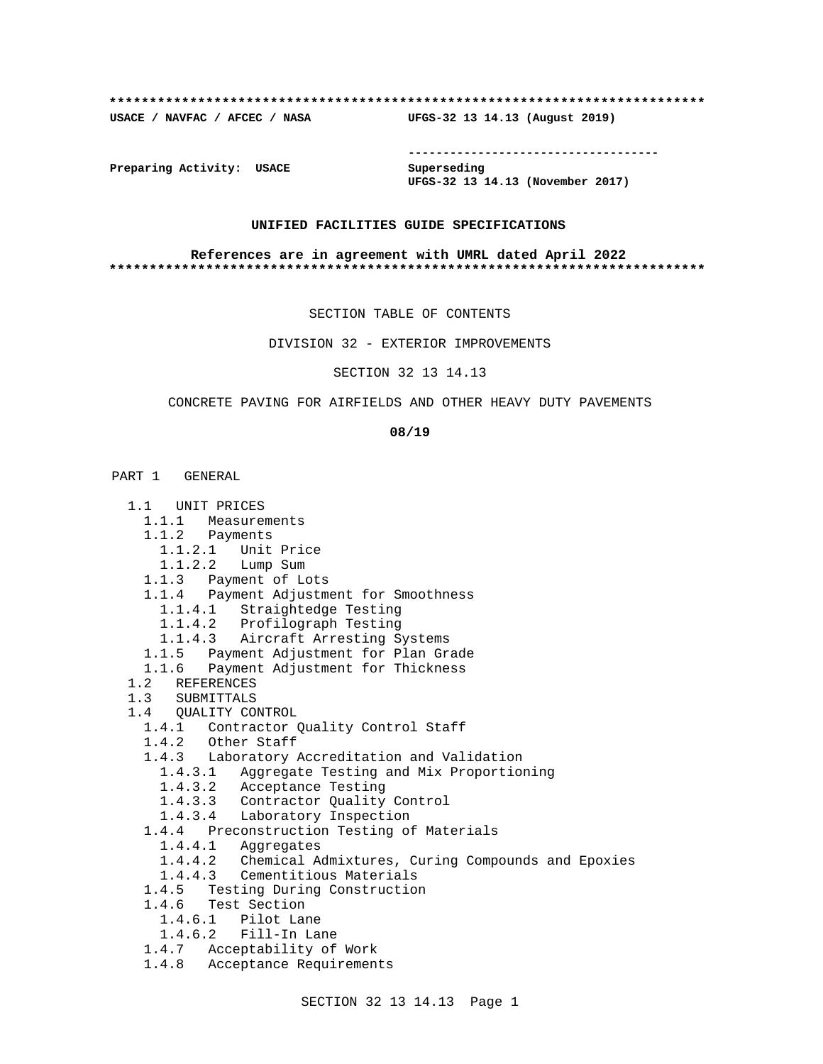#### **\*\*\*\*\*\*\*\*\*\*\*\*\*\*\*\*\*\*\*\*\*\*\*\*\*\*\*\*\*\*\*\*\*\*\*\*\*\*\*\*\*\*\*\*\*\*\*\*\*\*\*\*\*\*\*\*\*\*\*\*\*\*\*\*\*\*\*\*\*\*\*\*\*\***

**USACE / NAVFAC / AFCEC / NASA UFGS-32 13 14.13 (August 2019)**

**------------------------------------**

**Preparing Activity: USACE** Superseding

**UFGS-32 13 14.13 (November 2017)**

## **UNIFIED FACILITIES GUIDE SPECIFICATIONS**

## **References are in agreement with UMRL dated April 2022 \*\*\*\*\*\*\*\*\*\*\*\*\*\*\*\*\*\*\*\*\*\*\*\*\*\*\*\*\*\*\*\*\*\*\*\*\*\*\*\*\*\*\*\*\*\*\*\*\*\*\*\*\*\*\*\*\*\*\*\*\*\*\*\*\*\*\*\*\*\*\*\*\*\***

SECTION TABLE OF CONTENTS

DIVISION 32 - EXTERIOR IMPROVEMENTS

SECTION 32 13 14.13

# CONCRETE PAVING FOR AIRFIELDS AND OTHER HEAVY DUTY PAVEMENTS

### **08/19**

PART 1 GENERAL

| 1.1 UNIT PRICES                                           |
|-----------------------------------------------------------|
| 1.1.1 Measurements                                        |
| 1.1.2 Payments                                            |
| 1.1.2.1 Unit Price                                        |
| 1.1.2.2 Lump Sum                                          |
| 1.1.3 Payment of Lots                                     |
| 1.1.4 Payment Adjustment for Smoothness                   |
| 1.1.4.1 Straightedge Testing                              |
| 1.1.4.2 Profilograph Testing                              |
| 1.1.4.3 Aircraft Arresting Systems                        |
| 1.1.5 Payment Adjustment for Plan Grade                   |
| 1.1.6 Payment Adjustment for Thickness                    |
| 1.2 REFERENCES                                            |
| 1.3 SUBMITTALS                                            |
| 1.4 QUALITY CONTROL                                       |
| 1.4.1 Contractor Quality Control Staff                    |
| 1.4.2 Other Staff                                         |
| 1.4.3 Laboratory Accreditation and Validation             |
| 1.4.3.1 Aggregate Testing and Mix Proportioning           |
| 1.4.3.2 Acceptance Testing                                |
| 1.4.3.3 Contractor Quality Control                        |
| 1.4.3.4 Laboratory Inspection                             |
| 1.4.4 Preconstruction Testing of Materials                |
| 1.4.4.1 Aggregates                                        |
| 1.4.4.2 Chemical Admixtures, Curing Compounds and Epoxies |
| 1.4.4.3 Cementitious Materials                            |
| 1.4.5 Testing During Construction                         |
| 1.4.6 Test Section                                        |
| 1.4.6.1 Pilot Lane                                        |
| $1.4.6.2$ Fill-In Lane                                    |
| 1.4.7 Acceptability of Work                               |
| 1.4.8 Acceptance Requirements                             |
|                                                           |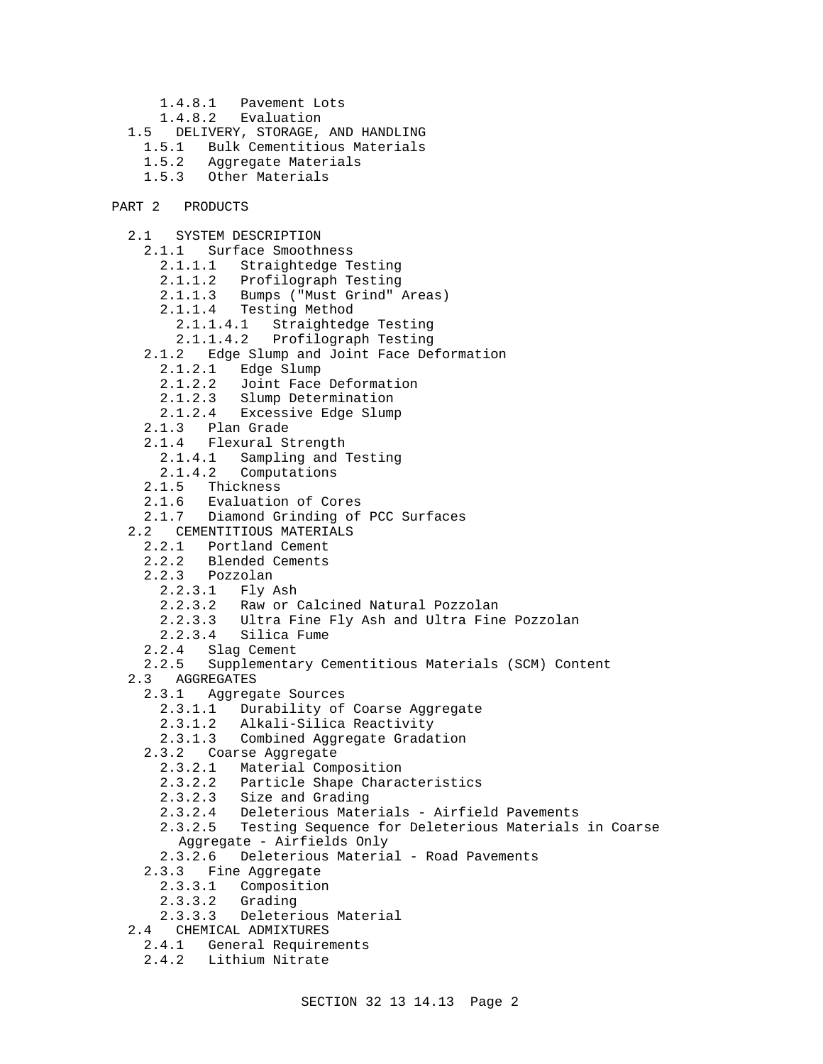1.4.8.1 Pavement Lots 1.4.8.2 Evaluation 1.5 DELIVERY, STORAGE, AND HANDLING 1.5.1 Bulk Cementitious Materials 1.5.2 Aggregate Materials 1.5.3 Other Materials PART 2 PRODUCTS 2.1 SYSTEM DESCRIPTION 2.1.1 Surface Smoothness 2.1.1.1 Straightedge Testing 2.1.1.2 Profilograph Testing 2.1.1.3 Bumps ("Must Grind" Areas) 2.1.1.4 Testing Method 2.1.1.4.1 Straightedge Testing 2.1.1.4.2 Profilograph Testing 2.1.2 Edge Slump and Joint Face Deformation 2.1.2.1 Edge Slump 2.1.2.2 Joint Face Deformation 2.1.2.3 Slump Determination 2.1.2.4 Excessive Edge Slump 2.1.3 Plan Grade 2.1.4 Flexural Strength 2.1.4.1 Sampling and Testing 2.1.4.2 Computations 2.1.5 Thickness 2.1.6 Evaluation of Cores 2.1.7 Diamond Grinding of PCC Surfaces 2.2 CEMENTITIOUS MATERIALS 2.2.1 Portland Cement 2.2.2 Blended Cements 2.2.3 Pozzolan 2.2.3.1 Fly Ash 2.2.3.2 Raw or Calcined Natural Pozzolan 2.2.3.3 Ultra Fine Fly Ash and Ultra Fine Pozzolan 2.2.3.4 Silica Fume 2.2.4 Slag Cement 2.2.5 Supplementary Cementitious Materials (SCM) Content 2.3 AGGREGATES 2.3.1 Aggregate Sources 2.3.1.1 Durability of Coarse Aggregate 2.3.1.2 Alkali-Silica Reactivity 2.3.1.3 Combined Aggregate Gradation 2.3.2 Coarse Aggregate 2.3.2.1 Material Composition 2.3.2.2 Particle Shape Characteristics 2.3.2.3 Size and Grading 2.3.2.4 Deleterious Materials - Airfield Pavements 2.3.2.5 Testing Sequence for Deleterious Materials in Coarse Aggregate - Airfields Only 2.3.2.6 Deleterious Material - Road Pavements 2.3.3 Fine Aggregate 2.3.3.1 Composition 2.3.3.2 Grading 2.3.3.3 Deleterious Material 2.4 CHEMICAL ADMIXTURES 2.4.1 General Requirements 2.4.2 Lithium Nitrate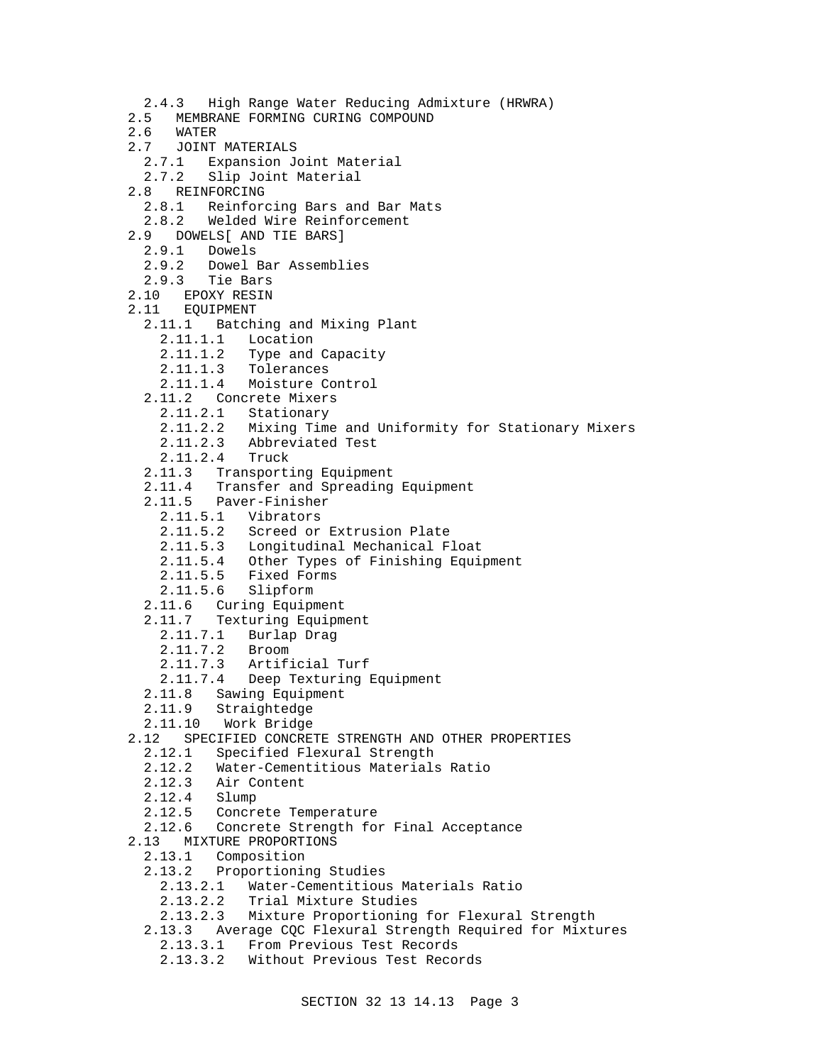2.4.3 High Range Water Reducing Admixture (HRWRA) 2.5 MEMBRANE FORMING CURING COMPOUND<br>2.6 WATER 2.6 WATER 2.7 JOINT MATERIALS<br>2.7.1 Expansion J Expansion Joint Material 2.7.2 Slip Joint Material 2.8 REINFORCING 2.8.1 Reinforcing Bars and Bar Mats Welded Wire Reinforcement 2.9 DOWELS[ AND TIE BARS] 2.9.1 Dowels 2.9.2 Dowel Bar Assemblies 2.9.3 Tie Bars 2.10 EPOXY RESIN 2.11 EQUIPMENT 2.11.1 Batching and Mixing Plant 2.11.1.1 Location 2.11.1.2 Type and Capacity 2.11.1.3 Tolerances 2.11.1.4 Moisture Control 2.11.2 Concrete Mixers 2.11.2.1 Stationary 2.11.2.2 Mixing Time and Uniformity for Stationary Mixers 2.11.2.3 Abbreviated Test 2.11.2.4 Truck 2.11.3 Transporting Equipment 2.11.4 Transfer and Spreading Equipment 2.11.5 Paver-Finisher 2.11.5.1 Vibrators 2.11.5.2 Screed or Extrusion Plate 2.11.5.3 Longitudinal Mechanical Float 2.11.5.4 Other Types of Finishing Equipment 2.11.5.5 Fixed Forms 2.11.5.6 Slipform 2.11.6 Curing Equipment 2.11.7 Texturing Equipment 2.11.7.1 Burlap Drag 2.11.7.2 Broom 2.11.7.3 Artificial Turf 2.11.7.4 Deep Texturing Equipment 2.11.8 Sawing Equipment 2.11.9 Straightedge 2.11.10 Work Bridge 2.12 SPECIFIED CONCRETE STRENGTH AND OTHER PROPERTIES 2.12.1 Specified Flexural Strength 2.12.2 Water-Cementitious Materials Ratio 2.12.3 Air Content 2.12.4 Slump 2.12.5 Concrete Temperature 2.12.6 Concrete Strength for Final Acceptance 2.13 MIXTURE PROPORTIONS 2.13.1 Composition 2.13.2 Proportioning Studies 2.13.2.1 Water-Cementitious Materials Ratio 2.13.2.2 Trial Mixture Studies 2.13.2.3 Mixture Proportioning for Flexural Strength 2.13.3 Average CQC Flexural Strength Required for Mixtures 2.13.3.1 From Previous Test Records 2.13.3.2 Without Previous Test Records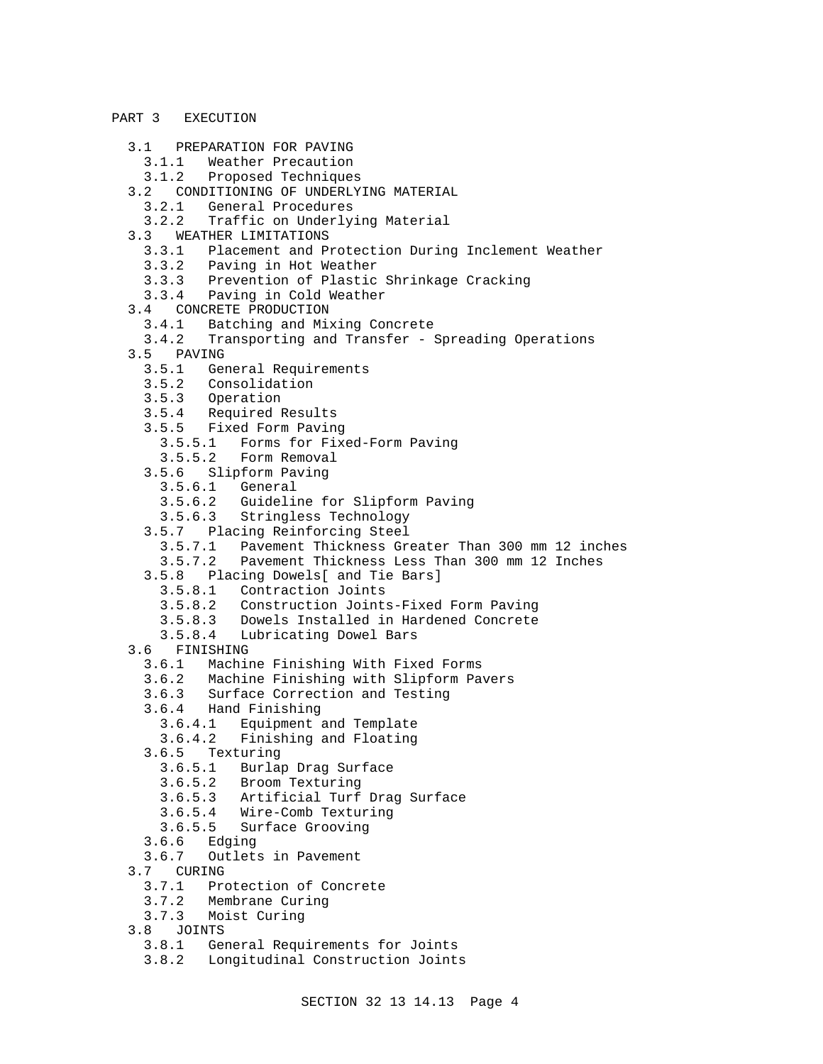- PART 3 EXECUTION
	- 3.1 PREPARATION FOR PAVING
		- 3.1.1 Weather Precaution
	- 3.1.2 Proposed Techniques
	- 3.2 CONDITIONING OF UNDERLYING MATERIAL
		- 3.2.1 General Procedures
	- 3.2.2 Traffic on Underlying Material
	- 3.3 WEATHER LIMITATIONS
		- 3.3.1 Placement and Protection During Inclement Weather
		- 3.3.2 Paving in Hot Weather
		- 3.3.3 Prevention of Plastic Shrinkage Cracking
		- 3.3.4 Paving in Cold Weather
	- 3.4 CONCRETE PRODUCTION
		- 3.4.1 Batching and Mixing Concrete
		- 3.4.2 Transporting and Transfer Spreading Operations
	- 3.5 PAVING
		- 3.5.1 General Requirements
		- 3.5.2 Consolidation
		- Operation
		- 3.5.4 Required Results
		- 3.5.5 Fixed Form Paving
			- 3.5.5.1 Forms for Fixed-Form Paving
			- 3.5.5.2 Form Removal
		- 3.5.6 Slipform Paving
			- General
			- 3.5.6.2 Guideline for Slipform Paving
			- 3.5.6.3 Stringless Technology
		- 3.5.7 Placing Reinforcing Steel
			- 3.5.7.1 Pavement Thickness Greater Than 300 mm 12 inches
		- 3.5.7.2 Pavement Thickness Less Than 300 mm 12 Inches
			- Placing Dowels[ and Tie Bars]
			- 3.5.8.1 Contraction Joints
			- 3.5.8.2 Construction Joints-Fixed Form Paving
			- 3.5.8.3 Dowels Installed in Hardened Concrete
			- 3.5.8.4 Lubricating Dowel Bars
	- 3.6 FINISHING
		- 3.6.1 Machine Finishing With Fixed Forms
		- 3.6.2 Machine Finishing with Slipform Pavers
- 3.6.3 Surface Correction and Testing
- 3.6.4 Hand Finishing
	- 3.6.4.1 Equipment and Template
	- 3.6.4.2 Finishing and Floating
	- 3.6.5 Texturing
		- 3.6.5.1 Burlap Drag Surface
		- 3.6.5.2 Broom Texturing
		- 3.6.5.3 Artificial Turf Drag Surface
		- 3.6.5.4 Wire-Comb Texturing
	- 3.6.5.5 Surface Grooving<br>3.6.6 Edging
	-
	- 3.6.6 Edging<br>3.6.7 Outlets Outlets in Pavement
	- 3.7 CURING
		- 3.7.1 Protection of Concrete
		- 3.7.2 Membrane Curing
		- 3.7.3 Moist Curing
	- 3.8 JOINTS
		- 3.8.1 General Requirements for Joints
		- 3.8.2 Longitudinal Construction Joints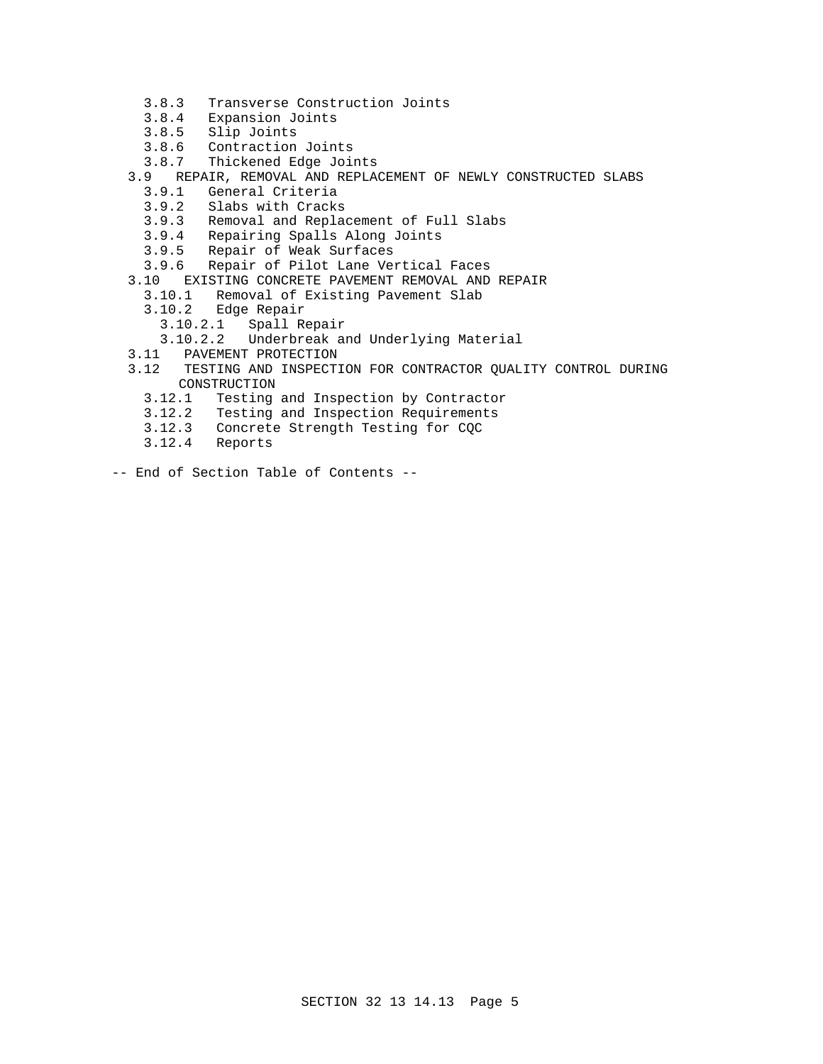- 3.8.3 Transverse Construction Joints
- 3.8.4 Expansion Joints
- 3.8.5 Slip Joints
- Contraction Joints
- 3.8.7 Thickened Edge Joints
- 3.9 REPAIR, REMOVAL AND REPLACEMENT OF NEWLY CONSTRUCTED SLABS
	- 3.9.1 General Criteria
	- Slabs with Cracks
	- 3.9.3 Removal and Replacement of Full Slabs
	- 3.9.4 Repairing Spalls Along Joints
	- 3.9.5 Repair of Weak Surfaces
	- 3.9.6 Repair of Pilot Lane Vertical Faces
- 3.10 EXISTING CONCRETE PAVEMENT REMOVAL AND REPAIR
	- 3.10.1 Removal of Existing Pavement Slab
	- 3.10.2 Edge Repair
		- 3.10.2.1 Spall Repair
		- 3.10.2.2 Underbreak and Underlying Material
- 3.11 PAVEMENT PROTECTION
- 3.12 TESTING AND INSPECTION FOR CONTRACTOR QUALITY CONTROL DURING CONSTRUCTION
	- 3.12.1 Testing and Inspection by Contractor
	- 3.12.2 Testing and Inspection Requirements
	- 3.12.3 Concrete Strength Testing for CQC
	- 3.12.4 Reports
- -- End of Section Table of Contents --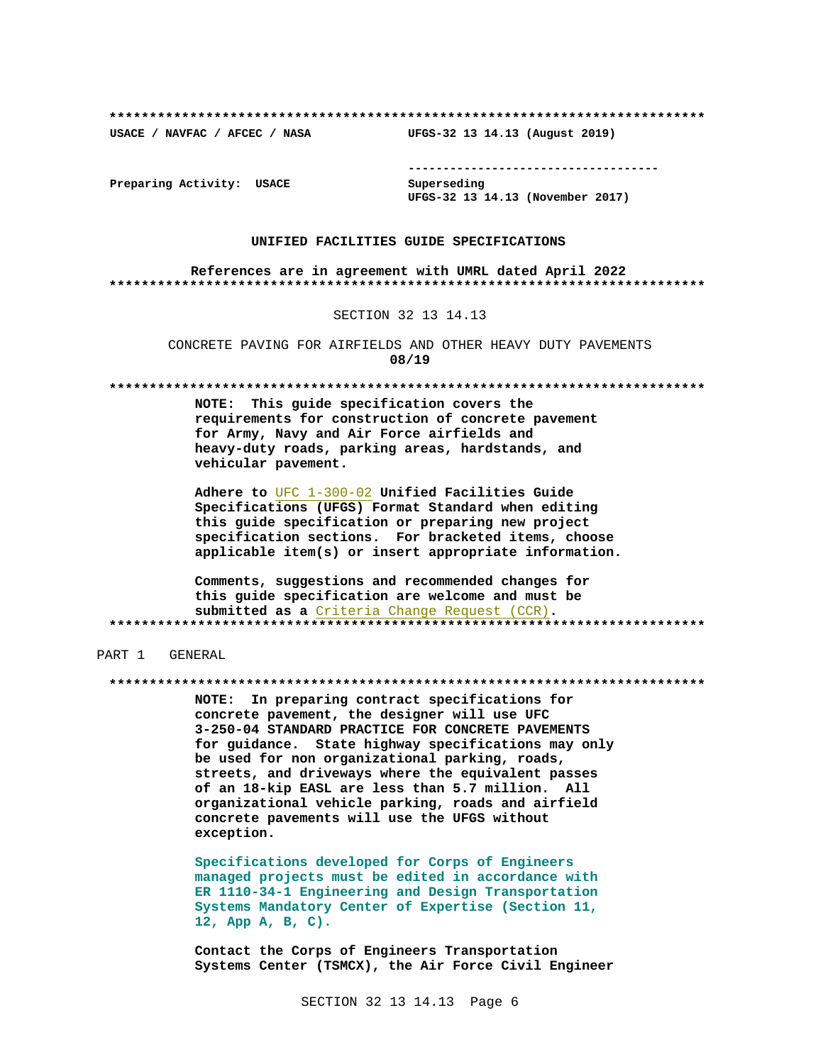**\*\*\*\*\*\*\*\*\*\*\*\*\*\*\*\*\*\*\*\*\*\*\*\*\*\*\*\*\*\*\*\*\*\*\*\*\*\*\*\*\*\*\*\*\*\*\*\*\*\*\*\*\*\*\*\*\*\*\*\*\*\*\*\*\*\*\*\*\*\*\*\*\*\***

**USACE / NAVFAC / AFCEC / NASA UFGS-32 13 14.13 (August 2019)**

**------------------------------------**

**Preparing Activity: USACE Superseding**

**UFGS-32 13 14.13 (November 2017)**

### **UNIFIED FACILITIES GUIDE SPECIFICATIONS**

**References are in agreement with UMRL dated April 2022 \*\*\*\*\*\*\*\*\*\*\*\*\*\*\*\*\*\*\*\*\*\*\*\*\*\*\*\*\*\*\*\*\*\*\*\*\*\*\*\*\*\*\*\*\*\*\*\*\*\*\*\*\*\*\*\*\*\*\*\*\*\*\*\*\*\*\*\*\*\*\*\*\*\***

#### SECTION 32 13 14.13

CONCRETE PAVING FOR AIRFIELDS AND OTHER HEAVY DUTY PAVEMENTS **08/19**

**\*\*\*\*\*\*\*\*\*\*\*\*\*\*\*\*\*\*\*\*\*\*\*\*\*\*\*\*\*\*\*\*\*\*\*\*\*\*\*\*\*\*\*\*\*\*\*\*\*\*\*\*\*\*\*\*\*\*\*\*\*\*\*\*\*\*\*\*\*\*\*\*\*\***

**NOTE: This guide specification covers the requirements for construction of concrete pavement for Army, Navy and Air Force airfields and heavy-duty roads, parking areas, hardstands, and vehicular pavement.**

**Adhere to** UFC 1-300-02 **Unified Facilities Guide Specifications (UFGS) Format Standard when editing this guide specification or preparing new project specification sections. For bracketed items, choose applicable item(s) or insert appropriate information.**

**Comments, suggestions and recommended changes for this guide specification are welcome and must be submitted as a** Criteria Change Request (CCR)**. \*\*\*\*\*\*\*\*\*\*\*\*\*\*\*\*\*\*\*\*\*\*\*\*\*\*\*\*\*\*\*\*\*\*\*\*\*\*\*\*\*\*\*\*\*\*\*\*\*\*\*\*\*\*\*\*\*\*\*\*\*\*\*\*\*\*\*\*\*\*\*\*\*\***

PART 1 GENERAL

**\*\*\*\*\*\*\*\*\*\*\*\*\*\*\*\*\*\*\*\*\*\*\*\*\*\*\*\*\*\*\*\*\*\*\*\*\*\*\*\*\*\*\*\*\*\*\*\*\*\*\*\*\*\*\*\*\*\*\*\*\*\*\*\*\*\*\*\*\*\*\*\*\*\***

**NOTE: In preparing contract specifications for concrete pavement, the designer will use UFC 3-250-04 STANDARD PRACTICE FOR CONCRETE PAVEMENTS for guidance. State highway specifications may only be used for non organizational parking, roads, streets, and driveways where the equivalent passes of an 18-kip EASL are less than 5.7 million. All organizational vehicle parking, roads and airfield concrete pavements will use the UFGS without exception.**

**Specifications developed for Corps of Engineers managed projects must be edited in accordance with ER 1110-34-1 Engineering and Design Transportation Systems Mandatory Center of Expertise (Section 11, 12, App A, B, C).**

**Contact the Corps of Engineers Transportation Systems Center (TSMCX), the Air Force Civil Engineer**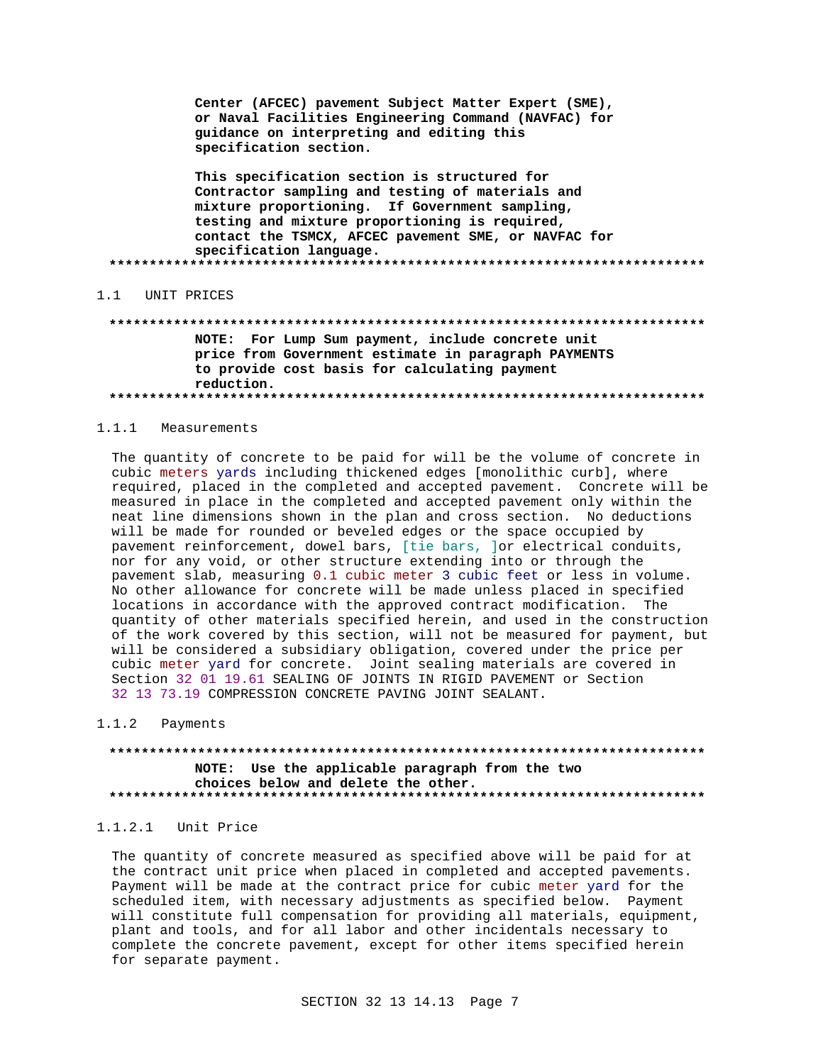Center (AFCEC) pavement Subject Matter Expert (SME), or Naval Facilities Engineering Command (NAVFAC) for guidance on interpreting and editing this specification section.

This specification section is structured for Contractor sampling and testing of materials and mixture proportioning. If Government sampling, testing and mixture proportioning is required, contact the TSMCX, AFCEC pavement SME, or NAVFAC for specification language. 

1.1 UNIT PRICES

## NOTE: For Lump Sum payment, include concrete unit price from Government estimate in paragraph PAYMENTS to provide cost basis for calculating payment reduction.

#### $1.1.1$ Measurements

The quantity of concrete to be paid for will be the volume of concrete in cubic meters yards including thickened edges [monolithic curb], where required, placed in the completed and accepted pavement. Concrete will be measured in place in the completed and accepted pavement only within the neat line dimensions shown in the plan and cross section. No deductions will be made for rounded or beveled edges or the space occupied by pavement reinforcement, dowel bars, [tie bars, ]or electrical conduits, nor for any void, or other structure extending into or through the pavement slab, measuring 0.1 cubic meter 3 cubic feet or less in volume. No other allowance for concrete will be made unless placed in specified locations in accordance with the approved contract modification. The quantity of other materials specified herein, and used in the construction of the work covered by this section, will not be measured for payment, but will be considered a subsidiary obligation, covered under the price per cubic meter yard for concrete. Joint sealing materials are covered in Section 32 01 19.61 SEALING OF JOINTS IN RIGID PAVEMENT or Section 32 13 73.19 COMPRESSION CONCRETE PAVING JOINT SEALANT.

#### $1.1.2$ Payments

## NOTE: Use the applicable paragraph from the two choices below and delete the other.

### 1.1.2.1 Unit Price

The quantity of concrete measured as specified above will be paid for at the contract unit price when placed in completed and accepted pavements. Payment will be made at the contract price for cubic meter yard for the scheduled item, with necessary adjustments as specified below. Payment will constitute full compensation for providing all materials, equipment, plant and tools, and for all labor and other incidentals necessary to complete the concrete pavement, except for other items specified herein for separate payment.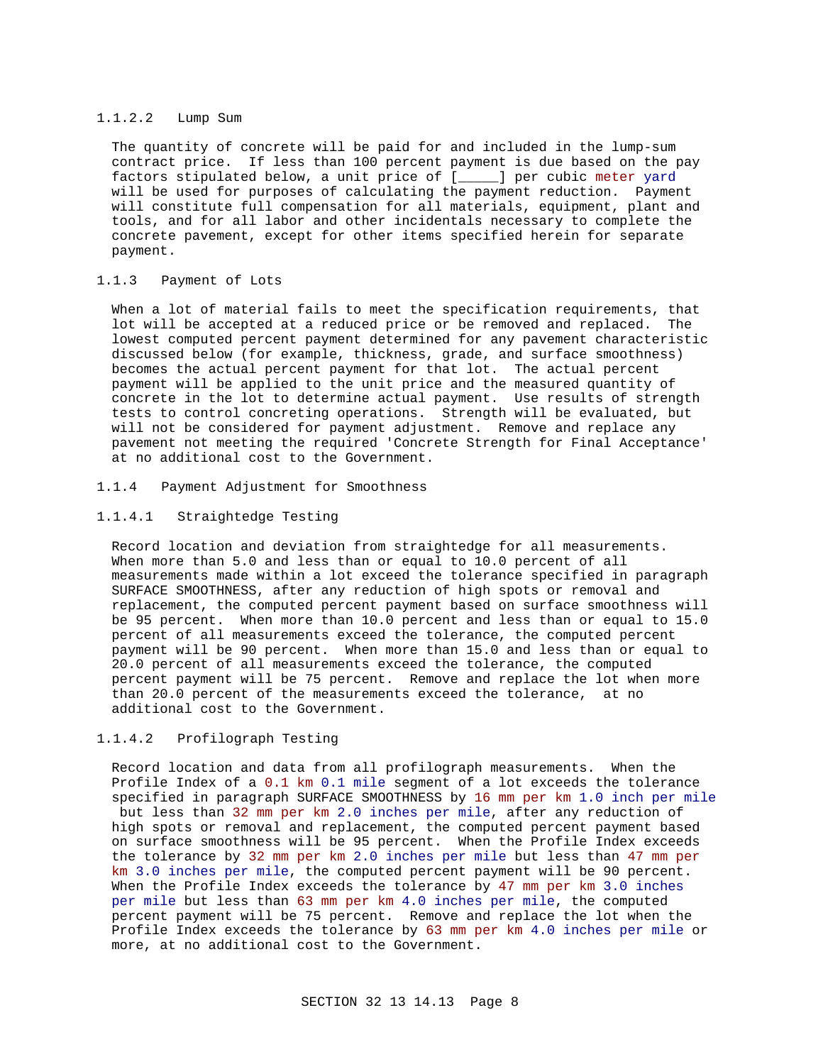### 1.1.2.2 Lump Sum

The quantity of concrete will be paid for and included in the lump-sum contract price. If less than 100 percent payment is due based on the pay factors stipulated below, a unit price of [\_\_\_\_\_] per cubic meter yard will be used for purposes of calculating the payment reduction. Payment will constitute full compensation for all materials, equipment, plant and tools, and for all labor and other incidentals necessary to complete the concrete pavement, except for other items specified herein for separate payment.

### 1.1.3 Payment of Lots

When a lot of material fails to meet the specification requirements, that lot will be accepted at a reduced price or be removed and replaced. The lowest computed percent payment determined for any pavement characteristic discussed below (for example, thickness, grade, and surface smoothness) becomes the actual percent payment for that lot. The actual percent payment will be applied to the unit price and the measured quantity of concrete in the lot to determine actual payment. Use results of strength tests to control concreting operations. Strength will be evaluated, but will not be considered for payment adjustment. Remove and replace any pavement not meeting the required 'Concrete Strength for Final Acceptance' at no additional cost to the Government.

## 1.1.4 Payment Adjustment for Smoothness

## 1.1.4.1 Straightedge Testing

Record location and deviation from straightedge for all measurements. When more than 5.0 and less than or equal to 10.0 percent of all measurements made within a lot exceed the tolerance specified in paragraph SURFACE SMOOTHNESS, after any reduction of high spots or removal and replacement, the computed percent payment based on surface smoothness will be 95 percent. When more than 10.0 percent and less than or equal to 15.0 percent of all measurements exceed the tolerance, the computed percent payment will be 90 percent. When more than 15.0 and less than or equal to 20.0 percent of all measurements exceed the tolerance, the computed percent payment will be 75 percent. Remove and replace the lot when more than 20.0 percent of the measurements exceed the tolerance, at no additional cost to the Government.

## 1.1.4.2 Profilograph Testing

Record location and data from all profilograph measurements. When the Profile Index of a 0.1 km 0.1 mile segment of a lot exceeds the tolerance specified in paragraph SURFACE SMOOTHNESS by 16 mm per km 1.0 inch per mile but less than 32 mm per km 2.0 inches per mile, after any reduction of high spots or removal and replacement, the computed percent payment based on surface smoothness will be 95 percent. When the Profile Index exceeds the tolerance by 32 mm per km 2.0 inches per mile but less than 47 mm per km 3.0 inches per mile, the computed percent payment will be 90 percent. When the Profile Index exceeds the tolerance by 47 mm per km 3.0 inches per mile but less than 63 mm per km 4.0 inches per mile, the computed percent payment will be 75 percent. Remove and replace the lot when the Profile Index exceeds the tolerance by 63 mm per km 4.0 inches per mile or more, at no additional cost to the Government.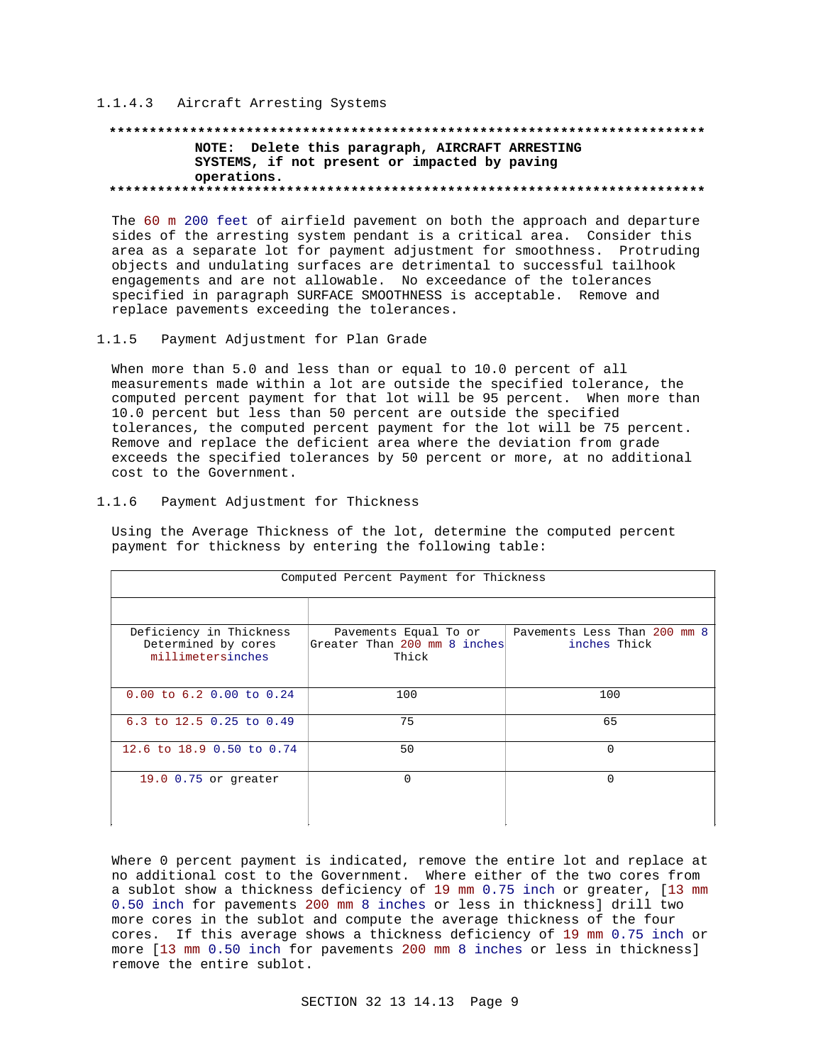## 1.1.4.3 Aircraft Arresting Systems

## NOTE: Delete this paragraph, AIRCRAFT ARRESTING SYSTEMS, if not present or impacted by paving operations.

The 60 m 200 feet of airfield pavement on both the approach and departure sides of the arresting system pendant is a critical area. Consider this area as a separate lot for payment adjustment for smoothness. Protruding objects and undulating surfaces are detrimental to successful tailhook engagements and are not allowable. No exceedance of the tolerances specified in paragraph SURFACE SMOOTHNESS is acceptable. Remove and replace pavements exceeding the tolerances.

Payment Adjustment for Plan Grade  $1.1.5$ 

When more than 5.0 and less than or equal to 10.0 percent of all measurements made within a lot are outside the specified tolerance, the computed percent payment for that lot will be 95 percent. When more than 10.0 percent but less than 50 percent are outside the specified tolerances, the computed percent payment for the lot will be 75 percent. Remove and replace the deficient area where the deviation from grade exceeds the specified tolerances by 50 percent or more, at no additional cost to the Government.

#### $1.1.6$ Payment Adjustment for Thickness

Using the Average Thickness of the lot, determine the computed percent payment for thickness by entering the following table:

| Computed Percent Payment for Thickness                              |                                                                |                                              |  |  |  |  |
|---------------------------------------------------------------------|----------------------------------------------------------------|----------------------------------------------|--|--|--|--|
|                                                                     |                                                                |                                              |  |  |  |  |
| Deficiency in Thickness<br>Determined by cores<br>millimetersinches | Pavements Equal To or<br>Greater Than 200 mm 8 inches<br>Thick | Pavements Less Than 200 mm 8<br>inches Thick |  |  |  |  |
| 0.00 to 6.2 0.00 to 0.24                                            | 100                                                            | 100                                          |  |  |  |  |
| 6.3 to 12.5 0.25 to 0.49                                            | 75                                                             | 65                                           |  |  |  |  |
| 12.6 to 18.9 0.50 to 0.74                                           | 50                                                             | $\Omega$                                     |  |  |  |  |
| 19.0 0.75 or greater                                                | $\Omega$                                                       | $\Omega$                                     |  |  |  |  |

Where 0 percent payment is indicated, remove the entire lot and replace at no additional cost to the Government. Where either of the two cores from a sublot show a thickness deficiency of 19 mm 0.75 inch or greater, [13 mm 0.50 inch for pavements 200 mm 8 inches or less in thickness] drill two more cores in the sublot and compute the average thickness of the four cores. If this average shows a thickness deficiency of 19 mm 0.75 inch or more [13 mm 0.50 inch for pavements 200 mm 8 inches or less in thickness] remove the entire sublot.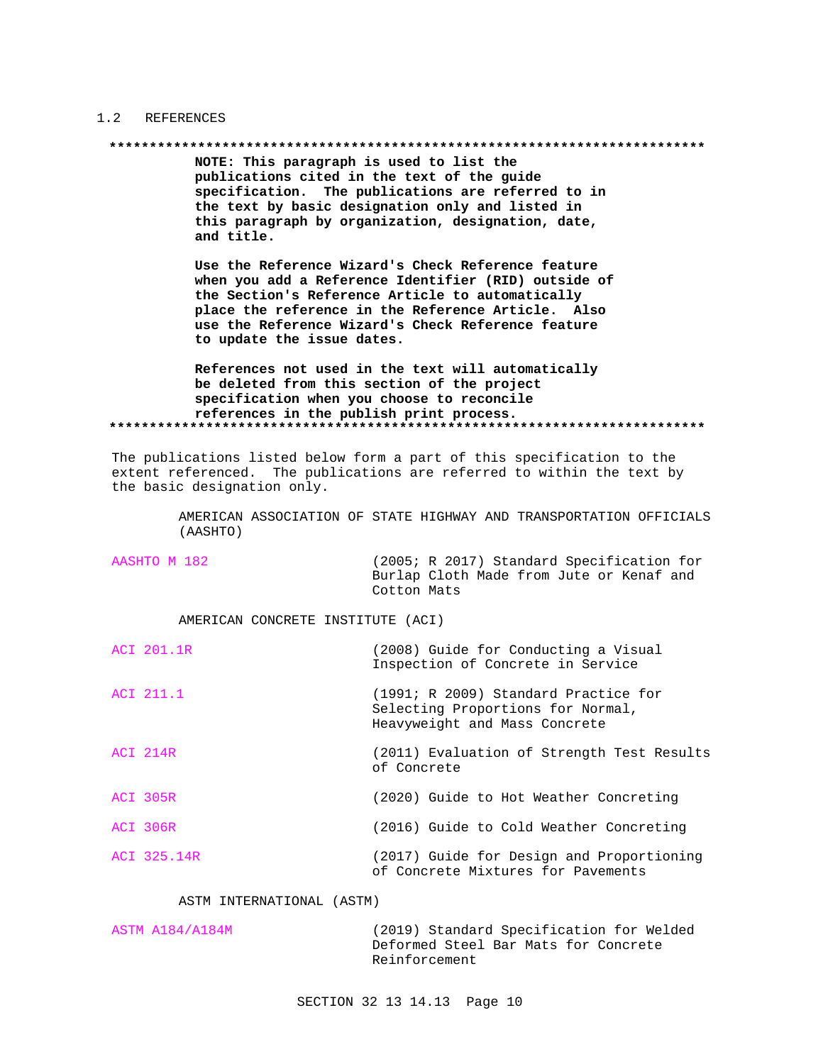#### $1.2$ REFERENCES

#### 

NOTE: This paragraph is used to list the publications cited in the text of the guide specification. The publications are referred to in the text by basic designation only and listed in this paragraph by organization, designation, date, and title.

Use the Reference Wizard's Check Reference feature when you add a Reference Identifier (RID) outside of the Section's Reference Article to automatically place the reference in the Reference Article. Also use the Reference Wizard's Check Reference feature to update the issue dates.

References not used in the text will automatically be deleted from this section of the project specification when you choose to reconcile references in the publish print process. 

The publications listed below form a part of this specification to the extent referenced. The publications are referred to within the text by the basic designation only.

> AMERICAN ASSOCIATION OF STATE HIGHWAY AND TRANSPORTATION OFFICIALS (AASHTO)

| AASHTO M 182 |  |  | (2005; R 2017) Standard Specification for |  |  |  |  |  |
|--------------|--|--|-------------------------------------------|--|--|--|--|--|
|              |  |  | Burlap Cloth Made from Jute or Kenaf and  |  |  |  |  |  |
|              |  |  | Cotton Mats                               |  |  |  |  |  |

AMERICAN CONCRETE INSTITUTE (ACI)

| ACI 201.1R      | (2008) Guide for Conducting a Visual<br>Inspection of Concrete in Service                                  |
|-----------------|------------------------------------------------------------------------------------------------------------|
| ACI 211.1       | (1991; R 2009) Standard Practice for<br>Selecting Proportions for Normal,<br>Heavyweight and Mass Concrete |
| ACI 214R        | (2011) Evaluation of Strength Test Results<br>of Concrete                                                  |
| ACI 305R        | (2020) Guide to Hot Weather Concreting                                                                     |
| <b>ACI 306R</b> | (2016) Guide to Cold Weather Concreting                                                                    |
| ACI 325.14R     | (2017) Guide for Design and Proportioning<br>of Concrete Mixtures for Pavements                            |

## ASTM INTERNATIONAL (ASTM)

ASTM A184/A184M (2019) Standard Specification for Welded Deformed Steel Bar Mats for Concrete Reinforcement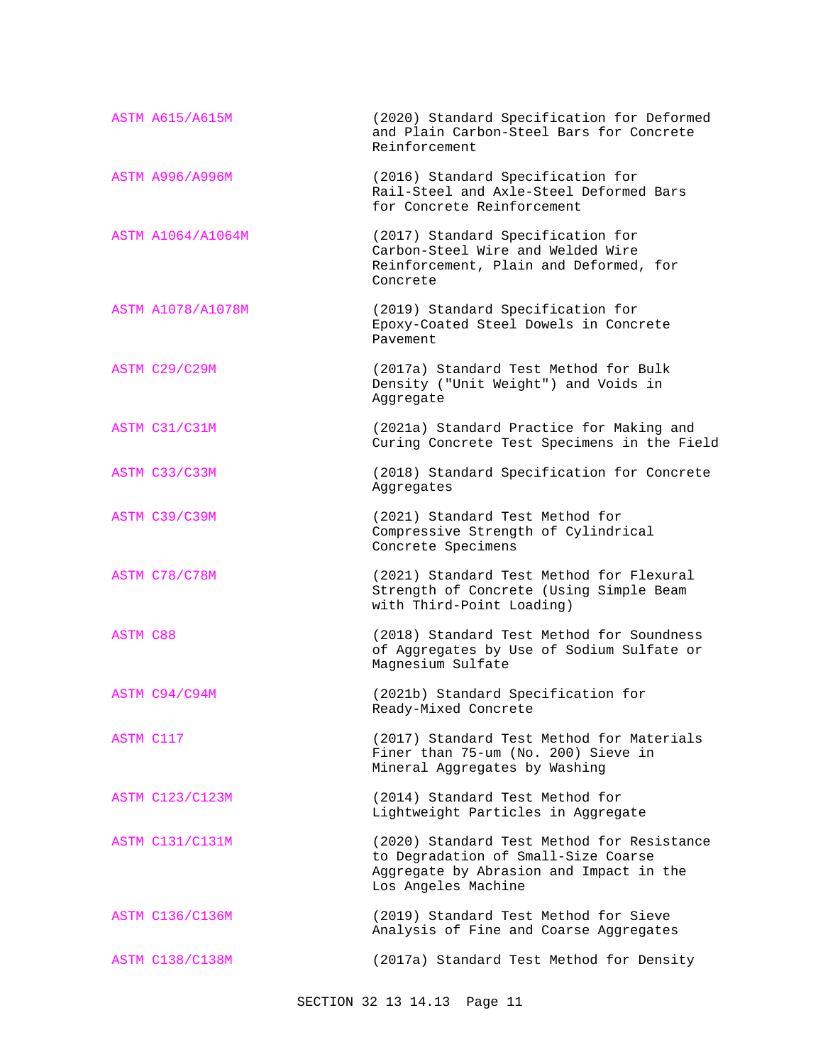| <b>ASTM A615/A615M</b>   | (2020) Standard Specification for Deformed<br>and Plain Carbon-Steel Bars for Concrete<br>Reinforcement                                             |
|--------------------------|-----------------------------------------------------------------------------------------------------------------------------------------------------|
| <b>ASTM A996/A996M</b>   | (2016) Standard Specification for<br>Rail-Steel and Axle-Steel Deformed Bars<br>for Concrete Reinforcement                                          |
| ASTM A1064/A1064M        | (2017) Standard Specification for<br>Carbon-Steel Wire and Welded Wire<br>Reinforcement, Plain and Deformed, for<br>Concrete                        |
| <b>ASTM A1078/A1078M</b> | (2019) Standard Specification for<br>Epoxy-Coated Steel Dowels in Concrete<br>Pavement                                                              |
| ASTM C29/C29M            | (2017a) Standard Test Method for Bulk<br>Density ("Unit Weight") and Voids in<br>Aggregate                                                          |
| ASTM C31/C31M            | (2021a) Standard Practice for Making and<br>Curing Concrete Test Specimens in the Field                                                             |
| ASTM C33/C33M            | (2018) Standard Specification for Concrete<br>Aggregates                                                                                            |
| ASTM C39/C39M            | (2021) Standard Test Method for<br>Compressive Strength of Cylindrical<br>Concrete Specimens                                                        |
| ASTM C78/C78M            | (2021) Standard Test Method for Flexural<br>Strength of Concrete (Using Simple Beam<br>with Third-Point Loading)                                    |
| ASTM C88                 | (2018) Standard Test Method for Soundness<br>of Aggregates by Use of Sodium Sulfate or<br>Magnesium Sulfate                                         |
| ASTM C94/C94M            | (2021b) Standard Specification for<br>Ready-Mixed Concrete                                                                                          |
| ASTM C117                | (2017) Standard Test Method for Materials<br>Finer than 75-um (No. 200) Sieve in<br>Mineral Aggregates by Washing                                   |
| <b>ASTM C123/C123M</b>   | (2014) Standard Test Method for<br>Lightweight Particles in Aggregate                                                                               |
| <b>ASTM C131/C131M</b>   | (2020) Standard Test Method for Resistance<br>to Degradation of Small-Size Coarse<br>Aggregate by Abrasion and Impact in the<br>Los Angeles Machine |
| <b>ASTM C136/C136M</b>   | (2019) Standard Test Method for Sieve<br>Analysis of Fine and Coarse Aggregates                                                                     |
| <b>ASTM C138/C138M</b>   | (2017a) Standard Test Method for Density                                                                                                            |

SECTION 32 13 14.13 Page 11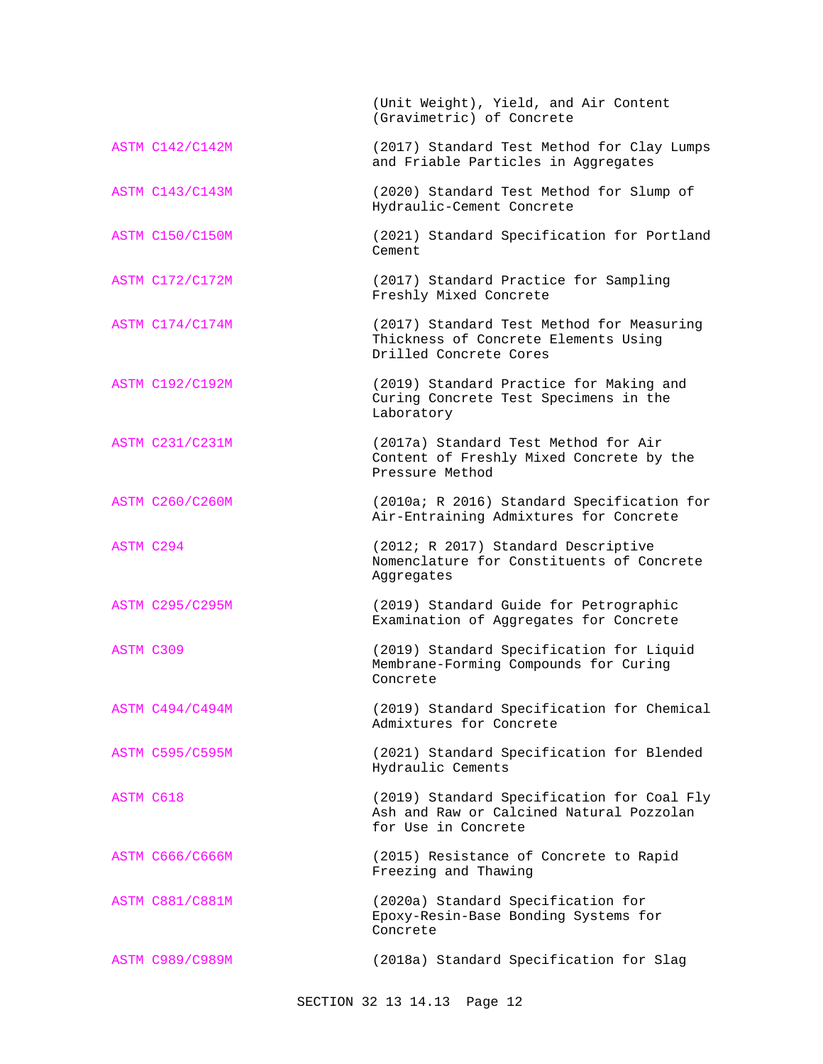|                        | (Unit Weight), Yield, and Air Content<br>(Gravimetric) of Concrete                                            |
|------------------------|---------------------------------------------------------------------------------------------------------------|
| ASTM C142/C142M        | (2017) Standard Test Method for Clay Lumps<br>and Friable Particles in Aggregates                             |
| <b>ASTM C143/C143M</b> | (2020) Standard Test Method for Slump of<br>Hydraulic-Cement Concrete                                         |
| <b>ASTM C150/C150M</b> | (2021) Standard Specification for Portland<br>Cement                                                          |
| <b>ASTM C172/C172M</b> | (2017) Standard Practice for Sampling<br>Freshly Mixed Concrete                                               |
| ASTM C174/C174M        | (2017) Standard Test Method for Measuring<br>Thickness of Concrete Elements Using<br>Drilled Concrete Cores   |
| <b>ASTM C192/C192M</b> | (2019) Standard Practice for Making and<br>Curing Concrete Test Specimens in the<br>Laboratory                |
| <b>ASTM C231/C231M</b> | (2017a) Standard Test Method for Air<br>Content of Freshly Mixed Concrete by the<br>Pressure Method           |
| <b>ASTM C260/C260M</b> | (2010a; R 2016) Standard Specification for<br>Air-Entraining Admixtures for Concrete                          |
| <b>ASTM C294</b>       | (2012; R 2017) Standard Descriptive<br>Nomenclature for Constituents of Concrete<br>Aggregates                |
| <b>ASTM C295/C295M</b> | (2019) Standard Guide for Petrographic<br>Examination of Aggregates for Concrete                              |
| ASTM C309              | (2019) Standard Specification for Liquid<br>Membrane-Forming Compounds for Curing<br>Concrete                 |
| <b>ASTM C494/C494M</b> | (2019) Standard Specification for Chemical<br>Admixtures for Concrete                                         |
| <b>ASTM C595/C595M</b> | (2021) Standard Specification for Blended<br>Hydraulic Cements                                                |
| ASTM C618              | (2019) Standard Specification for Coal Fly<br>Ash and Raw or Calcined Natural Pozzolan<br>for Use in Concrete |
| <b>ASTM C666/C666M</b> | (2015) Resistance of Concrete to Rapid<br>Freezing and Thawing                                                |
| <b>ASTM C881/C881M</b> | (2020a) Standard Specification for<br>Epoxy-Resin-Base Bonding Systems for<br>Concrete                        |
| <b>ASTM C989/C989M</b> | (2018a) Standard Specification for Slag                                                                       |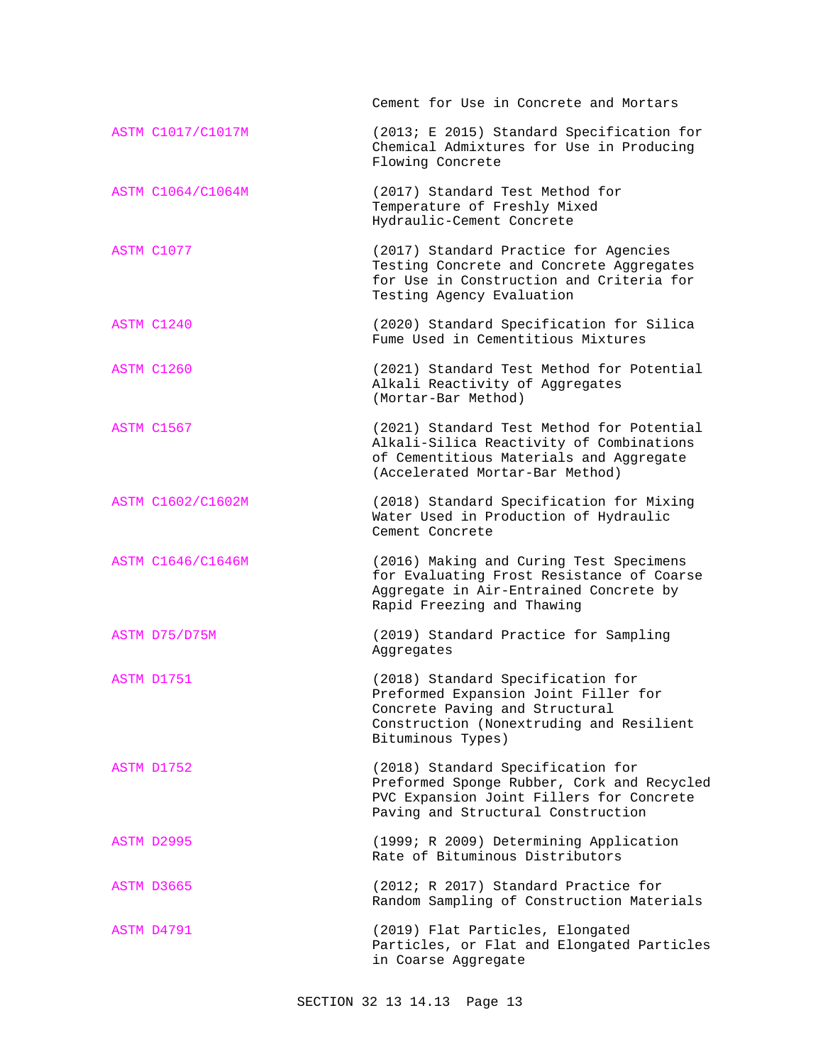|                   | Cement for Use in Concrete and Mortars                                                                                                                                       |
|-------------------|------------------------------------------------------------------------------------------------------------------------------------------------------------------------------|
| ASTM C1017/C1017M | (2013; E 2015) Standard Specification for<br>Chemical Admixtures for Use in Producing<br>Flowing Concrete                                                                    |
| ASTM C1064/C1064M | (2017) Standard Test Method for<br>Temperature of Freshly Mixed<br>Hydraulic-Cement Concrete                                                                                 |
| ASTM C1077        | (2017) Standard Practice for Agencies<br>Testing Concrete and Concrete Aggregates<br>for Use in Construction and Criteria for<br>Testing Agency Evaluation                   |
| ASTM C1240        | (2020) Standard Specification for Silica<br>Fume Used in Cementitious Mixtures                                                                                               |
| <b>ASTM C1260</b> | (2021) Standard Test Method for Potential<br>Alkali Reactivity of Aggregates<br>(Mortar-Bar Method)                                                                          |
| <b>ASTM C1567</b> | (2021) Standard Test Method for Potential<br>Alkali-Silica Reactivity of Combinations<br>of Cementitious Materials and Aggregate<br>(Accelerated Mortar-Bar Method)          |
| ASTM C1602/C1602M | (2018) Standard Specification for Mixing<br>Water Used in Production of Hydraulic<br>Cement Concrete                                                                         |
| ASTM C1646/C1646M | (2016) Making and Curing Test Specimens<br>for Evaluating Frost Resistance of Coarse<br>Aggregate in Air-Entrained Concrete by<br>Rapid Freezing and Thawing                 |
| ASTM D75/D75M     | (2019) Standard Practice for Sampling<br>Aggregates                                                                                                                          |
| ASTM D1751        | (2018) Standard Specification for<br>Preformed Expansion Joint Filler for<br>Concrete Paving and Structural<br>Construction (Nonextruding and Resilient<br>Bituminous Types) |
| ASTM D1752        | (2018) Standard Specification for<br>Preformed Sponge Rubber, Cork and Recycled<br>PVC Expansion Joint Fillers for Concrete<br>Paving and Structural Construction            |
| ASTM D2995        | (1999; R 2009) Determining Application<br>Rate of Bituminous Distributors                                                                                                    |
| ASTM D3665        | (2012; R 2017) Standard Practice for<br>Random Sampling of Construction Materials                                                                                            |
| ASTM D4791        | (2019) Flat Particles, Elongated<br>Particles, or Flat and Elongated Particles<br>in Coarse Aggregate                                                                        |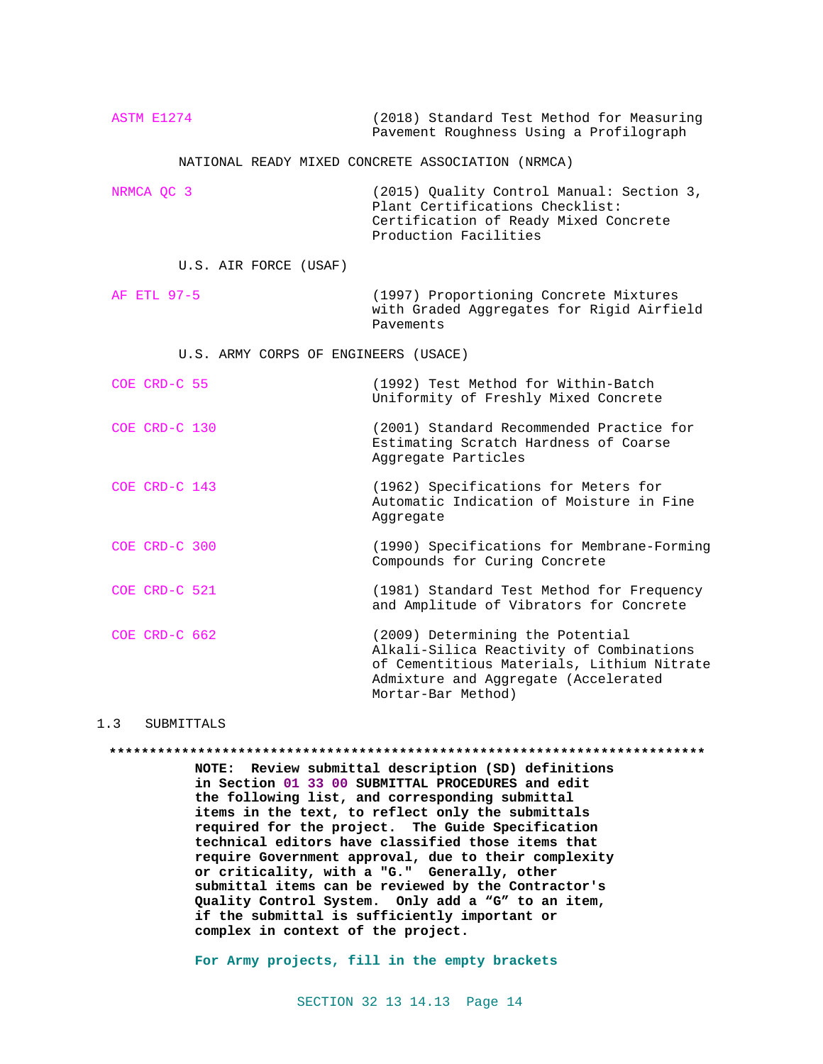| ASTM E1274                           | (2018) Standard Test Method for Measuring<br>Pavement Roughness Using a Profilograph                                                                                                     |
|--------------------------------------|------------------------------------------------------------------------------------------------------------------------------------------------------------------------------------------|
|                                      | NATIONAL READY MIXED CONCRETE ASSOCIATION (NRMCA)                                                                                                                                        |
| NRMCA QC 3                           | (2015) Quality Control Manual: Section 3,<br>Plant Certifications Checklist:<br>Certification of Ready Mixed Concrete<br>Production Facilities                                           |
| U.S. AIR FORCE (USAF)                |                                                                                                                                                                                          |
| AF ETL 97-5                          | (1997) Proportioning Concrete Mixtures<br>with Graded Aggregates for Rigid Airfield<br>Pavements                                                                                         |
| U.S. ARMY CORPS OF ENGINEERS (USACE) |                                                                                                                                                                                          |
| COE CRD-C 55                         | (1992) Test Method for Within-Batch<br>Uniformity of Freshly Mixed Concrete                                                                                                              |
| $COE$ $CRD-C$ 130                    | (2001) Standard Recommended Practice for<br>Estimating Scratch Hardness of Coarse<br>Aggregate Particles                                                                                 |
| COE CRD-C $143$                      | (1962) Specifications for Meters for<br>Automatic Indication of Moisture in Fine<br>Aggregate                                                                                            |
| COE CRD-C 300                        | (1990) Specifications for Membrane-Forming<br>Compounds for Curing Concrete                                                                                                              |
| COE CRD-C 521                        | (1981) Standard Test Method for Frequency<br>and Amplitude of Vibrators for Concrete                                                                                                     |
| $COE$ $CRD-C$ 662                    | (2009) Determining the Potential<br>Alkali-Silica Reactivity of Combinations<br>of Cementitious Materials, Lithium Nitrate<br>Admixture and Aggregate (Accelerated<br>Mortar-Bar Method) |

# 1.3 SUBMITTALS

#### **\*\*\*\*\*\*\*\*\*\*\*\*\*\*\*\*\*\*\*\*\*\*\*\*\*\*\*\*\*\*\*\*\*\*\*\*\*\*\*\*\*\*\*\*\*\*\*\*\*\*\*\*\*\*\*\*\*\*\*\*\*\*\*\*\*\*\*\*\*\*\*\*\*\***

**NOTE: Review submittal description (SD) definitions in Section 01 33 00 SUBMITTAL PROCEDURES and edit the following list, and corresponding submittal items in the text, to reflect only the submittals required for the project. The Guide Specification technical editors have classified those items that require Government approval, due to their complexity or criticality, with a "G." Generally, other submittal items can be reviewed by the Contractor's Quality Control System. Only add a "G" to an item, if the submittal is sufficiently important or complex in context of the project.**

**For Army projects, fill in the empty brackets**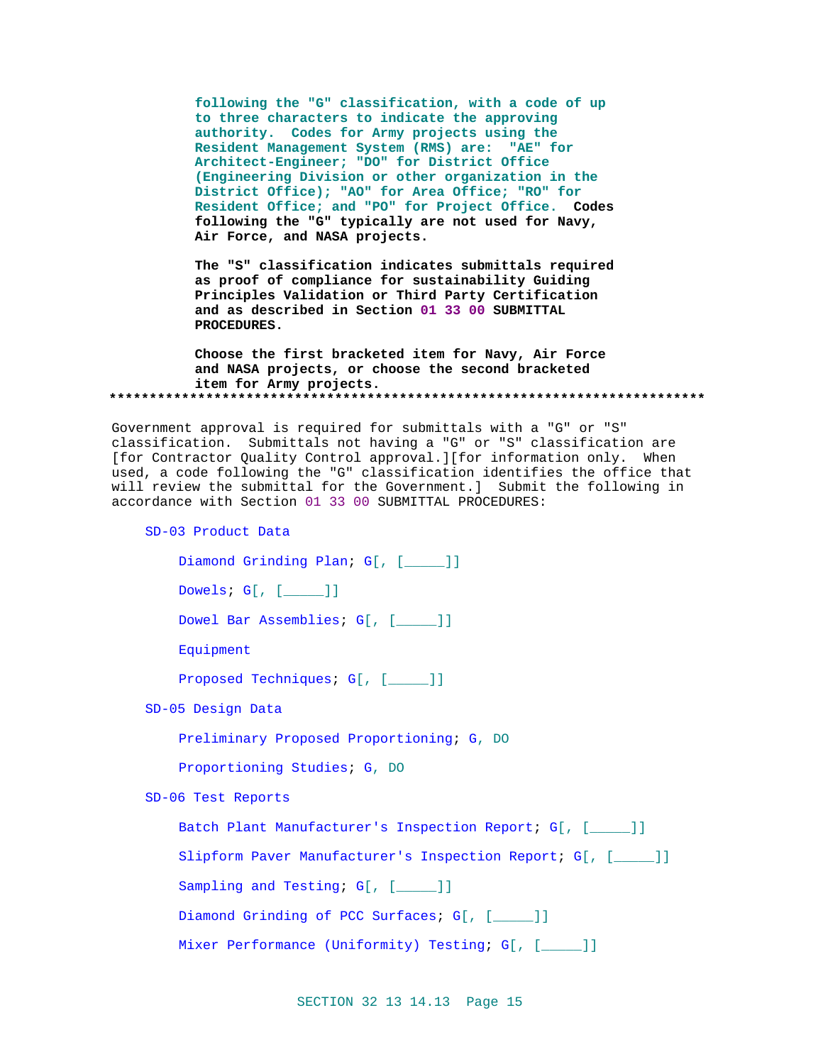**following the "G" classification, with a code of up to three characters to indicate the approving authority. Codes for Army projects using the Resident Management System (RMS) are: "AE" for Architect-Engineer; "DO" for District Office (Engineering Division or other organization in the District Office); "AO" for Area Office; "RO" for Resident Office; and "PO" for Project Office. Codes following the "G" typically are not used for Navy, Air Force, and NASA projects.**

**The "S" classification indicates submittals required as proof of compliance for sustainability Guiding Principles Validation or Third Party Certification and as described in Section 01 33 00 SUBMITTAL PROCEDURES.**

**Choose the first bracketed item for Navy, Air Force and NASA projects, or choose the second bracketed item for Army projects. \*\*\*\*\*\*\*\*\*\*\*\*\*\*\*\*\*\*\*\*\*\*\*\*\*\*\*\*\*\*\*\*\*\*\*\*\*\*\*\*\*\*\*\*\*\*\*\*\*\*\*\*\*\*\*\*\*\*\*\*\*\*\*\*\*\*\*\*\*\*\*\*\*\***

Government approval is required for submittals with a "G" or "S" classification. Submittals not having a "G" or "S" classification are [for Contractor Quality Control approval.][for information only. When used, a code following the "G" classification identifies the office that will review the submittal for the Government.] Submit the following in accordance with Section 01 33 00 SUBMITTAL PROCEDURES:

SD-03 Product Data

Diamond Grinding Plan; G[, [\_\_\_\_]]

Dowels; G[, [\_\_\_\_\_]]

Dowel Bar Assemblies; G[, [\_\_\_\_\_]]

Equipment

Proposed Techniques; G[, [\_\_\_\_\_]]

SD-05 Design Data

Preliminary Proposed Proportioning; G, DO

Proportioning Studies; G, DO

SD-06 Test Reports

Batch Plant Manufacturer's Inspection Report; G[, [\_\_\_\_\_]]

Slipform Paver Manufacturer's Inspection Report; G[, [\_\_\_\_\_]]

Sampling and Testing; G[, [\_\_\_\_]]

Diamond Grinding of PCC Surfaces; G[, [\_\_\_\_\_]]

Mixer Performance (Uniformity) Testing; G[, [\_\_\_\_]]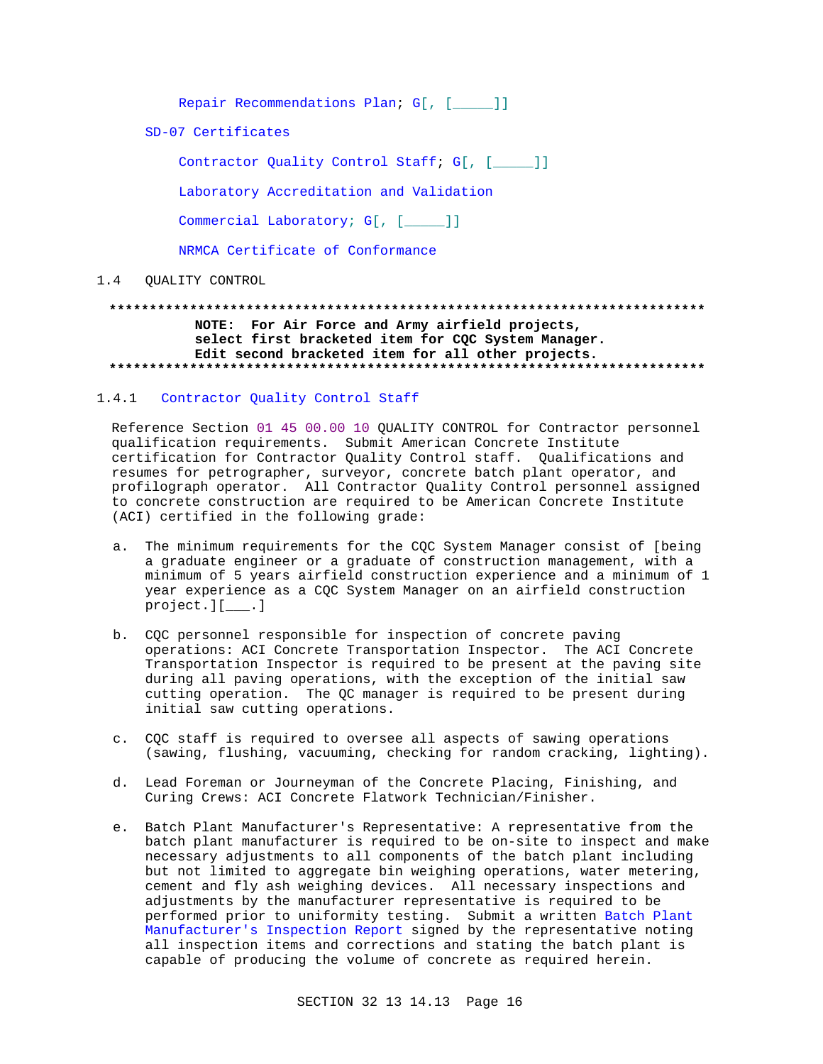Repair Recommendations Plan; G[, [\_\_\_\_]]

SD-07 Certificates

Contractor Quality Control Staff; G[, [\_\_\_\_]]

Laboratory Accreditation and Validation

Commercial Laboratory; G[, [\_\_\_\_]]

NRMCA Certificate of Conformance

#### $1.4$ OUALITY CONTROL

#### 

NOTE: For Air Force and Army airfield projects, select first bracketed item for CQC System Manager. Edit second bracketed item for all other projects. 

#### $1.4.1$ Contractor Quality Control Staff

Reference Section 01 45 00.00 10 QUALITY CONTROL for Contractor personnel qualification requirements. Submit American Concrete Institute certification for Contractor Ouality Control staff. Oualifications and resumes for petrographer, surveyor, concrete batch plant operator, and profilograph operator. All Contractor Quality Control personnel assigned to concrete construction are required to be American Concrete Institute (ACI) certified in the following grade:

- a. The minimum requirements for the CQC System Manager consist of [being a graduate engineer or a graduate of construction management, with a minimum of 5 years airfield construction experience and a minimum of 1 year experience as a CQC System Manager on an airfield construction  $project.]$  $[$ .]
- b. CQC personnel responsible for inspection of concrete paving operations: ACI Concrete Transportation Inspector. The ACI Concrete Transportation Inspector is required to be present at the paving site during all paving operations, with the exception of the initial saw cutting operation. The QC manager is required to be present during initial saw cutting operations.
- c. CQC staff is required to oversee all aspects of sawing operations (sawing, flushing, vacuuming, checking for random cracking, lighting).
- d. Lead Foreman or Journeyman of the Concrete Placing, Finishing, and Curing Crews: ACI Concrete Flatwork Technician/Finisher.
- e. Batch Plant Manufacturer's Representative: A representative from the batch plant manufacturer is required to be on-site to inspect and make necessary adjustments to all components of the batch plant including but not limited to aggregate bin weighing operations, water metering, cement and fly ash weighing devices. All necessary inspections and adjustments by the manufacturer representative is required to be performed prior to uniformity testing. Submit a written Batch Plant Manufacturer's Inspection Report signed by the representative noting all inspection items and corrections and stating the batch plant is capable of producing the volume of concrete as required herein.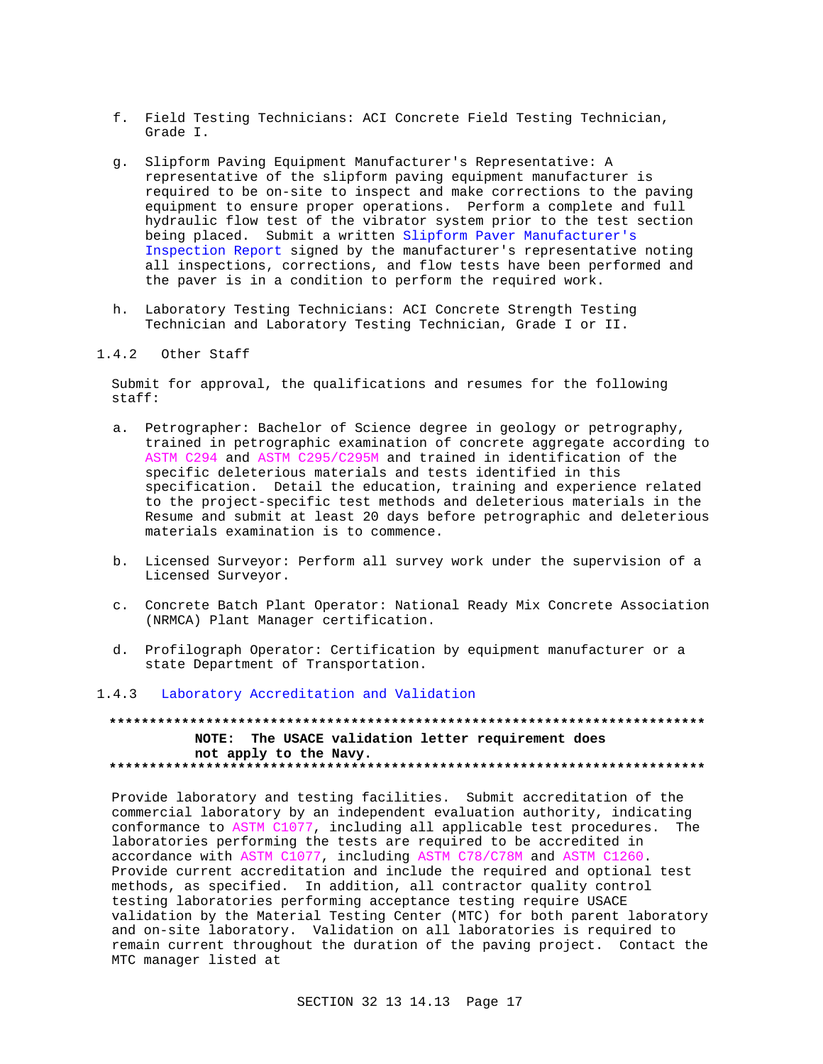- f. Field Testing Technicians: ACI Concrete Field Testing Technician, Grade I.
- g. Slipform Paving Equipment Manufacturer's Representative: A representative of the slipform paving equipment manufacturer is required to be on-site to inspect and make corrections to the paving equipment to ensure proper operations. Perform a complete and full hydraulic flow test of the vibrator system prior to the test section being placed. Submit a written Slipform Paver Manufacturer's Inspection Report signed by the manufacturer's representative noting all inspections, corrections, and flow tests have been performed and the paver is in a condition to perform the required work.
- h. Laboratory Testing Technicians: ACI Concrete Strength Testing Technician and Laboratory Testing Technician, Grade I or II.

#### $1.4.2$ Other Staff

Submit for approval, the qualifications and resumes for the following  $stat:$ 

- a. Petrographer: Bachelor of Science degree in geology or petrography, trained in petrographic examination of concrete aggregate according to ASTM C294 and ASTM C295/C295M and trained in identification of the specific deleterious materials and tests identified in this specification. Detail the education, training and experience related to the project-specific test methods and deleterious materials in the Resume and submit at least 20 days before petrographic and deleterious materials examination is to commence.
- b. Licensed Surveyor: Perform all survey work under the supervision of a Licensed Surveyor.
- c. Concrete Batch Plant Operator: National Ready Mix Concrete Association (NRMCA) Plant Manager certification.
- d. Profilograph Operator: Certification by equipment manufacturer or a state Department of Transportation.

#### $1.4.3$ Laboratory Accreditation and Validation

## NOTE: The USACE validation letter requirement does not apply to the Navy.

Provide laboratory and testing facilities. Submit accreditation of the commercial laboratory by an independent evaluation authority, indicating conformance to ASTM C1077, including all applicable test procedures. The laboratories performing the tests are required to be accredited in accordance with ASTM C1077, including ASTM C78/C78M and ASTM C1260. Provide current accreditation and include the required and optional test methods, as specified. In addition, all contractor quality control testing laboratories performing acceptance testing require USACE validation by the Material Testing Center (MTC) for both parent laboratory and on-site laboratory. Validation on all laboratories is required to remain current throughout the duration of the paving project. Contact the MTC manager listed at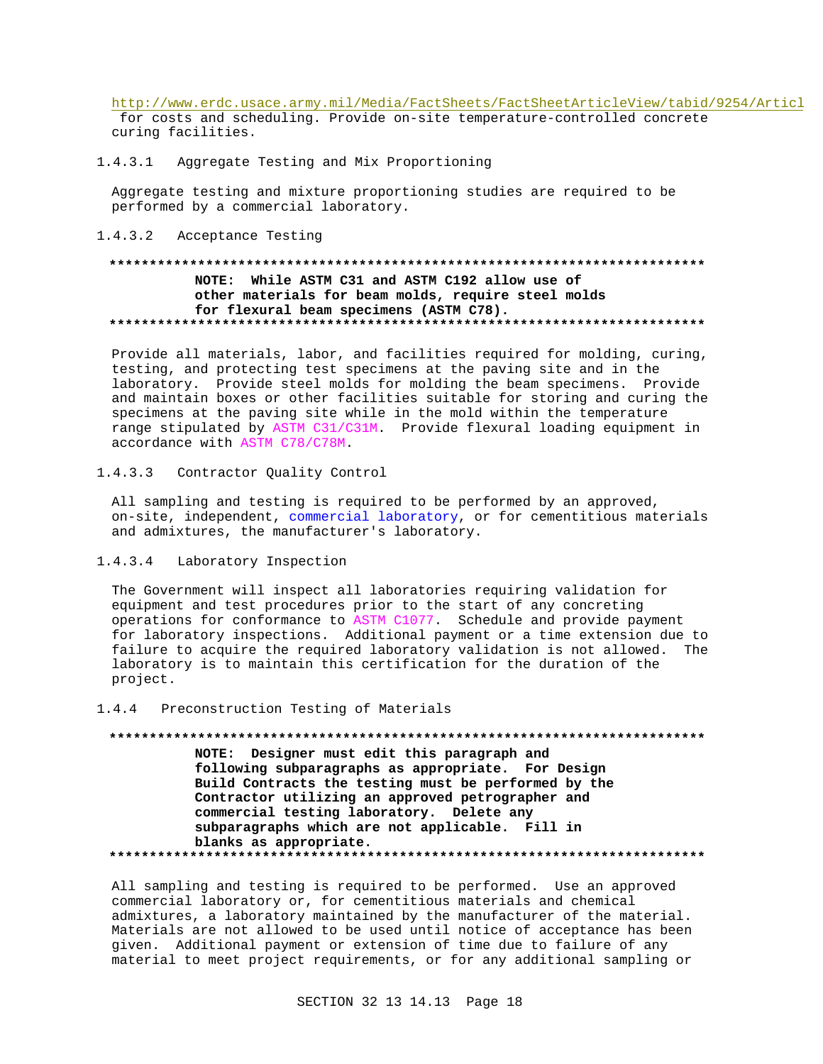http://www.erdc.usace.army.mil/Media/FactSheets/FactSheetArticleView/tabid/9254/Articl

for costs and scheduling. Provide on-site temperature-controlled concrete curing facilities.

Aggregate Testing and Mix Proportioning  $1.4.3.1$ 

Aggregate testing and mixture proportioning studies are required to be performed by a commercial laboratory.

 $1.4.3.2$ Acceptance Testing

## NOTE: While ASTM C31 and ASTM C192 allow use of other materials for beam molds, require steel molds for flexural beam specimens (ASTM C78).

Provide all materials, labor, and facilities required for molding, curing, testing, and protecting test specimens at the paving site and in the laboratory. Provide steel molds for molding the beam specimens. Provide and maintain boxes or other facilities suitable for storing and curing the specimens at the paving site while in the mold within the temperature range stipulated by ASTM C31/C31M. Provide flexural loading equipment in accordance with ASTM C78/C78M.

 $1.4.3.3$ Contractor Quality Control

All sampling and testing is required to be performed by an approved, on-site, independent, commercial laboratory, or for cementitious materials and admixtures, the manufacturer's laboratory.

 $1.4.3.4$ Laboratory Inspection

The Government will inspect all laboratories requiring validation for equipment and test procedures prior to the start of any concreting operations for conformance to ASTM C1077. Schedule and provide payment for laboratory inspections. Additional payment or a time extension due to failure to acquire the required laboratory validation is not allowed. The laboratory is to maintain this certification for the duration of the project.

#### $1.4.4$ Preconstruction Testing of Materials

NOTE: Designer must edit this paragraph and following subparagraphs as appropriate. For Design Build Contracts the testing must be performed by the Contractor utilizing an approved petrographer and commercial testing laboratory. Delete any subparagraphs which are not applicable. Fill in blanks as appropriate. 

All sampling and testing is required to be performed. Use an approved commercial laboratory or, for cementitious materials and chemical admixtures, a laboratory maintained by the manufacturer of the material. Materials are not allowed to be used until notice of acceptance has been given. Additional payment or extension of time due to failure of any material to meet project requirements, or for any additional sampling or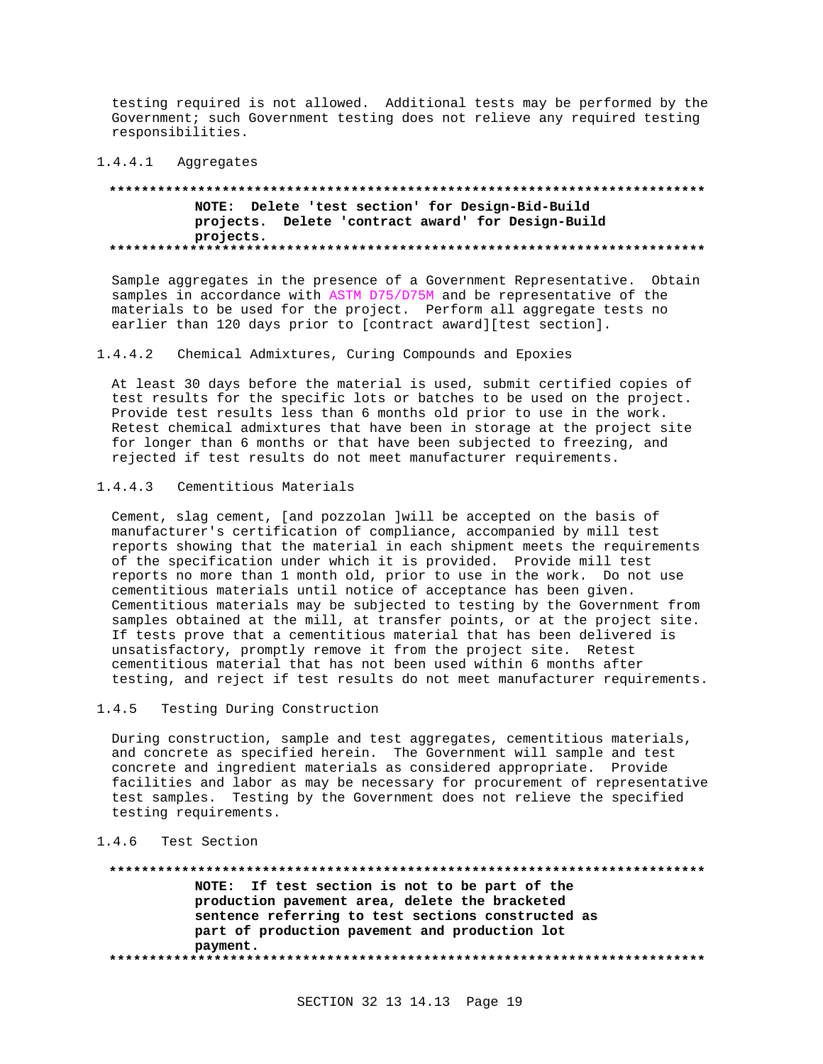testing required is not allowed. Additional tests may be performed by the Government; such Government testing does not relieve any required testing responsibilities.

#### $1.4.4.1$ Aggregates

## NOTE: Delete 'test section' for Design-Bid-Build projects. Delete 'contract award' for Design-Build projects.

Sample aggregates in the presence of a Government Representative. Obtain samples in accordance with ASTM D75/D75M and be representative of the materials to be used for the project. Perform all aggregate tests no earlier than 120 days prior to [contract award][test section].

#### $1.4.4.2$ Chemical Admixtures, Curing Compounds and Epoxies

At least 30 days before the material is used, submit certified copies of test results for the specific lots or batches to be used on the project. Provide test results less than 6 months old prior to use in the work. Retest chemical admixtures that have been in storage at the project site for longer than 6 months or that have been subjected to freezing, and rejected if test results do not meet manufacturer requirements.

#### $1.4.4.3$ Cementitious Materials

Cement, slag cement, [and pozzolan ]will be accepted on the basis of manufacturer's certification of compliance, accompanied by mill test reports showing that the material in each shipment meets the requirements of the specification under which it is provided. Provide mill test reports no more than 1 month old, prior to use in the work. Do not use cementitious materials until notice of acceptance has been given. Cementitious materials may be subjected to testing by the Government from samples obtained at the mill, at transfer points, or at the project site. If tests prove that a cementitious material that has been delivered is unsatisfactory, promptly remove it from the project site. Retest cementitious material that has not been used within 6 months after testing, and reject if test results do not meet manufacturer requirements.

#### $1.4.5$ Testing During Construction

During construction, sample and test aggregates, cementitious materials, and concrete as specified herein. The Government will sample and test concrete and ingredient materials as considered appropriate. Provide facilities and labor as may be necessary for procurement of representative test samples. Testing by the Government does not relieve the specified testing requirements.

#### Test Section  $1.4.6$

#### \*\*\*\*\*\*\*\*\*\*\*\*\*\*\*\*\*\*\*\*

NOTE: If test section is not to be part of the production pavement area, delete the bracketed sentence referring to test sections constructed as part of production pavement and production lot payment. 

SECTION 32 13 14.13 Page 19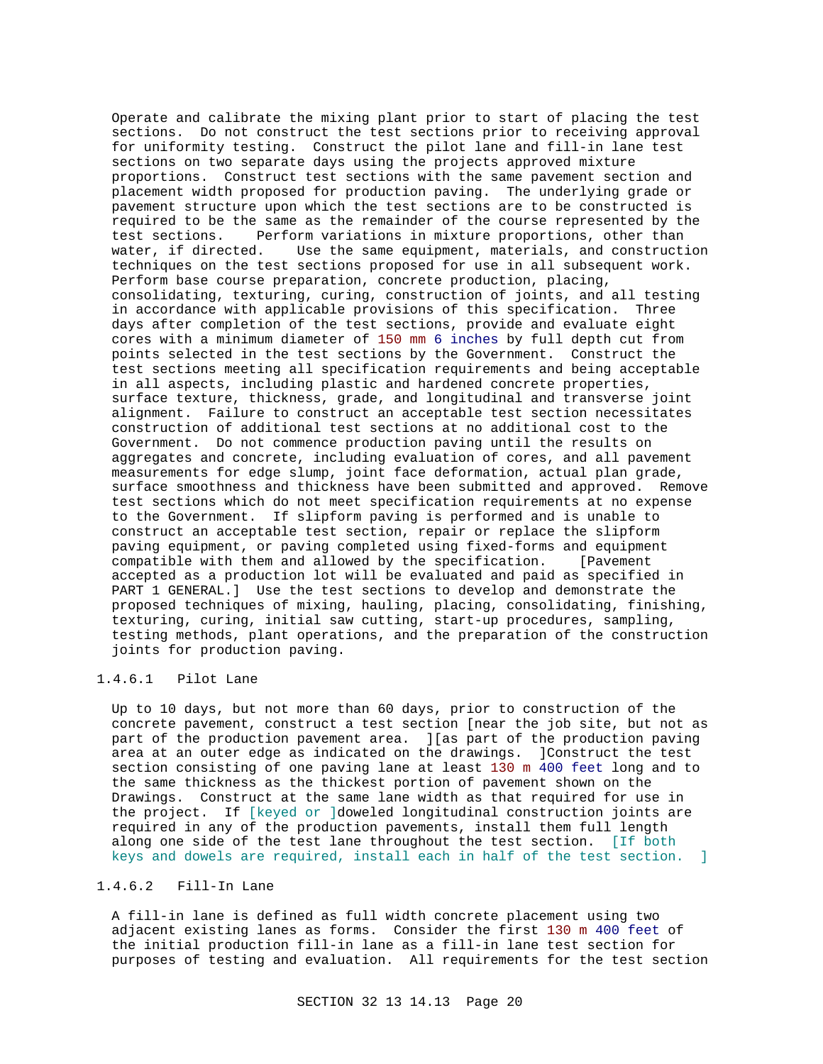Operate and calibrate the mixing plant prior to start of placing the test sections. Do not construct the test sections prior to receiving approval for uniformity testing. Construct the pilot lane and fill-in lane test sections on two separate days using the projects approved mixture proportions. Construct test sections with the same pavement section and placement width proposed for production paving. The underlying grade or pavement structure upon which the test sections are to be constructed is required to be the same as the remainder of the course represented by the test sections. Perform variations in mixture proportions, other than water, if directed. Use the same equipment, materials, and construction techniques on the test sections proposed for use in all subsequent work. Perform base course preparation, concrete production, placing, consolidating, texturing, curing, construction of joints, and all testing in accordance with applicable provisions of this specification. Three days after completion of the test sections, provide and evaluate eight cores with a minimum diameter of 150 mm 6 inches by full depth cut from points selected in the test sections by the Government. Construct the test sections meeting all specification requirements and being acceptable in all aspects, including plastic and hardened concrete properties, surface texture, thickness, grade, and longitudinal and transverse joint alignment. Failure to construct an acceptable test section necessitates construction of additional test sections at no additional cost to the Government. Do not commence production paving until the results on aggregates and concrete, including evaluation of cores, and all pavement measurements for edge slump, joint face deformation, actual plan grade, surface smoothness and thickness have been submitted and approved. Remove test sections which do not meet specification requirements at no expense to the Government. If slipform paving is performed and is unable to construct an acceptable test section, repair or replace the slipform paving equipment, or paving completed using fixed-forms and equipment compatible with them and allowed by the specification. [Pavement accepted as a production lot will be evaluated and paid as specified in PART 1 GENERAL.] Use the test sections to develop and demonstrate the proposed techniques of mixing, hauling, placing, consolidating, finishing, texturing, curing, initial saw cutting, start-up procedures, sampling, testing methods, plant operations, and the preparation of the construction joints for production paving.

# 1.4.6.1 Pilot Lane

Up to 10 days, but not more than 60 days, prior to construction of the concrete pavement, construct a test section [near the job site, but not as part of the production pavement area. ][as part of the production paving area at an outer edge as indicated on the drawings. ]Construct the test section consisting of one paving lane at least 130 m 400 feet long and to the same thickness as the thickest portion of pavement shown on the Drawings. Construct at the same lane width as that required for use in the project. If [keyed or ]doweled longitudinal construction joints are required in any of the production pavements, install them full length along one side of the test lane throughout the test section. [If both keys and dowels are required, install each in half of the test section. ]

## 1.4.6.2 Fill-In Lane

A fill-in lane is defined as full width concrete placement using two adjacent existing lanes as forms. Consider the first 130 m 400 feet of the initial production fill-in lane as a fill-in lane test section for purposes of testing and evaluation. All requirements for the test section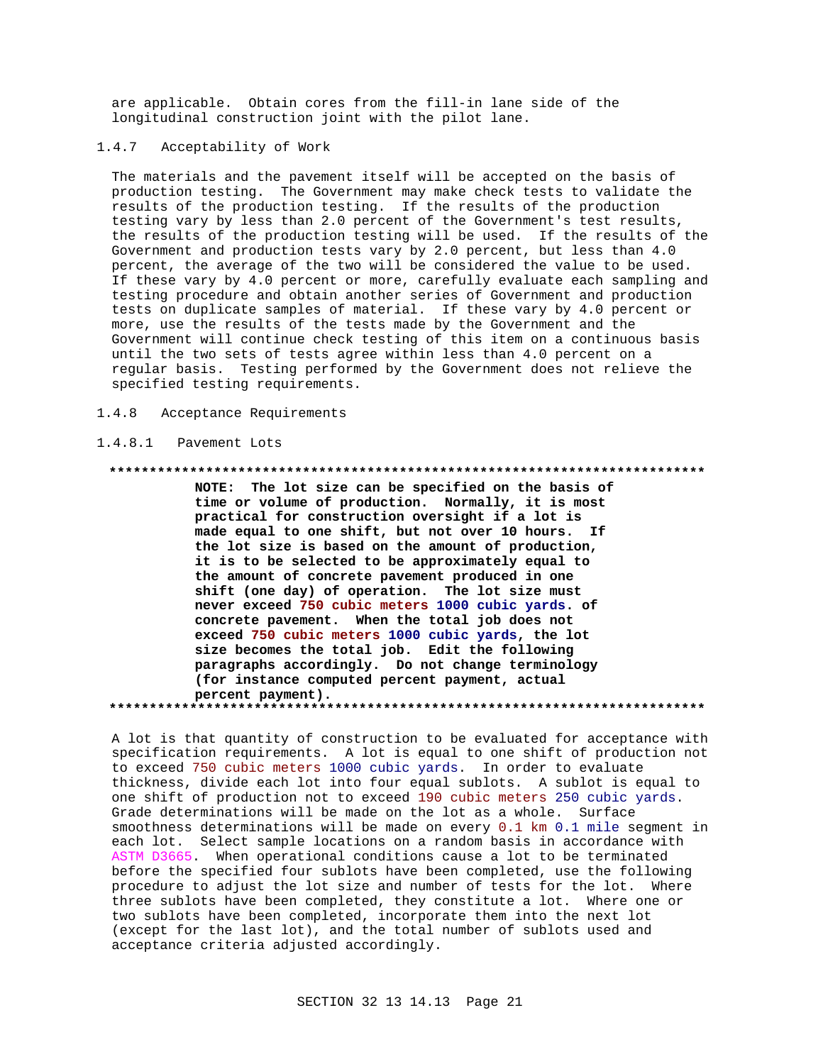are applicable. Obtain cores from the fill-in lane side of the longitudinal construction joint with the pilot lane.

#### $1.4.7$ Acceptability of Work

The materials and the pavement itself will be accepted on the basis of production testing. The Government may make check tests to validate the results of the production testing. If the results of the production testing vary by less than 2.0 percent of the Government's test results, the results of the production testing will be used. If the results of the Government and production tests vary by 2.0 percent, but less than 4.0 percent, the average of the two will be considered the value to be used. If these vary by 4.0 percent or more, carefully evaluate each sampling and testing procedure and obtain another series of Government and production tests on duplicate samples of material. If these vary by 4.0 percent or more, use the results of the tests made by the Government and the Government will continue check testing of this item on a continuous basis until the two sets of tests agree within less than 4.0 percent on a regular basis. Testing performed by the Government does not relieve the specified testing requirements.

#### $1.4.8$ Acceptance Requirements

### 1.4.8.1 Pavement Lots

### 

NOTE: The lot size can be specified on the basis of time or volume of production. Normally, it is most practical for construction oversight if a lot is made equal to one shift, but not over 10 hours. If the lot size is based on the amount of production, it is to be selected to be approximately equal to the amount of concrete pavement produced in one shift (one day) of operation. The lot size must never exceed 750 cubic meters 1000 cubic yards. of concrete pavement. When the total job does not exceed 750 cubic meters 1000 cubic yards, the lot size becomes the total job. Edit the following paragraphs accordingly. Do not change terminology (for instance computed percent payment, actual percent payment).

A lot is that quantity of construction to be evaluated for acceptance with specification requirements. A lot is equal to one shift of production not to exceed 750 cubic meters 1000 cubic yards. In order to evaluate thickness, divide each lot into four equal sublots. A sublot is equal to one shift of production not to exceed 190 cubic meters 250 cubic yards. Grade determinations will be made on the lot as a whole. Surface smoothness determinations will be made on every 0.1 km 0.1 mile segment in each lot. Select sample locations on a random basis in accordance with ASTM D3665. When operational conditions cause a lot to be terminated before the specified four sublots have been completed, use the following procedure to adjust the lot size and number of tests for the lot. Where three sublots have been completed, they constitute a lot. Where one or two sublots have been completed, incorporate them into the next lot (except for the last lot), and the total number of sublots used and acceptance criteria adjusted accordingly.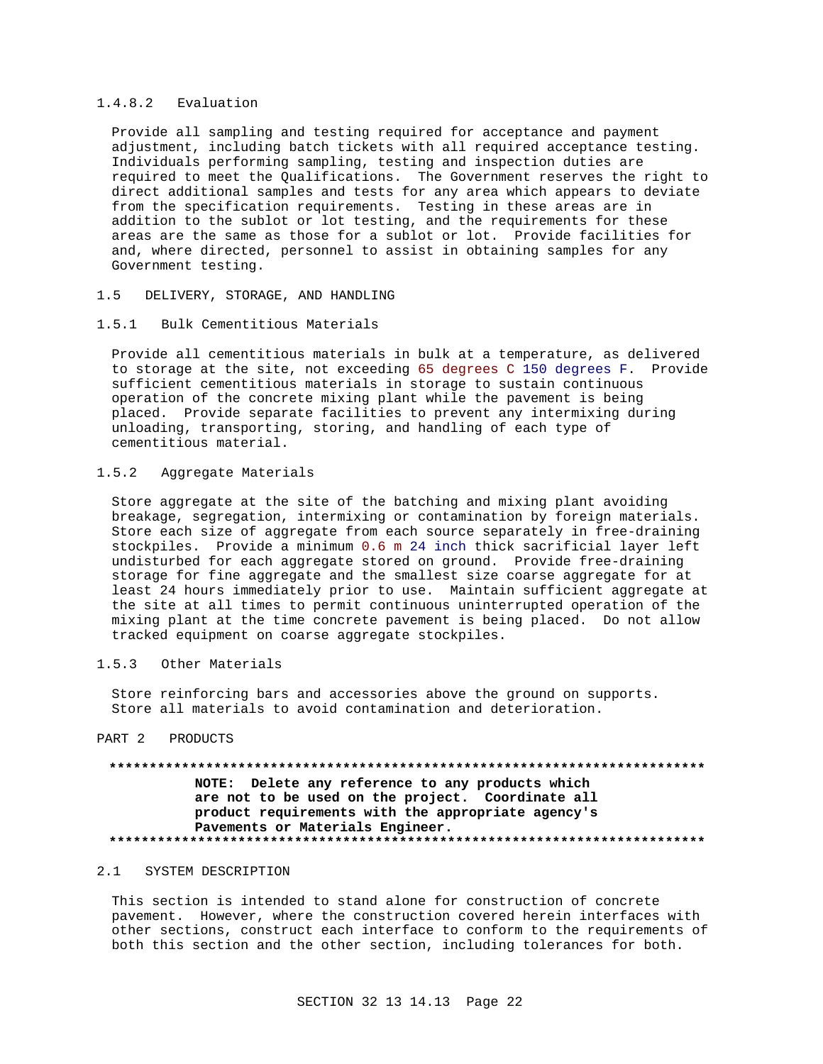## 1.4.8.2 Evaluation

Provide all sampling and testing required for acceptance and payment adjustment, including batch tickets with all required acceptance testing. Individuals performing sampling, testing and inspection duties are required to meet the Qualifications. The Government reserves the right to direct additional samples and tests for any area which appears to deviate from the specification requirements. Testing in these areas are in addition to the sublot or lot testing, and the requirements for these areas are the same as those for a sublot or lot. Provide facilities for and, where directed, personnel to assist in obtaining samples for any Government testing.

1.5 DELIVERY, STORAGE, AND HANDLING

### 1.5.1 Bulk Cementitious Materials

Provide all cementitious materials in bulk at a temperature, as delivered to storage at the site, not exceeding 65 degrees C 150 degrees F. Provide sufficient cementitious materials in storage to sustain continuous operation of the concrete mixing plant while the pavement is being placed. Provide separate facilities to prevent any intermixing during unloading, transporting, storing, and handling of each type of cementitious material.

## 1.5.2 Aggregate Materials

Store aggregate at the site of the batching and mixing plant avoiding breakage, segregation, intermixing or contamination by foreign materials. Store each size of aggregate from each source separately in free-draining stockpiles. Provide a minimum 0.6 m 24 inch thick sacrificial layer left undisturbed for each aggregate stored on ground. Provide free-draining storage for fine aggregate and the smallest size coarse aggregate for at least 24 hours immediately prior to use. Maintain sufficient aggregate at the site at all times to permit continuous uninterrupted operation of the mixing plant at the time concrete pavement is being placed. Do not allow tracked equipment on coarse aggregate stockpiles.

# 1.5.3 Other Materials

Store reinforcing bars and accessories above the ground on supports. Store all materials to avoid contamination and deterioration.

## PART 2 PRODUCTS

# **\*\*\*\*\*\*\*\*\*\*\*\*\*\*\*\*\*\*\*\*\*\*\*\*\*\*\*\*\*\*\*\*\*\*\*\*\*\*\*\*\*\*\*\*\*\*\*\*\*\*\*\*\*\*\*\*\*\*\*\*\*\*\*\*\*\*\*\*\*\*\*\*\*\* NOTE: Delete any reference to any products which are not to be used on the project. Coordinate all product requirements with the appropriate agency's Pavements or Materials Engineer. \*\*\*\*\*\*\*\*\*\*\*\*\*\*\*\*\*\*\*\*\*\*\*\*\*\*\*\*\*\*\*\*\*\*\*\*\*\*\*\*\*\*\*\*\*\*\*\*\*\*\*\*\*\*\*\*\*\*\*\*\*\*\*\*\*\*\*\*\*\*\*\*\*\***

## 2.1 SYSTEM DESCRIPTION

This section is intended to stand alone for construction of concrete pavement. However, where the construction covered herein interfaces with other sections, construct each interface to conform to the requirements of both this section and the other section, including tolerances for both.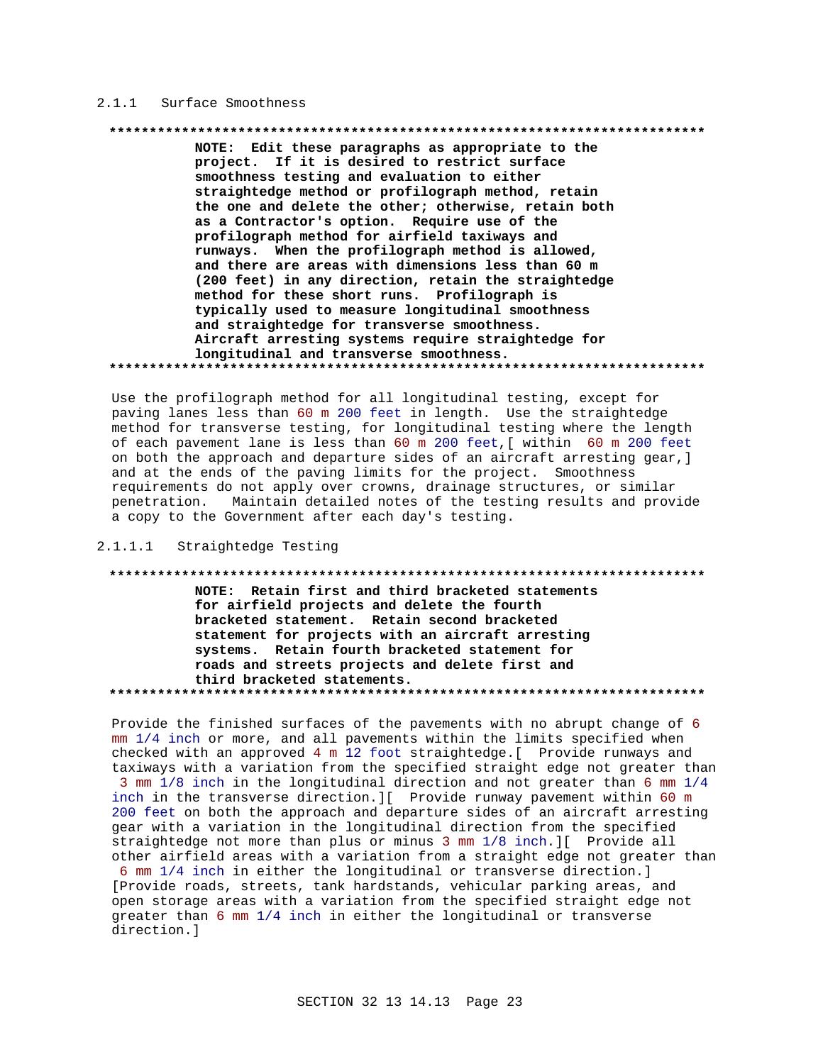### 2.1.1 Surface Smoothness

#### 

NOTE: Edit these paragraphs as appropriate to the project. If it is desired to restrict surface smoothness testing and evaluation to either straightedge method or profilograph method, retain the one and delete the other; otherwise, retain both as a Contractor's option. Require use of the profilograph method for airfield taxiways and runways. When the profilograph method is allowed, and there are areas with dimensions less than 60 m (200 feet) in any direction, retain the straightedge method for these short runs. Profilograph is typically used to measure longitudinal smoothness and straightedge for transverse smoothness. Aircraft arresting systems require straightedge for longitudinal and transverse smoothness. 

Use the profilograph method for all longitudinal testing, except for paving lanes less than 60 m 200 feet in length. Use the straightedge method for transverse testing, for longitudinal testing where the length of each pavement lane is less than 60 m 200 feet, [ within 60 m 200 feet on both the approach and departure sides of an aircraft arresting gear, ] and at the ends of the paving limits for the project. Smoothness requirements do not apply over crowns, drainage structures, or similar penetration. Maintain detailed notes of the testing results and provide a copy to the Government after each day's testing.

#### $2.1.1.1$ Straightedge Testing

#### 

NOTE: Retain first and third bracketed statements for airfield projects and delete the fourth bracketed statement. Retain second bracketed statement for projects with an aircraft arresting systems. Retain fourth bracketed statement for roads and streets projects and delete first and third bracketed statements. 

Provide the finished surfaces of the pavements with no abrupt change of 6 mm 1/4 inch or more, and all pavements within the limits specified when checked with an approved 4 m 12 foot straightedge. [ Provide runways and taxiways with a variation from the specified straight edge not greater than

3 mm 1/8 inch in the longitudinal direction and not greater than 6 mm 1/4 inch in the transverse direction. I Provide runway pavement within 60 m 200 feet on both the approach and departure sides of an aircraft arresting gear with a variation in the longitudinal direction from the specified straightedge not more than plus or minus 3 mm 1/8 inch. I[ Provide all other airfield areas with a variation from a straight edge not greater than

6 mm 1/4 inch in either the longitudinal or transverse direction.] [Provide roads, streets, tank hardstands, vehicular parking areas, and open storage areas with a variation from the specified straight edge not greater than 6 mm 1/4 inch in either the longitudinal or transverse direction.]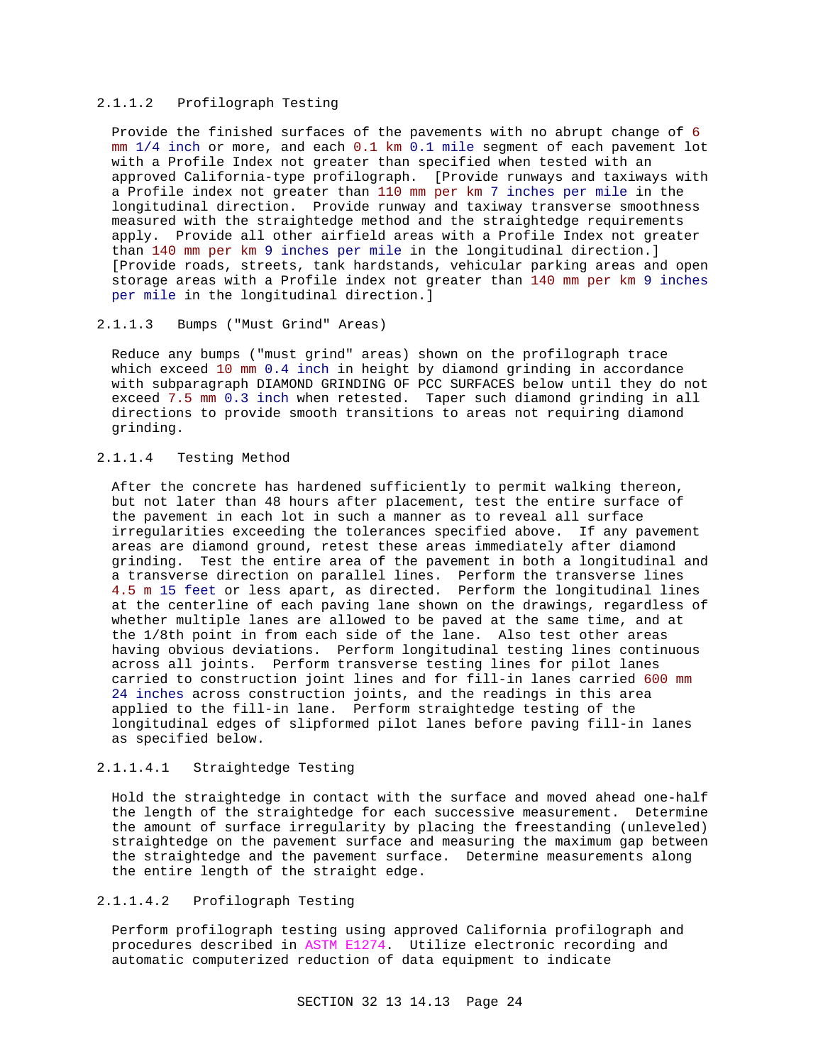## 2.1.1.2 Profilograph Testing

Provide the finished surfaces of the pavements with no abrupt change of 6 mm 1/4 inch or more, and each 0.1 km 0.1 mile segment of each pavement lot with a Profile Index not greater than specified when tested with an approved California-type profilograph. [Provide runways and taxiways with a Profile index not greater than 110 mm per km 7 inches per mile in the longitudinal direction. Provide runway and taxiway transverse smoothness measured with the straightedge method and the straightedge requirements apply. Provide all other airfield areas with a Profile Index not greater than 140 mm per km 9 inches per mile in the longitudinal direction.] [Provide roads, streets, tank hardstands, vehicular parking areas and open storage areas with a Profile index not greater than 140 mm per km 9 inches per mile in the longitudinal direction.]

### 2.1.1.3 Bumps ("Must Grind" Areas)

Reduce any bumps ("must grind" areas) shown on the profilograph trace which exceed 10 mm 0.4 inch in height by diamond grinding in accordance with subparagraph DIAMOND GRINDING OF PCC SURFACES below until they do not exceed 7.5 mm 0.3 inch when retested. Taper such diamond grinding in all directions to provide smooth transitions to areas not requiring diamond grinding.

## 2.1.1.4 Testing Method

After the concrete has hardened sufficiently to permit walking thereon, but not later than 48 hours after placement, test the entire surface of the pavement in each lot in such a manner as to reveal all surface irregularities exceeding the tolerances specified above. If any pavement areas are diamond ground, retest these areas immediately after diamond grinding. Test the entire area of the pavement in both a longitudinal and a transverse direction on parallel lines. Perform the transverse lines 4.5 m 15 feet or less apart, as directed. Perform the longitudinal lines at the centerline of each paving lane shown on the drawings, regardless of whether multiple lanes are allowed to be paved at the same time, and at the 1/8th point in from each side of the lane. Also test other areas having obvious deviations. Perform longitudinal testing lines continuous across all joints. Perform transverse testing lines for pilot lanes carried to construction joint lines and for fill-in lanes carried 600 mm 24 inches across construction joints, and the readings in this area applied to the fill-in lane. Perform straightedge testing of the longitudinal edges of slipformed pilot lanes before paving fill-in lanes as specified below.

### 2.1.1.4.1 Straightedge Testing

Hold the straightedge in contact with the surface and moved ahead one-half the length of the straightedge for each successive measurement. Determine the amount of surface irregularity by placing the freestanding (unleveled) straightedge on the pavement surface and measuring the maximum gap between the straightedge and the pavement surface. Determine measurements along the entire length of the straight edge.

## 2.1.1.4.2 Profilograph Testing

Perform profilograph testing using approved California profilograph and procedures described in ASTM E1274. Utilize electronic recording and automatic computerized reduction of data equipment to indicate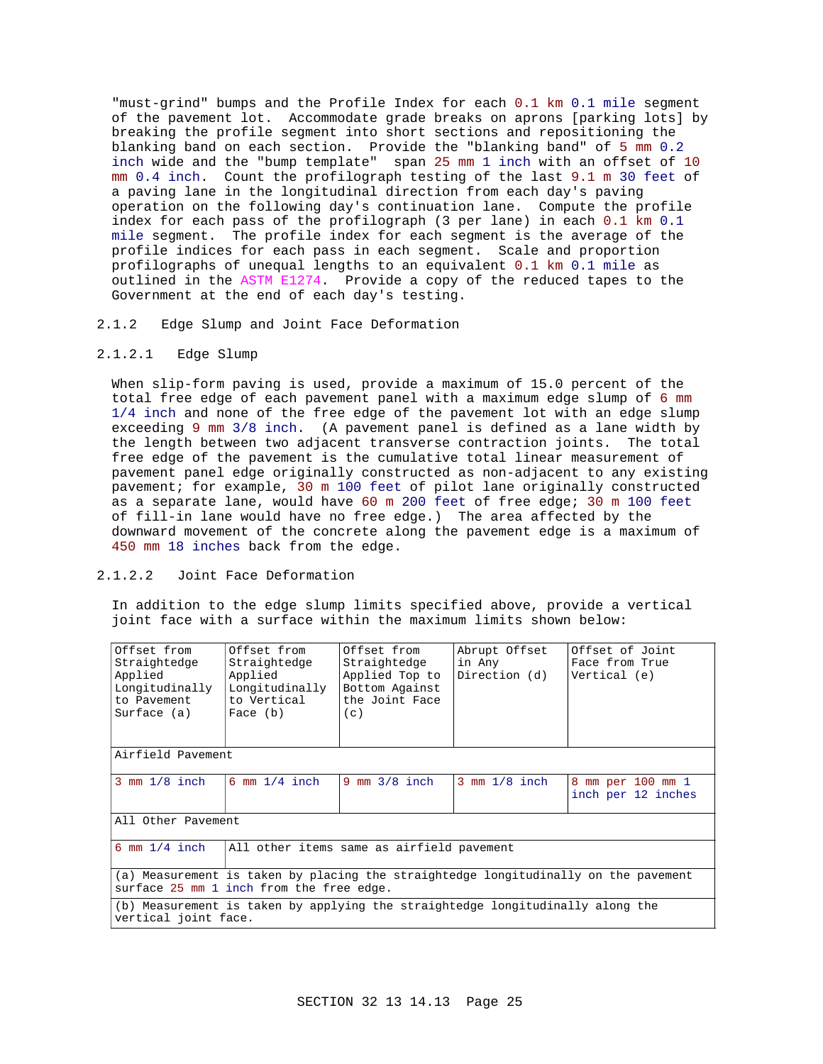"must-grind" bumps and the Profile Index for each 0.1 km 0.1 mile segment of the pavement lot. Accommodate grade breaks on aprons [parking lots] by breaking the profile segment into short sections and repositioning the blanking band on each section. Provide the "blanking band" of 5 mm 0.2 inch wide and the "bump template" span 25 mm 1 inch with an offset of 10 mm 0.4 inch. Count the profilograph testing of the last 9.1 m 30 feet of a paving lane in the longitudinal direction from each day's paving operation on the following day's continuation lane. Compute the profile index for each pass of the profilograph (3 per lane) in each 0.1 km 0.1 mile segment. The profile index for each segment is the average of the profile indices for each pass in each segment. Scale and proportion profilographs of unequal lengths to an equivalent 0.1 km 0.1 mile as outlined in the ASTM E1274. Provide a copy of the reduced tapes to the Government at the end of each day's testing.

# 2.1.2 Edge Slump and Joint Face Deformation

## 2.1.2.1 Edge Slump

When slip-form paving is used, provide a maximum of 15.0 percent of the total free edge of each pavement panel with a maximum edge slump of 6 mm 1/4 inch and none of the free edge of the pavement lot with an edge slump exceeding 9 mm 3/8 inch. (A pavement panel is defined as a lane width by the length between two adjacent transverse contraction joints. The total free edge of the pavement is the cumulative total linear measurement of pavement panel edge originally constructed as non-adjacent to any existing pavement; for example, 30 m 100 feet of pilot lane originally constructed as a separate lane, would have 60 m 200 feet of free edge; 30 m 100 feet of fill-in lane would have no free edge.) The area affected by the downward movement of the concrete along the pavement edge is a maximum of 450 mm 18 inches back from the edge.

# 2.1.2.2 Joint Face Deformation

In addition to the edge slump limits specified above, provide a vertical joint face with a surface within the maximum limits shown below:

| Offset from<br>Straightedge<br>Applied<br>Longitudinally<br>to Pavement<br>Surface $(a)$                                        | Offset from<br>Straightedge<br>Applied<br>Longitudinally<br>to Vertical<br>Face (b) | Offset from<br>Straightedge<br>Applied Top to<br>Bottom Against<br>the Joint Face<br>(c) | Abrupt Offset<br>in Any<br>Direction (d) | Offset of Joint<br>Face from True<br>Vertical (e) |  |  |  |
|---------------------------------------------------------------------------------------------------------------------------------|-------------------------------------------------------------------------------------|------------------------------------------------------------------------------------------|------------------------------------------|---------------------------------------------------|--|--|--|
| Airfield Pavement                                                                                                               |                                                                                     |                                                                                          |                                          |                                                   |  |  |  |
| $3 \text{ mm } 1/8 \text{ inch}$                                                                                                | $6 \text{ mm } 1/4 \text{ inch}$                                                    | $9 \text{ mm } 3/8 \text{ inch}$                                                         | $3 \text{ mm } 1/8 \text{ inch}$         | 8 mm per 100 mm 1<br>inch per 12 inches           |  |  |  |
|                                                                                                                                 | All Other Pavement                                                                  |                                                                                          |                                          |                                                   |  |  |  |
| $6 \text{ mm } 1/4 \text{ inch}$                                                                                                | All other items same as airfield pavement                                           |                                                                                          |                                          |                                                   |  |  |  |
| (a) Measurement is taken by placing the straightedge longitudinally on the pavement<br>surface 25 mm 1 inch from the free edge. |                                                                                     |                                                                                          |                                          |                                                   |  |  |  |
| (b) Measurement is taken by applying the straightedge longitudinally along the<br>vertical joint face.                          |                                                                                     |                                                                                          |                                          |                                                   |  |  |  |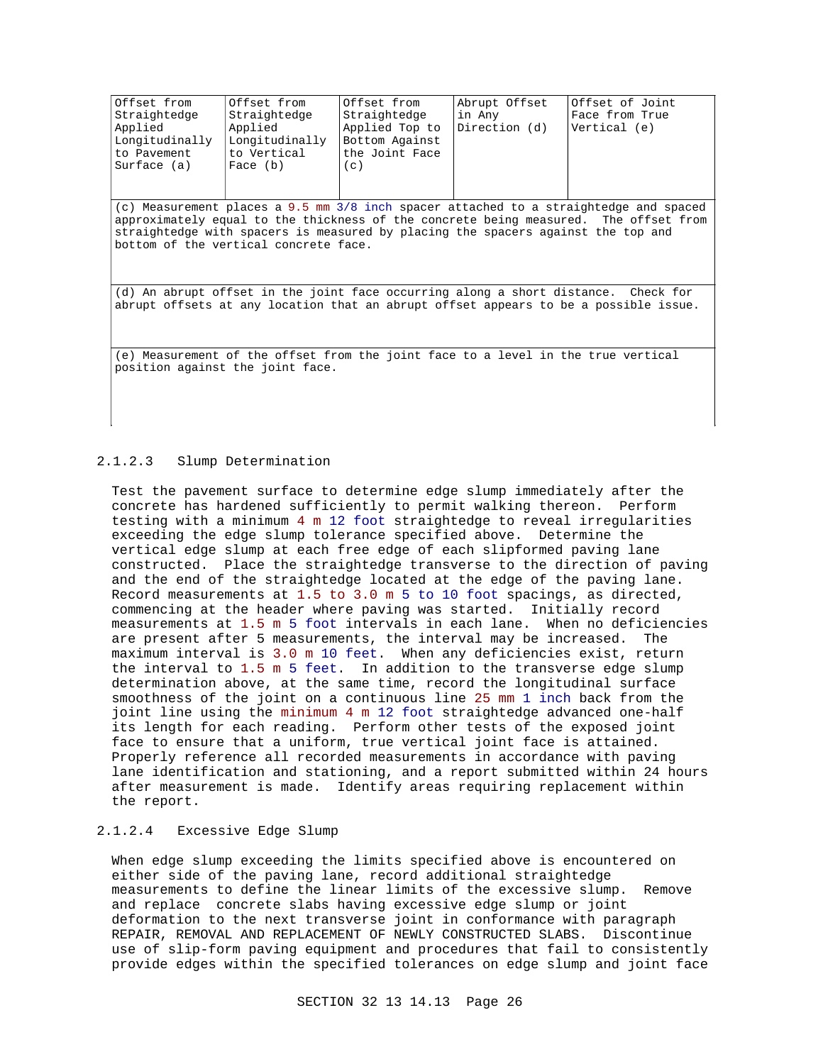| Offset from                                                                             | Offset from                                                                          | Offset from    | Abrupt Offset | Offset of Joint |  |  |
|-----------------------------------------------------------------------------------------|--------------------------------------------------------------------------------------|----------------|---------------|-----------------|--|--|
| Straightedge                                                                            | Straightedge                                                                         | Straightedge   | in Anv        | Face from True  |  |  |
| Applied                                                                                 | Applied                                                                              | Applied Top to | Direction (d) | Vertical (e)    |  |  |
| Longitudinally                                                                          | Longitudinally                                                                       | Bottom Against |               |                 |  |  |
| lto Pavement                                                                            | to Vertical                                                                          | the Joint Face |               |                 |  |  |
| Surface (a)                                                                             | Face (b)                                                                             | $\mathsf{C}$ ) |               |                 |  |  |
|                                                                                         |                                                                                      |                |               |                 |  |  |
|                                                                                         |                                                                                      |                |               |                 |  |  |
| (c) Measurement places a 9.5 mm $3/8$ inch spacer attached to a straightedge and spaced |                                                                                      |                |               |                 |  |  |
|                                                                                         | approximately equal to the thickness of the concrete being measured. The offset from |                |               |                 |  |  |
|                                                                                         |                                                                                      |                |               |                 |  |  |

straightedge with spacers is measured by placing the spacers against the top and bottom of the vertical concrete face.

(d) An abrupt offset in the joint face occurring along a short distance. Check for abrupt offsets at any location that an abrupt offset appears to be a possible issue.

(e) Measurement of the offset from the joint face to a level in the true vertical position against the joint face.

## 2.1.2.3 Slump Determination

Test the pavement surface to determine edge slump immediately after the concrete has hardened sufficiently to permit walking thereon. Perform testing with a minimum 4 m 12 foot straightedge to reveal irregularities exceeding the edge slump tolerance specified above. Determine the vertical edge slump at each free edge of each slipformed paving lane constructed. Place the straightedge transverse to the direction of paving and the end of the straightedge located at the edge of the paving lane. Record measurements at 1.5 to 3.0 m 5 to 10 foot spacings, as directed, commencing at the header where paving was started. Initially record measurements at 1.5 m 5 foot intervals in each lane. When no deficiencies are present after 5 measurements, the interval may be increased. The maximum interval is 3.0 m 10 feet. When any deficiencies exist, return the interval to 1.5 m 5 feet. In addition to the transverse edge slump determination above, at the same time, record the longitudinal surface smoothness of the joint on a continuous line 25 mm 1 inch back from the joint line using the minimum 4 m 12 foot straightedge advanced one-half its length for each reading. Perform other tests of the exposed joint face to ensure that a uniform, true vertical joint face is attained. Properly reference all recorded measurements in accordance with paving lane identification and stationing, and a report submitted within 24 hours after measurement is made. Identify areas requiring replacement within the report.

## 2.1.2.4 Excessive Edge Slump

When edge slump exceeding the limits specified above is encountered on either side of the paving lane, record additional straightedge measurements to define the linear limits of the excessive slump. Remove and replace concrete slabs having excessive edge slump or joint deformation to the next transverse joint in conformance with paragraph REPAIR, REMOVAL AND REPLACEMENT OF NEWLY CONSTRUCTED SLABS. Discontinue use of slip-form paving equipment and procedures that fail to consistently provide edges within the specified tolerances on edge slump and joint face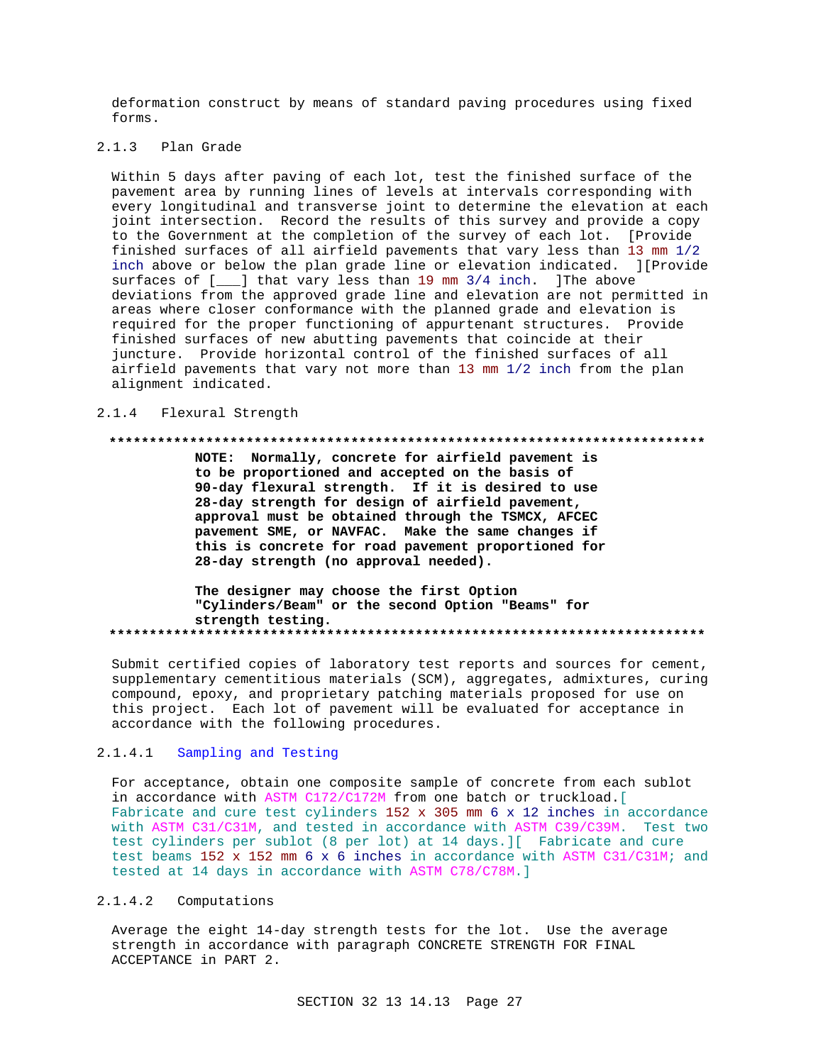deformation construct by means of standard paving procedures using fixed forms.

## $2.1.3$  Plan Grade

Within 5 days after paving of each lot, test the finished surface of the pavement area by running lines of levels at intervals corresponding with every longitudinal and transverse joint to determine the elevation at each joint intersection. Record the results of this survey and provide a copy to the Government at the completion of the survey of each lot. [Provide finished surfaces of all airfield pavements that vary less than 13 mm 1/2 inch above or below the plan grade line or elevation indicated. I[Provide surfaces of [\_\_\_] that vary less than 19 mm 3/4 inch. ]The above deviations from the approved grade line and elevation are not permitted in areas where closer conformance with the planned grade and elevation is required for the proper functioning of appurtenant structures. Provide finished surfaces of new abutting pavements that coincide at their juncture. Provide horizontal control of the finished surfaces of all airfield pavements that vary not more than 13 mm 1/2 inch from the plan alignment indicated.

### 2.1.4 Flexural Strength

### 

NOTE: Normally, concrete for airfield pavement is to be proportioned and accepted on the basis of 90-day flexural strength. If it is desired to use 28-day strength for design of airfield pavement, approval must be obtained through the TSMCX, AFCEC pavement SME, or NAVFAC. Make the same changes if this is concrete for road pavement proportioned for 28-day strength (no approval needed).

The designer may choose the first Option "Cylinders/Beam" or the second Option "Beams" for strength testing. 

Submit certified copies of laboratory test reports and sources for cement, supplementary cementitious materials (SCM), aggregates, admixtures, curing compound, epoxy, and proprietary patching materials proposed for use on this project. Each lot of pavement will be evaluated for acceptance in accordance with the following procedures.

#### $2.1.4.1$ Sampling and Testing

For acceptance, obtain one composite sample of concrete from each sublot in accordance with ASTM C172/C172M from one batch or truckload. [ Fabricate and cure test cylinders 152 x 305 mm 6 x 12 inches in accordance with ASTM C31/C31M, and tested in accordance with ASTM C39/C39M. Test two test cylinders per sublot (8 per lot) at 14 days. I[ Fabricate and cure test beams 152 x 152 mm 6 x 6 inches in accordance with ASTM C31/C31M; and tested at 14 days in accordance with ASTM C78/C78M.]

## 2.1.4.2 Computations

Average the eight 14-day strength tests for the lot. Use the average strength in accordance with paragraph CONCRETE STRENGTH FOR FINAL ACCEPTANCE in PART 2.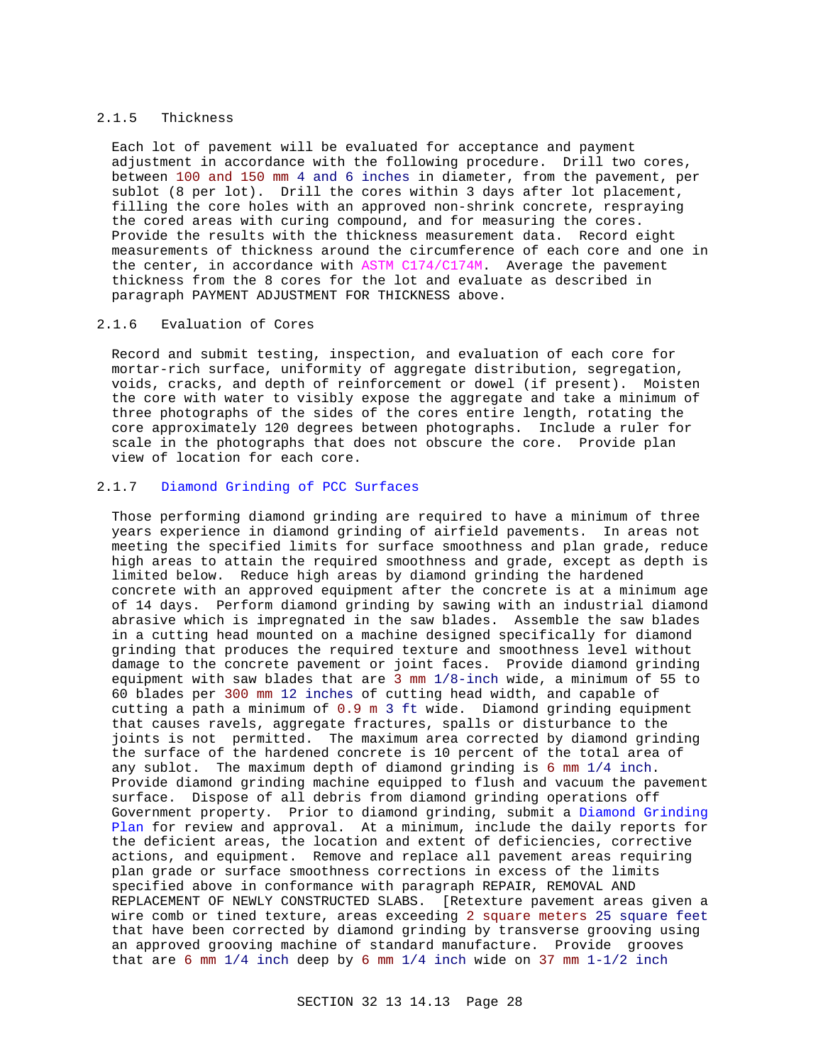### 2.1.5 Thickness

Each lot of pavement will be evaluated for acceptance and payment adjustment in accordance with the following procedure. Drill two cores, between 100 and 150 mm 4 and 6 inches in diameter, from the pavement, per sublot (8 per lot). Drill the cores within 3 days after lot placement, filling the core holes with an approved non-shrink concrete, respraying the cored areas with curing compound, and for measuring the cores. Provide the results with the thickness measurement data. Record eight measurements of thickness around the circumference of each core and one in the center, in accordance with ASTM C174/C174M. Average the pavement thickness from the 8 cores for the lot and evaluate as described in paragraph PAYMENT ADJUSTMENT FOR THICKNESS above.

# 2.1.6 Evaluation of Cores

Record and submit testing, inspection, and evaluation of each core for mortar-rich surface, uniformity of aggregate distribution, segregation, voids, cracks, and depth of reinforcement or dowel (if present). Moisten the core with water to visibly expose the aggregate and take a minimum of three photographs of the sides of the cores entire length, rotating the core approximately 120 degrees between photographs. Include a ruler for scale in the photographs that does not obscure the core. Provide plan view of location for each core.

# 2.1.7 Diamond Grinding of PCC Surfaces

Those performing diamond grinding are required to have a minimum of three years experience in diamond grinding of airfield pavements. In areas not meeting the specified limits for surface smoothness and plan grade, reduce high areas to attain the required smoothness and grade, except as depth is limited below. Reduce high areas by diamond grinding the hardened concrete with an approved equipment after the concrete is at a minimum age of 14 days. Perform diamond grinding by sawing with an industrial diamond abrasive which is impregnated in the saw blades. Assemble the saw blades in a cutting head mounted on a machine designed specifically for diamond grinding that produces the required texture and smoothness level without damage to the concrete pavement or joint faces. Provide diamond grinding equipment with saw blades that are 3 mm 1/8-inch wide, a minimum of 55 to 60 blades per 300 mm 12 inches of cutting head width, and capable of cutting a path a minimum of 0.9 m 3 ft wide. Diamond grinding equipment that causes ravels, aggregate fractures, spalls or disturbance to the joints is not permitted. The maximum area corrected by diamond grinding the surface of the hardened concrete is 10 percent of the total area of any sublot. The maximum depth of diamond grinding is 6 mm 1/4 inch. Provide diamond grinding machine equipped to flush and vacuum the pavement surface. Dispose of all debris from diamond grinding operations off Government property. Prior to diamond grinding, submit a Diamond Grinding Plan for review and approval. At a minimum, include the daily reports for the deficient areas, the location and extent of deficiencies, corrective actions, and equipment. Remove and replace all pavement areas requiring plan grade or surface smoothness corrections in excess of the limits specified above in conformance with paragraph REPAIR, REMOVAL AND REPLACEMENT OF NEWLY CONSTRUCTED SLABS. [Retexture pavement areas given a wire comb or tined texture, areas exceeding 2 square meters 25 square feet that have been corrected by diamond grinding by transverse grooving using an approved grooving machine of standard manufacture. Provide grooves that are 6 mm  $1/4$  inch deep by 6 mm  $1/4$  inch wide on 37 mm  $1-1/2$  inch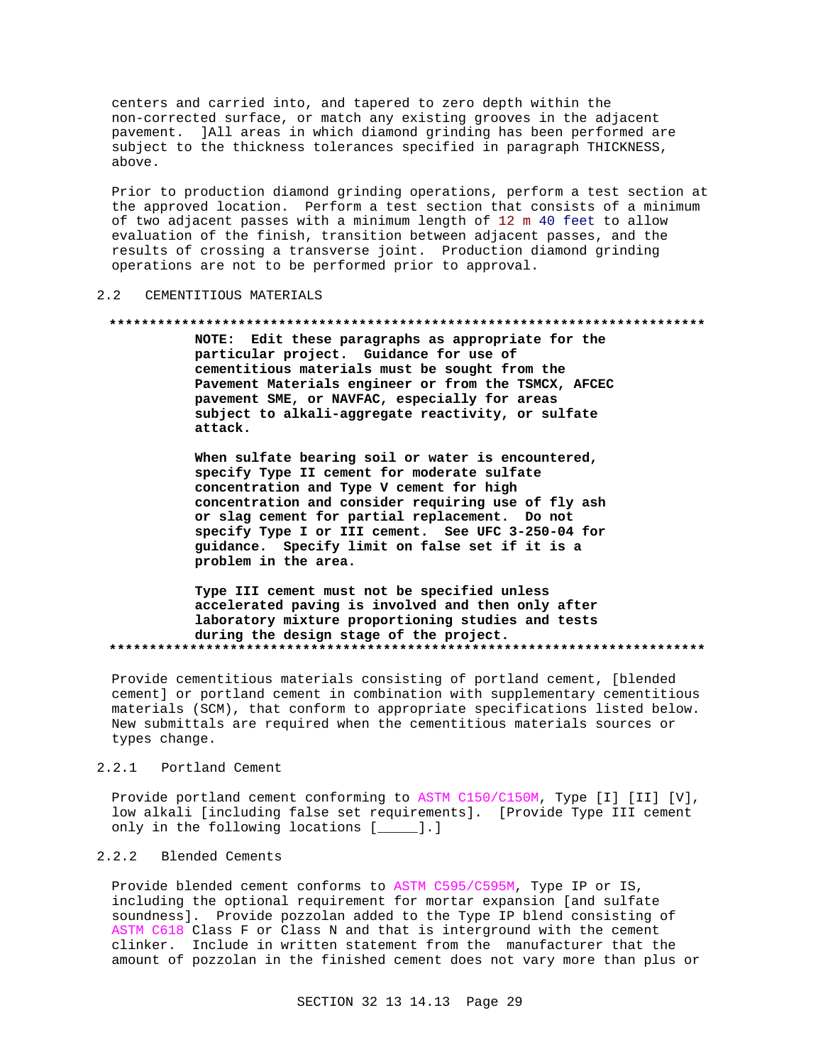centers and carried into, and tapered to zero depth within the non-corrected surface, or match any existing grooves in the adjacent pavement. JAll areas in which diamond grinding has been performed are subject to the thickness tolerances specified in paragraph THICKNESS, above.

Prior to production diamond grinding operations, perform a test section at the approved location. Perform a test section that consists of a minimum of two adjacent passes with a minimum length of 12 m 40 feet to allow evaluation of the finish, transition between adjacent passes, and the results of crossing a transverse joint. Production diamond grinding operations are not to be performed prior to approval.

#### $2.2$ CEMENTITIOUS MATERIALS

#### 

NOTE: Edit these paragraphs as appropriate for the particular project. Guidance for use of cementitious materials must be sought from the Pavement Materials engineer or from the TSMCX, AFCEC pavement SME, or NAVFAC, especially for areas subject to alkali-aggregate reactivity, or sulfate attack.

When sulfate bearing soil or water is encountered, specify Type II cement for moderate sulfate concentration and Type V cement for high concentration and consider requiring use of fly ash or slag cement for partial replacement. Do not specify Type I or III cement. See UFC 3-250-04 for guidance. Specify limit on false set if it is a problem in the area.

Type III cement must not be specified unless accelerated paving is involved and then only after laboratory mixture proportioning studies and tests during the design stage of the project. 

Provide cementitious materials consisting of portland cement, [blended cement] or portland cement in combination with supplementary cementitious materials (SCM), that conform to appropriate specifications listed below. New submittals are required when the cementitious materials sources or types change.

#### $2, 2, 1$ Portland Cement

Provide portland cement conforming to ASTM C150/C150M, Type [I] [II] [V], low alkali [including false set requirements]. [Provide Type III cement only in the following locations [\_\_\_\_].]

# 2.2.2 Blended Cements

Provide blended cement conforms to ASTM C595/C595M, Type IP or IS, including the optional requirement for mortar expansion [and sulfate soundness]. Provide pozzolan added to the Type IP blend consisting of ASTM C618 Class F or Class N and that is interground with the cement clinker. Include in written statement from the manufacturer that the amount of pozzolan in the finished cement does not vary more than plus or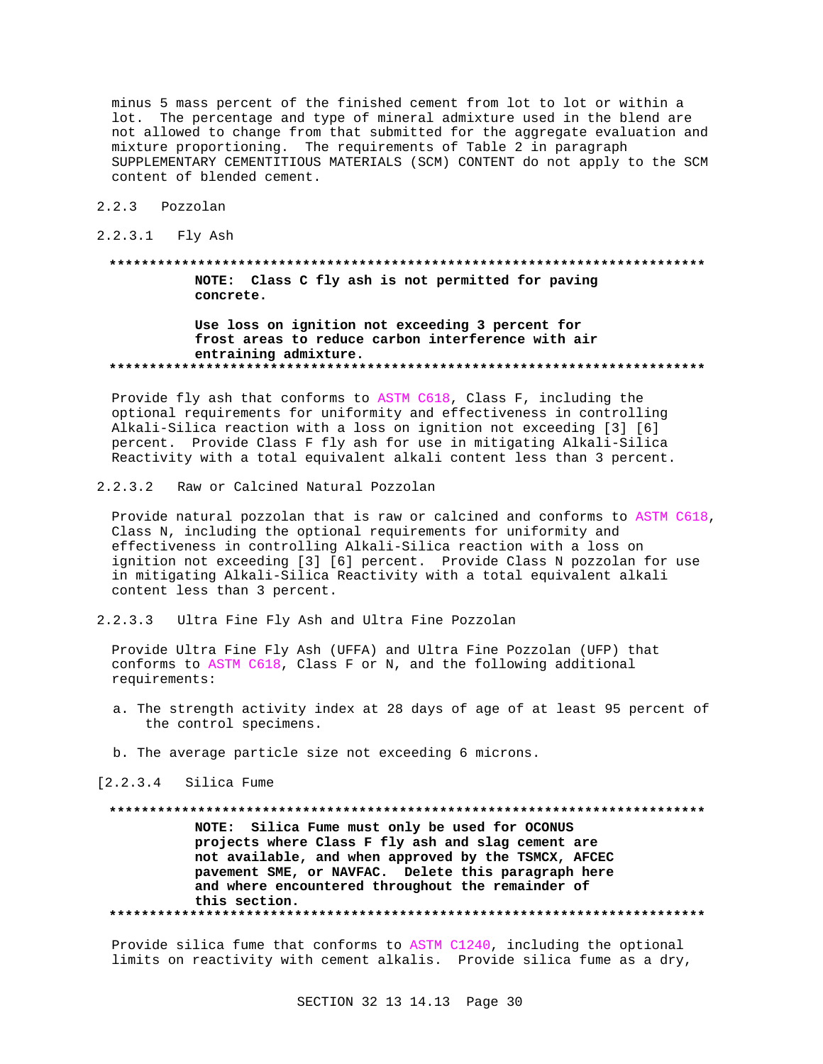minus 5 mass percent of the finished cement from lot to lot or within a lot. The percentage and type of mineral admixture used in the blend are not allowed to change from that submitted for the aggregate evaluation and mixture proportioning. The requirements of Table 2 in paragraph SUPPLEMENTARY CEMENTITIOUS MATERIALS (SCM) CONTENT do not apply to the SCM content of blended cement.

### 2.2.3 Pozzolan

2.2.3.1 Fly Ash

# NOTE: Class C fly ash is not permitted for paving concrete.

Use loss on ignition not exceeding 3 percent for frost areas to reduce carbon interference with air entraining admixture. 

Provide fly ash that conforms to ASTM C618, Class F, including the optional requirements for uniformity and effectiveness in controlling Alkali-Silica reaction with a loss on ignition not exceeding [3] [6] percent. Provide Class F fly ash for use in mitigating Alkali-Silica Reactivity with a total equivalent alkali content less than 3 percent.

 $2.2.3.2$ Raw or Calcined Natural Pozzolan

Provide natural pozzolan that is raw or calcined and conforms to ASTM C618, Class N, including the optional requirements for uniformity and effectiveness in controlling Alkali-Silica reaction with a loss on ignition not exceeding [3] [6] percent. Provide Class N pozzolan for use in mitigating Alkali-Silica Reactivity with a total equivalent alkali content less than 3 percent.

 $2.2.3.3$ Ultra Fine Fly Ash and Ultra Fine Pozzolan

Provide Ultra Fine Fly Ash (UFFA) and Ultra Fine Pozzolan (UFP) that conforms to ASTM C618, Class F or N, and the following additional requirements:

- a. The strength activity index at 28 days of age of at least 95 percent of the control specimens.
- b. The average particle size not exceeding 6 microns.

 $[2.2.3.4$  Silica Fume

NOTE: Silica Fume must only be used for OCONUS projects where Class F fly ash and slag cement are not available, and when approved by the TSMCX, AFCEC pavement SME, or NAVFAC. Delete this paragraph here and where encountered throughout the remainder of this section. 

Provide silica fume that conforms to ASTM C1240, including the optional limits on reactivity with cement alkalis. Provide silica fume as a dry,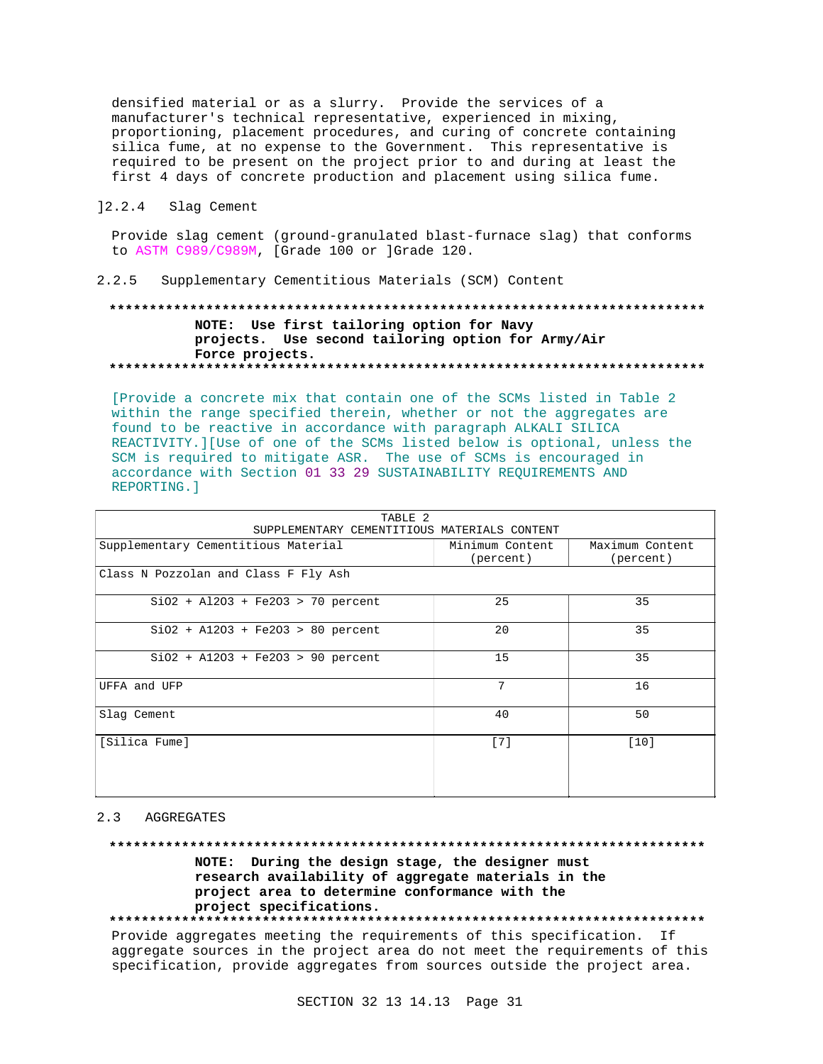densified material or as a slurry. Provide the services of a manufacturer's technical representative, experienced in mixing, proportioning, placement procedures, and curing of concrete containing silica fume, at no expense to the Government. This representative is required to be present on the project prior to and during at least the first 4 days of concrete production and placement using silica fume.

#### $12.2.4$ Slag Cement

Provide slag cement (ground-granulated blast-furnace slag) that conforms to ASTM C989/C989M, [Grade 100 or ]Grade 120.

 $2, 2, 5$ Supplementary Cementitious Materials (SCM) Content

## NOTE: Use first tailoring option for Navy projects. Use second tailoring option for Army/Air Force projects.

[Provide a concrete mix that contain one of the SCMs listed in Table 2 within the range specified therein, whether or not the aggregates are found to be reactive in accordance with paragraph ALKALI SILICA REACTIVITY. ] [Use of one of the SCMs listed below is optional, unless the SCM is required to mitigate ASR. The use of SCMs is encouraged in accordance with Section 01 33 29 SUSTAINABILITY REQUIREMENTS AND REPORTING.]

| TARLE <sub>2</sub>                           |                              |                              |
|----------------------------------------------|------------------------------|------------------------------|
| SUPPLEMENTARY CEMENTITIOUS MATERIALS CONTENT |                              |                              |
| Supplementary Cementitious Material          | Minimum Content<br>(percent) | Maximum Content<br>(percent) |
| Class N Pozzolan and Class F Fly Ash         |                              |                              |
| $SiO2 + Al2O3 + Fe2O3 > 70$ percent          | 25                           | 35                           |
| $SiO2 + A12O3 + Fe2O3 > 80$ percent          | 20                           | 35                           |
| $SiO2 + A12O3 + Fe2O3 > 90$ percent          | 15                           | 35                           |
| UFFA and UFP                                 | 7                            | 16                           |
| Slag Cement                                  | 40                           | 50                           |
| [Silica Fume]                                | [7]                          | $[10]$                       |

#### $2.3$ AGGREGATES

\*\*\*\*\*\*\*\*\*\*\*\*\*\*\*\* NOTE: During the design stage, the designer must research availability of aggregate materials in the project area to determine conformance with the project specifications.

Provide aggregates meeting the requirements of this specification. If aggregate sources in the project area do not meet the requirements of this specification, provide aggregates from sources outside the project area.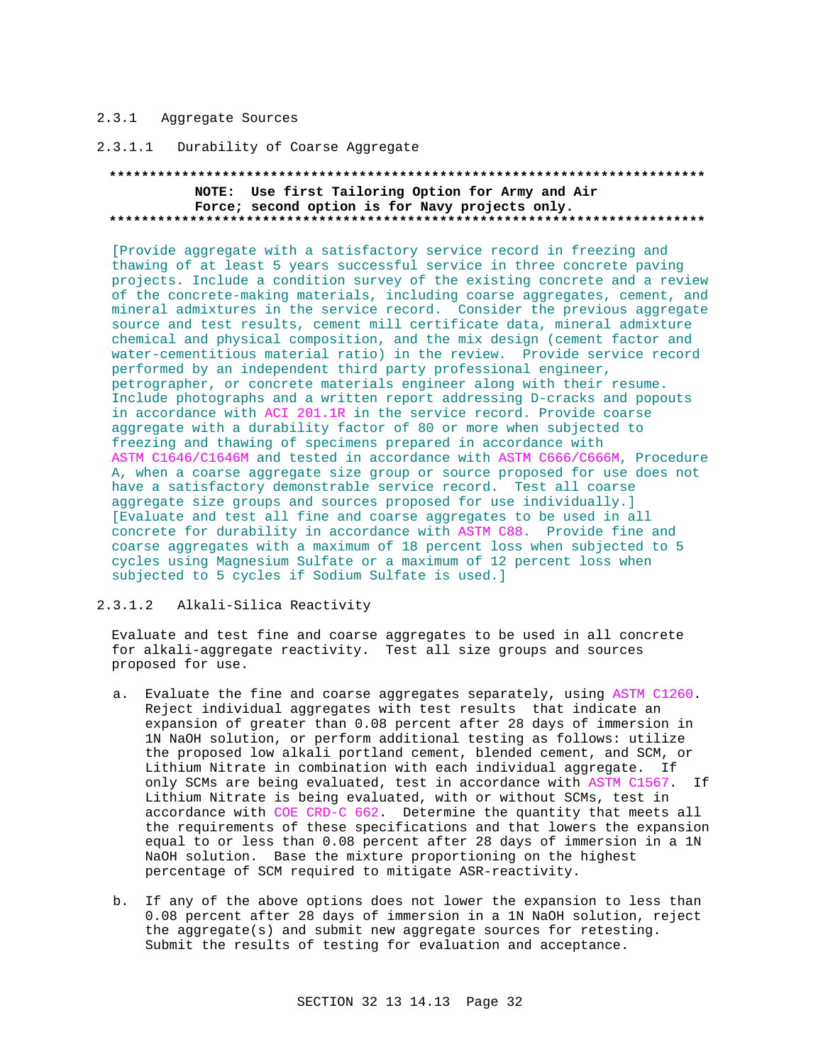### 2.3.1 Aggregate Sources

## 2.3.1.1 Durability of Coarse Aggregate

## NOTE: Use first Tailoring Option for Army and Air Force; second option is for Navy projects only.

[Provide aggregate with a satisfactory service record in freezing and thawing of at least 5 years successful service in three concrete paving projects. Include a condition survey of the existing concrete and a review of the concrete-making materials, including coarse aggregates, cement, and mineral admixtures in the service record. Consider the previous aggregate source and test results, cement mill certificate data, mineral admixture chemical and physical composition, and the mix design (cement factor and water-cementitious material ratio) in the review. Provide service record performed by an independent third party professional engineer, petrographer, or concrete materials engineer along with their resume. Include photographs and a written report addressing D-cracks and popouts in accordance with ACI 201.1R in the service record. Provide coarse aggregate with a durability factor of 80 or more when subjected to freezing and thawing of specimens prepared in accordance with ASTM C1646/C1646M and tested in accordance with ASTM C666/C666M, Procedure A, when a coarse aggregate size group or source proposed for use does not have a satisfactory demonstrable service record. Test all coarse aggregate size groups and sources proposed for use individually.] [Evaluate and test all fine and coarse aggregates to be used in all concrete for durability in accordance with ASTM C88. Provide fine and coarse aggregates with a maximum of 18 percent loss when subjected to 5 cycles using Magnesium Sulfate or a maximum of 12 percent loss when subjected to 5 cycles if Sodium Sulfate is used.]

#### $2.3.1.2$ Alkali-Silica Reactivity

Evaluate and test fine and coarse aggregates to be used in all concrete for alkali-aggregate reactivity. Test all size groups and sources proposed for use.

- a. Evaluate the fine and coarse aggregates separately, using ASTM C1260. Reject individual aggregates with test results that indicate an expansion of greater than 0.08 percent after 28 days of immersion in 1N NaOH solution, or perform additional testing as follows: utilize the proposed low alkali portland cement, blended cement, and SCM, or Lithium Nitrate in combination with each individual aggregate. If only SCMs are being evaluated, test in accordance with ASTM C1567. If Lithium Nitrate is being evaluated, with or without SCMs, test in accordance with COE CRD-C 662. Determine the quantity that meets all the requirements of these specifications and that lowers the expansion equal to or less than 0.08 percent after 28 days of immersion in a 1N NaOH solution. Base the mixture proportioning on the highest percentage of SCM required to mitigate ASR-reactivity.
- b. If any of the above options does not lower the expansion to less than 0.08 percent after 28 days of immersion in a 1N NaOH solution, reject the aggregate(s) and submit new aggregate sources for retesting. Submit the results of testing for evaluation and acceptance.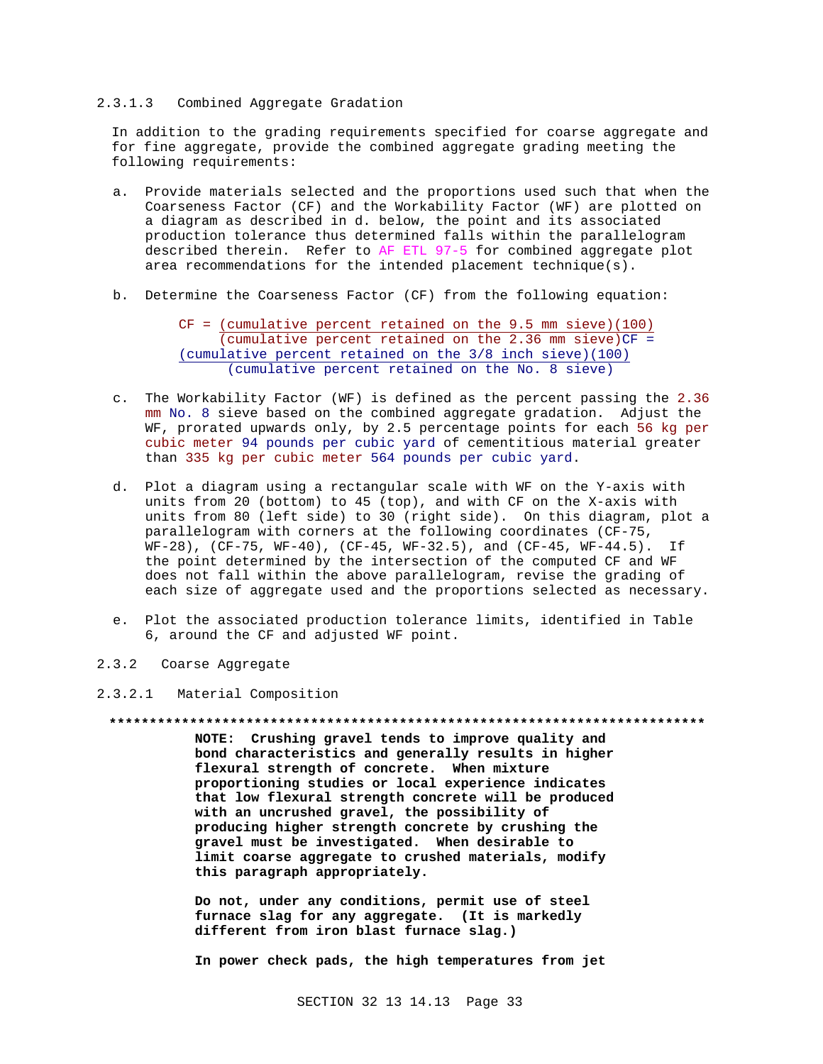### 2.3.1.3 Combined Aggregate Gradation

In addition to the grading requirements specified for coarse aggregate and for fine aggregate, provide the combined aggregate grading meeting the following requirements:

- a. Provide materials selected and the proportions used such that when the Coarseness Factor (CF) and the Workability Factor (WF) are plotted on a diagram as described in d. below, the point and its associated production tolerance thus determined falls within the parallelogram described therein. Refer to AF ETL 97-5 for combined aggregate plot area recommendations for the intended placement technique(s).
- b. Determine the Coarseness Factor (CF) from the following equation:

```
CF = (cumulative percent retained on the 9.5 mm sieve)(100) (cumulative percent retained on the 2.36 mm sieve)CF = 
(cumulative percent retained on the 3/8 inch sieve)(100)
       (cumulative percent retained on the No. 8 sieve)
```
- c. The Workability Factor (WF) is defined as the percent passing the 2.36 mm No. 8 sieve based on the combined aggregate gradation. Adjust the WF, prorated upwards only, by 2.5 percentage points for each 56 kg per cubic meter 94 pounds per cubic yard of cementitious material greater than 335 kg per cubic meter 564 pounds per cubic yard.
- d. Plot a diagram using a rectangular scale with WF on the Y-axis with units from 20 (bottom) to 45 (top), and with CF on the X-axis with units from 80 (left side) to 30 (right side). On this diagram, plot a parallelogram with corners at the following coordinates (CF-75, WF-28), (CF-75, WF-40), (CF-45, WF-32.5), and (CF-45, WF-44.5). If the point determined by the intersection of the computed CF and WF does not fall within the above parallelogram, revise the grading of each size of aggregate used and the proportions selected as necessary.
- e. Plot the associated production tolerance limits, identified in Table 6, around the CF and adjusted WF point.
- 2.3.2 Coarse Aggregate

### 2.3.2.1 Material Composition

#### **\*\*\*\*\*\*\*\*\*\*\*\*\*\*\*\*\*\*\*\*\*\*\*\*\*\*\*\*\*\*\*\*\*\*\*\*\*\*\*\*\*\*\*\*\*\*\*\*\*\*\*\*\*\*\*\*\*\*\*\*\*\*\*\*\*\*\*\*\*\*\*\*\*\***

**NOTE: Crushing gravel tends to improve quality and bond characteristics and generally results in higher flexural strength of concrete. When mixture proportioning studies or local experience indicates that low flexural strength concrete will be produced with an uncrushed gravel, the possibility of producing higher strength concrete by crushing the gravel must be investigated. When desirable to limit coarse aggregate to crushed materials, modify this paragraph appropriately.**

**Do not, under any conditions, permit use of steel furnace slag for any aggregate. (It is markedly different from iron blast furnace slag.)**

**In power check pads, the high temperatures from jet**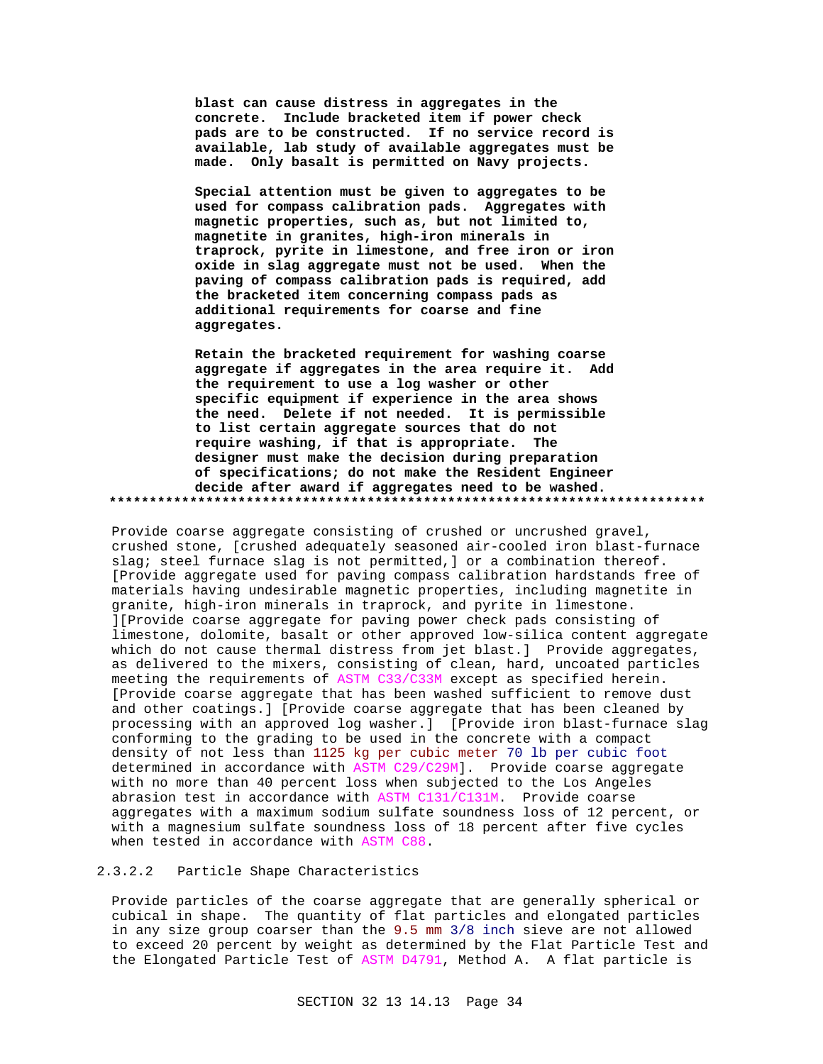**blast can cause distress in aggregates in the concrete. Include bracketed item if power check pads are to be constructed. If no service record is available, lab study of available aggregates must be made. Only basalt is permitted on Navy projects.**

**Special attention must be given to aggregates to be used for compass calibration pads. Aggregates with magnetic properties, such as, but not limited to, magnetite in granites, high-iron minerals in traprock, pyrite in limestone, and free iron or iron oxide in slag aggregate must not be used. When the paving of compass calibration pads is required, add the bracketed item concerning compass pads as additional requirements for coarse and fine aggregates.**

**Retain the bracketed requirement for washing coarse aggregate if aggregates in the area require it. Add the requirement to use a log washer or other specific equipment if experience in the area shows the need. Delete if not needed. It is permissible to list certain aggregate sources that do not require washing, if that is appropriate. The designer must make the decision during preparation of specifications; do not make the Resident Engineer decide after award if aggregates need to be washed. \*\*\*\*\*\*\*\*\*\*\*\*\*\*\*\*\*\*\*\*\*\*\*\*\*\*\*\*\*\*\*\*\*\*\*\*\*\*\*\*\*\*\*\*\*\*\*\*\*\*\*\*\*\*\*\*\*\*\*\*\*\*\*\*\*\*\*\*\*\*\*\*\*\***

Provide coarse aggregate consisting of crushed or uncrushed gravel, crushed stone, [crushed adequately seasoned air-cooled iron blast-furnace slag; steel furnace slag is not permitted,] or a combination thereof. [Provide aggregate used for paving compass calibration hardstands free of materials having undesirable magnetic properties, including magnetite in granite, high-iron minerals in traprock, and pyrite in limestone. ][Provide coarse aggregate for paving power check pads consisting of limestone, dolomite, basalt or other approved low-silica content aggregate which do not cause thermal distress from jet blast.] Provide aggregates, as delivered to the mixers, consisting of clean, hard, uncoated particles meeting the requirements of ASTM C33/C33M except as specified herein. [Provide coarse aggregate that has been washed sufficient to remove dust and other coatings.] [Provide coarse aggregate that has been cleaned by processing with an approved log washer.] [Provide iron blast-furnace slag conforming to the grading to be used in the concrete with a compact density of not less than 1125 kg per cubic meter 70 lb per cubic foot determined in accordance with ASTM C29/C29M]. Provide coarse aggregate with no more than 40 percent loss when subjected to the Los Angeles abrasion test in accordance with ASTM C131/C131M. Provide coarse aggregates with a maximum sodium sulfate soundness loss of 12 percent, or with a magnesium sulfate soundness loss of 18 percent after five cycles when tested in accordance with ASTM C88.

## 2.3.2.2 Particle Shape Characteristics

Provide particles of the coarse aggregate that are generally spherical or cubical in shape. The quantity of flat particles and elongated particles in any size group coarser than the 9.5 mm 3/8 inch sieve are not allowed to exceed 20 percent by weight as determined by the Flat Particle Test and the Elongated Particle Test of ASTM D4791, Method A. A flat particle is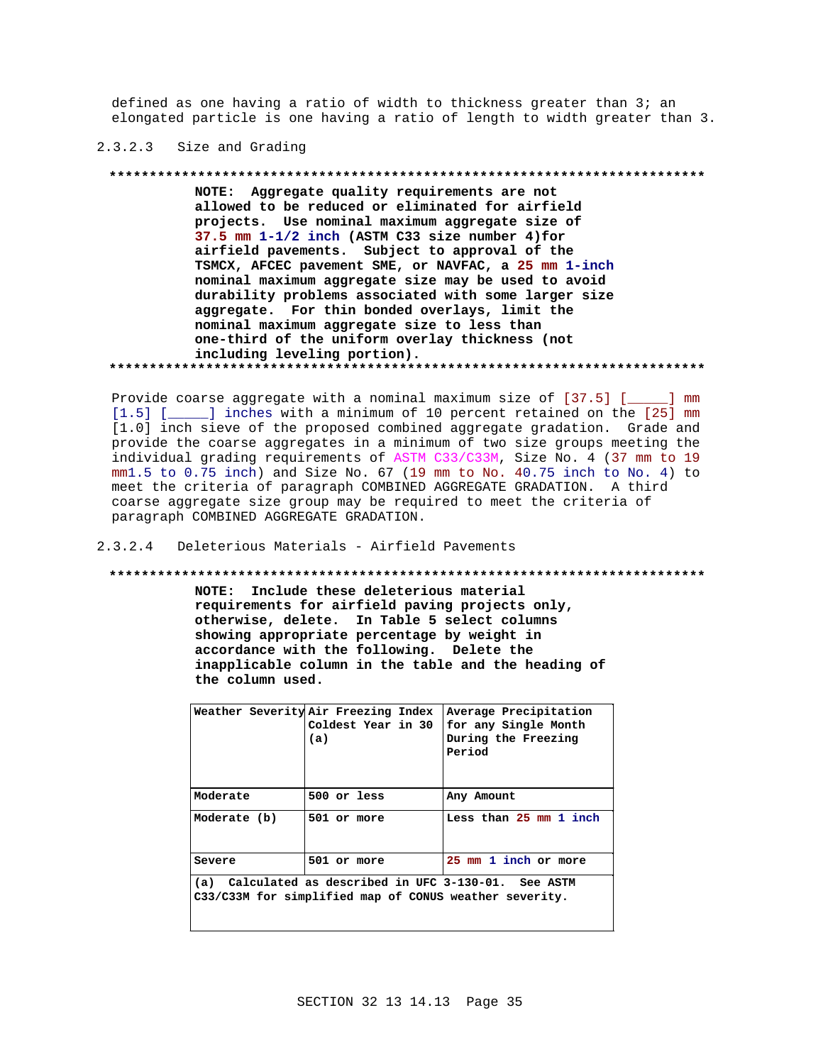defined as one having a ratio of width to thickness greater than 3; an elongated particle is one having a ratio of length to width greater than 3.

## 2.3.2.3 Size and Grading

# **\*\*\*\*\*\*\*\*\*\*\*\*\*\*\*\*\*\*\*\*\*\*\*\*\*\*\*\*\*\*\*\*\*\*\*\*\*\*\*\*\*\*\*\*\*\*\*\*\*\*\*\*\*\*\*\*\*\*\*\*\*\*\*\*\*\*\*\*\*\*\*\*\*\* NOTE: Aggregate quality requirements are not allowed to be reduced or eliminated for airfield projects. Use nominal maximum aggregate size of 37.5 mm 1-1/2 inch (ASTM C33 size number 4)for airfield pavements. Subject to approval of the TSMCX, AFCEC pavement SME, or NAVFAC, a 25 mm 1-inch nominal maximum aggregate size may be used to avoid durability problems associated with some larger size aggregate. For thin bonded overlays, limit the nominal maximum aggregate size to less than one-third of the uniform overlay thickness (not including leveling portion). \*\*\*\*\*\*\*\*\*\*\*\*\*\*\*\*\*\*\*\*\*\*\*\*\*\*\*\*\*\*\*\*\*\*\*\*\*\*\*\*\*\*\*\*\*\*\*\*\*\*\*\*\*\*\*\*\*\*\*\*\*\*\*\*\*\*\*\*\*\*\*\*\*\***

Provide coarse aggregate with a nominal maximum size of [37.5] [\_\_\_\_] mm [1.5] [\_\_\_\_\_] inches with a minimum of 10 percent retained on the [25] mm [1.0] inch sieve of the proposed combined aggregate gradation. Grade and provide the coarse aggregates in a minimum of two size groups meeting the individual grading requirements of ASTM C33/C33M, Size No. 4 (37 mm to 19 mm1.5 to 0.75 inch) and Size No. 67 (19 mm to No. 40.75 inch to No. 4) to meet the criteria of paragraph COMBINED AGGREGATE GRADATION. A third coarse aggregate size group may be required to meet the criteria of paragraph COMBINED AGGREGATE GRADATION.

### 2.3.2.4 Deleterious Materials - Airfield Pavements

#### **\*\*\*\*\*\*\*\*\*\*\*\*\*\*\*\*\*\*\*\*\*\*\*\*\*\*\*\*\*\*\*\*\*\*\*\*\*\*\*\*\*\*\*\*\*\*\*\*\*\*\*\*\*\*\*\*\*\*\*\*\*\*\*\*\*\*\*\*\*\*\*\*\*\***

**NOTE: Include these deleterious material requirements for airfield paving projects only, otherwise, delete. In Table 5 select columns showing appropriate percentage by weight in accordance with the following. Delete the inapplicable column in the table and the heading of the column used.**

|                                                                                                                   | Weather Severity Air Freezing Index<br>Coldest Year in 30<br>(a) | Average Precipitation<br>for any Single Month<br>During the Freezing<br>Period |  |  |  |
|-------------------------------------------------------------------------------------------------------------------|------------------------------------------------------------------|--------------------------------------------------------------------------------|--|--|--|
| Moderate                                                                                                          | 500 or less                                                      | Any Amount                                                                     |  |  |  |
| Moderate (b)                                                                                                      | 501 or more                                                      | Less than $25 \text{ mm } 1 \text{ inch}$                                      |  |  |  |
| Severe                                                                                                            | 501 or more                                                      | 25 mm 1 inch or more                                                           |  |  |  |
| $(a)$ Calculated as described in UFC 3-130-01. See ASTM<br>C33/C33M for simplified map of CONUS weather severity. |                                                                  |                                                                                |  |  |  |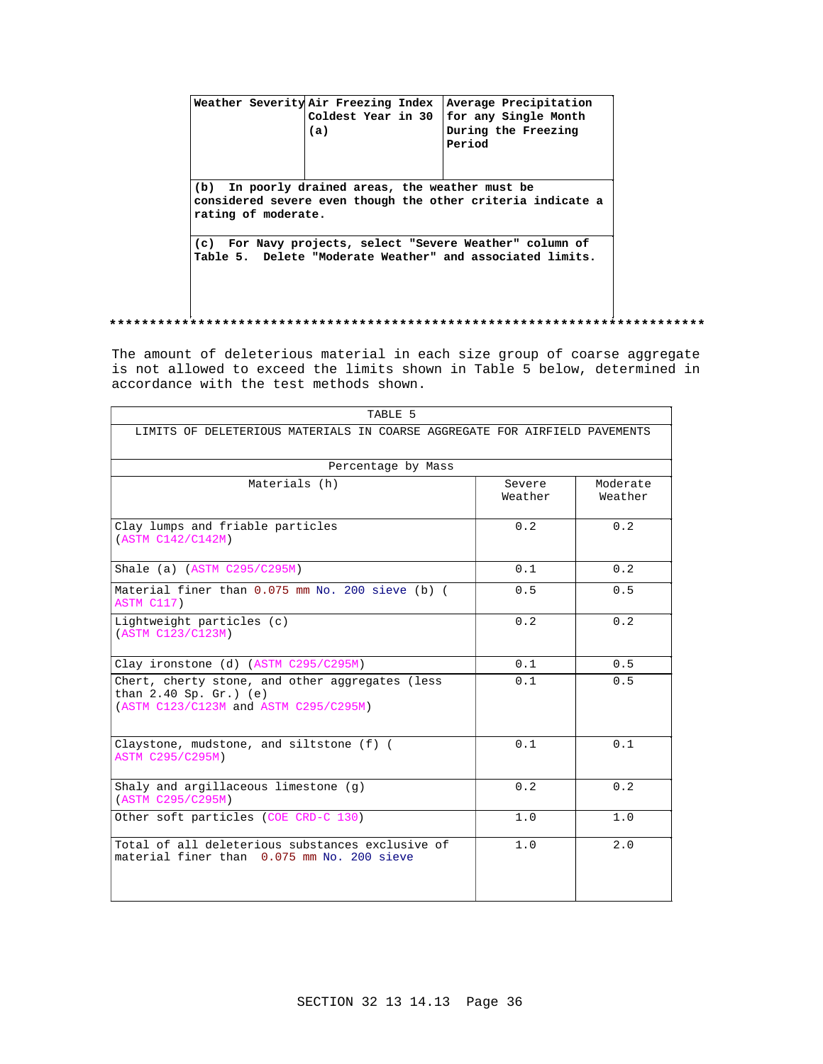|     |  | (a) |  |  | Weather Severity Air Freezing Index   Average Precipitation<br>Coldest Year in 30   for any Single Month<br>During the Freezing<br>Period |  |
|-----|--|-----|--|--|-------------------------------------------------------------------------------------------------------------------------------------------|--|
| (h) |  |     |  |  | In poorly drained areas, the weather must be                                                                                              |  |

**(b) In poorly drained areas, the weather must be considered severe even though the other criteria indicate a rating of moderate.**

**(c) For Navy projects, select "Severe Weather" column of Table 5. Delete "Moderate Weather" and associated limits.**

#### **\*\*\*\*\*\*\*\*\*\*\*\*\*\*\*\*\*\*\*\*\*\*\*\*\*\*\*\*\*\*\*\*\*\*\*\*\*\*\*\*\*\*\*\*\*\*\*\*\*\*\*\*\*\*\*\*\*\*\*\*\*\*\*\*\*\*\*\*\*\*\*\*\*\***

The amount of deleterious material in each size group of coarse aggregate is not allowed to exceed the limits shown in Table 5 below, determined in accordance with the test methods shown.

| TABLE <sub>5</sub>                                                                                                   |                   |                     |  |  |  |  |  |  |  |  |
|----------------------------------------------------------------------------------------------------------------------|-------------------|---------------------|--|--|--|--|--|--|--|--|
| LIMITS OF DELETERIOUS MATERIALS IN COARSE AGGREGATE FOR AIRFIELD PAVEMENTS                                           |                   |                     |  |  |  |  |  |  |  |  |
| Percentage by Mass                                                                                                   |                   |                     |  |  |  |  |  |  |  |  |
| Materials (h)                                                                                                        | Severe<br>Weather | Moderate<br>Weather |  |  |  |  |  |  |  |  |
| Clay lumps and friable particles<br>(ASTM C142/C142M)                                                                | 0.2               | 0.2                 |  |  |  |  |  |  |  |  |
| Shale (a) (ASTM C295/C295M)                                                                                          | 0.1               | 0.2                 |  |  |  |  |  |  |  |  |
| Material finer than 0.075 mm No. 200 sieve (b) (<br>ASTM C117)                                                       | 0.5               | 0.5                 |  |  |  |  |  |  |  |  |
| Lightweight particles (c)<br>(ASTM C123/C123M)                                                                       | 0.2               | 0.2                 |  |  |  |  |  |  |  |  |
| Clay ironstone (d) (ASTM C295/C295M)                                                                                 | 0.1               | 0.5                 |  |  |  |  |  |  |  |  |
| Chert, cherty stone, and other aggregates (less<br>than $2.40$ Sp. Gr.) (e)<br>(ASTM C123/C123M and ASTM C295/C295M) | 0.1               | 0.5                 |  |  |  |  |  |  |  |  |
| Claystone, mudstone, and siltstone (f) (<br>ASTM C295/C295M)                                                         | 0.1               | 0.1                 |  |  |  |  |  |  |  |  |
| Shaly and argillaceous limestone (q)<br>(ASTM C295/C295M)                                                            | 0.2               | 0.2                 |  |  |  |  |  |  |  |  |
| Other soft particles (COE CRD-C 130)                                                                                 | 1.0               | 1.0                 |  |  |  |  |  |  |  |  |
| Total of all deleterious substances exclusive of<br>material finer than 0.075 mm No. 200 sieve                       | 1.0               | 2.0                 |  |  |  |  |  |  |  |  |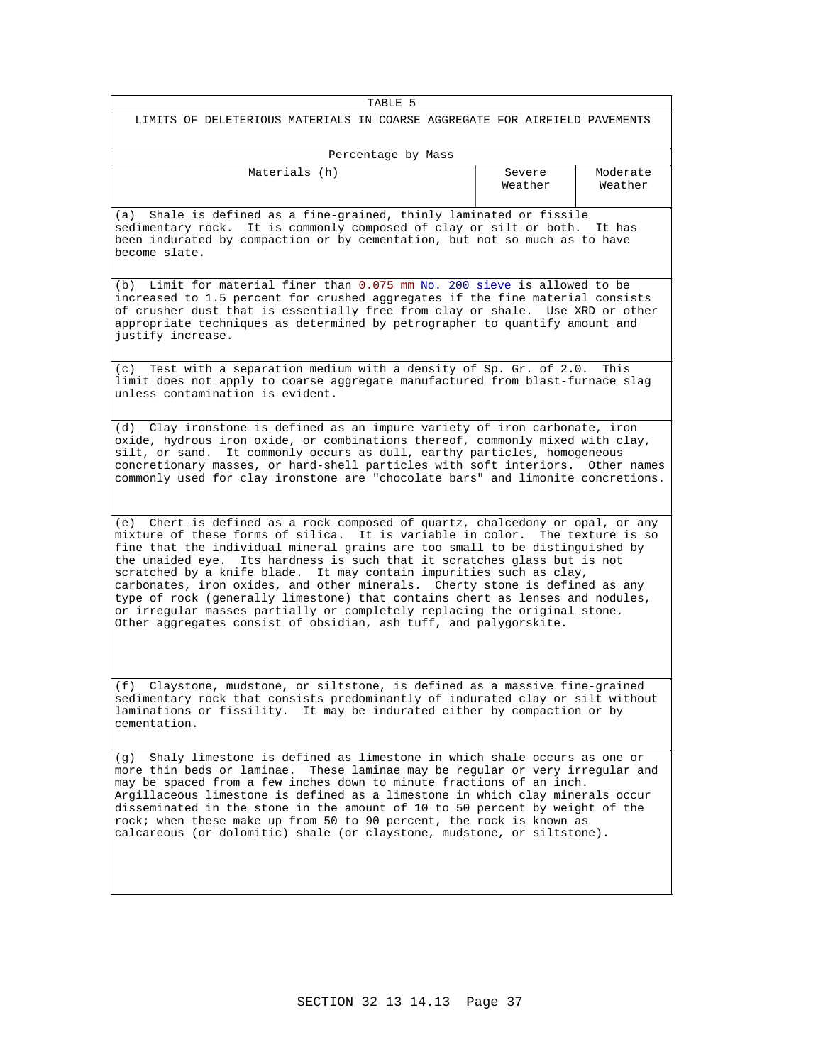| TABLE 5                                                                                                                                                                                                                                                                                                                                                                                                                                                                                                                                                                                                                                                                                                            |                                                                                                                                                                                                                            |                     |  |  |
|--------------------------------------------------------------------------------------------------------------------------------------------------------------------------------------------------------------------------------------------------------------------------------------------------------------------------------------------------------------------------------------------------------------------------------------------------------------------------------------------------------------------------------------------------------------------------------------------------------------------------------------------------------------------------------------------------------------------|----------------------------------------------------------------------------------------------------------------------------------------------------------------------------------------------------------------------------|---------------------|--|--|
| LIMITS OF DELETERIOUS MATERIALS IN COARSE AGGREGATE FOR AIRFIELD PAVEMENTS                                                                                                                                                                                                                                                                                                                                                                                                                                                                                                                                                                                                                                         |                                                                                                                                                                                                                            |                     |  |  |
| Percentage by Mass                                                                                                                                                                                                                                                                                                                                                                                                                                                                                                                                                                                                                                                                                                 |                                                                                                                                                                                                                            |                     |  |  |
| Materials (h)                                                                                                                                                                                                                                                                                                                                                                                                                                                                                                                                                                                                                                                                                                      | Severe<br>Weather                                                                                                                                                                                                          | Moderate<br>Weather |  |  |
| (a)<br>become slate.                                                                                                                                                                                                                                                                                                                                                                                                                                                                                                                                                                                                                                                                                               | Shale is defined as a fine-grained, thinly laminated or fissile<br>sedimentary rock. It is commonly composed of clay or silt or both. It has<br>been indurated by compaction or by cementation, but not so much as to have |                     |  |  |
| (b) Limit for material finer than 0.075 mm No. 200 sieve is allowed to be<br>increased to 1.5 percent for crushed aggregates if the fine material consists<br>of crusher dust that is essentially free from clay or shale. Use XRD or other<br>appropriate techniques as determined by petrographer to quantify amount and<br>justify increase.                                                                                                                                                                                                                                                                                                                                                                    |                                                                                                                                                                                                                            |                     |  |  |
| (c) Test with a separation medium with a density of Sp. Gr. of 2.0.<br>limit does not apply to coarse aggregate manufactured from blast-furnace slag<br>unless contamination is evident.                                                                                                                                                                                                                                                                                                                                                                                                                                                                                                                           |                                                                                                                                                                                                                            | This                |  |  |
| (d) Clay ironstone is defined as an impure variety of iron carbonate, iron<br>oxide, hydrous iron oxide, or combinations thereof, commonly mixed with clay,<br>silt, or sand. It commonly occurs as dull, earthy particles, homogeneous<br>concretionary masses, or hard-shell particles with soft interiors.<br>Other names<br>commonly used for clay ironstone are "chocolate bars" and limonite concretions.                                                                                                                                                                                                                                                                                                    |                                                                                                                                                                                                                            |                     |  |  |
| (e) Chert is defined as a rock composed of quartz, chalcedony or opal, or any<br>mixture of these forms of silica. It is variable in color. The texture is so<br>fine that the individual mineral grains are too small to be distinguished by<br>the unaided eye. Its hardness is such that it scratches glass but is not<br>scratched by a knife blade. It may contain impurities such as clay,<br>carbonates, iron oxides, and other minerals. Cherty stone is defined as any<br>type of rock (generally limestone) that contains chert as lenses and nodules,<br>or irregular masses partially or completely replacing the original stone.<br>Other aggregates consist of obsidian, ash tuff, and palygorskite. |                                                                                                                                                                                                                            |                     |  |  |
| Claystone, mudstone, or siltstone, is defined as a massive fine-grained<br>(f)<br>sedimentary rock that consists predominantly of indurated clay or silt without<br>laminations or fissility. It may be indurated either by compaction or by<br>cementation.                                                                                                                                                                                                                                                                                                                                                                                                                                                       |                                                                                                                                                                                                                            |                     |  |  |
| Shaly limestone is defined as limestone in which shale occurs as one or<br>(q)<br>more thin beds or laminae. These laminae may be reqular or very irreqular and<br>may be spaced from a few inches down to minute fractions of an inch.<br>Argillaceous limestone is defined as a limestone in which clay minerals occur<br>disseminated in the stone in the amount of 10 to 50 percent by weight of the<br>rock; when these make up from 50 to 90 percent, the rock is known as<br>calcareous (or dolomitic) shale (or claystone, mudstone, or siltstone).                                                                                                                                                        |                                                                                                                                                                                                                            |                     |  |  |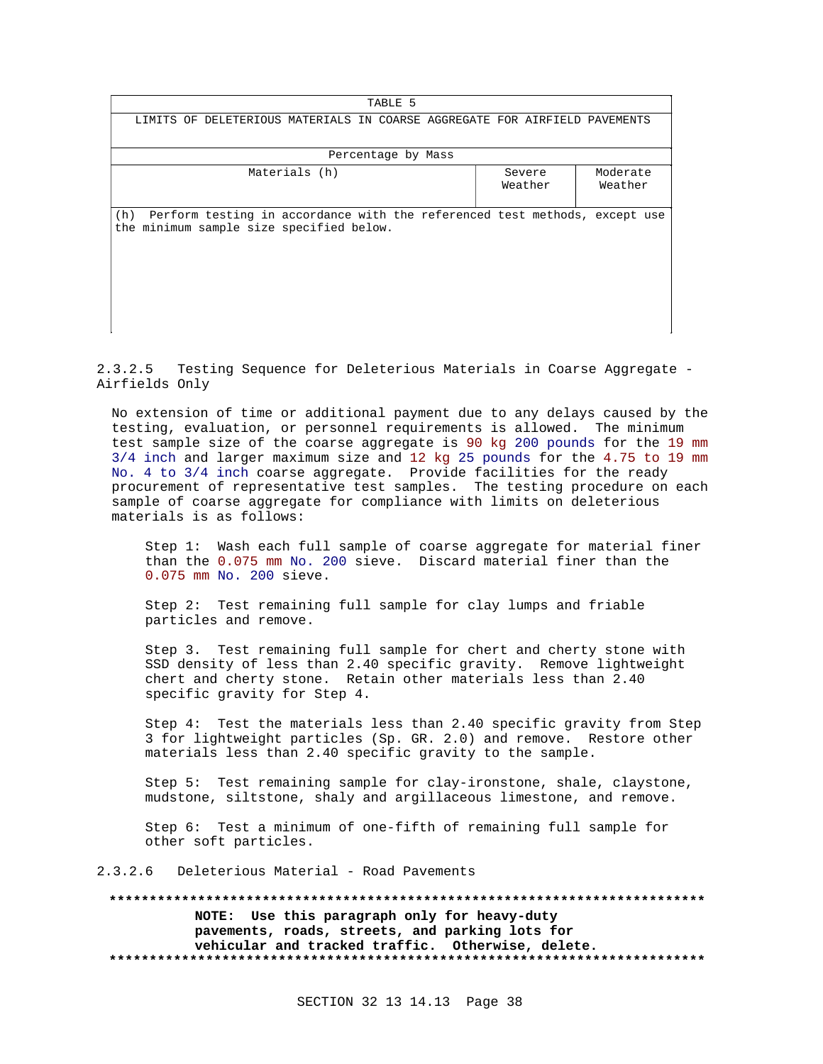| TABLE 5                                                                                                                       |                   |                     |
|-------------------------------------------------------------------------------------------------------------------------------|-------------------|---------------------|
| LIMITS OF DELETERIOUS MATERIALS IN COARSE AGGREGATE FOR AIRFIELD PAVEMENTS                                                    |                   |                     |
|                                                                                                                               |                   |                     |
| Percentage by Mass                                                                                                            |                   |                     |
| Materials (h)                                                                                                                 | Severe<br>Weather | Moderate<br>Weather |
|                                                                                                                               |                   |                     |
| Perform testing in accordance with the referenced test methods, except use<br>(h)<br>the minimum sample size specified below. |                   |                     |

2.3.2.5 Testing Sequence for Deleterious Materials in Coarse Aggregate - Airfields Only

No extension of time or additional payment due to any delays caused by the testing, evaluation, or personnel requirements is allowed. The minimum test sample size of the coarse aggregate is 90 kg 200 pounds for the 19 mm 3/4 inch and larger maximum size and 12 kg 25 pounds for the 4.75 to 19 mm No. 4 to 3/4 inch coarse aggregate. Provide facilities for the ready procurement of representative test samples. The testing procedure on each sample of coarse aggregate for compliance with limits on deleterious materials is as follows:

Step 1: Wash each full sample of coarse aggregate for material finer than the 0.075 mm No. 200 sieve. Discard material finer than the 0.075 mm No. 200 sieve.

Step 2: Test remaining full sample for clay lumps and friable particles and remove.

Step 3. Test remaining full sample for chert and cherty stone with SSD density of less than 2.40 specific gravity. Remove lightweight chert and cherty stone. Retain other materials less than 2.40 specific gravity for Step 4.

Step 4: Test the materials less than 2.40 specific gravity from Step 3 for lightweight particles (Sp. GR. 2.0) and remove. Restore other materials less than 2.40 specific gravity to the sample.

Step 5: Test remaining sample for clay-ironstone, shale, claystone, mudstone, siltstone, shaly and argillaceous limestone, and remove.

Step 6: Test a minimum of one-fifth of remaining full sample for other soft particles.

2.3.2.6 Deleterious Material - Road Pavements

**\*\*\*\*\*\*\*\*\*\*\*\*\*\*\*\*\*\*\*\*\*\*\*\*\*\*\*\*\*\*\*\*\*\*\*\*\*\*\*\*\*\*\*\*\*\*\*\*\*\*\*\*\*\*\*\*\*\*\*\*\*\*\*\*\*\*\*\*\*\*\*\*\*\* NOTE: Use this paragraph only for heavy-duty pavements, roads, streets, and parking lots for vehicular and tracked traffic. Otherwise, delete. \*\*\*\*\*\*\*\*\*\*\*\*\*\*\*\*\*\*\*\*\*\*\*\*\*\*\*\*\*\*\*\*\*\*\*\*\*\*\*\*\*\*\*\*\*\*\*\*\*\*\*\*\*\*\*\*\*\*\*\*\*\*\*\*\*\*\*\*\*\*\*\*\*\***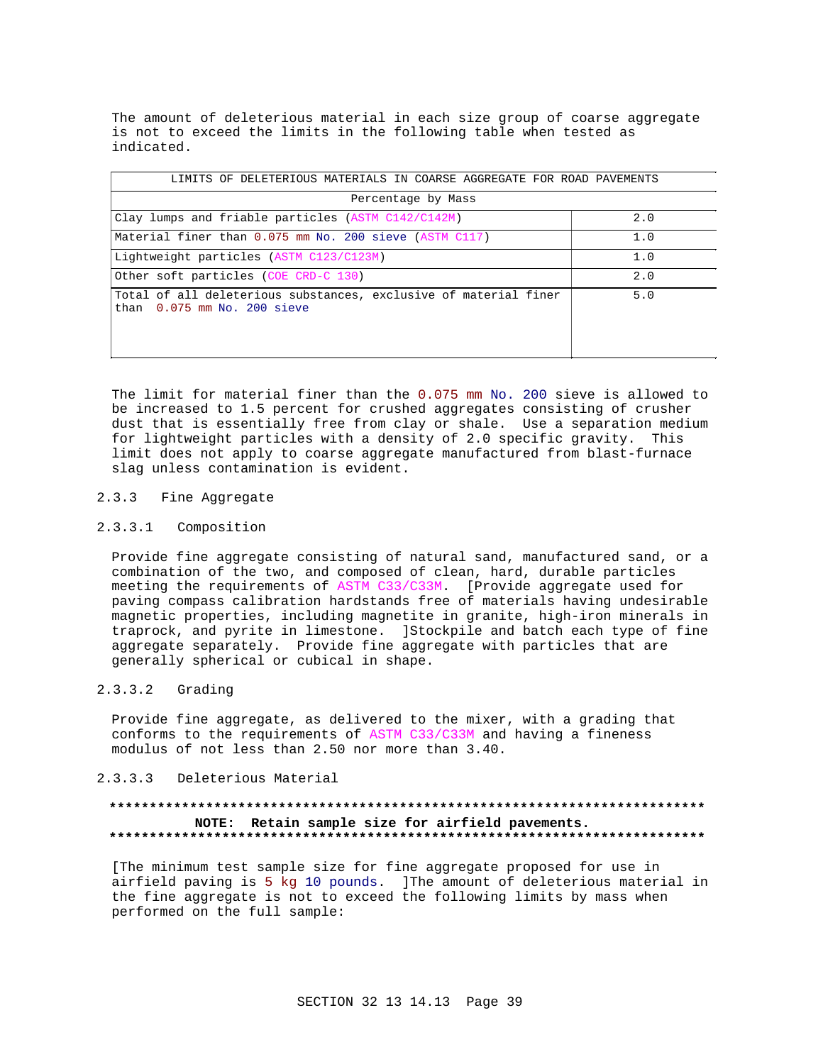The amount of deleterious material in each size group of coarse aggregate is not to exceed the limits in the following table when tested as indicated.

| LIMITS OF DELETERIOUS MATERIALS IN COARSE AGGREGATE FOR ROAD PAVEMENTS                            |     |  |
|---------------------------------------------------------------------------------------------------|-----|--|
| Percentage by Mass                                                                                |     |  |
| Clay lumps and friable particles (ASTM C142/C142M)<br>2.0                                         |     |  |
| Material finer than 0.075 mm No. 200 sieve (ASTM C117)<br>1.0                                     |     |  |
| Lightweight particles (ASTM C123/C123M)                                                           | 1.0 |  |
| Other soft particles (COE CRD-C 130)                                                              | 2.0 |  |
| Total of all deleterious substances, exclusive of material finer<br>than $0.075$ mm No. 200 sieve | 5.0 |  |

The limit for material finer than the 0.075 mm No. 200 sieve is allowed to be increased to 1.5 percent for crushed aggregates consisting of crusher dust that is essentially free from clay or shale. Use a separation medium for lightweight particles with a density of 2.0 specific gravity. This limit does not apply to coarse aggregate manufactured from blast-furnace slag unless contamination is evident.

# 2.3.3 Fine Aggregate

#### 2.3.3.1 Composition

Provide fine aggregate consisting of natural sand, manufactured sand, or a combination of the two, and composed of clean, hard, durable particles meeting the requirements of ASTM C33/C33M. [Provide aggregate used for paving compass calibration hardstands free of materials having undesirable magnetic properties, including magnetite in granite, high-iron minerals in traprock, and pyrite in limestone. ]Stockpile and batch each type of fine aggregate separately. Provide fine aggregate with particles that are generally spherical or cubical in shape.

# 2.3.3.2 Grading

Provide fine aggregate, as delivered to the mixer, with a grading that conforms to the requirements of ASTM C33/C33M and having a fineness modulus of not less than 2.50 nor more than 3.40.

#### 2.3.3.3 Deleterious Material

## **\*\*\*\*\*\*\*\*\*\*\*\*\*\*\*\*\*\*\*\*\*\*\*\*\*\*\*\*\*\*\*\*\*\*\*\*\*\*\*\*\*\*\*\*\*\*\*\*\*\*\*\*\*\*\*\*\*\*\*\*\*\*\*\*\*\*\*\*\*\*\*\*\*\* NOTE: Retain sample size for airfield pavements. \*\*\*\*\*\*\*\*\*\*\*\*\*\*\*\*\*\*\*\*\*\*\*\*\*\*\*\*\*\*\*\*\*\*\*\*\*\*\*\*\*\*\*\*\*\*\*\*\*\*\*\*\*\*\*\*\*\*\*\*\*\*\*\*\*\*\*\*\*\*\*\*\*\***

[The minimum test sample size for fine aggregate proposed for use in airfield paving is 5 kg 10 pounds. ]The amount of deleterious material in the fine aggregate is not to exceed the following limits by mass when performed on the full sample: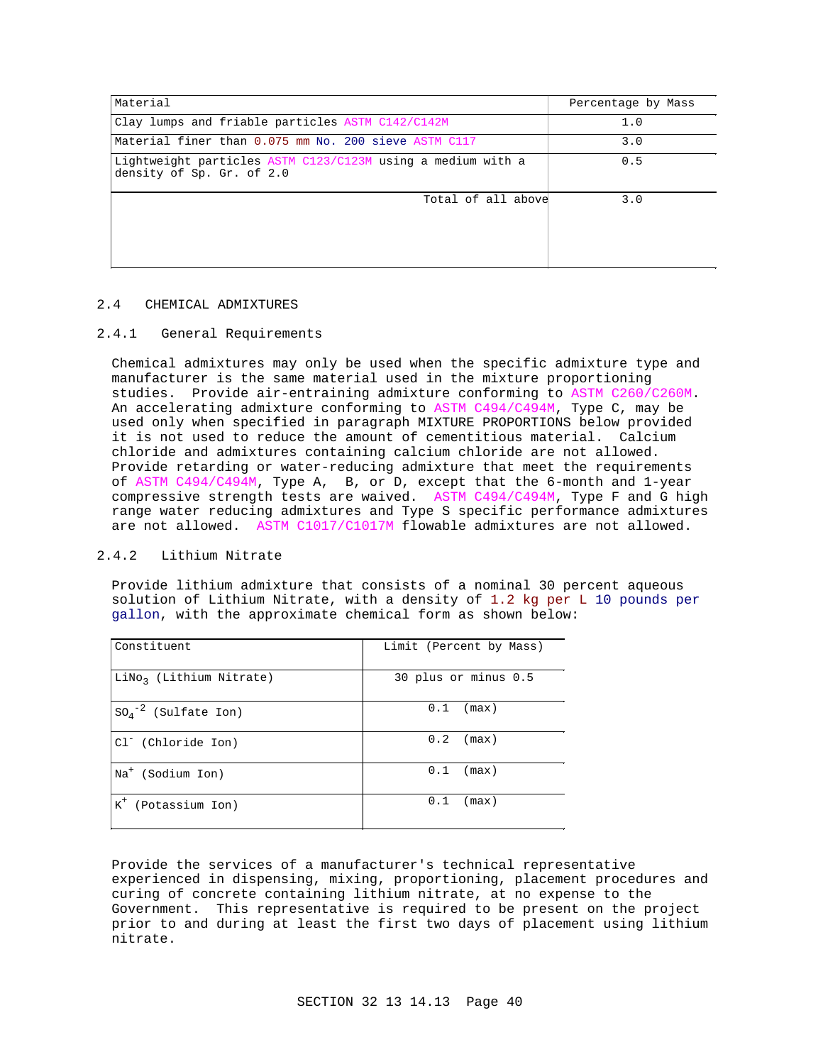| Material                                                                                 | Percentage by Mass |
|------------------------------------------------------------------------------------------|--------------------|
| Clay lumps and friable particles ASTM C142/C142M                                         | 1.0                |
| Material finer than 0.075 mm No. 200 sieve ASTM C117                                     | 3.0                |
| Lightweight particles ASTM C123/C123M using a medium with a<br>density of Sp. Gr. of 2.0 | 0.5                |
| Total of all above                                                                       | 3.0                |

#### 2.4 CHEMICAL ADMIXTURES

## 2.4.1 General Requirements

Chemical admixtures may only be used when the specific admixture type and manufacturer is the same material used in the mixture proportioning studies. Provide air-entraining admixture conforming to ASTM C260/C260M. An accelerating admixture conforming to ASTM C494/C494M, Type C, may be used only when specified in paragraph MIXTURE PROPORTIONS below provided it is not used to reduce the amount of cementitious material. Calcium chloride and admixtures containing calcium chloride are not allowed. Provide retarding or water-reducing admixture that meet the requirements of ASTM C494/C494M, Type A, B, or D, except that the 6-month and 1-year compressive strength tests are waived. ASTM C494/C494M, Type F and G high range water reducing admixtures and Type S specific performance admixtures are not allowed. ASTM C1017/C1017M flowable admixtures are not allowed.

#### 2.4.2 Lithium Nitrate

Provide lithium admixture that consists of a nominal 30 percent aqueous solution of Lithium Nitrate, with a density of 1.2 kg per L 10 pounds per gallon, with the approximate chemical form as shown below:

| Constituent                  | Limit (Percent by Mass) |
|------------------------------|-------------------------|
| $Lino3$ (Lithium Nitrate)    | 30 plus or minus 0.5    |
| $SO_4^{\,-2}$ (Sulfate Ion)  | 0.1<br>(max)            |
| $Cl^-$ (Chloride Ion)        | $0.2$ (max)             |
| Na <sup>+</sup> (Sodium Ion) | 0.1<br>(max)            |
| $K^+$ (Potassium Ion)        | 0.1<br>(max)            |

Provide the services of a manufacturer's technical representative experienced in dispensing, mixing, proportioning, placement procedures and curing of concrete containing lithium nitrate, at no expense to the Government. This representative is required to be present on the project prior to and during at least the first two days of placement using lithium nitrate.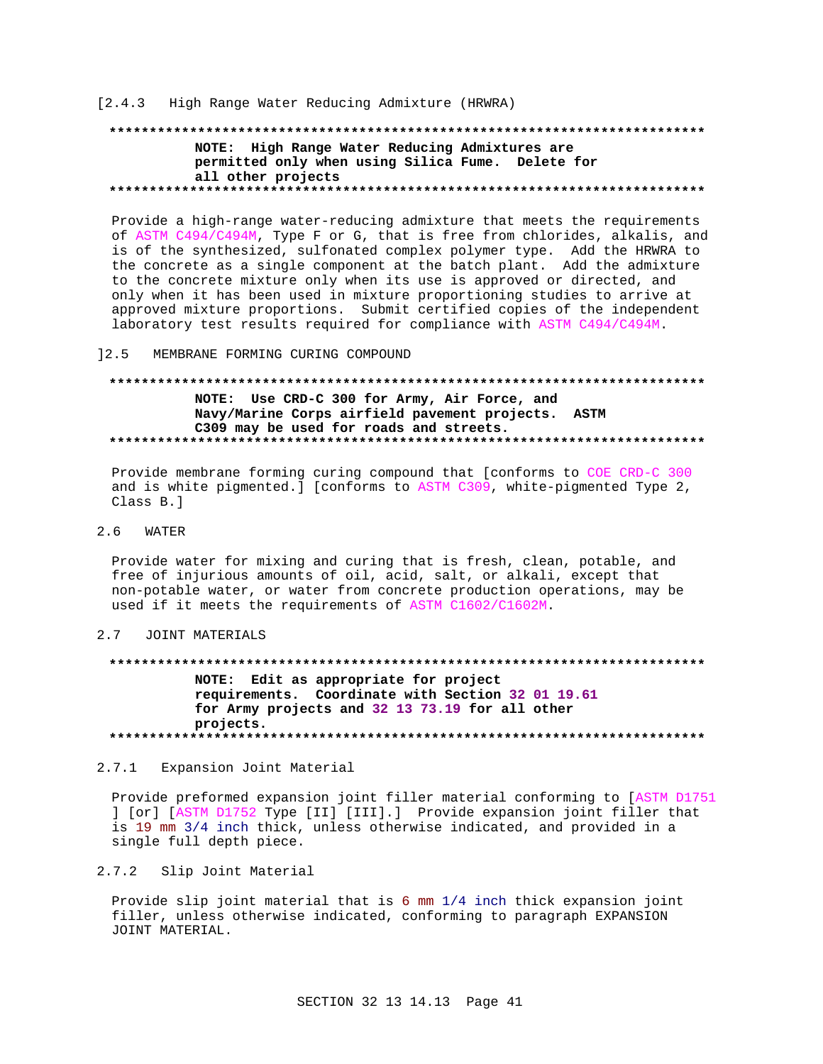[2.4.3 High Range Water Reducing Admixture (HRWRA)

## NOTE: High Range Water Reducing Admixtures are permitted only when using Silica Fume. Delete for all other projects

Provide a high-range water-reducing admixture that meets the requirements of ASTM C494/C494M, Type F or G, that is free from chlorides, alkalis, and is of the synthesized, sulfonated complex polymer type. Add the HRWRA to the concrete as a single component at the batch plant. Add the admixture to the concrete mixture only when its use is approved or directed, and only when it has been used in mixture proportioning studies to arrive at approved mixture proportions. Submit certified copies of the independent laboratory test results required for compliance with ASTM C494/C494M.

 $] 2.5$ MEMBRANE FORMING CURING COMPOUND

# NOTE: Use CRD-C 300 for Army, Air Force, and Navy/Marine Corps airfield pavement projects. ASTM C309 may be used for roads and streets.

Provide membrane forming curing compound that [conforms to COE CRD-C 300 and is white pigmented.] [conforms to ASTM C309, white-pigmented Type 2, Class B.]

 $2.6$ **WATER** 

> Provide water for mixing and curing that is fresh, clean, potable, and free of injurious amounts of oil, acid, salt, or alkali, except that non-potable water, or water from concrete production operations, may be used if it meets the requirements of ASTM C1602/C1602M.

#### 2.7 JOINT MATERIALS

#### NOTE: Edit as appropriate for project requirements. Coordinate with Section 32 01 19.61 for Army projects and 32 13 73.19 for all other projects. .....................

 $2.7.1$ Expansion Joint Material

Provide preformed expansion joint filler material conforming to [ASTM D1751 ] [or] [ASTM D1752 Type [II] [III].] Provide expansion joint filler that is 19 mm 3/4 inch thick, unless otherwise indicated, and provided in a single full depth piece.

 $2.7.2$ Slip Joint Material

Provide slip joint material that is 6 mm 1/4 inch thick expansion joint filler, unless otherwise indicated, conforming to paragraph EXPANSION JOINT MATERIAL.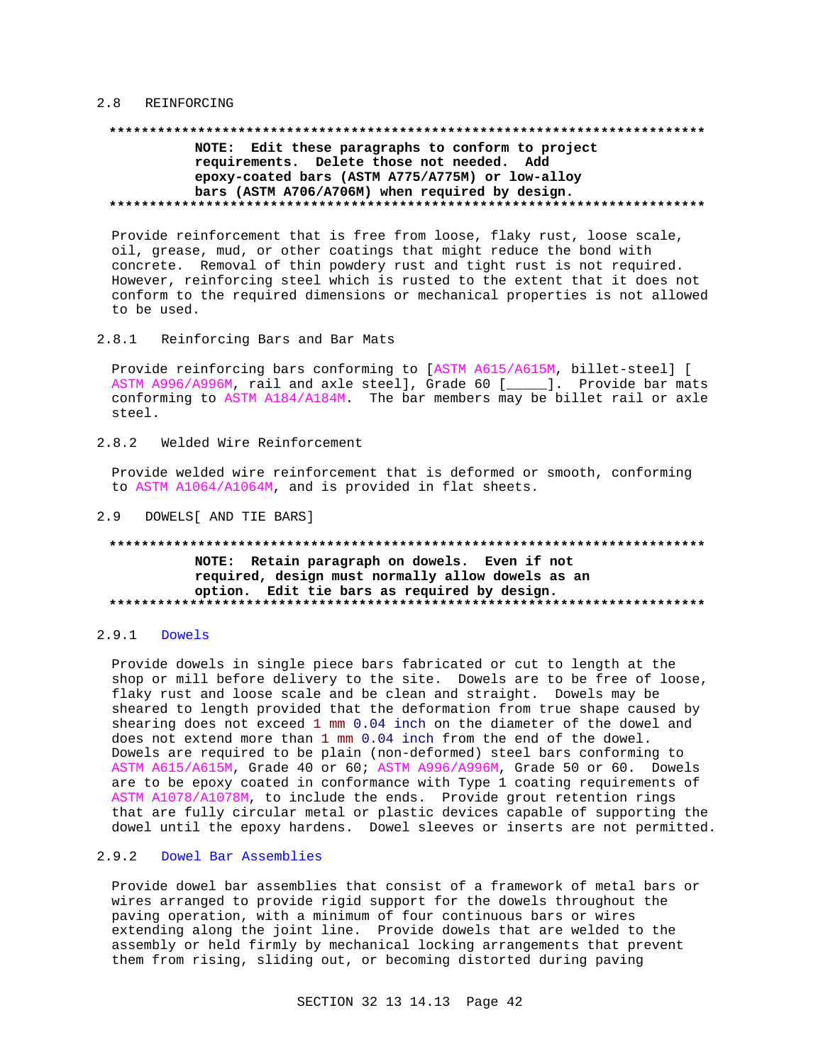#### 2.8 REINFORCING

# **\*\*\*\*\*\*\*\*\*\*\*\*\*\*\*\*\*\*\*\*\*\*\*\*\*\*\*\*\*\*\*\*\*\*\*\*\*\*\*\*\*\*\*\*\*\*\*\*\*\*\*\*\*\*\*\*\*\*\*\*\*\*\*\*\*\*\*\*\*\*\*\*\*\***

## **NOTE: Edit these paragraphs to conform to project requirements. Delete those not needed. Add epoxy-coated bars (ASTM A775/A775M) or low-alloy bars (ASTM A706/A706M) when required by design. \*\*\*\*\*\*\*\*\*\*\*\*\*\*\*\*\*\*\*\*\*\*\*\*\*\*\*\*\*\*\*\*\*\*\*\*\*\*\*\*\*\*\*\*\*\*\*\*\*\*\*\*\*\*\*\*\*\*\*\*\*\*\*\*\*\*\*\*\*\*\*\*\*\***

Provide reinforcement that is free from loose, flaky rust, loose scale, oil, grease, mud, or other coatings that might reduce the bond with concrete. Removal of thin powdery rust and tight rust is not required. However, reinforcing steel which is rusted to the extent that it does not conform to the required dimensions or mechanical properties is not allowed to be used.

2.8.1 Reinforcing Bars and Bar Mats

Provide reinforcing bars conforming to [ASTM A615/A615M, billet-steel] [ ASTM A996/A996M, rail and axle steel], Grade 60 [\_\_\_\_]. Provide bar mats conforming to ASTM A184/A184M. The bar members may be billet rail or axle steel.

### 2.8.2 Welded Wire Reinforcement

Provide welded wire reinforcement that is deformed or smooth, conforming to ASTM A1064/A1064M, and is provided in flat sheets.

#### 2.9 DOWELS[ AND TIE BARS]

## **\*\*\*\*\*\*\*\*\*\*\*\*\*\*\*\*\*\*\*\*\*\*\*\*\*\*\*\*\*\*\*\*\*\*\*\*\*\*\*\*\*\*\*\*\*\*\*\*\*\*\*\*\*\*\*\*\*\*\*\*\*\*\*\*\*\*\*\*\*\*\*\*\*\* NOTE: Retain paragraph on dowels. Even if not required, design must normally allow dowels as an option. Edit tie bars as required by design. \*\*\*\*\*\*\*\*\*\*\*\*\*\*\*\*\*\*\*\*\*\*\*\*\*\*\*\*\*\*\*\*\*\*\*\*\*\*\*\*\*\*\*\*\*\*\*\*\*\*\*\*\*\*\*\*\*\*\*\*\*\*\*\*\*\*\*\*\*\*\*\*\*\***

#### 2.9.1 Dowels

Provide dowels in single piece bars fabricated or cut to length at the shop or mill before delivery to the site. Dowels are to be free of loose, flaky rust and loose scale and be clean and straight. Dowels may be sheared to length provided that the deformation from true shape caused by shearing does not exceed 1 mm 0.04 inch on the diameter of the dowel and does not extend more than 1 mm 0.04 inch from the end of the dowel. Dowels are required to be plain (non-deformed) steel bars conforming to ASTM A615/A615M, Grade 40 or 60; ASTM A996/A996M, Grade 50 or 60. Dowels are to be epoxy coated in conformance with Type 1 coating requirements of ASTM A1078/A1078M, to include the ends. Provide grout retention rings that are fully circular metal or plastic devices capable of supporting the dowel until the epoxy hardens. Dowel sleeves or inserts are not permitted.

# 2.9.2 Dowel Bar Assemblies

Provide dowel bar assemblies that consist of a framework of metal bars or wires arranged to provide rigid support for the dowels throughout the paving operation, with a minimum of four continuous bars or wires extending along the joint line. Provide dowels that are welded to the assembly or held firmly by mechanical locking arrangements that prevent them from rising, sliding out, or becoming distorted during paving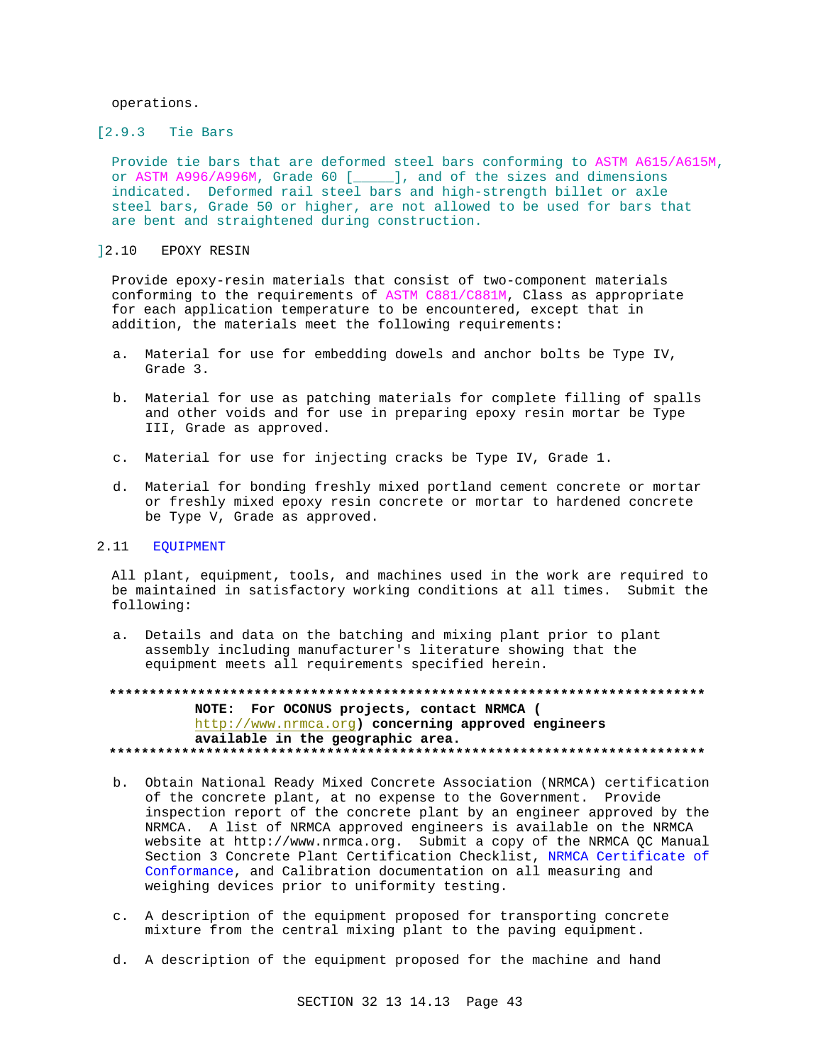operations.

### [2.9.3 Tie Bars

Provide tie bars that are deformed steel bars conforming to ASTM A615/A615M, or ASTM A996/A996M, Grade 60 [\_\_\_\_\_], and of the sizes and dimensions indicated. Deformed rail steel bars and high-strength billet or axle steel bars, Grade 50 or higher, are not allowed to be used for bars that are bent and straightened during construction.

#### ]2.10 EPOXY RESIN

Provide epoxy-resin materials that consist of two-component materials conforming to the requirements of ASTM C881/C881M, Class as appropriate for each application temperature to be encountered, except that in addition, the materials meet the following requirements:

- a. Material for use for embedding dowels and anchor bolts be Type IV, Grade 3.
- b. Material for use as patching materials for complete filling of spalls and other voids and for use in preparing epoxy resin mortar be Type III, Grade as approved.
- c. Material for use for injecting cracks be Type IV, Grade 1.
- d. Material for bonding freshly mixed portland cement concrete or mortar or freshly mixed epoxy resin concrete or mortar to hardened concrete be Type V, Grade as approved.

#### 2.11 EQUIPMENT

All plant, equipment, tools, and machines used in the work are required to be maintained in satisfactory working conditions at all times. Submit the following:

a. Details and data on the batching and mixing plant prior to plant assembly including manufacturer's literature showing that the equipment meets all requirements specified herein.

**\*\*\*\*\*\*\*\*\*\*\*\*\*\*\*\*\*\*\*\*\*\*\*\*\*\*\*\*\*\*\*\*\*\*\*\*\*\*\*\*\*\*\*\*\*\*\*\*\*\*\*\*\*\*\*\*\*\*\*\*\*\*\*\*\*\*\*\*\*\*\*\*\*\* NOTE: For OCONUS projects, contact NRMCA (** http://www.nrmca.org**) concerning approved engineers available in the geographic area. \*\*\*\*\*\*\*\*\*\*\*\*\*\*\*\*\*\*\*\*\*\*\*\*\*\*\*\*\*\*\*\*\*\*\*\*\*\*\*\*\*\*\*\*\*\*\*\*\*\*\*\*\*\*\*\*\*\*\*\*\*\*\*\*\*\*\*\*\*\*\*\*\*\***

- b. Obtain National Ready Mixed Concrete Association (NRMCA) certification of the concrete plant, at no expense to the Government. Provide inspection report of the concrete plant by an engineer approved by the NRMCA. A list of NRMCA approved engineers is available on the NRMCA website at http://www.nrmca.org. Submit a copy of the NRMCA QC Manual Section 3 Concrete Plant Certification Checklist, NRMCA Certificate of Conformance, and Calibration documentation on all measuring and weighing devices prior to uniformity testing.
- c. A description of the equipment proposed for transporting concrete mixture from the central mixing plant to the paving equipment.
- d. A description of the equipment proposed for the machine and hand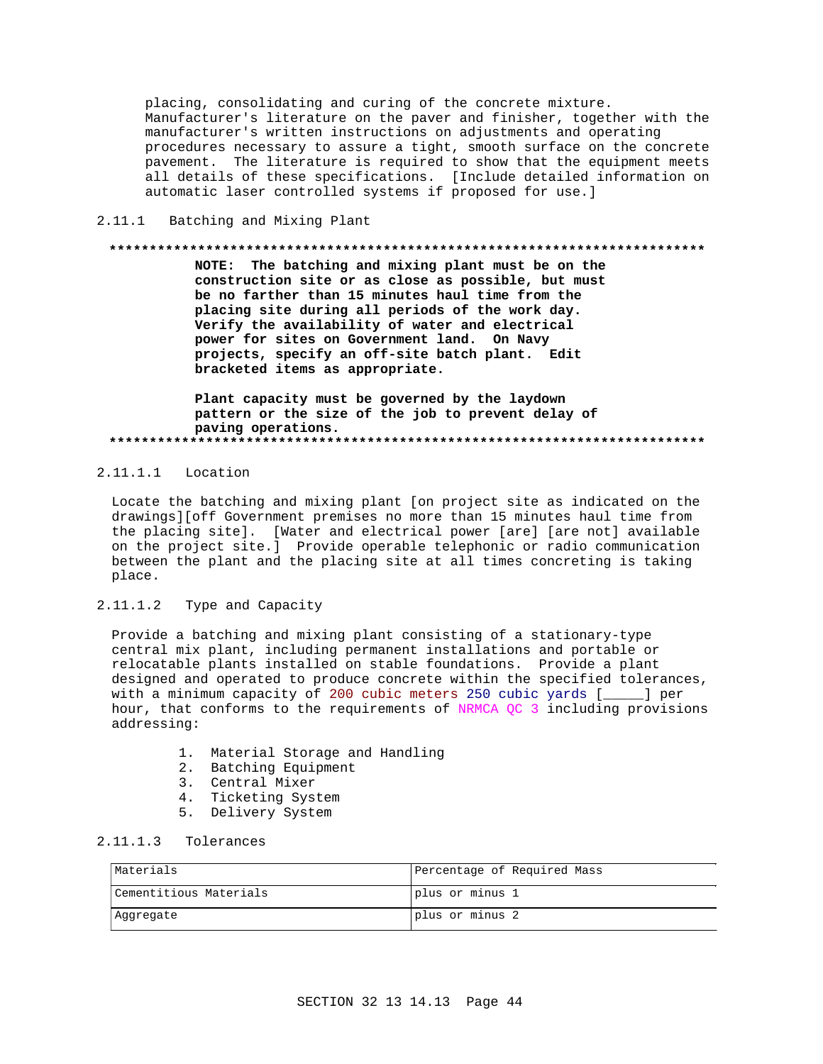placing, consolidating and curing of the concrete mixture. Manufacturer's literature on the paver and finisher, together with the manufacturer's written instructions on adjustments and operating procedures necessary to assure a tight, smooth surface on the concrete pavement. The literature is required to show that the equipment meets all details of these specifications. [Include detailed information on automatic laser controlled systems if proposed for use.]

#### 2.11.1 Batching and Mixing Plant

#### 

NOTE: The batching and mixing plant must be on the construction site or as close as possible, but must be no farther than 15 minutes haul time from the placing site during all periods of the work day. Verify the availability of water and electrical power for sites on Government land. On Navy projects, specify an off-site batch plant. Edit bracketed items as appropriate.

Plant capacity must be governed by the laydown pattern or the size of the job to prevent delay of paving operations. 

 $2.11.1.1$  Location

Locate the batching and mixing plant [on project site as indicated on the drawings][off Government premises no more than 15 minutes haul time from the placing site]. [Water and electrical power [are] [are not] available on the project site.] Provide operable telephonic or radio communication between the plant and the placing site at all times concreting is taking place.

#### $2.11.1.2$ Type and Capacity

Provide a batching and mixing plant consisting of a stationary-type central mix plant, including permanent installations and portable or relocatable plants installed on stable foundations. Provide a plant designed and operated to produce concrete within the specified tolerances, with a minimum capacity of 200 cubic meters 250 cubic yards [\_\_\_\_] per hour, that conforms to the requirements of NRMCA QC 3 including provisions addressing:

- 1. Material Storage and Handling
- 2. Batching Equipment
- 3. Central Mixer
- 4. Ticketing System
- 5. Delivery System

# 2.11.1.3 Tolerances

| Materials              | Percentage of Required Mass |
|------------------------|-----------------------------|
| Cementitious Materials | plus or minus 1             |
| Aggregate              | plus or minus 2             |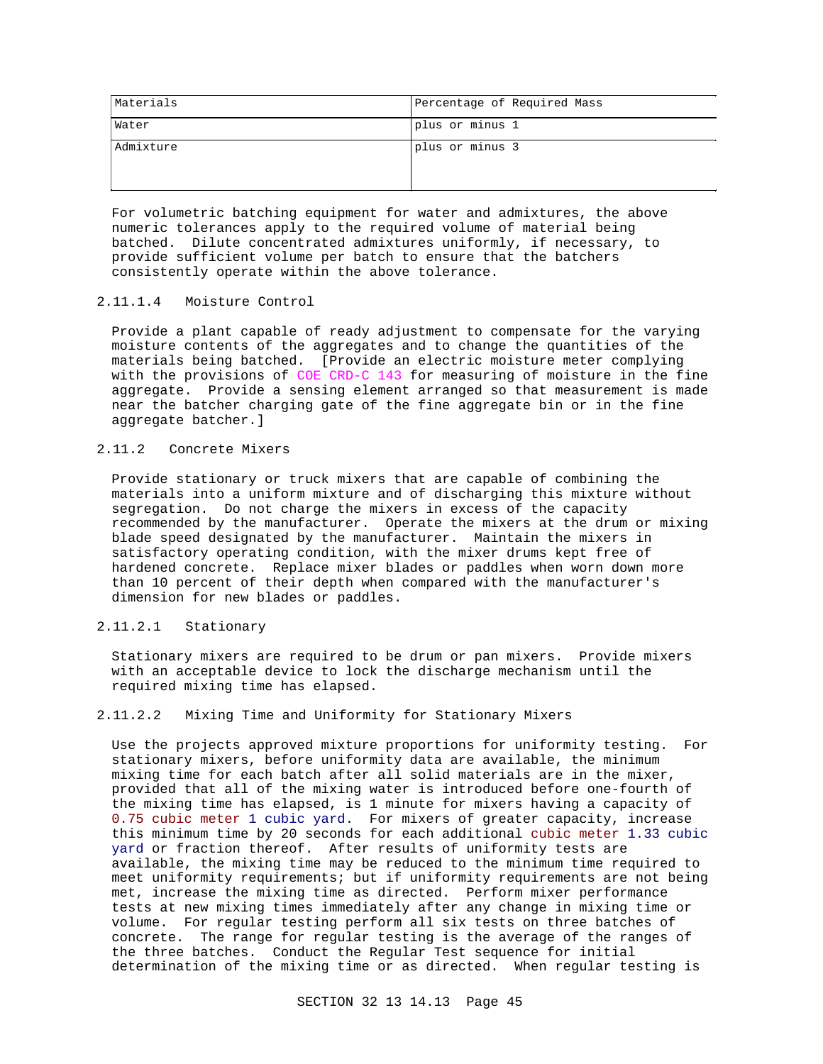| Materials | Percentage of Required Mass |
|-----------|-----------------------------|
| Water     | plus or minus 1             |
| Admixture | plus or minus 3             |

For volumetric batching equipment for water and admixtures, the above numeric tolerances apply to the required volume of material being batched. Dilute concentrated admixtures uniformly, if necessary, to provide sufficient volume per batch to ensure that the batchers consistently operate within the above tolerance.

#### 2.11.1.4 Moisture Control

Provide a plant capable of ready adjustment to compensate for the varying moisture contents of the aggregates and to change the quantities of the materials being batched. [Provide an electric moisture meter complying with the provisions of COE CRD-C 143 for measuring of moisture in the fine aggregate. Provide a sensing element arranged so that measurement is made near the batcher charging gate of the fine aggregate bin or in the fine aggregate batcher.]

## 2.11.2 Concrete Mixers

Provide stationary or truck mixers that are capable of combining the materials into a uniform mixture and of discharging this mixture without segregation. Do not charge the mixers in excess of the capacity recommended by the manufacturer. Operate the mixers at the drum or mixing blade speed designated by the manufacturer. Maintain the mixers in satisfactory operating condition, with the mixer drums kept free of hardened concrete. Replace mixer blades or paddles when worn down more than 10 percent of their depth when compared with the manufacturer's dimension for new blades or paddles.

# 2.11.2.1 Stationary

Stationary mixers are required to be drum or pan mixers. Provide mixers with an acceptable device to lock the discharge mechanism until the required mixing time has elapsed.

# 2.11.2.2 Mixing Time and Uniformity for Stationary Mixers

Use the projects approved mixture proportions for uniformity testing. For stationary mixers, before uniformity data are available, the minimum mixing time for each batch after all solid materials are in the mixer, provided that all of the mixing water is introduced before one-fourth of the mixing time has elapsed, is 1 minute for mixers having a capacity of 0.75 cubic meter 1 cubic yard. For mixers of greater capacity, increase this minimum time by 20 seconds for each additional cubic meter 1.33 cubic yard or fraction thereof. After results of uniformity tests are available, the mixing time may be reduced to the minimum time required to meet uniformity requirements; but if uniformity requirements are not being met, increase the mixing time as directed. Perform mixer performance tests at new mixing times immediately after any change in mixing time or volume. For regular testing perform all six tests on three batches of concrete. The range for regular testing is the average of the ranges of the three batches. Conduct the Regular Test sequence for initial determination of the mixing time or as directed. When regular testing is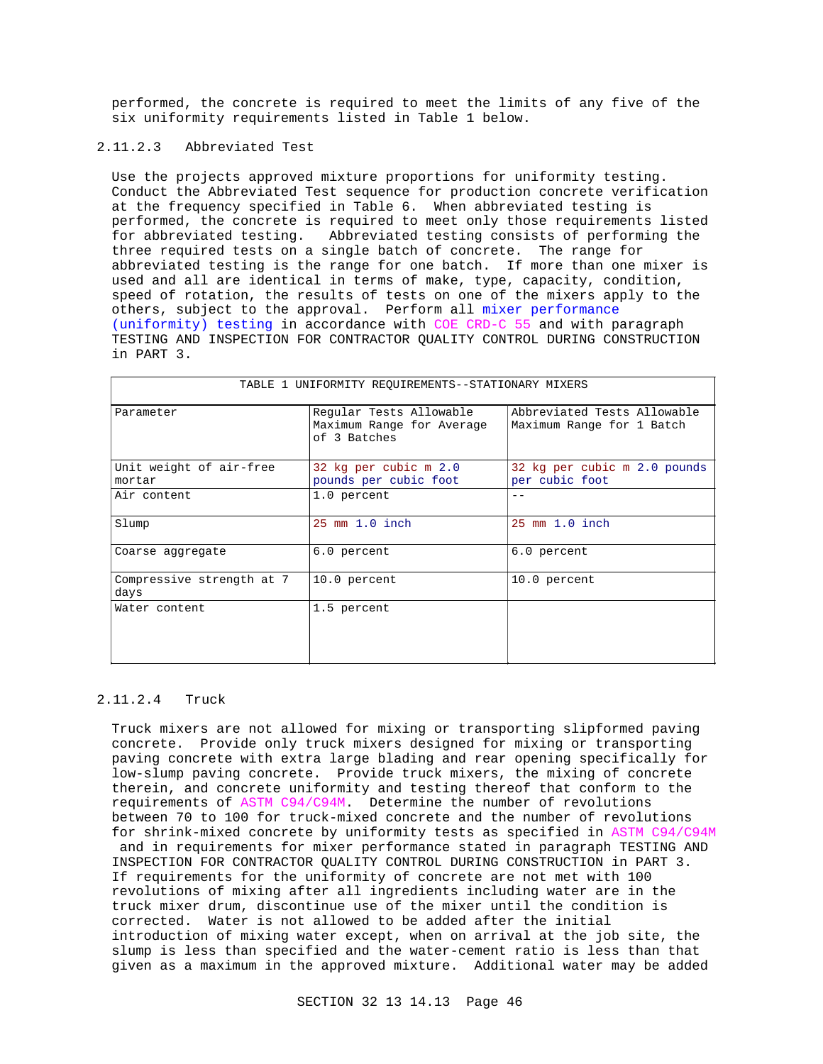performed, the concrete is required to meet the limits of any five of the six uniformity requirements listed in Table 1 below.

# 2.11.2.3 Abbreviated Test

Use the projects approved mixture proportions for uniformity testing. Conduct the Abbreviated Test sequence for production concrete verification at the frequency specified in Table 6. When abbreviated testing is performed, the concrete is required to meet only those requirements listed for abbreviated testing. Abbreviated testing consists of performing the three required tests on a single batch of concrete. The range for abbreviated testing is the range for one batch. If more than one mixer is used and all are identical in terms of make, type, capacity, condition, speed of rotation, the results of tests on one of the mixers apply to the others, subject to the approval. Perform all mixer performance (uniformity) testing in accordance with COE CRD-C 55 and with paragraph TESTING AND INSPECTION FOR CONTRACTOR QUALITY CONTROL DURING CONSTRUCTION in PART 3.

| TABLE 1 UNIFORMITY REOUIREMENTS--STATIONARY MIXERS |                                                                      |                                                          |
|----------------------------------------------------|----------------------------------------------------------------------|----------------------------------------------------------|
| Parameter                                          | Regular Tests Allowable<br>Maximum Range for Average<br>of 3 Batches | Abbreviated Tests Allowable<br>Maximum Range for 1 Batch |
| Unit weight of air-free<br>mortar                  | 32 kg per cubic m 2.0<br>pounds per cubic foot                       | 32 kg per cubic m 2.0 pounds<br>per cubic foot           |
| Air content                                        | 1.0 percent                                                          | - -                                                      |
| Slump                                              | $25 \text{ mm } 1.0 \text{ inch}$                                    | 25 mm 1.0 inch                                           |
| Coarse aggregate                                   | 6.0 percent                                                          | 6.0 percent                                              |
| Compressive strength at 7<br>days                  | 10.0 percent                                                         | 10.0 percent                                             |
| Water content                                      | 1.5 percent                                                          |                                                          |

# 2.11.2.4 Truck

Truck mixers are not allowed for mixing or transporting slipformed paving concrete. Provide only truck mixers designed for mixing or transporting paving concrete with extra large blading and rear opening specifically for low-slump paving concrete. Provide truck mixers, the mixing of concrete therein, and concrete uniformity and testing thereof that conform to the requirements of ASTM C94/C94M. Determine the number of revolutions between 70 to 100 for truck-mixed concrete and the number of revolutions for shrink-mixed concrete by uniformity tests as specified in ASTM C94/C94M

 and in requirements for mixer performance stated in paragraph TESTING AND INSPECTION FOR CONTRACTOR QUALITY CONTROL DURING CONSTRUCTION in PART 3. If requirements for the uniformity of concrete are not met with 100 revolutions of mixing after all ingredients including water are in the truck mixer drum, discontinue use of the mixer until the condition is corrected. Water is not allowed to be added after the initial introduction of mixing water except, when on arrival at the job site, the slump is less than specified and the water-cement ratio is less than that given as a maximum in the approved mixture. Additional water may be added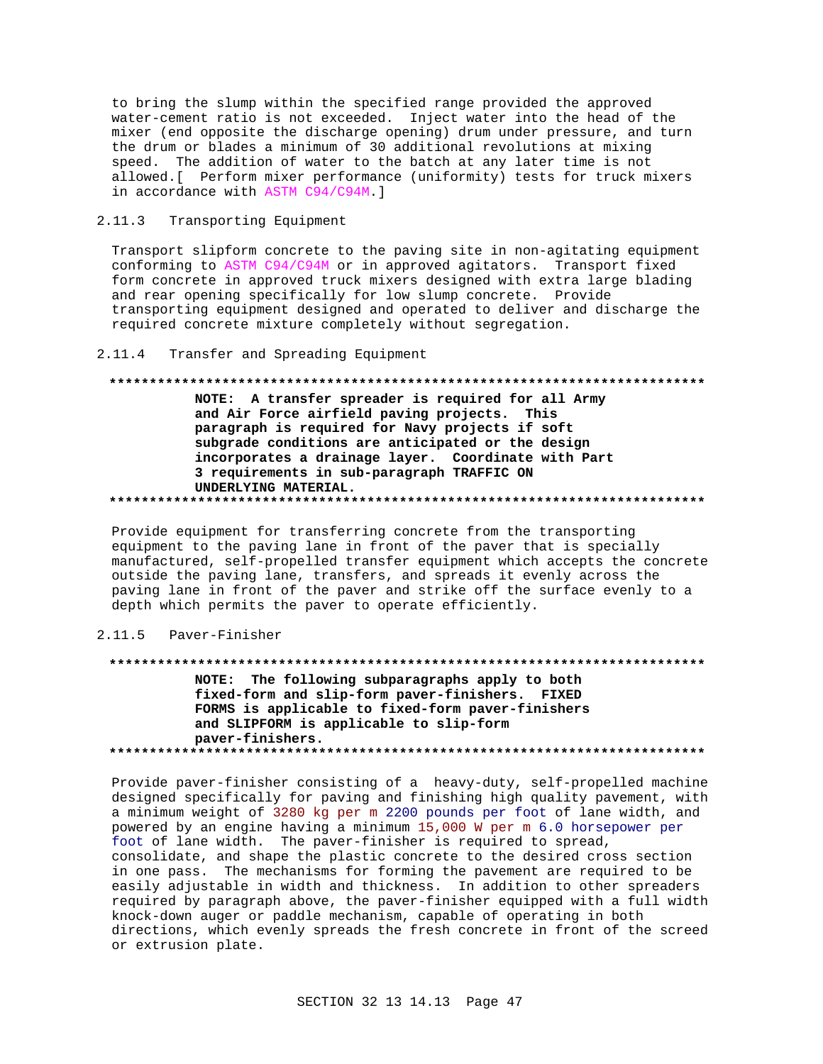to bring the slump within the specified range provided the approved water-cement ratio is not exceeded. Inject water into the head of the mixer (end opposite the discharge opening) drum under pressure, and turn the drum or blades a minimum of 30 additional revolutions at mixing speed. The addition of water to the batch at any later time is not allowed. [ Perform mixer performance (uniformity) tests for truck mixers in accordance with ASTM C94/C94M.]

#### $2.11.3$ Transporting Equipment

Transport slipform concrete to the paving site in non-agitating equipment conforming to ASTM C94/C94M or in approved agitators. Transport fixed form concrete in approved truck mixers designed with extra large blading and rear opening specifically for low slump concrete. Provide transporting equipment designed and operated to deliver and discharge the required concrete mixture completely without segregation.

## 2.11.4 Transfer and Spreading Equipment

NOTE: A transfer spreader is required for all Army and Air Force airfield paving projects. This paragraph is required for Navy projects if soft subgrade conditions are anticipated or the design incorporates a drainage layer. Coordinate with Part 3 requirements in sub-paragraph TRAFFIC ON UNDERLYING MATERIAL. 

Provide equipment for transferring concrete from the transporting equipment to the paving lane in front of the paver that is specially manufactured, self-propelled transfer equipment which accepts the concrete outside the paving lane, transfers, and spreads it evenly across the paving lane in front of the paver and strike off the surface evenly to a depth which permits the paver to operate efficiently.

#### 2.11.5 Paver-Finisher

NOTE: The following subparagraphs apply to both fixed-form and slip-form paver-finishers. FIXED FORMS is applicable to fixed-form paver-finishers and SLIPFORM is applicable to slip-form paver-finishers. 

Provide paver-finisher consisting of a heavy-duty, self-propelled machine designed specifically for paving and finishing high quality pavement, with a minimum weight of 3280 kg per m 2200 pounds per foot of lane width, and powered by an engine having a minimum 15,000 W per m 6.0 horsepower per foot of lane width. The paver-finisher is required to spread, consolidate, and shape the plastic concrete to the desired cross section in one pass. The mechanisms for forming the pavement are required to be easily adjustable in width and thickness. In addition to other spreaders required by paragraph above, the paver-finisher equipped with a full width knock-down auger or paddle mechanism, capable of operating in both directions, which evenly spreads the fresh concrete in front of the screed or extrusion plate.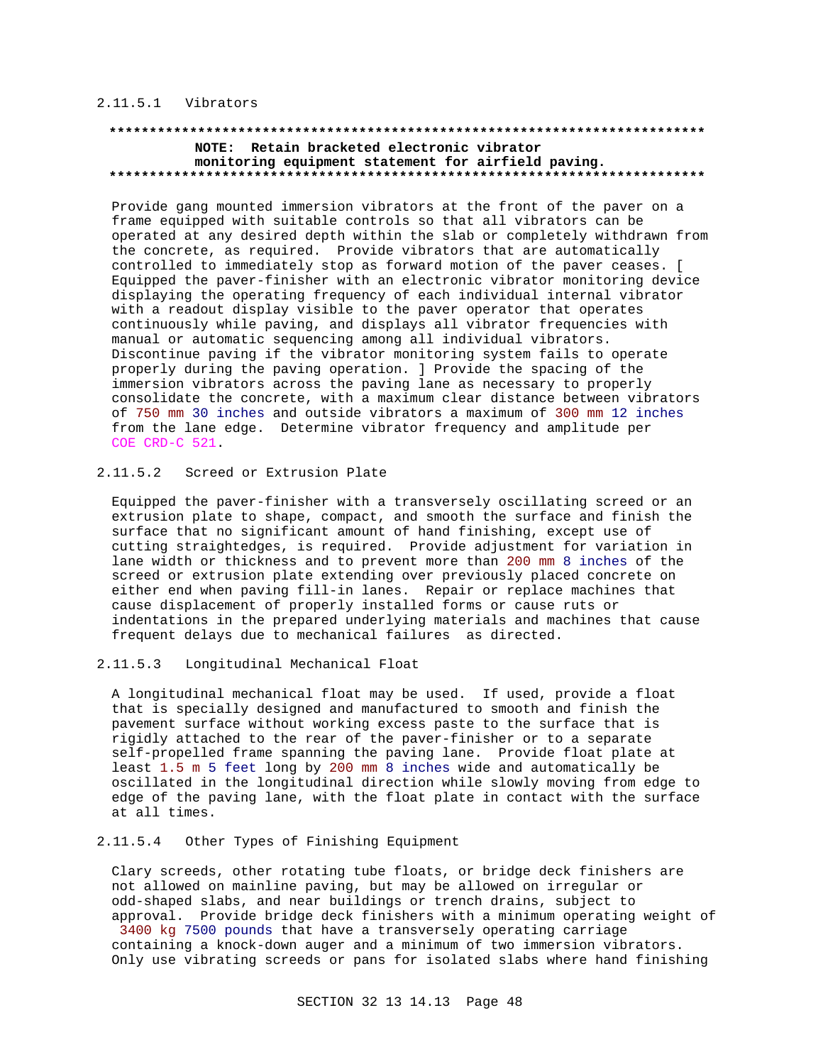#### 2.11.5.1 Vibrators

# **\*\*\*\*\*\*\*\*\*\*\*\*\*\*\*\*\*\*\*\*\*\*\*\*\*\*\*\*\*\*\*\*\*\*\*\*\*\*\*\*\*\*\*\*\*\*\*\*\*\*\*\*\*\*\*\*\*\*\*\*\*\*\*\*\*\*\*\*\*\*\*\*\*\***

#### **NOTE: Retain bracketed electronic vibrator monitoring equipment statement for airfield paving. \*\*\*\*\*\*\*\*\*\*\*\*\*\*\*\*\*\*\*\*\*\*\*\*\*\*\*\*\*\*\*\*\*\*\*\*\*\*\*\*\*\*\*\*\*\*\*\*\*\*\*\*\*\*\*\*\*\*\*\*\*\*\*\*\*\*\*\*\*\*\*\*\*\***

Provide gang mounted immersion vibrators at the front of the paver on a frame equipped with suitable controls so that all vibrators can be operated at any desired depth within the slab or completely withdrawn from the concrete, as required. Provide vibrators that are automatically controlled to immediately stop as forward motion of the paver ceases. [ Equipped the paver-finisher with an electronic vibrator monitoring device displaying the operating frequency of each individual internal vibrator with a readout display visible to the paver operator that operates continuously while paving, and displays all vibrator frequencies with manual or automatic sequencing among all individual vibrators. Discontinue paving if the vibrator monitoring system fails to operate properly during the paving operation. ] Provide the spacing of the immersion vibrators across the paving lane as necessary to properly consolidate the concrete, with a maximum clear distance between vibrators of 750 mm 30 inches and outside vibrators a maximum of 300 mm 12 inches from the lane edge. Determine vibrator frequency and amplitude per COE CRD-C 521.

#### 2.11.5.2 Screed or Extrusion Plate

Equipped the paver-finisher with a transversely oscillating screed or an extrusion plate to shape, compact, and smooth the surface and finish the surface that no significant amount of hand finishing, except use of cutting straightedges, is required. Provide adjustment for variation in lane width or thickness and to prevent more than 200 mm 8 inches of the screed or extrusion plate extending over previously placed concrete on either end when paving fill-in lanes. Repair or replace machines that cause displacement of properly installed forms or cause ruts or indentations in the prepared underlying materials and machines that cause frequent delays due to mechanical failures as directed.

## 2.11.5.3 Longitudinal Mechanical Float

A longitudinal mechanical float may be used. If used, provide a float that is specially designed and manufactured to smooth and finish the pavement surface without working excess paste to the surface that is rigidly attached to the rear of the paver-finisher or to a separate self-propelled frame spanning the paving lane. Provide float plate at least 1.5 m 5 feet long by 200 mm 8 inches wide and automatically be oscillated in the longitudinal direction while slowly moving from edge to edge of the paving lane, with the float plate in contact with the surface at all times.

# 2.11.5.4 Other Types of Finishing Equipment

Clary screeds, other rotating tube floats, or bridge deck finishers are not allowed on mainline paving, but may be allowed on irregular or odd-shaped slabs, and near buildings or trench drains, subject to approval. Provide bridge deck finishers with a minimum operating weight of 3400 kg 7500 pounds that have a transversely operating carriage containing a knock-down auger and a minimum of two immersion vibrators. Only use vibrating screeds or pans for isolated slabs where hand finishing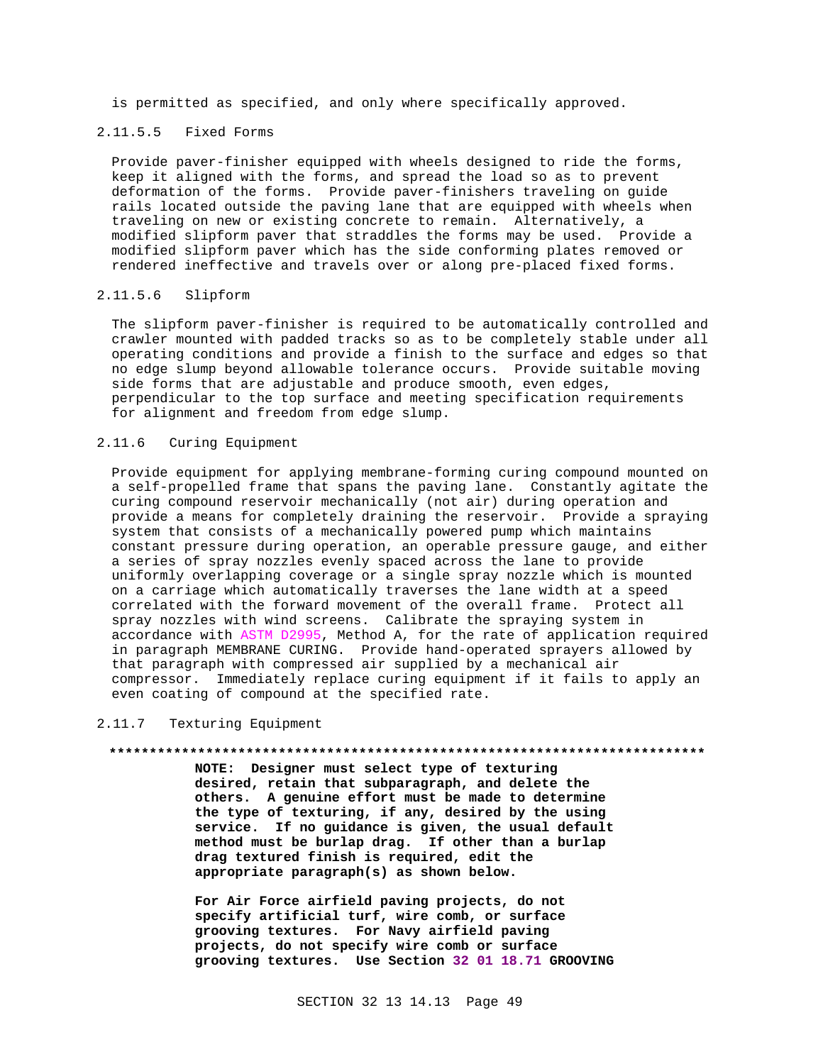is permitted as specified, and only where specifically approved.

### 2.11.5.5 Fixed Forms

Provide paver-finisher equipped with wheels designed to ride the forms, keep it aligned with the forms, and spread the load so as to prevent deformation of the forms. Provide paver-finishers traveling on guide rails located outside the paving lane that are equipped with wheels when traveling on new or existing concrete to remain. Alternatively, a modified slipform paver that straddles the forms may be used. Provide a modified slipform paver which has the side conforming plates removed or rendered ineffective and travels over or along pre-placed fixed forms.

# 2.11.5.6 Slipform

The slipform paver-finisher is required to be automatically controlled and crawler mounted with padded tracks so as to be completely stable under all operating conditions and provide a finish to the surface and edges so that no edge slump beyond allowable tolerance occurs. Provide suitable moving side forms that are adjustable and produce smooth, even edges, perpendicular to the top surface and meeting specification requirements for alignment and freedom from edge slump.

# 2.11.6 Curing Equipment

Provide equipment for applying membrane-forming curing compound mounted on a self-propelled frame that spans the paving lane. Constantly agitate the curing compound reservoir mechanically (not air) during operation and provide a means for completely draining the reservoir. Provide a spraying system that consists of a mechanically powered pump which maintains constant pressure during operation, an operable pressure gauge, and either a series of spray nozzles evenly spaced across the lane to provide uniformly overlapping coverage or a single spray nozzle which is mounted on a carriage which automatically traverses the lane width at a speed correlated with the forward movement of the overall frame. Protect all spray nozzles with wind screens. Calibrate the spraying system in accordance with ASTM D2995, Method A, for the rate of application required in paragraph MEMBRANE CURING. Provide hand-operated sprayers allowed by that paragraph with compressed air supplied by a mechanical air compressor. Immediately replace curing equipment if it fails to apply an even coating of compound at the specified rate.

#### 2.11.7 Texturing Equipment

#### **\*\*\*\*\*\*\*\*\*\*\*\*\*\*\*\*\*\*\*\*\*\*\*\*\*\*\*\*\*\*\*\*\*\*\*\*\*\*\*\*\*\*\*\*\*\*\*\*\*\*\*\*\*\*\*\*\*\*\*\*\*\*\*\*\*\*\*\*\*\*\*\*\*\***

**NOTE: Designer must select type of texturing desired, retain that subparagraph, and delete the others. A genuine effort must be made to determine the type of texturing, if any, desired by the using service. If no guidance is given, the usual default method must be burlap drag. If other than a burlap drag textured finish is required, edit the appropriate paragraph(s) as shown below.**

**For Air Force airfield paving projects, do not specify artificial turf, wire comb, or surface grooving textures. For Navy airfield paving projects, do not specify wire comb or surface grooving textures. Use Section 32 01 18.71 GROOVING**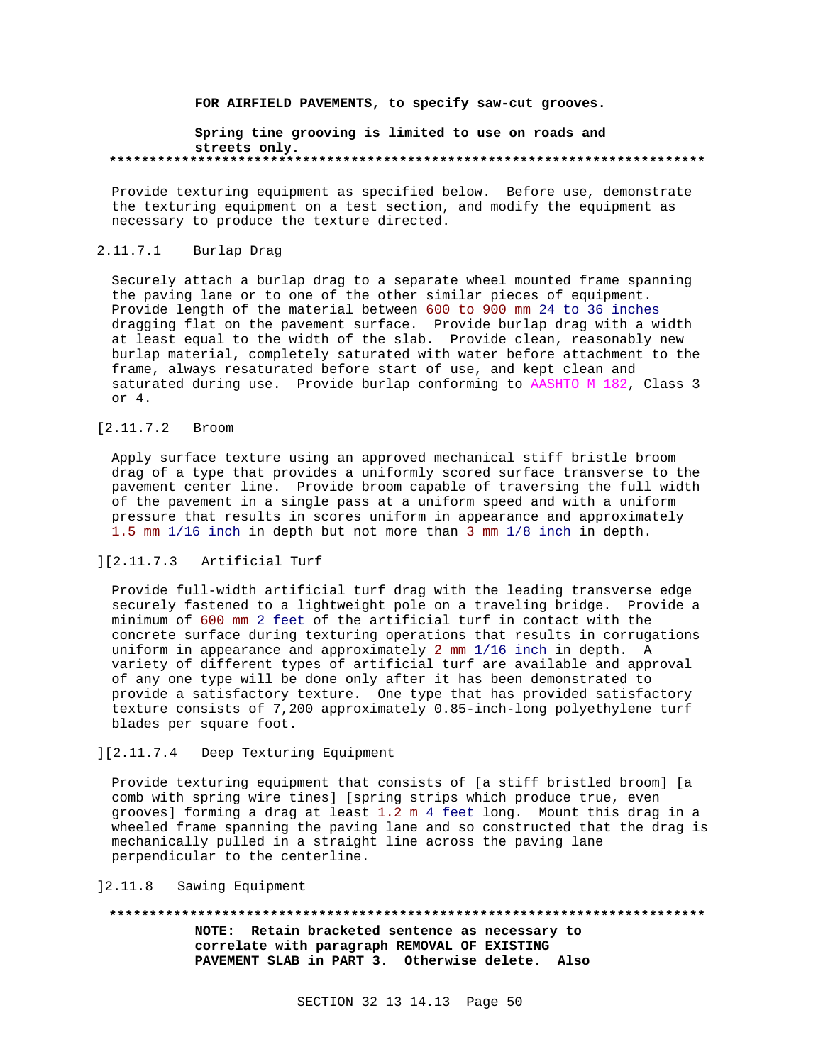#### **FOR AIRFIELD PAVEMENTS, to specify saw-cut grooves.**

#### **Spring tine grooving is limited to use on roads and streets only. \*\*\*\*\*\*\*\*\*\*\*\*\*\*\*\*\*\*\*\*\*\*\*\*\*\*\*\*\*\*\*\*\*\*\*\*\*\*\*\*\*\*\*\*\*\*\*\*\*\*\*\*\*\*\*\*\*\*\*\*\*\*\*\*\*\*\*\*\*\*\*\*\*\***

Provide texturing equipment as specified below. Before use, demonstrate the texturing equipment on a test section, and modify the equipment as necessary to produce the texture directed.

### 2.11.7.1 Burlap Drag

Securely attach a burlap drag to a separate wheel mounted frame spanning the paving lane or to one of the other similar pieces of equipment. Provide length of the material between 600 to 900 mm 24 to 36 inches dragging flat on the pavement surface. Provide burlap drag with a width at least equal to the width of the slab. Provide clean, reasonably new burlap material, completely saturated with water before attachment to the frame, always resaturated before start of use, and kept clean and saturated during use. Provide burlap conforming to AASHTO M 182, Class 3 or 4.

#### [2.11.7.2 Broom

Apply surface texture using an approved mechanical stiff bristle broom drag of a type that provides a uniformly scored surface transverse to the pavement center line. Provide broom capable of traversing the full width of the pavement in a single pass at a uniform speed and with a uniform pressure that results in scores uniform in appearance and approximately 1.5 mm 1/16 inch in depth but not more than 3 mm 1/8 inch in depth.

### ][2.11.7.3 Artificial Turf

Provide full-width artificial turf drag with the leading transverse edge securely fastened to a lightweight pole on a traveling bridge. Provide a minimum of 600 mm 2 feet of the artificial turf in contact with the concrete surface during texturing operations that results in corrugations uniform in appearance and approximately 2 mm 1/16 inch in depth. A variety of different types of artificial turf are available and approval of any one type will be done only after it has been demonstrated to provide a satisfactory texture. One type that has provided satisfactory texture consists of 7,200 approximately 0.85-inch-long polyethylene turf blades per square foot.

## ][2.11.7.4 Deep Texturing Equipment

Provide texturing equipment that consists of [a stiff bristled broom] [a comb with spring wire tines] [spring strips which produce true, even grooves] forming a drag at least 1.2 m 4 feet long. Mount this drag in a wheeled frame spanning the paving lane and so constructed that the drag is mechanically pulled in a straight line across the paving lane perpendicular to the centerline.

#### ]2.11.8 Sawing Equipment

**\*\*\*\*\*\*\*\*\*\*\*\*\*\*\*\*\*\*\*\*\*\*\*\*\*\*\*\*\*\*\*\*\*\*\*\*\*\*\*\*\*\*\*\*\*\*\*\*\*\*\*\*\*\*\*\*\*\*\*\*\*\*\*\*\*\*\*\*\*\*\*\*\*\* NOTE: Retain bracketed sentence as necessary to correlate with paragraph REMOVAL OF EXISTING PAVEMENT SLAB in PART 3. Otherwise delete. Also**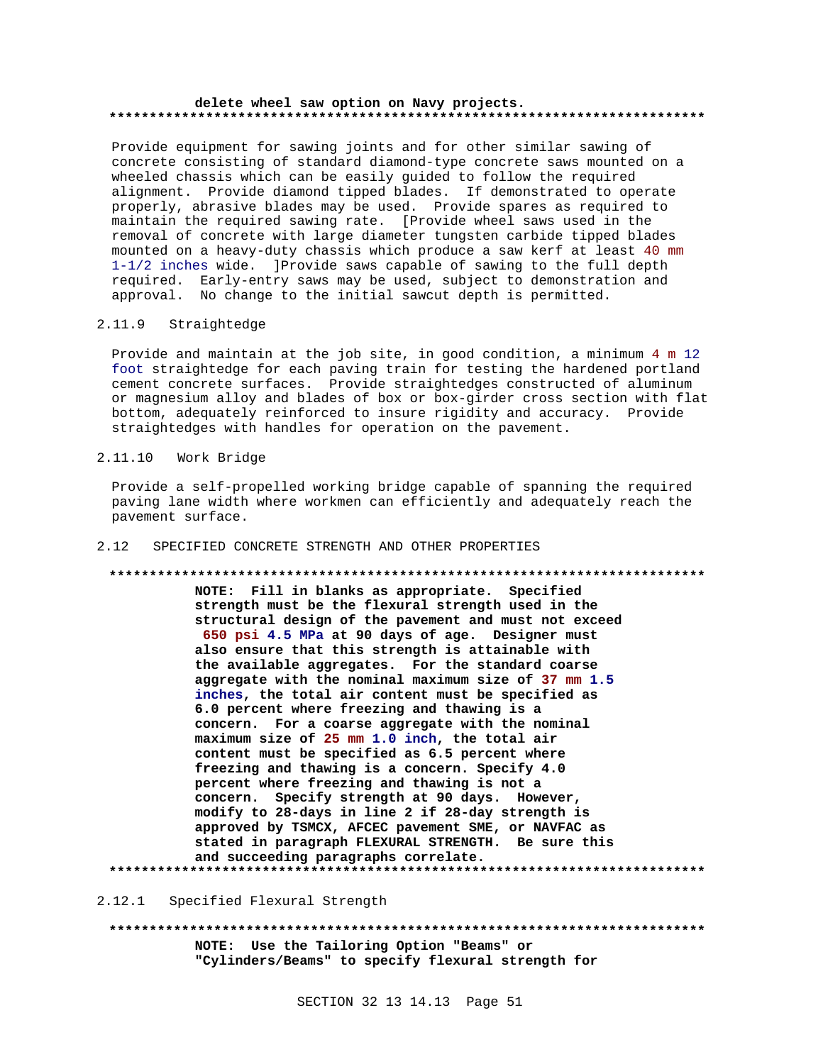#### delete wheel saw option on Navy projects.

Provide equipment for sawing joints and for other similar sawing of concrete consisting of standard diamond-type concrete saws mounted on a wheeled chassis which can be easily guided to follow the required alignment. Provide diamond tipped blades. If demonstrated to operate properly, abrasive blades may be used. Provide spares as required to maintain the required sawing rate. [Provide wheel saws used in the removal of concrete with large diameter tungsten carbide tipped blades mounted on a heavy-duty chassis which produce a saw kerf at least 40 mm 1-1/2 inches wide. JProvide saws capable of sawing to the full depth required. Early-entry saws may be used, subject to demonstration and approval. No change to the initial sawcut depth is permitted.

#### $2.11.9$ Straightedge

Provide and maintain at the job site, in good condition, a minimum 4 m 12 foot straightedge for each paving train for testing the hardened portland cement concrete surfaces. Provide straightedges constructed of aluminum or magnesium alloy and blades of box or box-girder cross section with flat bottom, adequately reinforced to insure rigidity and accuracy. Provide straightedges with handles for operation on the pavement.

2.11.10 Work Bridge

Provide a self-propelled working bridge capable of spanning the required paving lane width where workmen can efficiently and adequately reach the pavement surface.

#### 2.12 SPECIFIED CONCRETE STRENGTH AND OTHER PROPERTIES

#### 

NOTE: Fill in blanks as appropriate. Specified strength must be the flexural strength used in the structural design of the pavement and must not exceed 650 psi 4.5 MPa at 90 days of age. Designer must also ensure that this strength is attainable with the available aggregates. For the standard coarse aggregate with the nominal maximum size of 37 mm 1.5 inches, the total air content must be specified as 6.0 percent where freezing and thawing is a concern. For a coarse aggregate with the nominal maximum size of 25 mm 1.0 inch, the total air content must be specified as 6.5 percent where freezing and thawing is a concern. Specify 4.0 percent where freezing and thawing is not a concern. Specify strength at 90 days. However, modify to 28-days in line 2 if 28-day strength is approved by TSMCX, AFCEC pavement SME, or NAVFAC as stated in paragraph FLEXURAL STRENGTH. Be sure this and succeeding paragraphs correlate. 

#### 2.12.1 Specified Flexural Strength

NOTE: Use the Tailoring Option "Beams" or "Cylinders/Beams" to specify flexural strength for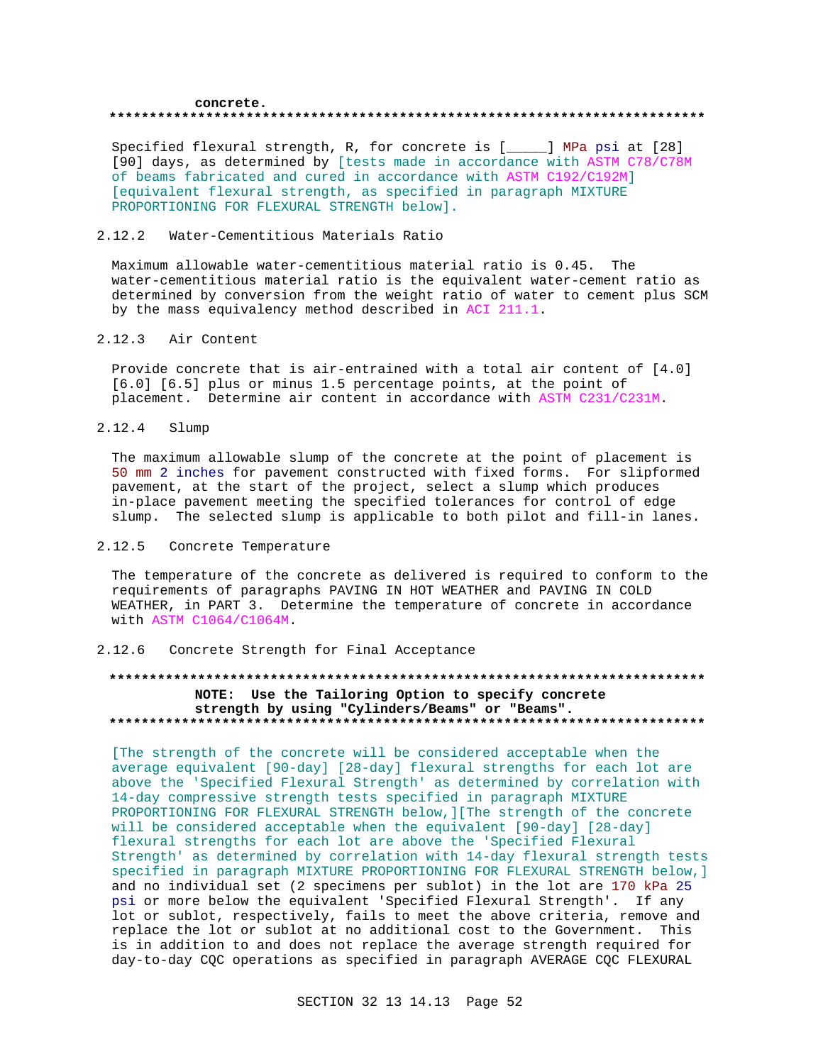#### **concrete. \*\*\*\*\*\*\*\*\*\*\*\*\*\*\*\*\*\*\*\*\*\*\*\*\*\*\*\*\*\*\*\*\*\*\*\*\*\*\*\*\*\*\*\*\*\*\*\*\*\*\*\*\*\*\*\*\*\*\*\*\*\*\*\*\*\*\*\*\*\*\*\*\*\***

Specified flexural strength, R, for concrete is [\_\_\_\_\_] MPa psi at [28] [90] days, as determined by [tests made in accordance with ASTM C78/C78M of beams fabricated and cured in accordance with ASTM C192/C192M] [equivalent flexural strength, as specified in paragraph MIXTURE PROPORTIONING FOR FLEXURAL STRENGTH below].

# 2.12.2 Water-Cementitious Materials Ratio

Maximum allowable water-cementitious material ratio is 0.45. The water-cementitious material ratio is the equivalent water-cement ratio as determined by conversion from the weight ratio of water to cement plus SCM by the mass equivalency method described in ACI 211.1.

#### 2.12.3 Air Content

Provide concrete that is air-entrained with a total air content of [4.0] [6.0] [6.5] plus or minus 1.5 percentage points, at the point of placement. Determine air content in accordance with ASTM C231/C231M.

2.12.4 Slump

The maximum allowable slump of the concrete at the point of placement is 50 mm 2 inches for pavement constructed with fixed forms. For slipformed pavement, at the start of the project, select a slump which produces in-place pavement meeting the specified tolerances for control of edge slump. The selected slump is applicable to both pilot and fill-in lanes.

### 2.12.5 Concrete Temperature

The temperature of the concrete as delivered is required to conform to the requirements of paragraphs PAVING IN HOT WEATHER and PAVING IN COLD WEATHER, in PART 3. Determine the temperature of concrete in accordance with ASTM C1064/C1064M.

#### 2.12.6 Concrete Strength for Final Acceptance

# **\*\*\*\*\*\*\*\*\*\*\*\*\*\*\*\*\*\*\*\*\*\*\*\*\*\*\*\*\*\*\*\*\*\*\*\*\*\*\*\*\*\*\*\*\*\*\*\*\*\*\*\*\*\*\*\*\*\*\*\*\*\*\*\*\*\*\*\*\*\*\*\*\*\* NOTE: Use the Tailoring Option to specify concrete strength by using "Cylinders/Beams" or "Beams". \*\*\*\*\*\*\*\*\*\*\*\*\*\*\*\*\*\*\*\*\*\*\*\*\*\*\*\*\*\*\*\*\*\*\*\*\*\*\*\*\*\*\*\*\*\*\*\*\*\*\*\*\*\*\*\*\*\*\*\*\*\*\*\*\*\*\*\*\*\*\*\*\*\***

[The strength of the concrete will be considered acceptable when the average equivalent [90-day] [28-day] flexural strengths for each lot are above the 'Specified Flexural Strength' as determined by correlation with 14-day compressive strength tests specified in paragraph MIXTURE PROPORTIONING FOR FLEXURAL STRENGTH below,][The strength of the concrete will be considered acceptable when the equivalent [90-day] [28-day] flexural strengths for each lot are above the 'Specified Flexural Strength' as determined by correlation with 14-day flexural strength tests specified in paragraph MIXTURE PROPORTIONING FOR FLEXURAL STRENGTH below,] and no individual set (2 specimens per sublot) in the lot are 170 kPa 25 psi or more below the equivalent 'Specified Flexural Strength'. If any lot or sublot, respectively, fails to meet the above criteria, remove and replace the lot or sublot at no additional cost to the Government. This is in addition to and does not replace the average strength required for day-to-day CQC operations as specified in paragraph AVERAGE CQC FLEXURAL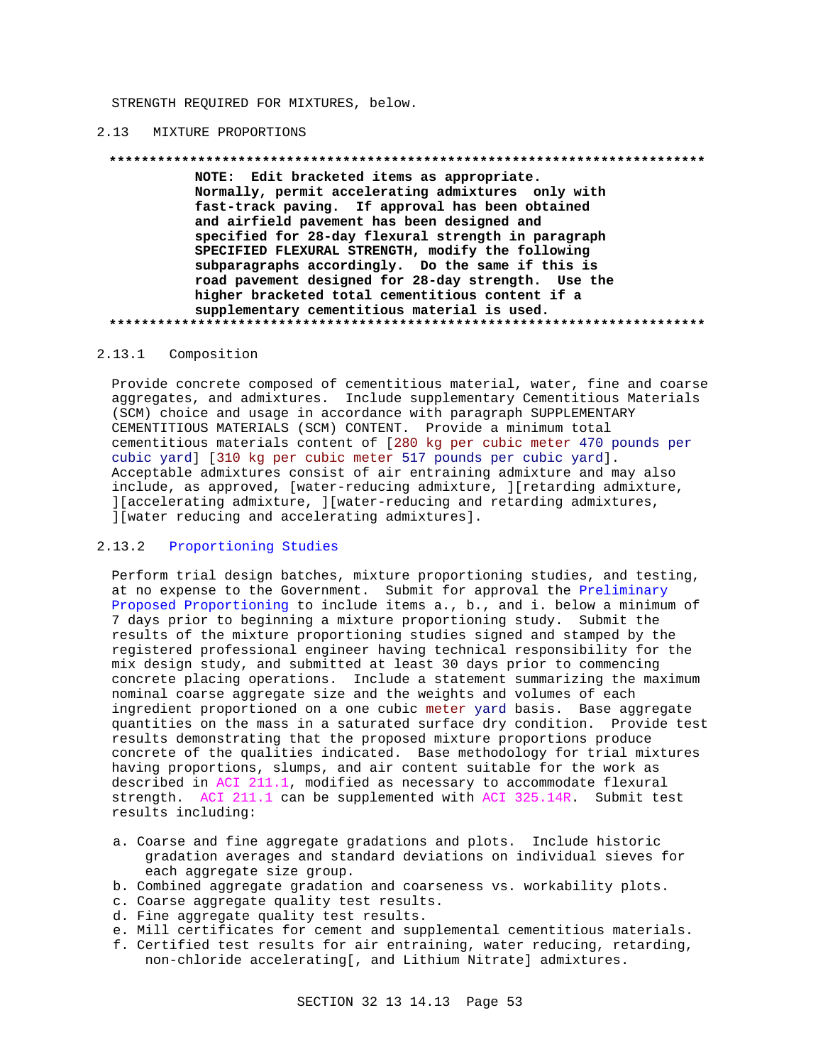STRENGTH REQUIRED FOR MIXTURES, below.

#### 2.13 MIXTURE PROPORTIONS

#### **\*\*\*\*\*\*\*\*\*\*\*\*\*\*\*\*\*\*\*\*\*\*\*\*\*\*\*\*\*\*\*\*\*\*\*\*\*\*\*\*\*\*\*\*\*\*\*\*\*\*\*\*\*\*\*\*\*\*\*\*\*\*\*\*\*\*\*\*\*\*\*\*\*\***

**NOTE: Edit bracketed items as appropriate. Normally, permit accelerating admixtures only with fast-track paving. If approval has been obtained and airfield pavement has been designed and specified for 28-day flexural strength in paragraph SPECIFIED FLEXURAL STRENGTH, modify the following subparagraphs accordingly. Do the same if this is road pavement designed for 28-day strength. Use the higher bracketed total cementitious content if a supplementary cementitious material is used. \*\*\*\*\*\*\*\*\*\*\*\*\*\*\*\*\*\*\*\*\*\*\*\*\*\*\*\*\*\*\*\*\*\*\*\*\*\*\*\*\*\*\*\*\*\*\*\*\*\*\*\*\*\*\*\*\*\*\*\*\*\*\*\*\*\*\*\*\*\*\*\*\*\***

#### 2.13.1 Composition

Provide concrete composed of cementitious material, water, fine and coarse aggregates, and admixtures. Include supplementary Cementitious Materials (SCM) choice and usage in accordance with paragraph SUPPLEMENTARY CEMENTITIOUS MATERIALS (SCM) CONTENT. Provide a minimum total cementitious materials content of [280 kg per cubic meter 470 pounds per cubic yard] [310 kg per cubic meter 517 pounds per cubic yard]. Acceptable admixtures consist of air entraining admixture and may also include, as approved, [water-reducing admixture, ][retarding admixture, ][accelerating admixture, ][water-reducing and retarding admixtures, ][water reducing and accelerating admixtures].

### 2.13.2 Proportioning Studies

Perform trial design batches, mixture proportioning studies, and testing, at no expense to the Government. Submit for approval the Preliminary Proposed Proportioning to include items a., b., and i. below a minimum of 7 days prior to beginning a mixture proportioning study. Submit the results of the mixture proportioning studies signed and stamped by the registered professional engineer having technical responsibility for the mix design study, and submitted at least 30 days prior to commencing concrete placing operations. Include a statement summarizing the maximum nominal coarse aggregate size and the weights and volumes of each ingredient proportioned on a one cubic meter yard basis. Base aggregate quantities on the mass in a saturated surface dry condition. Provide test results demonstrating that the proposed mixture proportions produce concrete of the qualities indicated. Base methodology for trial mixtures having proportions, slumps, and air content suitable for the work as described in ACI 211.1, modified as necessary to accommodate flexural strength. ACI 211.1 can be supplemented with ACI 325.14R. Submit test results including:

- a. Coarse and fine aggregate gradations and plots. Include historic gradation averages and standard deviations on individual sieves for each aggregate size group.
- b. Combined aggregate gradation and coarseness vs. workability plots.
- c. Coarse aggregate quality test results.
- d. Fine aggregate quality test results.
- e. Mill certificates for cement and supplemental cementitious materials.
- f. Certified test results for air entraining, water reducing, retarding, non-chloride accelerating[, and Lithium Nitrate] admixtures.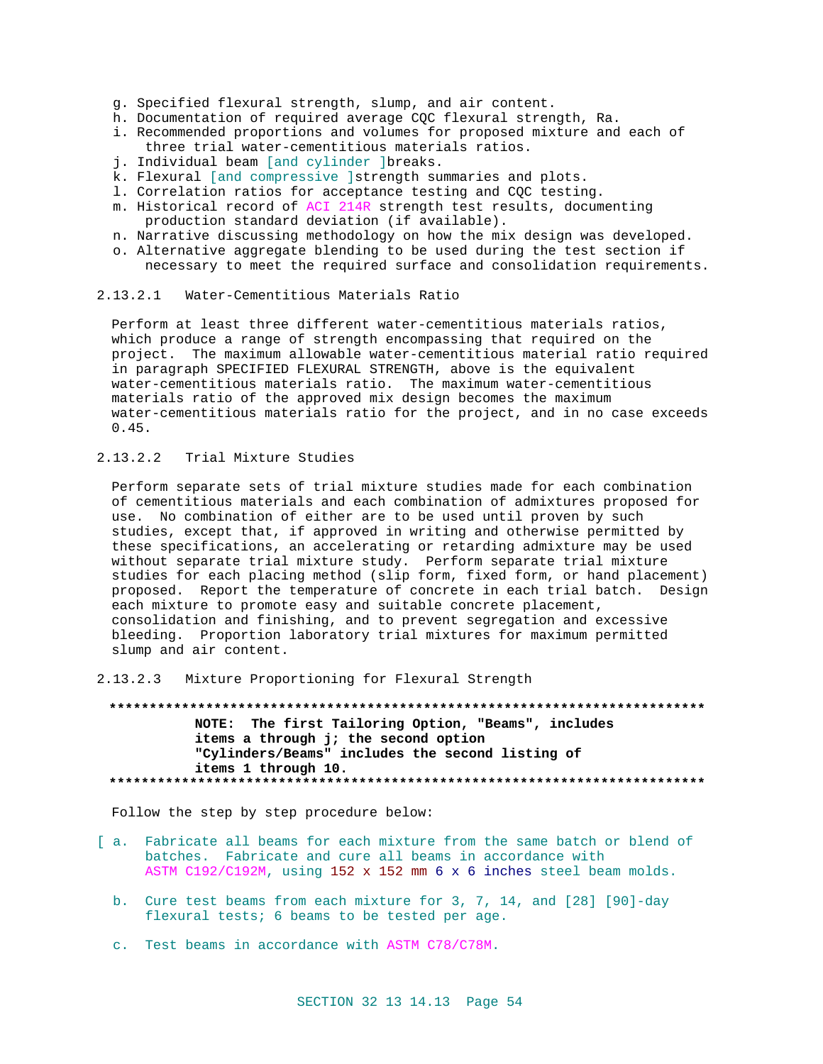- g. Specified flexural strength, slump, and air content.
- h. Documentation of required average CQC flexural strength, Ra.
- i. Recommended proportions and volumes for proposed mixture and each of three trial water-cementitious materials ratios.
- j. Individual beam [and cylinder ]breaks.
- k. Flexural [and compressive ]strength summaries and plots.
- l. Correlation ratios for acceptance testing and CQC testing.
- m. Historical record of ACI 214R strength test results, documenting production standard deviation (if available).
- n. Narrative discussing methodology on how the mix design was developed.
- o. Alternative aggregate blending to be used during the test section if necessary to meet the required surface and consolidation requirements.
- 2.13.2.1 Water-Cementitious Materials Ratio

Perform at least three different water-cementitious materials ratios, which produce a range of strength encompassing that required on the project. The maximum allowable water-cementitious material ratio required in paragraph SPECIFIED FLEXURAL STRENGTH, above is the equivalent water-cementitious materials ratio. The maximum water-cementitious materials ratio of the approved mix design becomes the maximum water-cementitious materials ratio for the project, and in no case exceeds 0.45.

2.13.2.2 Trial Mixture Studies

Perform separate sets of trial mixture studies made for each combination of cementitious materials and each combination of admixtures proposed for use. No combination of either are to be used until proven by such studies, except that, if approved in writing and otherwise permitted by these specifications, an accelerating or retarding admixture may be used without separate trial mixture study. Perform separate trial mixture studies for each placing method (slip form, fixed form, or hand placement) proposed. Report the temperature of concrete in each trial batch. Design each mixture to promote easy and suitable concrete placement, consolidation and finishing, and to prevent segregation and excessive bleeding. Proportion laboratory trial mixtures for maximum permitted slump and air content.

2.13.2.3 Mixture Proportioning for Flexural Strength

**\*\*\*\*\*\*\*\*\*\*\*\*\*\*\*\*\*\*\*\*\*\*\*\*\*\*\*\*\*\*\*\*\*\*\*\*\*\*\*\*\*\*\*\*\*\*\*\*\*\*\*\*\*\*\*\*\*\*\*\*\*\*\*\*\*\*\*\*\*\*\*\*\*\* NOTE: The first Tailoring Option, "Beams", includes items a through j; the second option "Cylinders/Beams" includes the second listing of items 1 through 10. \*\*\*\*\*\*\*\*\*\*\*\*\*\*\*\*\*\*\*\*\*\*\*\*\*\*\*\*\*\*\*\*\*\*\*\*\*\*\*\*\*\*\*\*\*\*\*\*\*\*\*\*\*\*\*\*\*\*\*\*\*\*\*\*\*\*\*\*\*\*\*\*\*\***

Follow the step by step procedure below:

- [ a. Fabricate all beams for each mixture from the same batch or blend of batches. Fabricate and cure all beams in accordance with ASTM C192/C192M, using 152 x 152 mm 6 x 6 inches steel beam molds.
	- b. Cure test beams from each mixture for 3, 7, 14, and [28] [90]-day flexural tests; 6 beams to be tested per age.
	- c. Test beams in accordance with ASTM C78/C78M.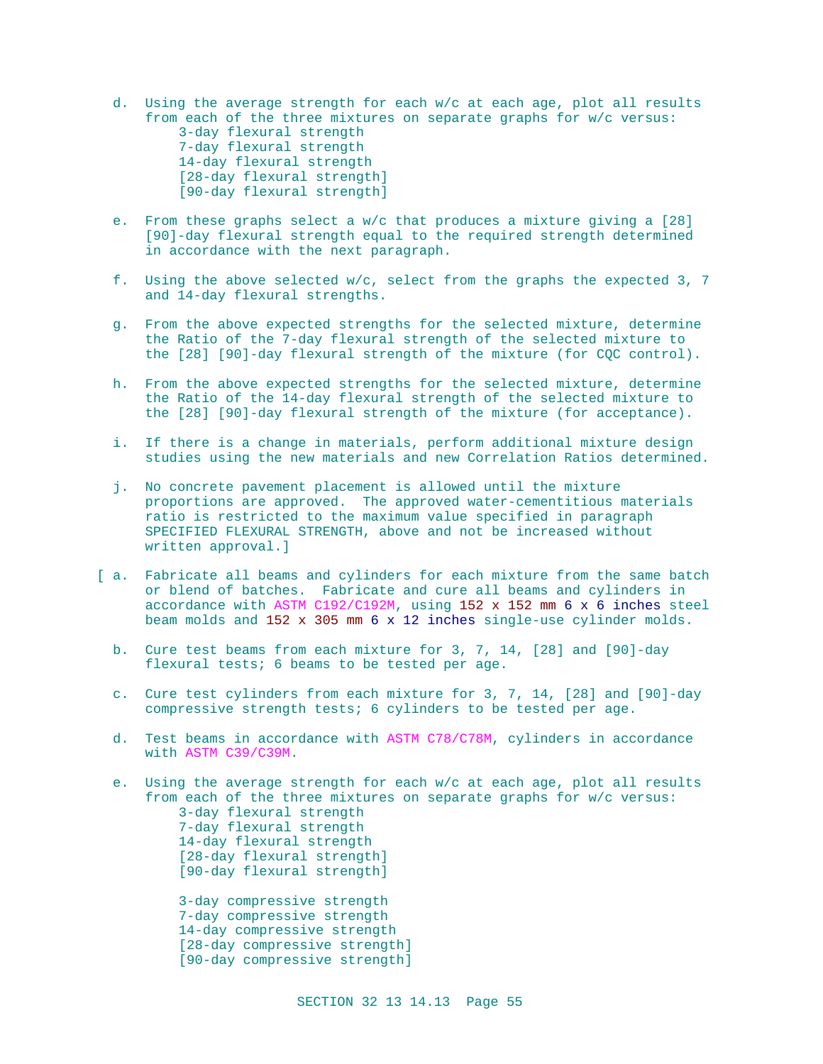- d. Using the average strength for each w/c at each age, plot all results from each of the three mixtures on separate graphs for w/c versus: 3-day flexural strength 7-day flexural strength 14-day flexural strength [28-day flexural strength] [90-day flexural strength]
- e. From these graphs select a w/c that produces a mixture giving a [28] [90]-day flexural strength equal to the required strength determined in accordance with the next paragraph.
- f. Using the above selected w/c, select from the graphs the expected 3, 7 and 14-day flexural strengths.
- g. From the above expected strengths for the selected mixture, determine the Ratio of the 7-day flexural strength of the selected mixture to the [28] [90]-day flexural strength of the mixture (for CQC control).
- h. From the above expected strengths for the selected mixture, determine the Ratio of the 14-day flexural strength of the selected mixture to the [28] [90]-day flexural strength of the mixture (for acceptance).
- i. If there is a change in materials, perform additional mixture design studies using the new materials and new Correlation Ratios determined.
- j. No concrete pavement placement is allowed until the mixture proportions are approved. The approved water-cementitious materials ratio is restricted to the maximum value specified in paragraph SPECIFIED FLEXURAL STRENGTH, above and not be increased without written approval.]
- [ a. Fabricate all beams and cylinders for each mixture from the same batch or blend of batches. Fabricate and cure all beams and cylinders in accordance with ASTM C192/C192M, using 152 x 152 mm 6 x 6 inches steel beam molds and 152 x 305 mm 6 x 12 inches single-use cylinder molds.
	- b. Cure test beams from each mixture for 3, 7, 14, [28] and [90]-day flexural tests; 6 beams to be tested per age.
	- c. Cure test cylinders from each mixture for 3, 7, 14, [28] and [90]-day compressive strength tests; 6 cylinders to be tested per age.
	- d. Test beams in accordance with ASTM C78/C78M, cylinders in accordance with ASTM C39/C39M.
	- e. Using the average strength for each w/c at each age, plot all results from each of the three mixtures on separate graphs for w/c versus: 3-day flexural strength 7-day flexural strength 14-day flexural strength [28-day flexural strength] [90-day flexural strength] 3-day compressive strength 7-day compressive strength 14-day compressive strength [28-day compressive strength]
		- [90-day compressive strength]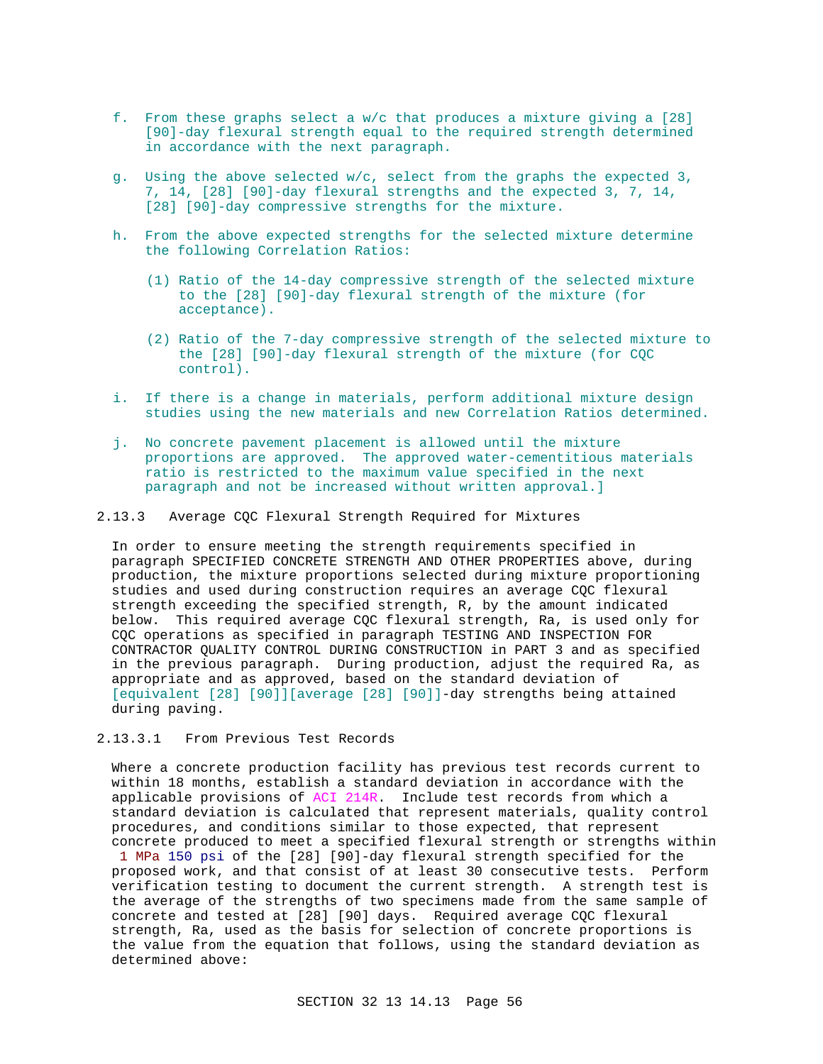- f. From these graphs select a w/c that produces a mixture giving a [28] [90]-day flexural strength equal to the required strength determined in accordance with the next paragraph.
- g. Using the above selected w/c, select from the graphs the expected 3, 7, 14, [28] [90]-day flexural strengths and the expected 3, 7, 14, [28] [90]-day compressive strengths for the mixture.
- h. From the above expected strengths for the selected mixture determine the following Correlation Ratios:
	- (1) Ratio of the 14-day compressive strength of the selected mixture to the [28] [90]-day flexural strength of the mixture (for acceptance).
	- (2) Ratio of the 7-day compressive strength of the selected mixture to the [28] [90]-day flexural strength of the mixture (for CQC control).
- i. If there is a change in materials, perform additional mixture design studies using the new materials and new Correlation Ratios determined.
- j. No concrete pavement placement is allowed until the mixture proportions are approved. The approved water-cementitious materials ratio is restricted to the maximum value specified in the next paragraph and not be increased without written approval.]

2.13.3 Average CQC Flexural Strength Required for Mixtures

In order to ensure meeting the strength requirements specified in paragraph SPECIFIED CONCRETE STRENGTH AND OTHER PROPERTIES above, during production, the mixture proportions selected during mixture proportioning studies and used during construction requires an average CQC flexural strength exceeding the specified strength, R, by the amount indicated below. This required average CQC flexural strength, Ra, is used only for CQC operations as specified in paragraph TESTING AND INSPECTION FOR CONTRACTOR QUALITY CONTROL DURING CONSTRUCTION in PART 3 and as specified in the previous paragraph. During production, adjust the required Ra, as appropriate and as approved, based on the standard deviation of [equivalent [28] [90]][average [28] [90]]-day strengths being attained during paving.

2.13.3.1 From Previous Test Records

Where a concrete production facility has previous test records current to within 18 months, establish a standard deviation in accordance with the applicable provisions of ACI 214R. Include test records from which a standard deviation is calculated that represent materials, quality control procedures, and conditions similar to those expected, that represent concrete produced to meet a specified flexural strength or strengths within

 1 MPa 150 psi of the [28] [90]-day flexural strength specified for the proposed work, and that consist of at least 30 consecutive tests. Perform verification testing to document the current strength. A strength test is the average of the strengths of two specimens made from the same sample of concrete and tested at [28] [90] days. Required average CQC flexural strength, Ra, used as the basis for selection of concrete proportions is the value from the equation that follows, using the standard deviation as determined above: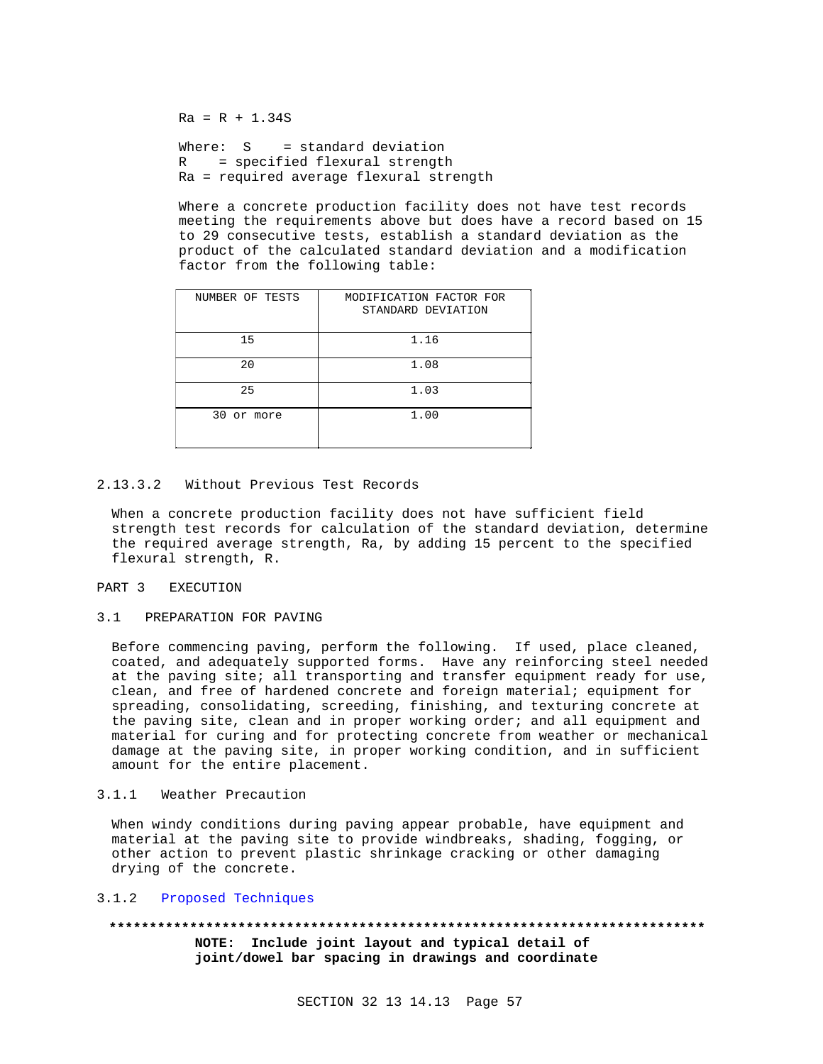```
Ra = R + 1.34SWhere: S = standard deviationR = specified flexural strength
Ra = required average flexural strength
```
Where a concrete production facility does not have test records meeting the requirements above but does have a record based on 15 to 29 consecutive tests, establish a standard deviation as the product of the calculated standard deviation and a modification factor from the following table:

| NUMBER OF TESTS | MODIFICATION FACTOR FOR<br>STANDARD DEVIATION |
|-----------------|-----------------------------------------------|
| 15              | 1.16                                          |
| 20              | 1.08                                          |
| 25              | 1.03                                          |
| 30 or more      | 1.00                                          |

#### 2.13.3.2 Without Previous Test Records

When a concrete production facility does not have sufficient field strength test records for calculation of the standard deviation, determine the required average strength, Ra, by adding 15 percent to the specified flexural strength, R.

#### PART 3 EXECUTION

## 3.1 PREPARATION FOR PAVING

Before commencing paving, perform the following. If used, place cleaned, coated, and adequately supported forms. Have any reinforcing steel needed at the paving site; all transporting and transfer equipment ready for use, clean, and free of hardened concrete and foreign material; equipment for spreading, consolidating, screeding, finishing, and texturing concrete at the paving site, clean and in proper working order; and all equipment and material for curing and for protecting concrete from weather or mechanical damage at the paving site, in proper working condition, and in sufficient amount for the entire placement.

### 3.1.1 Weather Precaution

When windy conditions during paving appear probable, have equipment and material at the paving site to provide windbreaks, shading, fogging, or other action to prevent plastic shrinkage cracking or other damaging drying of the concrete.

#### 3.1.2 Proposed Techniques

# **\*\*\*\*\*\*\*\*\*\*\*\*\*\*\*\*\*\*\*\*\*\*\*\*\*\*\*\*\*\*\*\*\*\*\*\*\*\*\*\*\*\*\*\*\*\*\*\*\*\*\*\*\*\*\*\*\*\*\*\*\*\*\*\*\*\*\*\*\*\*\*\*\*\***

**NOTE: Include joint layout and typical detail of joint/dowel bar spacing in drawings and coordinate**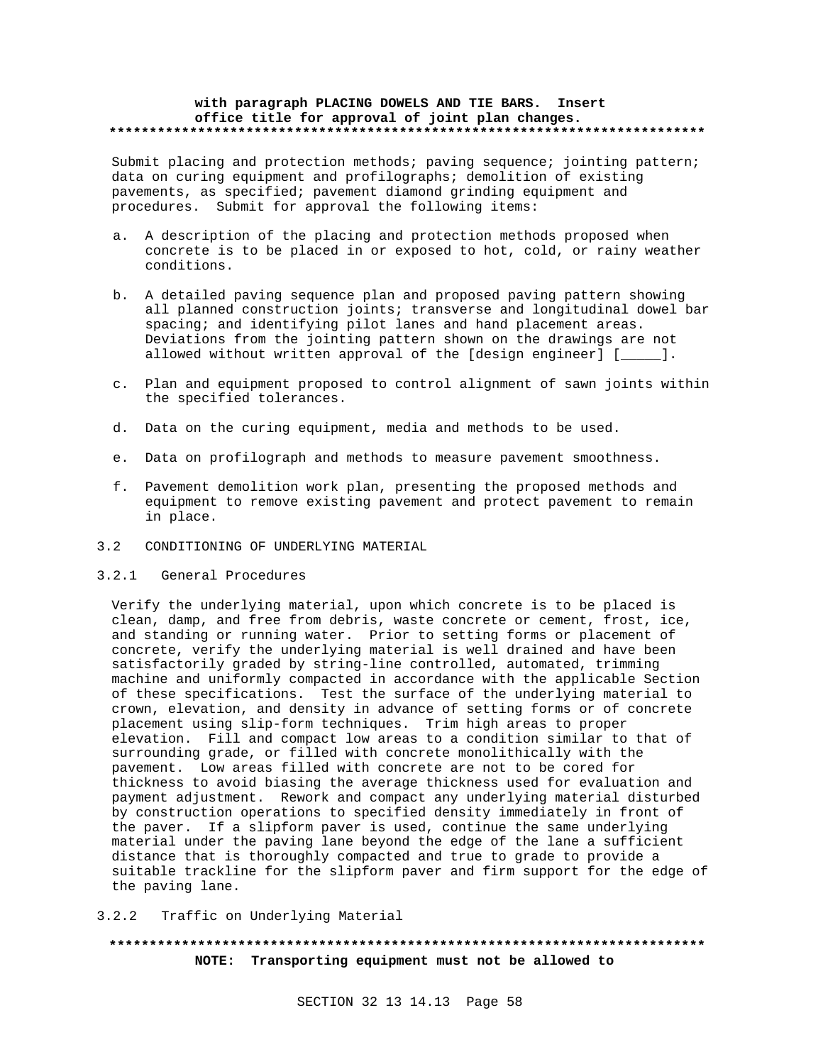#### **with paragraph PLACING DOWELS AND TIE BARS. Insert office title for approval of joint plan changes. \*\*\*\*\*\*\*\*\*\*\*\*\*\*\*\*\*\*\*\*\*\*\*\*\*\*\*\*\*\*\*\*\*\*\*\*\*\*\*\*\*\*\*\*\*\*\*\*\*\*\*\*\*\*\*\*\*\*\*\*\*\*\*\*\*\*\*\*\*\*\*\*\*\***

Submit placing and protection methods; paving sequence; jointing pattern; data on curing equipment and profilographs; demolition of existing pavements, as specified; pavement diamond grinding equipment and procedures. Submit for approval the following items:

- a. A description of the placing and protection methods proposed when concrete is to be placed in or exposed to hot, cold, or rainy weather conditions.
- b. A detailed paving sequence plan and proposed paving pattern showing all planned construction joints; transverse and longitudinal dowel bar spacing; and identifying pilot lanes and hand placement areas. Deviations from the jointing pattern shown on the drawings are not allowed without written approval of the [design engineer] [\_\_\_\_\_].
- c. Plan and equipment proposed to control alignment of sawn joints within the specified tolerances.
- d. Data on the curing equipment, media and methods to be used.
- e. Data on profilograph and methods to measure pavement smoothness.
- f. Pavement demolition work plan, presenting the proposed methods and equipment to remove existing pavement and protect pavement to remain in place.
- 3.2 CONDITIONING OF UNDERLYING MATERIAL

### 3.2.1 General Procedures

Verify the underlying material, upon which concrete is to be placed is clean, damp, and free from debris, waste concrete or cement, frost, ice, and standing or running water. Prior to setting forms or placement of concrete, verify the underlying material is well drained and have been satisfactorily graded by string-line controlled, automated, trimming machine and uniformly compacted in accordance with the applicable Section of these specifications. Test the surface of the underlying material to crown, elevation, and density in advance of setting forms or of concrete placement using slip-form techniques. Trim high areas to proper elevation. Fill and compact low areas to a condition similar to that of surrounding grade, or filled with concrete monolithically with the pavement. Low areas filled with concrete are not to be cored for thickness to avoid biasing the average thickness used for evaluation and payment adjustment. Rework and compact any underlying material disturbed by construction operations to specified density immediately in front of the paver. If a slipform paver is used, continue the same underlying material under the paving lane beyond the edge of the lane a sufficient distance that is thoroughly compacted and true to grade to provide a suitable trackline for the slipform paver and firm support for the edge of the paving lane.

3.2.2 Traffic on Underlying Material

# **\*\*\*\*\*\*\*\*\*\*\*\*\*\*\*\*\*\*\*\*\*\*\*\*\*\*\*\*\*\*\*\*\*\*\*\*\*\*\*\*\*\*\*\*\*\*\*\*\*\*\*\*\*\*\*\*\*\*\*\*\*\*\*\*\*\*\*\*\*\*\*\*\*\* NOTE: Transporting equipment must not be allowed to**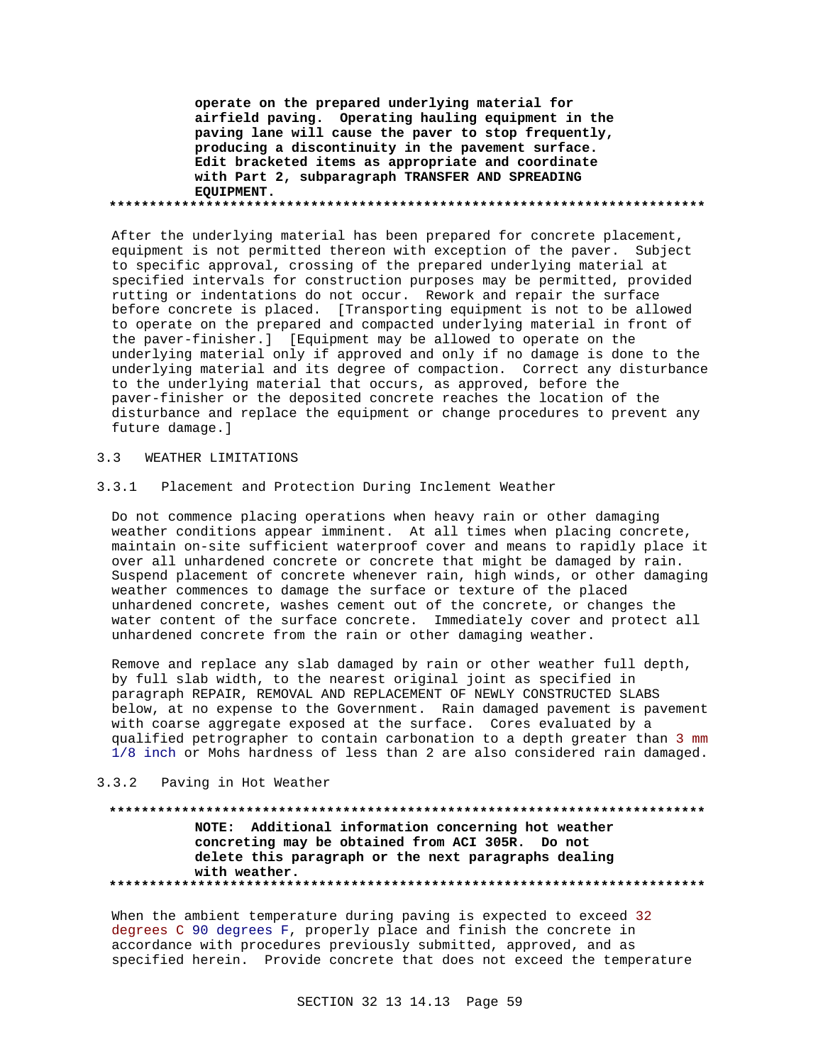**operate on the prepared underlying material for airfield paving. Operating hauling equipment in the paving lane will cause the paver to stop frequently, producing a discontinuity in the pavement surface. Edit bracketed items as appropriate and coordinate with Part 2, subparagraph TRANSFER AND SPREADING EQUIPMENT. \*\*\*\*\*\*\*\*\*\*\*\*\*\*\*\*\*\*\*\*\*\*\*\*\*\*\*\*\*\*\*\*\*\*\*\*\*\*\*\*\*\*\*\*\*\*\*\*\*\*\*\*\*\*\*\*\*\*\*\*\*\*\*\*\*\*\*\*\*\*\*\*\*\***

After the underlying material has been prepared for concrete placement, equipment is not permitted thereon with exception of the paver. Subject to specific approval, crossing of the prepared underlying material at specified intervals for construction purposes may be permitted, provided rutting or indentations do not occur. Rework and repair the surface before concrete is placed. [Transporting equipment is not to be allowed to operate on the prepared and compacted underlying material in front of the paver-finisher.] [Equipment may be allowed to operate on the underlying material only if approved and only if no damage is done to the underlying material and its degree of compaction. Correct any disturbance to the underlying material that occurs, as approved, before the paver-finisher or the deposited concrete reaches the location of the disturbance and replace the equipment or change procedures to prevent any future damage.]

#### 3.3 WEATHER LIMITATIONS

### 3.3.1 Placement and Protection During Inclement Weather

Do not commence placing operations when heavy rain or other damaging weather conditions appear imminent. At all times when placing concrete, maintain on-site sufficient waterproof cover and means to rapidly place it over all unhardened concrete or concrete that might be damaged by rain. Suspend placement of concrete whenever rain, high winds, or other damaging weather commences to damage the surface or texture of the placed unhardened concrete, washes cement out of the concrete, or changes the water content of the surface concrete. Immediately cover and protect all unhardened concrete from the rain or other damaging weather.

Remove and replace any slab damaged by rain or other weather full depth, by full slab width, to the nearest original joint as specified in paragraph REPAIR, REMOVAL AND REPLACEMENT OF NEWLY CONSTRUCTED SLABS below, at no expense to the Government. Rain damaged pavement is pavement with coarse aggregate exposed at the surface. Cores evaluated by a qualified petrographer to contain carbonation to a depth greater than 3 mm 1/8 inch or Mohs hardness of less than 2 are also considered rain damaged.

#### 3.3.2 Paving in Hot Weather

## **\*\*\*\*\*\*\*\*\*\*\*\*\*\*\*\*\*\*\*\*\*\*\*\*\*\*\*\*\*\*\*\*\*\*\*\*\*\*\*\*\*\*\*\*\*\*\*\*\*\*\*\*\*\*\*\*\*\*\*\*\*\*\*\*\*\*\*\*\*\*\*\*\*\* NOTE: Additional information concerning hot weather concreting may be obtained from ACI 305R. Do not delete this paragraph or the next paragraphs dealing with weather. \*\*\*\*\*\*\*\*\*\*\*\*\*\*\*\*\*\*\*\*\*\*\*\*\*\*\*\*\*\*\*\*\*\*\*\*\*\*\*\*\*\*\*\*\*\*\*\*\*\*\*\*\*\*\*\*\*\*\*\*\*\*\*\*\*\*\*\*\*\*\*\*\*\***

When the ambient temperature during paving is expected to exceed 32 degrees C 90 degrees F, properly place and finish the concrete in accordance with procedures previously submitted, approved, and as specified herein. Provide concrete that does not exceed the temperature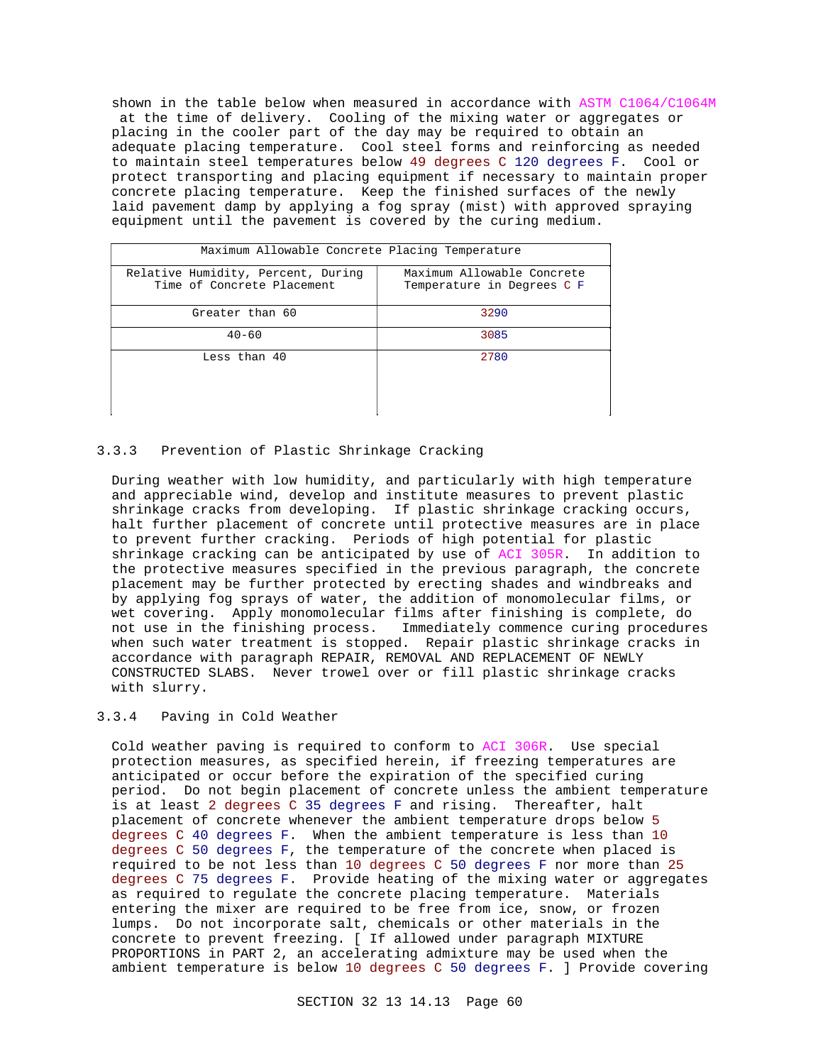shown in the table below when measured in accordance with ASTM C1064/C1064M at the time of delivery. Cooling of the mixing water or aggregates or placing in the cooler part of the day may be required to obtain an adequate placing temperature. Cool steel forms and reinforcing as needed to maintain steel temperatures below 49 degrees C 120 degrees F. Cool or protect transporting and placing equipment if necessary to maintain proper concrete placing temperature. Keep the finished surfaces of the newly laid pavement damp by applying a fog spray (mist) with approved spraying equipment until the pavement is covered by the curing medium.

| Maximum Allowable Concrete Placing Temperature                   |                                                          |  |
|------------------------------------------------------------------|----------------------------------------------------------|--|
| Relative Humidity, Percent, During<br>Time of Concrete Placement | Maximum Allowable Concrete<br>Temperature in Degrees C F |  |
| Greater than 60                                                  | 3290                                                     |  |
| $40 - 60$                                                        | 3085                                                     |  |
| Less than 40                                                     | 2780                                                     |  |

# 3.3.3 Prevention of Plastic Shrinkage Cracking

During weather with low humidity, and particularly with high temperature and appreciable wind, develop and institute measures to prevent plastic shrinkage cracks from developing. If plastic shrinkage cracking occurs, halt further placement of concrete until protective measures are in place to prevent further cracking. Periods of high potential for plastic shrinkage cracking can be anticipated by use of ACI 305R. In addition to the protective measures specified in the previous paragraph, the concrete placement may be further protected by erecting shades and windbreaks and by applying fog sprays of water, the addition of monomolecular films, or wet covering. Apply monomolecular films after finishing is complete, do not use in the finishing process. Immediately commence curing procedures when such water treatment is stopped. Repair plastic shrinkage cracks in accordance with paragraph REPAIR, REMOVAL AND REPLACEMENT OF NEWLY CONSTRUCTED SLABS. Never trowel over or fill plastic shrinkage cracks with slurry.

# 3.3.4 Paving in Cold Weather

Cold weather paving is required to conform to ACI 306R. Use special protection measures, as specified herein, if freezing temperatures are anticipated or occur before the expiration of the specified curing period. Do not begin placement of concrete unless the ambient temperature is at least 2 degrees C 35 degrees F and rising. Thereafter, halt placement of concrete whenever the ambient temperature drops below 5 degrees C 40 degrees F. When the ambient temperature is less than 10 degrees C 50 degrees F, the temperature of the concrete when placed is required to be not less than 10 degrees C 50 degrees F nor more than 25 degrees C 75 degrees F. Provide heating of the mixing water or aggregates as required to regulate the concrete placing temperature. Materials entering the mixer are required to be free from ice, snow, or frozen lumps. Do not incorporate salt, chemicals or other materials in the concrete to prevent freezing. [ If allowed under paragraph MIXTURE PROPORTIONS in PART 2, an accelerating admixture may be used when the ambient temperature is below 10 degrees C 50 degrees F. ] Provide covering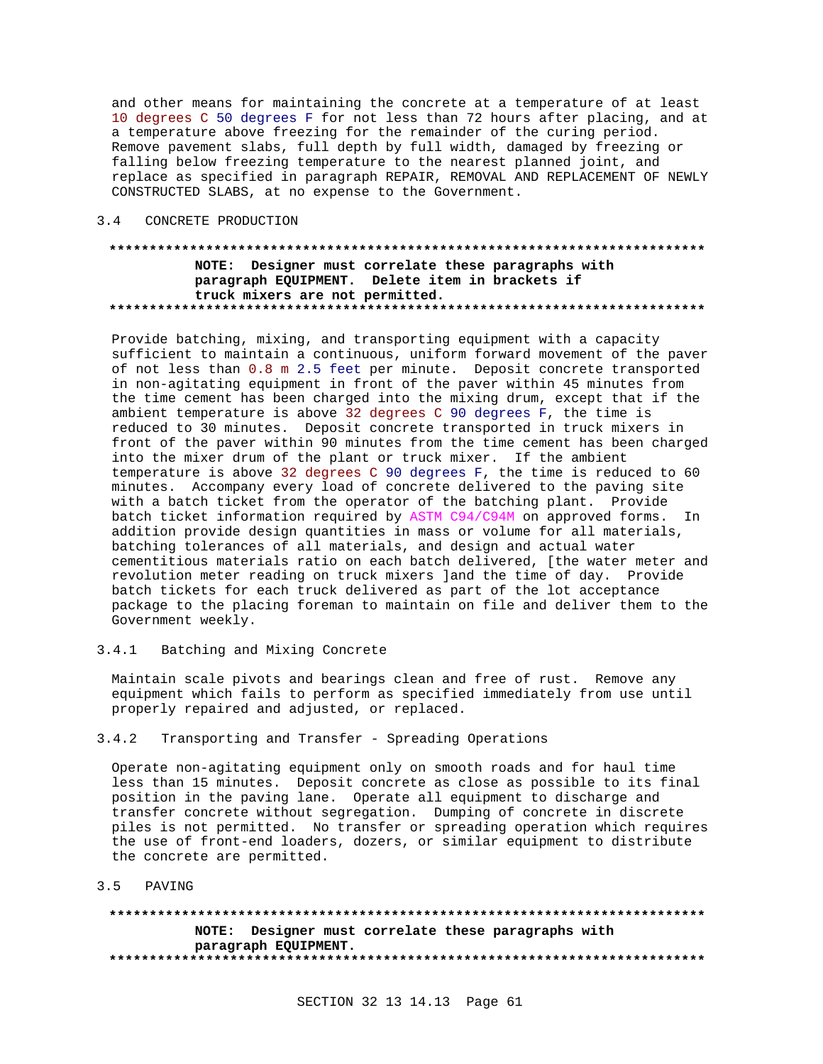and other means for maintaining the concrete at a temperature of at least 10 degrees C 50 degrees F for not less than 72 hours after placing, and at a temperature above freezing for the remainder of the curing period. Remove pavement slabs, full depth by full width, damaged by freezing or falling below freezing temperature to the nearest planned joint, and replace as specified in paragraph REPAIR, REMOVAL AND REPLACEMENT OF NEWLY CONSTRUCTED SLABS, at no expense to the Government.

#### $3.4$ CONCRETE PRODUCTION

# NOTE: Designer must correlate these paragraphs with paragraph EQUIPMENT. Delete item in brackets if truck mixers are not permitted.

Provide batching, mixing, and transporting equipment with a capacity sufficient to maintain a continuous, uniform forward movement of the paver of not less than 0.8 m 2.5 feet per minute. Deposit concrete transported in non-agitating equipment in front of the paver within 45 minutes from the time cement has been charged into the mixing drum, except that if the ambient temperature is above 32 degrees C 90 degrees F, the time is reduced to 30 minutes. Deposit concrete transported in truck mixers in front of the paver within 90 minutes from the time cement has been charged into the mixer drum of the plant or truck mixer. If the ambient temperature is above 32 degrees C 90 degrees F, the time is reduced to 60 minutes. Accompany every load of concrete delivered to the paving site with a batch ticket from the operator of the batching plant. Provide batch ticket information required by ASTM C94/C94M on approved forms. In addition provide design quantities in mass or volume for all materials, batching tolerances of all materials, and design and actual water cementitious materials ratio on each batch delivered, [the water meter and revolution meter reading on truck mixers ] and the time of day. Provide batch tickets for each truck delivered as part of the lot acceptance package to the placing foreman to maintain on file and deliver them to the Government weekly.

#### $3.4.1$ Batching and Mixing Concrete

Maintain scale pivots and bearings clean and free of rust. Remove any equipment which fails to perform as specified immediately from use until properly repaired and adjusted, or replaced.

#### $3.4.2$ Transporting and Transfer - Spreading Operations

Operate non-agitating equipment only on smooth roads and for haul time less than 15 minutes. Deposit concrete as close as possible to its final position in the paving lane. Operate all equipment to discharge and transfer concrete without segregation. Dumping of concrete in discrete piles is not permitted. No transfer or spreading operation which requires the use of front-end loaders, dozers, or similar equipment to distribute the concrete are permitted.

#### $3.5$ PAVING

NOTE: Designer must correlate these paragraphs with paragraph EQUIPMENT.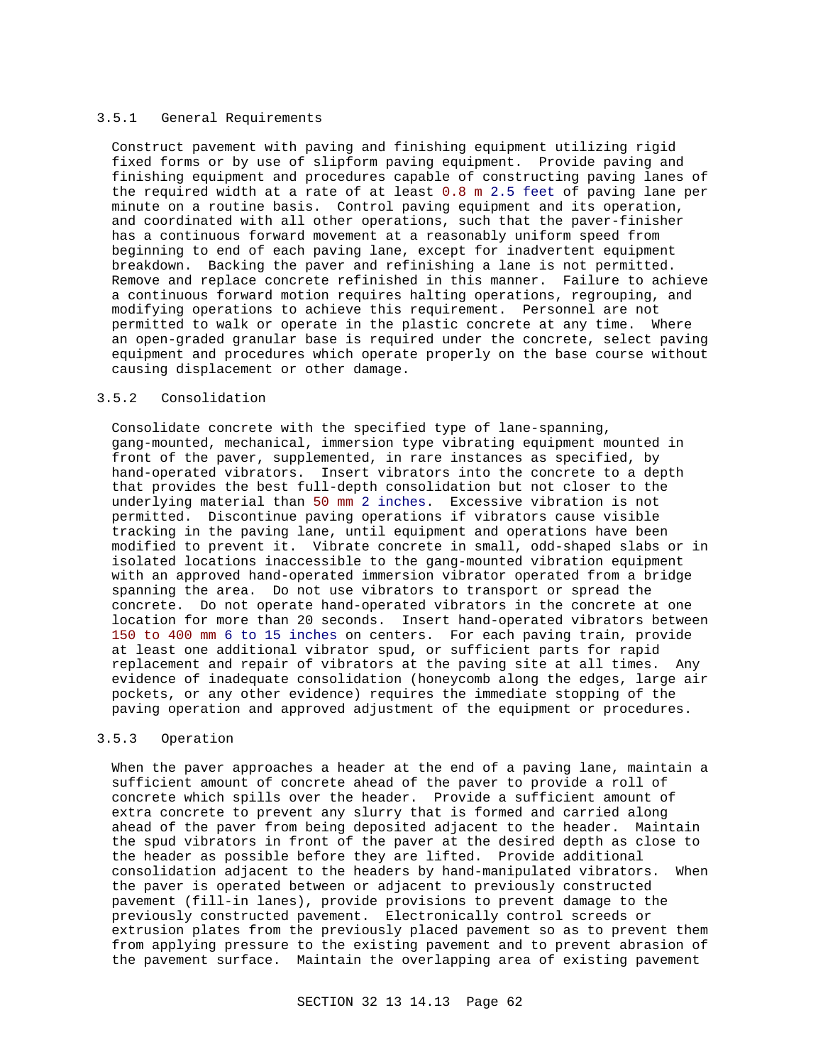#### 3.5.1 General Requirements

Construct pavement with paving and finishing equipment utilizing rigid fixed forms or by use of slipform paving equipment. Provide paving and finishing equipment and procedures capable of constructing paving lanes of the required width at a rate of at least 0.8 m 2.5 feet of paving lane per minute on a routine basis. Control paving equipment and its operation, and coordinated with all other operations, such that the paver-finisher has a continuous forward movement at a reasonably uniform speed from beginning to end of each paving lane, except for inadvertent equipment breakdown. Backing the paver and refinishing a lane is not permitted. Remove and replace concrete refinished in this manner. Failure to achieve a continuous forward motion requires halting operations, regrouping, and modifying operations to achieve this requirement. Personnel are not permitted to walk or operate in the plastic concrete at any time. Where an open-graded granular base is required under the concrete, select paving equipment and procedures which operate properly on the base course without causing displacement or other damage.

### 3.5.2 Consolidation

Consolidate concrete with the specified type of lane-spanning, gang-mounted, mechanical, immersion type vibrating equipment mounted in front of the paver, supplemented, in rare instances as specified, by hand-operated vibrators. Insert vibrators into the concrete to a depth that provides the best full-depth consolidation but not closer to the underlying material than 50 mm 2 inches. Excessive vibration is not permitted. Discontinue paving operations if vibrators cause visible tracking in the paving lane, until equipment and operations have been modified to prevent it. Vibrate concrete in small, odd-shaped slabs or in isolated locations inaccessible to the gang-mounted vibration equipment with an approved hand-operated immersion vibrator operated from a bridge spanning the area. Do not use vibrators to transport or spread the concrete. Do not operate hand-operated vibrators in the concrete at one location for more than 20 seconds. Insert hand-operated vibrators between 150 to 400 mm 6 to 15 inches on centers. For each paving train, provide at least one additional vibrator spud, or sufficient parts for rapid replacement and repair of vibrators at the paving site at all times. Any evidence of inadequate consolidation (honeycomb along the edges, large air pockets, or any other evidence) requires the immediate stopping of the paving operation and approved adjustment of the equipment or procedures.

#### 3.5.3 Operation

When the paver approaches a header at the end of a paving lane, maintain a sufficient amount of concrete ahead of the paver to provide a roll of concrete which spills over the header. Provide a sufficient amount of extra concrete to prevent any slurry that is formed and carried along ahead of the paver from being deposited adjacent to the header. Maintain the spud vibrators in front of the paver at the desired depth as close to the header as possible before they are lifted. Provide additional consolidation adjacent to the headers by hand-manipulated vibrators. When the paver is operated between or adjacent to previously constructed pavement (fill-in lanes), provide provisions to prevent damage to the previously constructed pavement. Electronically control screeds or extrusion plates from the previously placed pavement so as to prevent them from applying pressure to the existing pavement and to prevent abrasion of the pavement surface. Maintain the overlapping area of existing pavement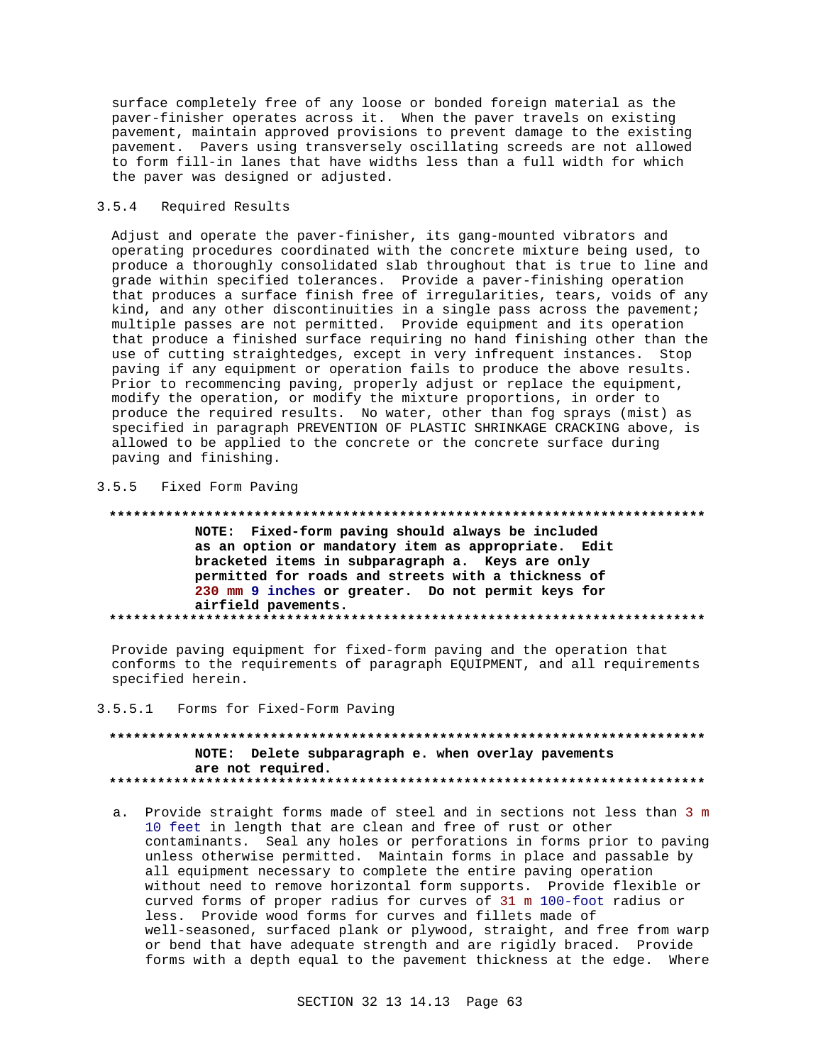surface completely free of any loose or bonded foreign material as the paver-finisher operates across it. When the paver travels on existing pavement, maintain approved provisions to prevent damage to the existing pavement. Pavers using transversely oscillating screeds are not allowed to form fill-in lanes that have widths less than a full width for which the paver was designed or adjusted.

#### 3.5.4 Required Results

Adjust and operate the paver-finisher, its gang-mounted vibrators and operating procedures coordinated with the concrete mixture being used, to produce a thoroughly consolidated slab throughout that is true to line and grade within specified tolerances. Provide a paver-finishing operation that produces a surface finish free of irregularities, tears, voids of any kind, and any other discontinuities in a single pass across the pavement; multiple passes are not permitted. Provide equipment and its operation that produce a finished surface requiring no hand finishing other than the use of cutting straightedges, except in very infrequent instances. Stop paving if any equipment or operation fails to produce the above results. Prior to recommencing paving, properly adjust or replace the equipment, modify the operation, or modify the mixture proportions, in order to produce the required results. No water, other than fog sprays (mist) as specified in paragraph PREVENTION OF PLASTIC SHRINKAGE CRACKING above, is allowed to be applied to the concrete or the concrete surface during paving and finishing.

#### 3.5.5 Fixed Form Paving

#### **\*\*\*\*\*\*\*\*\*\*\*\*\*\*\*\*\*\*\*\*\*\*\*\*\*\*\*\*\*\*\*\*\*\*\*\*\*\*\*\*\*\*\*\*\*\*\*\*\*\*\*\*\*\*\*\*\*\*\*\*\*\*\*\*\*\*\*\*\*\*\*\*\*\***

**NOTE: Fixed-form paving should always be included as an option or mandatory item as appropriate. Edit bracketed items in subparagraph a. Keys are only permitted for roads and streets with a thickness of 230 mm 9 inches or greater. Do not permit keys for airfield pavements. \*\*\*\*\*\*\*\*\*\*\*\*\*\*\*\*\*\*\*\*\*\*\*\*\*\*\*\*\*\*\*\*\*\*\*\*\*\*\*\*\*\*\*\*\*\*\*\*\*\*\*\*\*\*\*\*\*\*\*\*\*\*\*\*\*\*\*\*\*\*\*\*\*\***

Provide paving equipment for fixed-form paving and the operation that conforms to the requirements of paragraph EQUIPMENT, and all requirements specified herein.

3.5.5.1 Forms for Fixed-Form Paving

# **\*\*\*\*\*\*\*\*\*\*\*\*\*\*\*\*\*\*\*\*\*\*\*\*\*\*\*\*\*\*\*\*\*\*\*\*\*\*\*\*\*\*\*\*\*\*\*\*\*\*\*\*\*\*\*\*\*\*\*\*\*\*\*\*\*\*\*\*\*\*\*\*\*\* NOTE: Delete subparagraph e. when overlay pavements are not required. \*\*\*\*\*\*\*\*\*\*\*\*\*\*\*\*\*\*\*\*\*\*\*\*\*\*\*\*\*\*\*\*\*\*\*\*\*\*\*\*\*\*\*\*\*\*\*\*\*\*\*\*\*\*\*\*\*\*\*\*\*\*\*\*\*\*\*\*\*\*\*\*\*\***

a. Provide straight forms made of steel and in sections not less than 3 m 10 feet in length that are clean and free of rust or other contaminants. Seal any holes or perforations in forms prior to paving unless otherwise permitted. Maintain forms in place and passable by all equipment necessary to complete the entire paving operation without need to remove horizontal form supports. Provide flexible or curved forms of proper radius for curves of 31 m 100-foot radius or less. Provide wood forms for curves and fillets made of well-seasoned, surfaced plank or plywood, straight, and free from warp or bend that have adequate strength and are rigidly braced. Provide forms with a depth equal to the pavement thickness at the edge. Where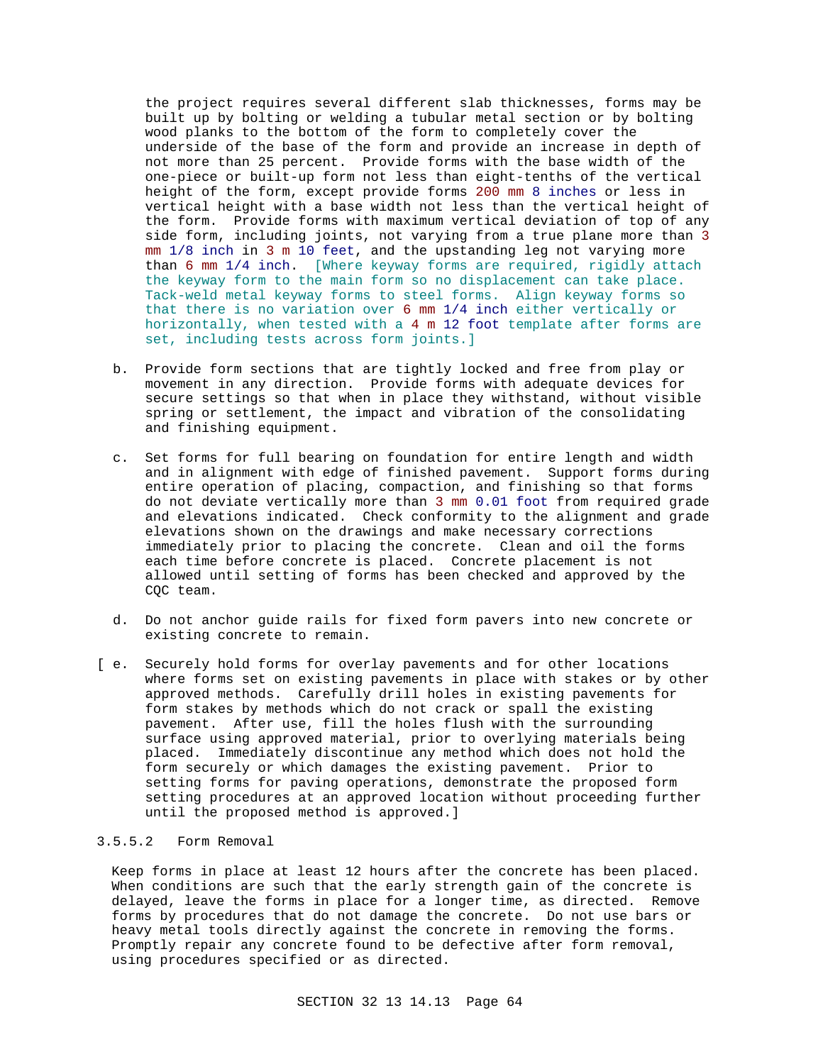the project requires several different slab thicknesses, forms may be built up by bolting or welding a tubular metal section or by bolting wood planks to the bottom of the form to completely cover the underside of the base of the form and provide an increase in depth of not more than 25 percent. Provide forms with the base width of the one-piece or built-up form not less than eight-tenths of the vertical height of the form, except provide forms 200 mm 8 inches or less in vertical height with a base width not less than the vertical height of the form. Provide forms with maximum vertical deviation of top of any side form, including joints, not varying from a true plane more than 3 mm 1/8 inch in 3 m 10 feet, and the upstanding leg not varying more than 6 mm 1/4 inch. [Where keyway forms are required, rigidly attach the keyway form to the main form so no displacement can take place. Tack-weld metal keyway forms to steel forms. Align keyway forms so that there is no variation over 6 mm 1/4 inch either vertically or horizontally, when tested with a 4 m 12 foot template after forms are set, including tests across form joints.]

- b. Provide form sections that are tightly locked and free from play or movement in any direction. Provide forms with adequate devices for secure settings so that when in place they withstand, without visible spring or settlement, the impact and vibration of the consolidating and finishing equipment.
- c. Set forms for full bearing on foundation for entire length and width and in alignment with edge of finished pavement. Support forms during entire operation of placing, compaction, and finishing so that forms do not deviate vertically more than 3 mm 0.01 foot from required grade and elevations indicated. Check conformity to the alignment and grade elevations shown on the drawings and make necessary corrections immediately prior to placing the concrete. Clean and oil the forms each time before concrete is placed. Concrete placement is not allowed until setting of forms has been checked and approved by the CQC team.
- d. Do not anchor guide rails for fixed form pavers into new concrete or existing concrete to remain.
- [ e. Securely hold forms for overlay pavements and for other locations where forms set on existing pavements in place with stakes or by other approved methods. Carefully drill holes in existing pavements for form stakes by methods which do not crack or spall the existing pavement. After use, fill the holes flush with the surrounding surface using approved material, prior to overlying materials being placed. Immediately discontinue any method which does not hold the form securely or which damages the existing pavement. Prior to setting forms for paving operations, demonstrate the proposed form setting procedures at an approved location without proceeding further until the proposed method is approved.]

# 3.5.5.2 Form Removal

Keep forms in place at least 12 hours after the concrete has been placed. When conditions are such that the early strength gain of the concrete is delayed, leave the forms in place for a longer time, as directed. Remove forms by procedures that do not damage the concrete. Do not use bars or heavy metal tools directly against the concrete in removing the forms. Promptly repair any concrete found to be defective after form removal, using procedures specified or as directed.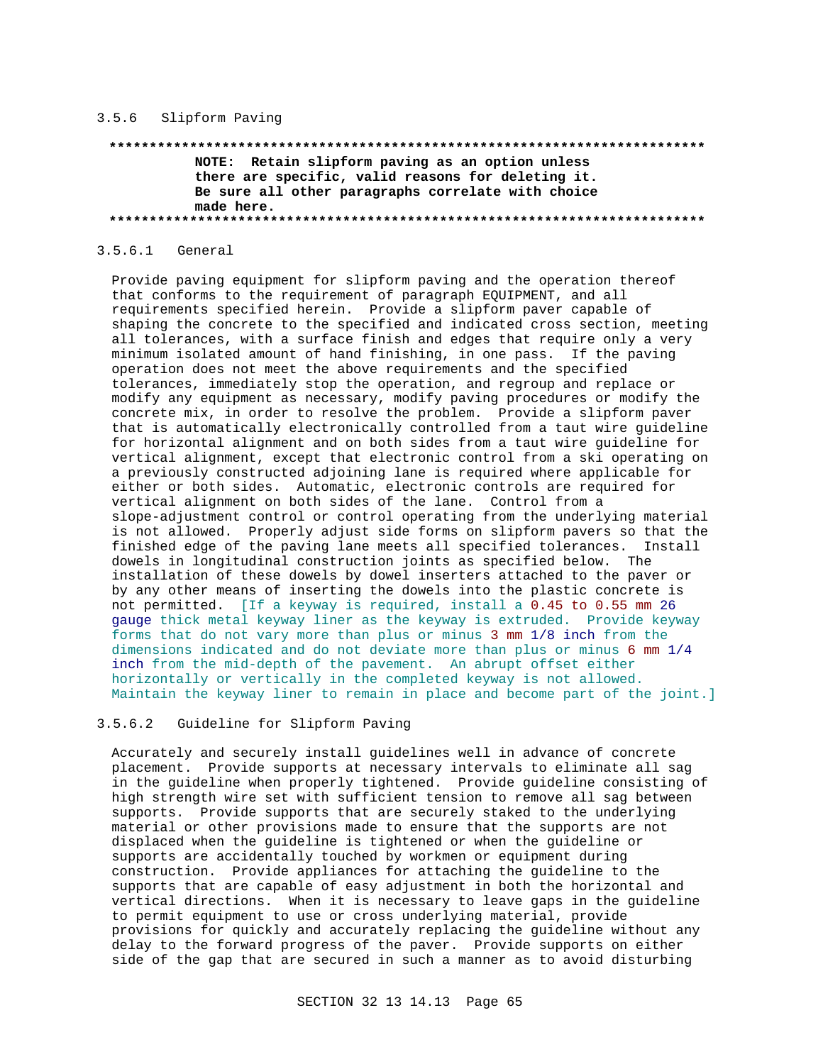#### 3.5.6 Slipform Paving

## NOTE: Retain slipform paving as an option unless there are specific, valid reasons for deleting it. Be sure all other paragraphs correlate with choice made here.

#### $3.5.6.1$ General

Provide paving equipment for slipform paving and the operation thereof that conforms to the requirement of paragraph EQUIPMENT, and all requirements specified herein. Provide a slipform paver capable of shaping the concrete to the specified and indicated cross section, meeting all tolerances, with a surface finish and edges that require only a very minimum isolated amount of hand finishing, in one pass. If the paving operation does not meet the above requirements and the specified tolerances, immediately stop the operation, and regroup and replace or modify any equipment as necessary, modify paving procedures or modify the concrete mix, in order to resolve the problem. Provide a slipform paver that is automatically electronically controlled from a taut wire guideline for horizontal alignment and on both sides from a taut wire guideline for vertical alignment, except that electronic control from a ski operating on a previously constructed adjoining lane is required where applicable for either or both sides. Automatic, electronic controls are required for vertical alignment on both sides of the lane. Control from a slope-adjustment control or control operating from the underlying material is not allowed. Properly adjust side forms on slipform pavers so that the finished edge of the paving lane meets all specified tolerances. Install dowels in longitudinal construction joints as specified below. The installation of these dowels by dowel inserters attached to the paver or by any other means of inserting the dowels into the plastic concrete is not permitted. [If a keyway is required, install a 0.45 to 0.55 mm 26 gauge thick metal keyway liner as the keyway is extruded. Provide keyway forms that do not vary more than plus or minus 3 mm 1/8 inch from the dimensions indicated and do not deviate more than plus or minus 6 mm 1/4 inch from the mid-depth of the pavement. An abrupt offset either horizontally or vertically in the completed keyway is not allowed. Maintain the keyway liner to remain in place and become part of the joint.]

#### $3.5.6.2$ Guideline for Slipform Paving

Accurately and securely install guidelines well in advance of concrete placement. Provide supports at necessary intervals to eliminate all sag in the guideline when properly tightened. Provide guideline consisting of high strength wire set with sufficient tension to remove all sag between supports. Provide supports that are securely staked to the underlying material or other provisions made to ensure that the supports are not displaced when the guideline is tightened or when the guideline or supports are accidentally touched by workmen or equipment during construction. Provide appliances for attaching the guideline to the supports that are capable of easy adjustment in both the horizontal and vertical directions. When it is necessary to leave gaps in the guideline to permit equipment to use or cross underlying material, provide provisions for quickly and accurately replacing the guideline without any delay to the forward progress of the paver. Provide supports on either side of the gap that are secured in such a manner as to avoid disturbing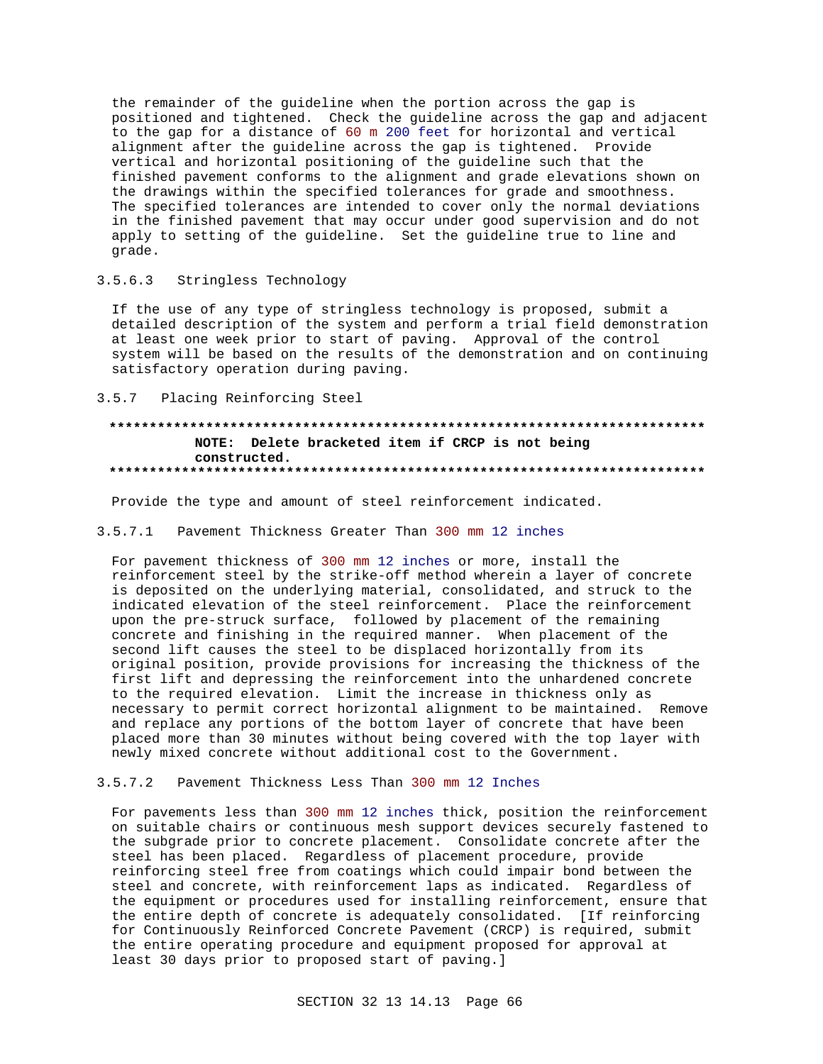the remainder of the quideline when the portion across the gap is positioned and tightened. Check the quideline across the gap and adjacent to the gap for a distance of 60 m 200 feet for horizontal and vertical alignment after the guideline across the gap is tightened. Provide vertical and horizontal positioning of the guideline such that the finished pavement conforms to the alignment and grade elevations shown on the drawings within the specified tolerances for grade and smoothness. The specified tolerances are intended to cover only the normal deviations in the finished pavement that may occur under good supervision and do not apply to setting of the guideline. Set the guideline true to line and grade.

#### $3.5.6.3$ Stringless Technology

If the use of any type of stringless technology is proposed, submit a detailed description of the system and perform a trial field demonstration at least one week prior to start of paving. Approval of the control system will be based on the results of the demonstration and on continuing satisfactory operation during paving.

Placing Reinforcing Steel  $3.5.7$ 

### NOTE: Delete bracketed item if CRCP is not being constructed.

Provide the type and amount of steel reinforcement indicated.

#### $3.5.7.1$ Pavement Thickness Greater Than 300 mm 12 inches

For pavement thickness of 300 mm 12 inches or more, install the reinforcement steel by the strike-off method wherein a layer of concrete is deposited on the underlying material, consolidated, and struck to the indicated elevation of the steel reinforcement. Place the reinforcement upon the pre-struck surface, followed by placement of the remaining concrete and finishing in the required manner. When placement of the second lift causes the steel to be displaced horizontally from its original position, provide provisions for increasing the thickness of the first lift and depressing the reinforcement into the unhardened concrete to the required elevation. Limit the increase in thickness only as necessary to permit correct horizontal alignment to be maintained. Remove and replace any portions of the bottom layer of concrete that have been placed more than 30 minutes without being covered with the top layer with newly mixed concrete without additional cost to the Government.

#### $3.5.7.2$ Pavement Thickness Less Than 300 mm 12 Inches

For pavements less than 300 mm 12 inches thick, position the reinforcement on suitable chairs or continuous mesh support devices securely fastened to the subgrade prior to concrete placement. Consolidate concrete after the steel has been placed. Regardless of placement procedure, provide reinforcing steel free from coatings which could impair bond between the steel and concrete, with reinforcement laps as indicated. Regardless of the equipment or procedures used for installing reinforcement, ensure that the entire depth of concrete is adequately consolidated. [If reinforcing for Continuously Reinforced Concrete Pavement (CRCP) is required, submit the entire operating procedure and equipment proposed for approval at least 30 days prior to proposed start of paving.]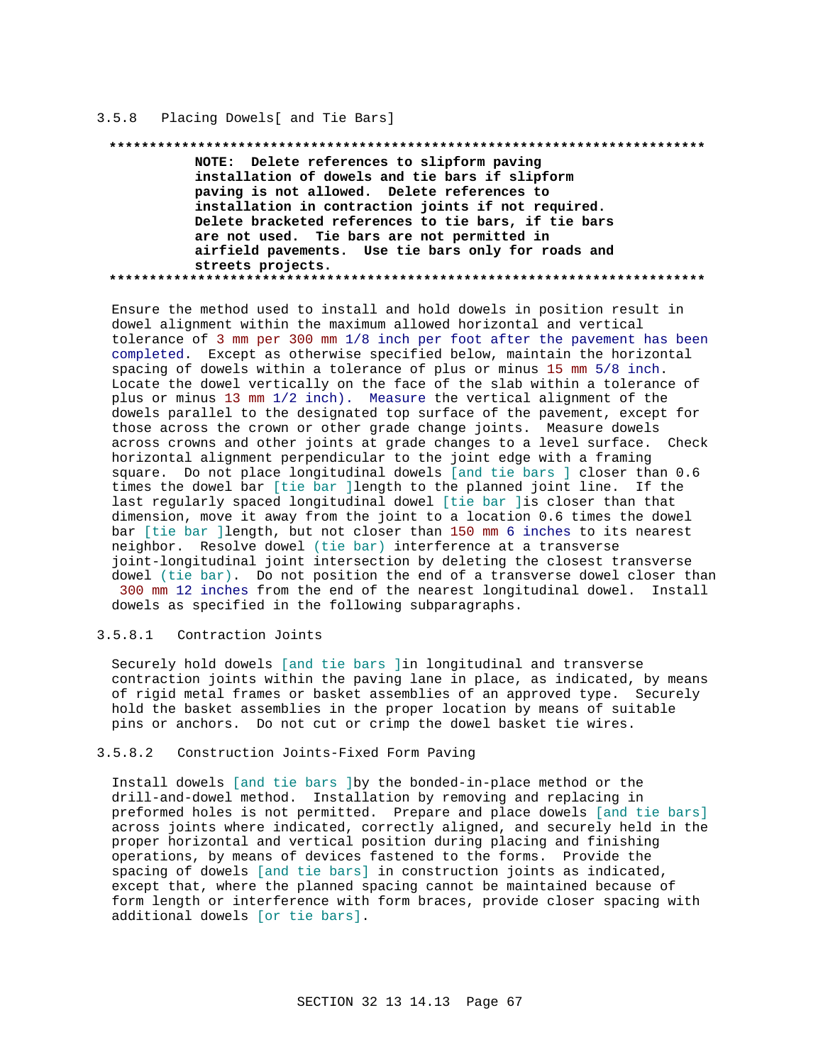## 3.5.8 Placing Dowels[ and Tie Bars]

#### **\*\*\*\*\*\*\*\*\*\*\*\*\*\*\*\*\*\*\*\*\*\*\*\*\*\*\*\*\*\*\*\*\*\*\*\*\*\*\*\*\*\*\*\*\*\*\*\*\*\*\*\*\*\*\*\*\*\*\*\*\*\*\*\*\*\*\*\*\*\*\*\*\*\***

**NOTE: Delete references to slipform paving installation of dowels and tie bars if slipform paving is not allowed. Delete references to installation in contraction joints if not required. Delete bracketed references to tie bars, if tie bars are not used. Tie bars are not permitted in airfield pavements. Use tie bars only for roads and streets projects. \*\*\*\*\*\*\*\*\*\*\*\*\*\*\*\*\*\*\*\*\*\*\*\*\*\*\*\*\*\*\*\*\*\*\*\*\*\*\*\*\*\*\*\*\*\*\*\*\*\*\*\*\*\*\*\*\*\*\*\*\*\*\*\*\*\*\*\*\*\*\*\*\*\***

Ensure the method used to install and hold dowels in position result in dowel alignment within the maximum allowed horizontal and vertical tolerance of 3 mm per 300 mm 1/8 inch per foot after the pavement has been completed. Except as otherwise specified below, maintain the horizontal spacing of dowels within a tolerance of plus or minus 15 mm 5/8 inch. Locate the dowel vertically on the face of the slab within a tolerance of plus or minus 13 mm 1/2 inch). Measure the vertical alignment of the dowels parallel to the designated top surface of the pavement, except for those across the crown or other grade change joints. Measure dowels across crowns and other joints at grade changes to a level surface. Check horizontal alignment perpendicular to the joint edge with a framing square. Do not place longitudinal dowels [and tie bars ] closer than 0.6 times the dowel bar [tie bar ]length to the planned joint line. If the last regularly spaced longitudinal dowel [tie bar ]is closer than that dimension, move it away from the joint to a location 0.6 times the dowel bar [tie bar ]length, but not closer than 150 mm 6 inches to its nearest neighbor. Resolve dowel (tie bar) interference at a transverse joint-longitudinal joint intersection by deleting the closest transverse dowel (tie bar). Do not position the end of a transverse dowel closer than 300 mm 12 inches from the end of the nearest longitudinal dowel. Install dowels as specified in the following subparagraphs.

## 3.5.8.1 Contraction Joints

Securely hold dowels [and tie bars ]in longitudinal and transverse contraction joints within the paving lane in place, as indicated, by means of rigid metal frames or basket assemblies of an approved type. Securely hold the basket assemblies in the proper location by means of suitable pins or anchors. Do not cut or crimp the dowel basket tie wires.

## 3.5.8.2 Construction Joints-Fixed Form Paving

Install dowels [and tie bars ]by the bonded-in-place method or the drill-and-dowel method. Installation by removing and replacing in preformed holes is not permitted. Prepare and place dowels [and tie bars] across joints where indicated, correctly aligned, and securely held in the proper horizontal and vertical position during placing and finishing operations, by means of devices fastened to the forms. Provide the spacing of dowels [and tie bars] in construction joints as indicated, except that, where the planned spacing cannot be maintained because of form length or interference with form braces, provide closer spacing with additional dowels [or tie bars].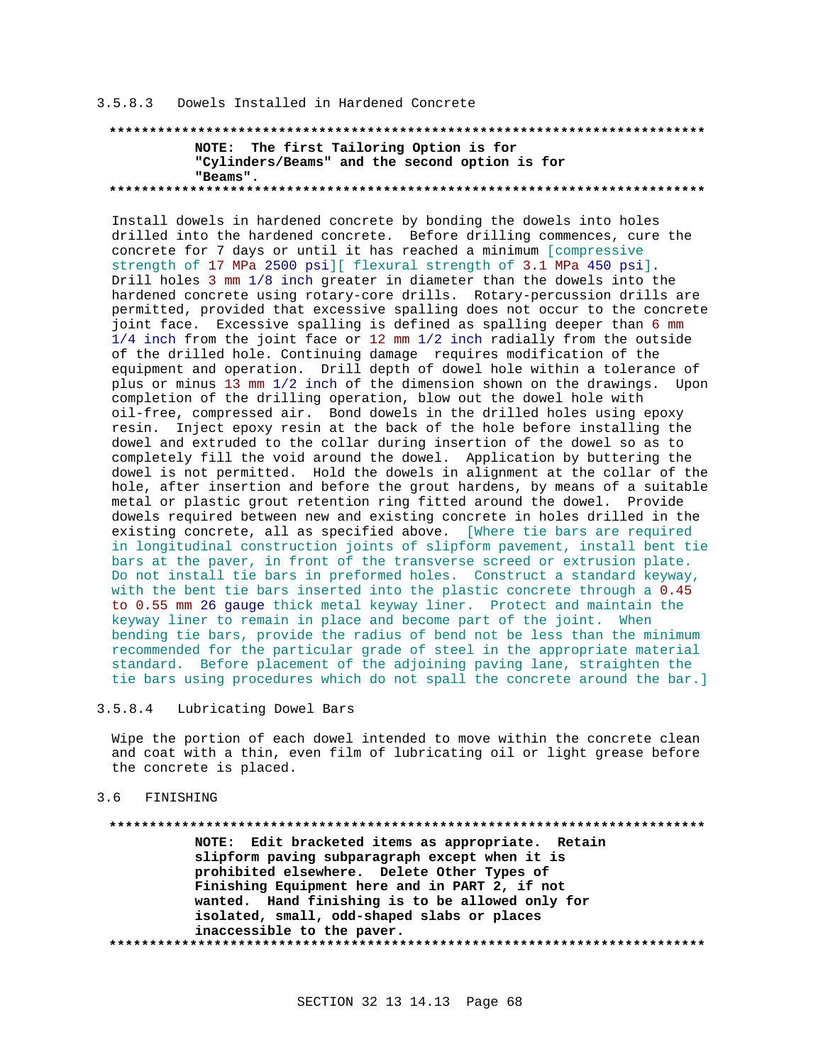#### 3.5.8.3 Dowels Installed in Hardened Concrete

## **\*\*\*\*\*\*\*\*\*\*\*\*\*\*\*\*\*\*\*\*\*\*\*\*\*\*\*\*\*\*\*\*\*\*\*\*\*\*\*\*\*\*\*\*\*\*\*\*\*\*\*\*\*\*\*\*\*\*\*\*\*\*\*\*\*\*\*\*\*\*\*\*\*\* NOTE: The first Tailoring Option is for "Cylinders/Beams" and the second option is for "Beams". \*\*\*\*\*\*\*\*\*\*\*\*\*\*\*\*\*\*\*\*\*\*\*\*\*\*\*\*\*\*\*\*\*\*\*\*\*\*\*\*\*\*\*\*\*\*\*\*\*\*\*\*\*\*\*\*\*\*\*\*\*\*\*\*\*\*\*\*\*\*\*\*\*\***

Install dowels in hardened concrete by bonding the dowels into holes drilled into the hardened concrete. Before drilling commences, cure the concrete for 7 days or until it has reached a minimum [compressive strength of 17 MPa 2500 psi][ flexural strength of 3.1 MPa 450 psi]. Drill holes 3 mm 1/8 inch greater in diameter than the dowels into the hardened concrete using rotary-core drills. Rotary-percussion drills are permitted, provided that excessive spalling does not occur to the concrete joint face. Excessive spalling is defined as spalling deeper than 6 mm 1/4 inch from the joint face or 12 mm 1/2 inch radially from the outside of the drilled hole. Continuing damage requires modification of the equipment and operation. Drill depth of dowel hole within a tolerance of plus or minus 13 mm 1/2 inch of the dimension shown on the drawings. Upon completion of the drilling operation, blow out the dowel hole with oil-free, compressed air. Bond dowels in the drilled holes using epoxy resin. Inject epoxy resin at the back of the hole before installing the dowel and extruded to the collar during insertion of the dowel so as to completely fill the void around the dowel. Application by buttering the dowel is not permitted. Hold the dowels in alignment at the collar of the hole, after insertion and before the grout hardens, by means of a suitable metal or plastic grout retention ring fitted around the dowel. Provide dowels required between new and existing concrete in holes drilled in the existing concrete, all as specified above. [Where tie bars are required in longitudinal construction joints of slipform pavement, install bent tie bars at the paver, in front of the transverse screed or extrusion plate. Do not install tie bars in preformed holes. Construct a standard keyway, with the bent tie bars inserted into the plastic concrete through a 0.45 to 0.55 mm 26 gauge thick metal keyway liner. Protect and maintain the keyway liner to remain in place and become part of the joint. When bending tie bars, provide the radius of bend not be less than the minimum recommended for the particular grade of steel in the appropriate material standard. Before placement of the adjoining paving lane, straighten the tie bars using procedures which do not spall the concrete around the bar.]

### 3.5.8.4 Lubricating Dowel Bars

Wipe the portion of each dowel intended to move within the concrete clean and coat with a thin, even film of lubricating oil or light grease before the concrete is placed.

## 3.6 FINISHING

**\*\*\*\*\*\*\*\*\*\*\*\*\*\*\*\*\*\*\*\*\*\*\*\*\*\*\*\*\*\*\*\*\*\*\*\*\*\*\*\*\*\*\*\*\*\*\*\*\*\*\*\*\*\*\*\*\*\*\*\*\*\*\*\*\*\*\*\*\*\*\*\*\*\* NOTE: Edit bracketed items as appropriate. Retain slipform paving subparagraph except when it is prohibited elsewhere. Delete Other Types of Finishing Equipment here and in PART 2, if not wanted. Hand finishing is to be allowed only for isolated, small, odd-shaped slabs or places inaccessible to the paver. \*\*\*\*\*\*\*\*\*\*\*\*\*\*\*\*\*\*\*\*\*\*\*\*\*\*\*\*\*\*\*\*\*\*\*\*\*\*\*\*\*\*\*\*\*\*\*\*\*\*\*\*\*\*\*\*\*\*\*\*\*\*\*\*\*\*\*\*\*\*\*\*\*\***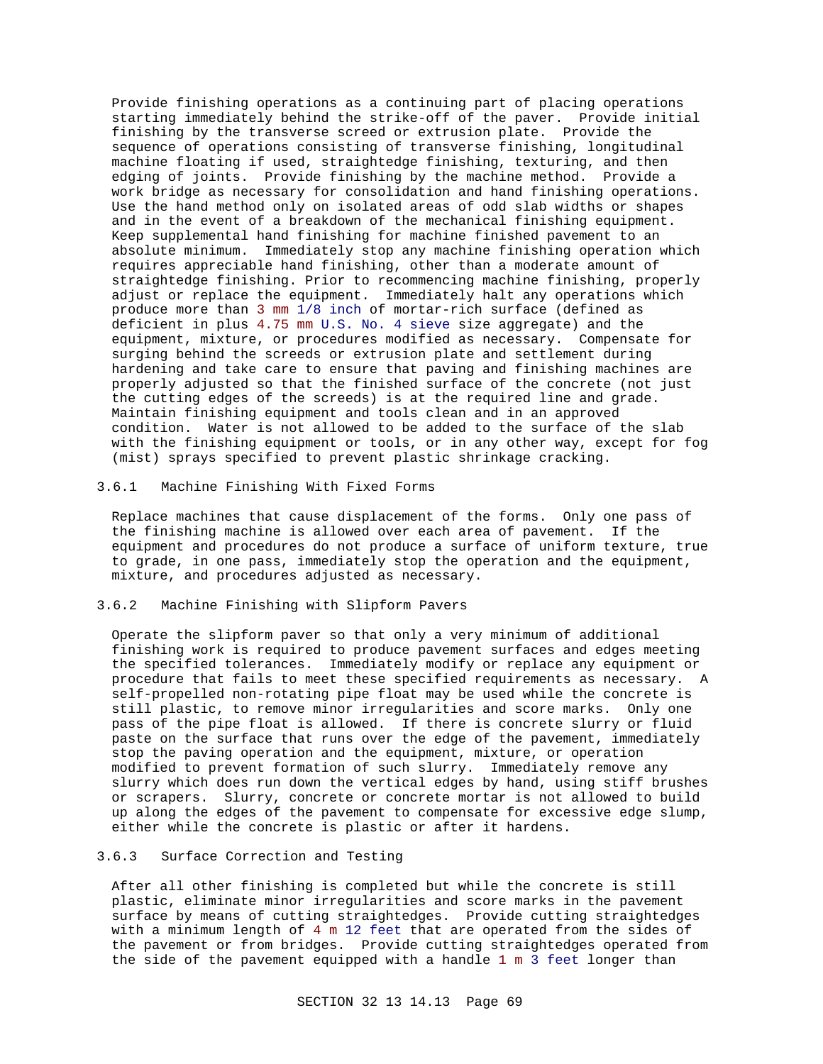Provide finishing operations as a continuing part of placing operations starting immediately behind the strike-off of the paver. Provide initial finishing by the transverse screed or extrusion plate. Provide the sequence of operations consisting of transverse finishing, longitudinal machine floating if used, straightedge finishing, texturing, and then edging of joints. Provide finishing by the machine method. Provide a work bridge as necessary for consolidation and hand finishing operations. Use the hand method only on isolated areas of odd slab widths or shapes and in the event of a breakdown of the mechanical finishing equipment. Keep supplemental hand finishing for machine finished pavement to an absolute minimum. Immediately stop any machine finishing operation which requires appreciable hand finishing, other than a moderate amount of straightedge finishing. Prior to recommencing machine finishing, properly adjust or replace the equipment. Immediately halt any operations which produce more than 3 mm 1/8 inch of mortar-rich surface (defined as deficient in plus 4.75 mm U.S. No. 4 sieve size aggregate) and the equipment, mixture, or procedures modified as necessary. Compensate for surging behind the screeds or extrusion plate and settlement during hardening and take care to ensure that paving and finishing machines are properly adjusted so that the finished surface of the concrete (not just the cutting edges of the screeds) is at the required line and grade. Maintain finishing equipment and tools clean and in an approved condition. Water is not allowed to be added to the surface of the slab with the finishing equipment or tools, or in any other way, except for fog (mist) sprays specified to prevent plastic shrinkage cracking.

### 3.6.1 Machine Finishing With Fixed Forms

Replace machines that cause displacement of the forms. Only one pass of the finishing machine is allowed over each area of pavement. If the equipment and procedures do not produce a surface of uniform texture, true to grade, in one pass, immediately stop the operation and the equipment, mixture, and procedures adjusted as necessary.

#### 3.6.2 Machine Finishing with Slipform Pavers

Operate the slipform paver so that only a very minimum of additional finishing work is required to produce pavement surfaces and edges meeting the specified tolerances. Immediately modify or replace any equipment or procedure that fails to meet these specified requirements as necessary. A self-propelled non-rotating pipe float may be used while the concrete is still plastic, to remove minor irregularities and score marks. Only one pass of the pipe float is allowed. If there is concrete slurry or fluid paste on the surface that runs over the edge of the pavement, immediately stop the paving operation and the equipment, mixture, or operation modified to prevent formation of such slurry. Immediately remove any slurry which does run down the vertical edges by hand, using stiff brushes or scrapers. Slurry, concrete or concrete mortar is not allowed to build up along the edges of the pavement to compensate for excessive edge slump, either while the concrete is plastic or after it hardens.

## 3.6.3 Surface Correction and Testing

After all other finishing is completed but while the concrete is still plastic, eliminate minor irregularities and score marks in the pavement surface by means of cutting straightedges. Provide cutting straightedges with a minimum length of 4 m 12 feet that are operated from the sides of the pavement or from bridges. Provide cutting straightedges operated from the side of the pavement equipped with a handle 1 m 3 feet longer than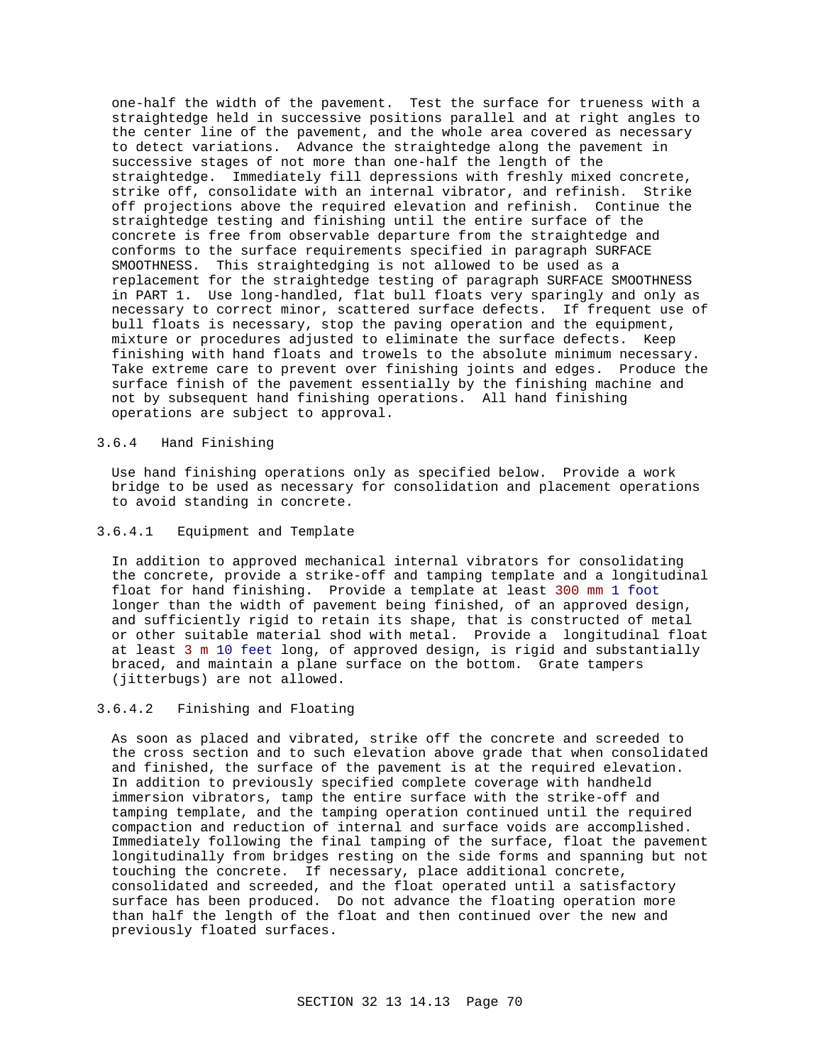one-half the width of the pavement. Test the surface for trueness with a straightedge held in successive positions parallel and at right angles to the center line of the pavement, and the whole area covered as necessary to detect variations. Advance the straightedge along the pavement in successive stages of not more than one-half the length of the straightedge. Immediately fill depressions with freshly mixed concrete, strike off, consolidate with an internal vibrator, and refinish. Strike off projections above the required elevation and refinish. Continue the straightedge testing and finishing until the entire surface of the concrete is free from observable departure from the straightedge and conforms to the surface requirements specified in paragraph SURFACE SMOOTHNESS. This straightedging is not allowed to be used as a replacement for the straightedge testing of paragraph SURFACE SMOOTHNESS in PART 1. Use long-handled, flat bull floats very sparingly and only as necessary to correct minor, scattered surface defects. If frequent use of bull floats is necessary, stop the paving operation and the equipment, mixture or procedures adjusted to eliminate the surface defects. Keep finishing with hand floats and trowels to the absolute minimum necessary. Take extreme care to prevent over finishing joints and edges. Produce the surface finish of the pavement essentially by the finishing machine and not by subsequent hand finishing operations. All hand finishing operations are subject to approval.

# 3.6.4 Hand Finishing

Use hand finishing operations only as specified below. Provide a work bridge to be used as necessary for consolidation and placement operations to avoid standing in concrete.

## 3.6.4.1 Equipment and Template

In addition to approved mechanical internal vibrators for consolidating the concrete, provide a strike-off and tamping template and a longitudinal float for hand finishing. Provide a template at least 300 mm 1 foot longer than the width of pavement being finished, of an approved design, and sufficiently rigid to retain its shape, that is constructed of metal or other suitable material shod with metal. Provide a longitudinal float at least 3 m 10 feet long, of approved design, is rigid and substantially braced, and maintain a plane surface on the bottom. Grate tampers (jitterbugs) are not allowed.

# 3.6.4.2 Finishing and Floating

As soon as placed and vibrated, strike off the concrete and screeded to the cross section and to such elevation above grade that when consolidated and finished, the surface of the pavement is at the required elevation. In addition to previously specified complete coverage with handheld immersion vibrators, tamp the entire surface with the strike-off and tamping template, and the tamping operation continued until the required compaction and reduction of internal and surface voids are accomplished. Immediately following the final tamping of the surface, float the pavement longitudinally from bridges resting on the side forms and spanning but not touching the concrete. If necessary, place additional concrete, consolidated and screeded, and the float operated until a satisfactory surface has been produced. Do not advance the floating operation more than half the length of the float and then continued over the new and previously floated surfaces.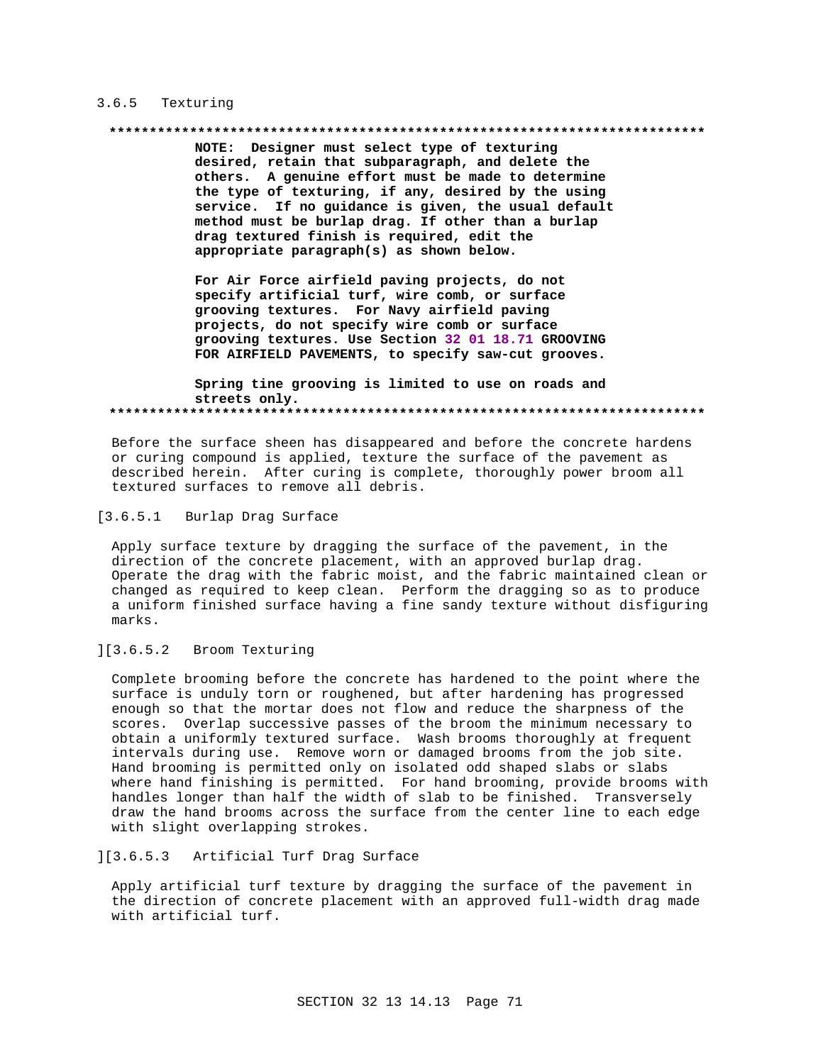#### 3.6.5 Texturing

#### \*\*\*\*\*\*\*\*\*\*\*\*\*\*\*

NOTE: Designer must select type of texturing desired, retain that subparagraph, and delete the others. A genuine effort must be made to determine the type of texturing, if any, desired by the using service. If no guidance is given, the usual default method must be burlap drag. If other than a burlap drag textured finish is required, edit the appropriate paragraph(s) as shown below.

For Air Force airfield paving projects, do not specify artificial turf, wire comb, or surface grooving textures. For Navy airfield paving projects, do not specify wire comb or surface grooving textures. Use Section 32 01 18.71 GROOVING FOR AIRFIELD PAVEMENTS, to specify saw-cut grooves.

Spring tine grooving is limited to use on roads and streets only. 

Before the surface sheen has disappeared and before the concrete hardens or curing compound is applied, texture the surface of the pavement as described herein. After curing is complete, thoroughly power broom all textured surfaces to remove all debris.

#### $[3.6.5.1]$ Burlap Drag Surface

Apply surface texture by dragging the surface of the pavement, in the direction of the concrete placement, with an approved burlap drag. Operate the drag with the fabric moist, and the fabric maintained clean or changed as required to keep clean. Perform the dragging so as to produce a uniform finished surface having a fine sandy texture without disfiguring marks.

#### $]$ [3.6.5.2] Broom Texturing

Complete brooming before the concrete has hardened to the point where the surface is unduly torn or roughened, but after hardening has progressed enough so that the mortar does not flow and reduce the sharpness of the scores. Overlap successive passes of the broom the minimum necessary to obtain a uniformly textured surface. Wash brooms thoroughly at frequent intervals during use. Remove worn or damaged brooms from the job site. Hand brooming is permitted only on isolated odd shaped slabs or slabs where hand finishing is permitted. For hand brooming, provide brooms with handles longer than half the width of slab to be finished. Transversely draw the hand brooms across the surface from the center line to each edge with slight overlapping strokes.

## ][3.6.5.3 Artificial Turf Drag Surface

Apply artificial turf texture by dragging the surface of the pavement in the direction of concrete placement with an approved full-width drag made with artificial turf.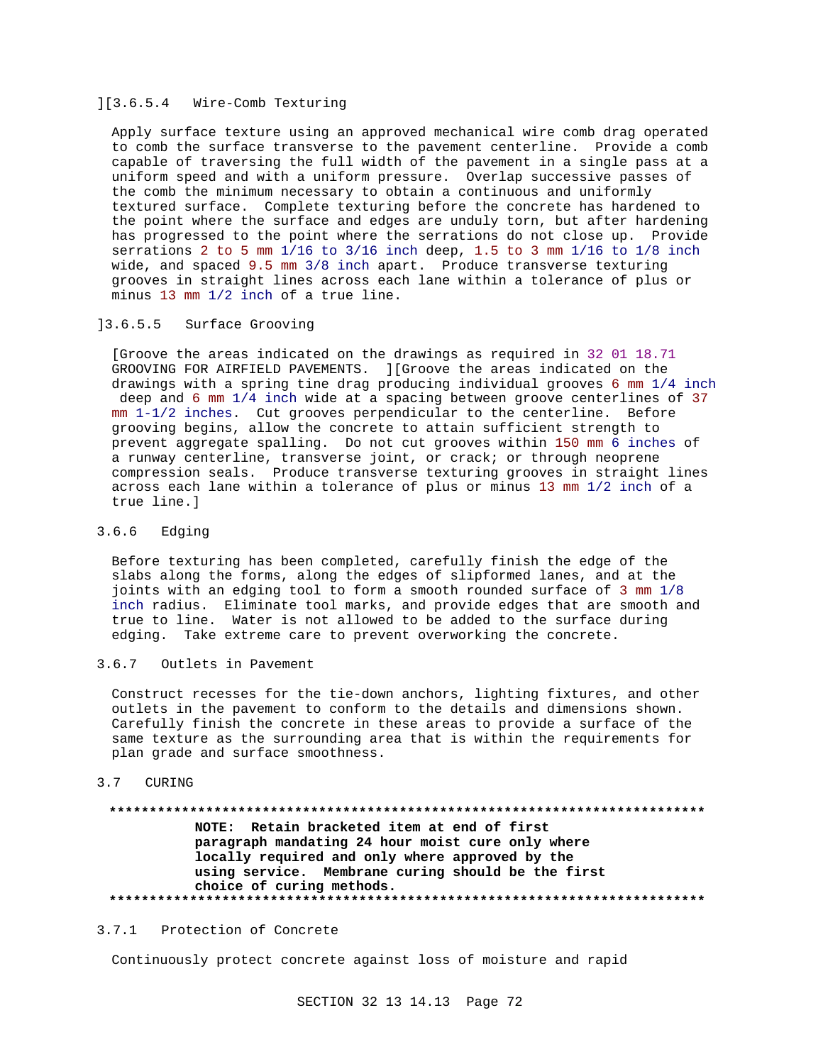#### ][3.6.5.4 Wire-Comb Texturing

Apply surface texture using an approved mechanical wire comb drag operated to comb the surface transverse to the pavement centerline. Provide a comb capable of traversing the full width of the pavement in a single pass at a uniform speed and with a uniform pressure. Overlap successive passes of the comb the minimum necessary to obtain a continuous and uniformly textured surface. Complete texturing before the concrete has hardened to the point where the surface and edges are unduly torn, but after hardening has progressed to the point where the serrations do not close up. Provide serrations 2 to 5 mm 1/16 to 3/16 inch deep, 1.5 to 3 mm 1/16 to 1/8 inch wide, and spaced 9.5 mm 3/8 inch apart. Produce transverse texturing grooves in straight lines across each lane within a tolerance of plus or minus 13 mm 1/2 inch of a true line.

# ]3.6.5.5 Surface Grooving

[Groove the areas indicated on the drawings as required in 32 01 18.71 GROOVING FOR AIRFIELD PAVEMENTS. ][Groove the areas indicated on the drawings with a spring tine drag producing individual grooves 6 mm 1/4 inch deep and 6 mm 1/4 inch wide at a spacing between groove centerlines of 37 mm 1-1/2 inches. Cut grooves perpendicular to the centerline. Before grooving begins, allow the concrete to attain sufficient strength to prevent aggregate spalling. Do not cut grooves within 150 mm 6 inches of a runway centerline, transverse joint, or crack; or through neoprene compression seals. Produce transverse texturing grooves in straight lines across each lane within a tolerance of plus or minus 13 mm 1/2 inch of a true line.]

## 3.6.6 Edging

Before texturing has been completed, carefully finish the edge of the slabs along the forms, along the edges of slipformed lanes, and at the joints with an edging tool to form a smooth rounded surface of 3 mm 1/8 inch radius. Eliminate tool marks, and provide edges that are smooth and true to line. Water is not allowed to be added to the surface during edging. Take extreme care to prevent overworking the concrete.

# 3.6.7 Outlets in Pavement

Construct recesses for the tie-down anchors, lighting fixtures, and other outlets in the pavement to conform to the details and dimensions shown. Carefully finish the concrete in these areas to provide a surface of the same texture as the surrounding area that is within the requirements for plan grade and surface smoothness.

#### 3.7 CURING

# **\*\*\*\*\*\*\*\*\*\*\*\*\*\*\*\*\*\*\*\*\*\*\*\*\*\*\*\*\*\*\*\*\*\*\*\*\*\*\*\*\*\*\*\*\*\*\*\*\*\*\*\*\*\*\*\*\*\*\*\*\*\*\*\*\*\*\*\*\*\*\*\*\*\* NOTE: Retain bracketed item at end of first paragraph mandating 24 hour moist cure only where locally required and only where approved by the using service. Membrane curing should be the first choice of curing methods. \*\*\*\*\*\*\*\*\*\*\*\*\*\*\*\*\*\*\*\*\*\*\*\*\*\*\*\*\*\*\*\*\*\*\*\*\*\*\*\*\*\*\*\*\*\*\*\*\*\*\*\*\*\*\*\*\*\*\*\*\*\*\*\*\*\*\*\*\*\*\*\*\*\***

## 3.7.1 Protection of Concrete

Continuously protect concrete against loss of moisture and rapid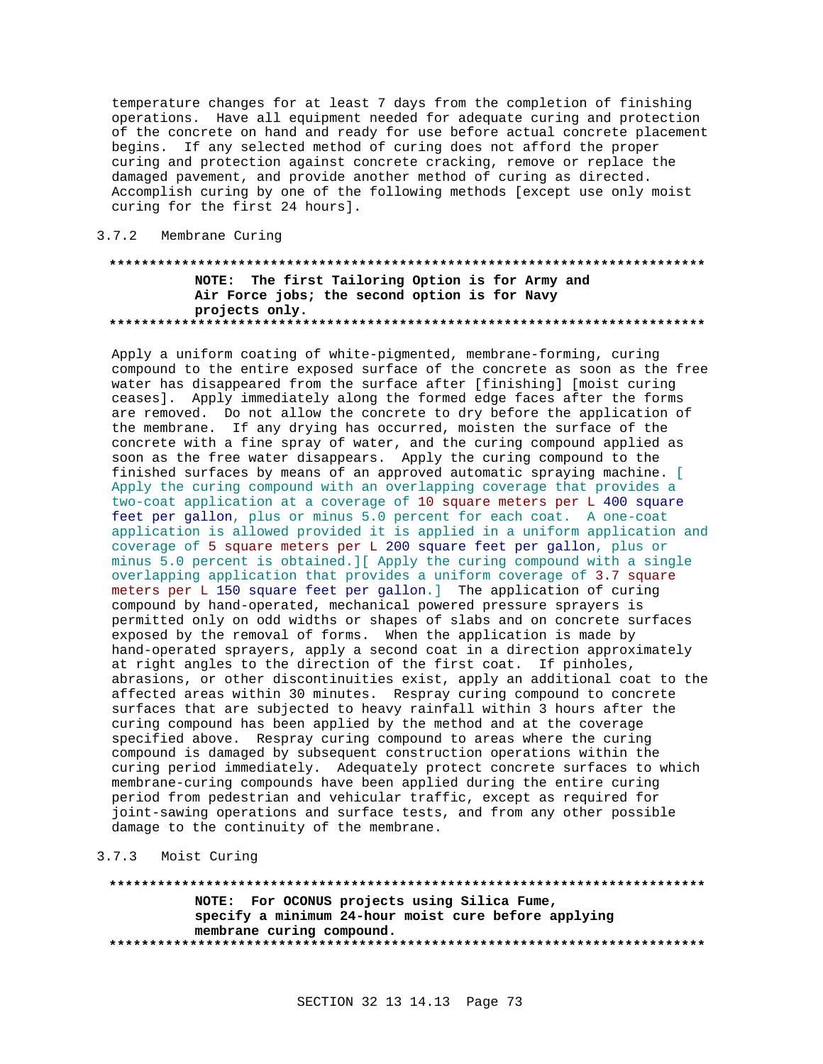temperature changes for at least 7 days from the completion of finishing operations. Have all equipment needed for adequate curing and protection of the concrete on hand and ready for use before actual concrete placement begins. If any selected method of curing does not afford the proper curing and protection against concrete cracking, remove or replace the damaged pavement, and provide another method of curing as directed. Accomplish curing by one of the following methods [except use only moist curing for the first 24 hours].

### 3.7.2 Membrane Curing

## NOTE: The first Tailoring Option is for Army and Air Force jobs; the second option is for Navy projects only.

Apply a uniform coating of white-pigmented, membrane-forming, curing compound to the entire exposed surface of the concrete as soon as the free water has disappeared from the surface after [finishing] [moist curing ceases]. Apply immediately along the formed edge faces after the forms are removed. Do not allow the concrete to dry before the application of the membrane. If any drying has occurred, moisten the surface of the concrete with a fine spray of water, and the curing compound applied as soon as the free water disappears. Apply the curing compound to the finished surfaces by means of an approved automatic spraying machine. [ Apply the curing compound with an overlapping coverage that provides a two-coat application at a coverage of 10 square meters per L 400 square feet per gallon, plus or minus 5.0 percent for each coat. A one-coat application is allowed provided it is applied in a uniform application and coverage of 5 square meters per L 200 square feet per gallon, plus or minus 5.0 percent is obtained. I Apply the curing compound with a single overlapping application that provides a uniform coverage of 3.7 square meters per L 150 square feet per gallon.] The application of curing compound by hand-operated, mechanical powered pressure sprayers is permitted only on odd widths or shapes of slabs and on concrete surfaces exposed by the removal of forms. When the application is made by hand-operated sprayers, apply a second coat in a direction approximately at right angles to the direction of the first coat. If pinholes, abrasions, or other discontinuities exist, apply an additional coat to the affected areas within 30 minutes. Respray curing compound to concrete surfaces that are subjected to heavy rainfall within 3 hours after the curing compound has been applied by the method and at the coverage specified above. Respray curing compound to areas where the curing compound is damaged by subsequent construction operations within the curing period immediately. Adequately protect concrete surfaces to which membrane-curing compounds have been applied during the entire curing period from pedestrian and vehicular traffic, except as required for joint-sawing operations and surface tests, and from any other possible damage to the continuity of the membrane.

## 3.7.3 Moist Curing

NOTE: For OCONUS projects using Silica Fume, specify a minimum 24-hour moist cure before applying membrane curing compound.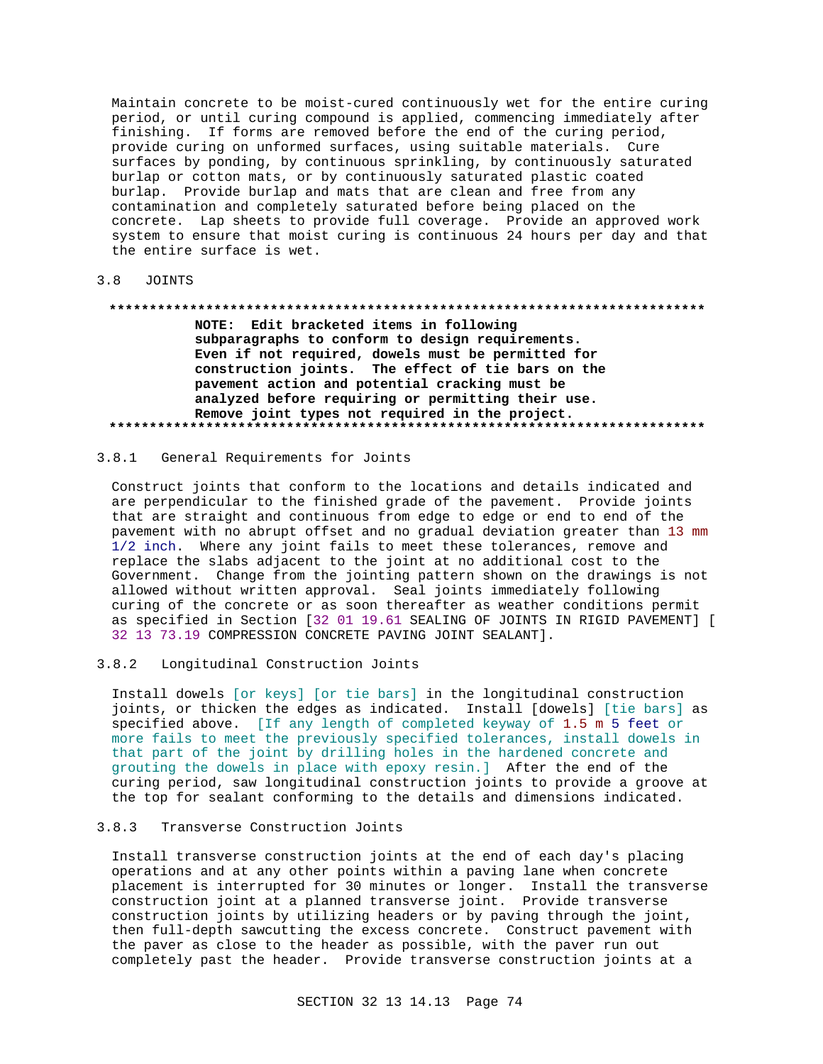Maintain concrete to be moist-cured continuously wet for the entire curing period, or until curing compound is applied, commencing immediately after finishing. If forms are removed before the end of the curing period, provide curing on unformed surfaces, using suitable materials. Cure surfaces by ponding, by continuous sprinkling, by continuously saturated burlap or cotton mats, or by continuously saturated plastic coated burlap. Provide burlap and mats that are clean and free from any contamination and completely saturated before being placed on the concrete. Lap sheets to provide full coverage. Provide an approved work system to ensure that moist curing is continuous 24 hours per day and that the entire surface is wet.

#### 3.8 JOINTS

#### **\*\*\*\*\*\*\*\*\*\*\*\*\*\*\*\*\*\*\*\*\*\*\*\*\*\*\*\*\*\*\*\*\*\*\*\*\*\*\*\*\*\*\*\*\*\*\*\*\*\*\*\*\*\*\*\*\*\*\*\*\*\*\*\*\*\*\*\*\*\*\*\*\*\***

**NOTE: Edit bracketed items in following subparagraphs to conform to design requirements. Even if not required, dowels must be permitted for construction joints. The effect of tie bars on the pavement action and potential cracking must be analyzed before requiring or permitting their use. Remove joint types not required in the project. \*\*\*\*\*\*\*\*\*\*\*\*\*\*\*\*\*\*\*\*\*\*\*\*\*\*\*\*\*\*\*\*\*\*\*\*\*\*\*\*\*\*\*\*\*\*\*\*\*\*\*\*\*\*\*\*\*\*\*\*\*\*\*\*\*\*\*\*\*\*\*\*\*\***

#### 3.8.1 General Requirements for Joints

Construct joints that conform to the locations and details indicated and are perpendicular to the finished grade of the pavement. Provide joints that are straight and continuous from edge to edge or end to end of the pavement with no abrupt offset and no gradual deviation greater than 13 mm 1/2 inch. Where any joint fails to meet these tolerances, remove and replace the slabs adjacent to the joint at no additional cost to the Government. Change from the jointing pattern shown on the drawings is not allowed without written approval. Seal joints immediately following curing of the concrete or as soon thereafter as weather conditions permit as specified in Section [32 01 19.61 SEALING OF JOINTS IN RIGID PAVEMENT] [ 32 13 73.19 COMPRESSION CONCRETE PAVING JOINT SEALANT].

# 3.8.2 Longitudinal Construction Joints

Install dowels [or keys] [or tie bars] in the longitudinal construction joints, or thicken the edges as indicated. Install [dowels] [tie bars] as specified above. [If any length of completed keyway of 1.5 m 5 feet or more fails to meet the previously specified tolerances, install dowels in that part of the joint by drilling holes in the hardened concrete and grouting the dowels in place with epoxy resin.] After the end of the curing period, saw longitudinal construction joints to provide a groove at the top for sealant conforming to the details and dimensions indicated.

#### 3.8.3 Transverse Construction Joints

Install transverse construction joints at the end of each day's placing operations and at any other points within a paving lane when concrete placement is interrupted for 30 minutes or longer. Install the transverse construction joint at a planned transverse joint. Provide transverse construction joints by utilizing headers or by paving through the joint, then full-depth sawcutting the excess concrete. Construct pavement with the paver as close to the header as possible, with the paver run out completely past the header. Provide transverse construction joints at a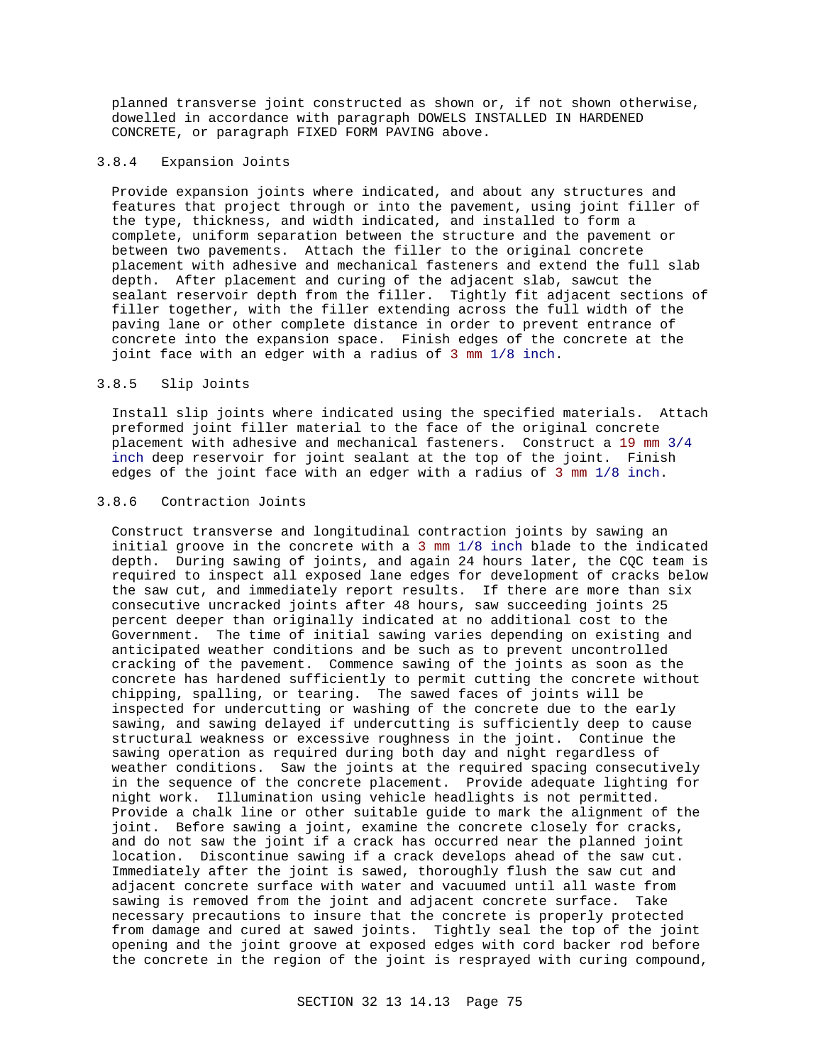planned transverse joint constructed as shown or, if not shown otherwise, dowelled in accordance with paragraph DOWELS INSTALLED IN HARDENED CONCRETE, or paragraph FIXED FORM PAVING above.

### 3.8.4 Expansion Joints

Provide expansion joints where indicated, and about any structures and features that project through or into the pavement, using joint filler of the type, thickness, and width indicated, and installed to form a complete, uniform separation between the structure and the pavement or between two pavements. Attach the filler to the original concrete placement with adhesive and mechanical fasteners and extend the full slab depth. After placement and curing of the adjacent slab, sawcut the sealant reservoir depth from the filler. Tightly fit adjacent sections of filler together, with the filler extending across the full width of the paving lane or other complete distance in order to prevent entrance of concrete into the expansion space. Finish edges of the concrete at the joint face with an edger with a radius of 3 mm 1/8 inch.

## 3.8.5 Slip Joints

Install slip joints where indicated using the specified materials. Attach preformed joint filler material to the face of the original concrete placement with adhesive and mechanical fasteners. Construct a 19 mm 3/4 inch deep reservoir for joint sealant at the top of the joint. Finish edges of the joint face with an edger with a radius of 3 mm 1/8 inch.

#### 3.8.6 Contraction Joints

Construct transverse and longitudinal contraction joints by sawing an initial groove in the concrete with a 3 mm 1/8 inch blade to the indicated depth. During sawing of joints, and again 24 hours later, the CQC team is required to inspect all exposed lane edges for development of cracks below the saw cut, and immediately report results. If there are more than six consecutive uncracked joints after 48 hours, saw succeeding joints 25 percent deeper than originally indicated at no additional cost to the Government. The time of initial sawing varies depending on existing and anticipated weather conditions and be such as to prevent uncontrolled cracking of the pavement. Commence sawing of the joints as soon as the concrete has hardened sufficiently to permit cutting the concrete without chipping, spalling, or tearing. The sawed faces of joints will be inspected for undercutting or washing of the concrete due to the early sawing, and sawing delayed if undercutting is sufficiently deep to cause structural weakness or excessive roughness in the joint. Continue the sawing operation as required during both day and night regardless of weather conditions. Saw the joints at the required spacing consecutively in the sequence of the concrete placement. Provide adequate lighting for night work. Illumination using vehicle headlights is not permitted. Provide a chalk line or other suitable guide to mark the alignment of the joint. Before sawing a joint, examine the concrete closely for cracks, and do not saw the joint if a crack has occurred near the planned joint location. Discontinue sawing if a crack develops ahead of the saw cut. Immediately after the joint is sawed, thoroughly flush the saw cut and adjacent concrete surface with water and vacuumed until all waste from sawing is removed from the joint and adjacent concrete surface. Take necessary precautions to insure that the concrete is properly protected from damage and cured at sawed joints. Tightly seal the top of the joint opening and the joint groove at exposed edges with cord backer rod before the concrete in the region of the joint is resprayed with curing compound,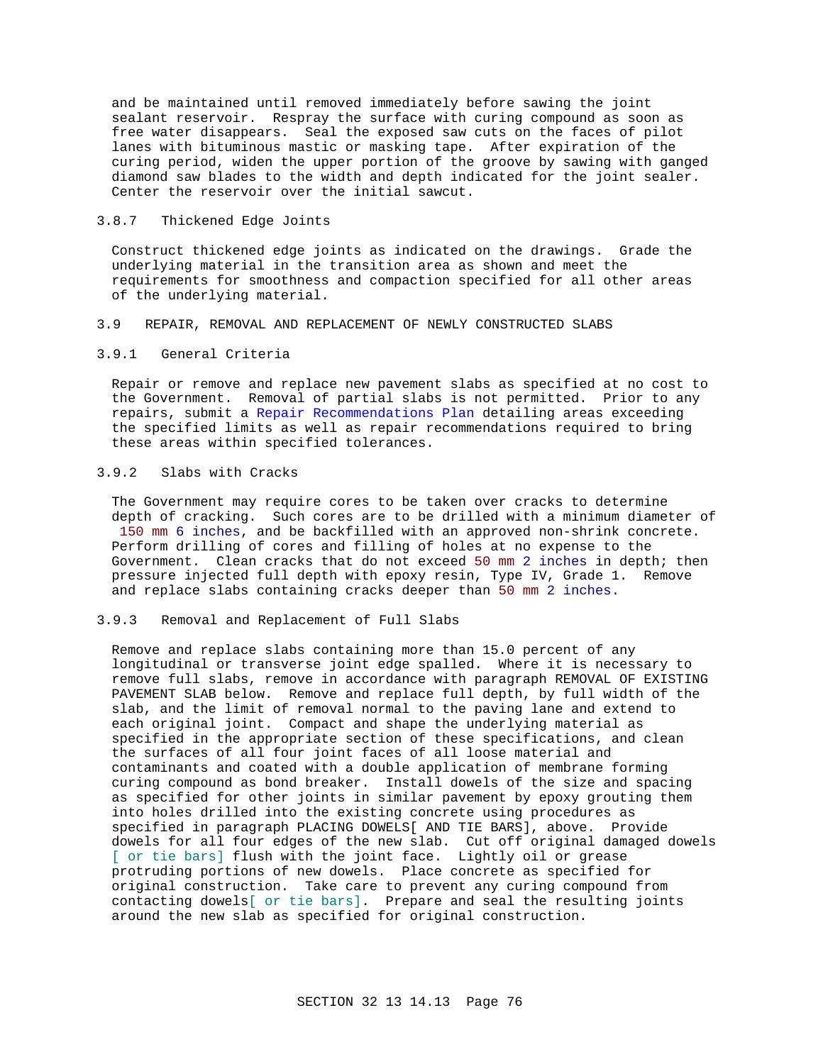and be maintained until removed immediately before sawing the joint sealant reservoir. Respray the surface with curing compound as soon as free water disappears. Seal the exposed saw cuts on the faces of pilot lanes with bituminous mastic or masking tape. After expiration of the curing period, widen the upper portion of the groove by sawing with ganged diamond saw blades to the width and depth indicated for the joint sealer. Center the reservoir over the initial sawcut.

# 3.8.7 Thickened Edge Joints

Construct thickened edge joints as indicated on the drawings. Grade the underlying material in the transition area as shown and meet the requirements for smoothness and compaction specified for all other areas of the underlying material.

## 3.9 REPAIR, REMOVAL AND REPLACEMENT OF NEWLY CONSTRUCTED SLABS

#### 3.9.1 General Criteria

Repair or remove and replace new pavement slabs as specified at no cost to the Government. Removal of partial slabs is not permitted. Prior to any repairs, submit a Repair Recommendations Plan detailing areas exceeding the specified limits as well as repair recommendations required to bring these areas within specified tolerances.

#### 3.9.2 Slabs with Cracks

The Government may require cores to be taken over cracks to determine depth of cracking. Such cores are to be drilled with a minimum diameter of 150 mm 6 inches, and be backfilled with an approved non-shrink concrete. Perform drilling of cores and filling of holes at no expense to the Government. Clean cracks that do not exceed 50 mm 2 inches in depth; then pressure injected full depth with epoxy resin, Type IV, Grade 1. Remove and replace slabs containing cracks deeper than 50 mm 2 inches.

#### 3.9.3 Removal and Replacement of Full Slabs

Remove and replace slabs containing more than 15.0 percent of any longitudinal or transverse joint edge spalled. Where it is necessary to remove full slabs, remove in accordance with paragraph REMOVAL OF EXISTING PAVEMENT SLAB below. Remove and replace full depth, by full width of the slab, and the limit of removal normal to the paving lane and extend to each original joint. Compact and shape the underlying material as specified in the appropriate section of these specifications, and clean the surfaces of all four joint faces of all loose material and contaminants and coated with a double application of membrane forming curing compound as bond breaker. Install dowels of the size and spacing as specified for other joints in similar pavement by epoxy grouting them into holes drilled into the existing concrete using procedures as specified in paragraph PLACING DOWELS[ AND TIE BARS], above. Provide dowels for all four edges of the new slab. Cut off original damaged dowels [ or tie bars] flush with the joint face. Lightly oil or grease protruding portions of new dowels. Place concrete as specified for original construction. Take care to prevent any curing compound from contacting dowels[ or tie bars]. Prepare and seal the resulting joints around the new slab as specified for original construction.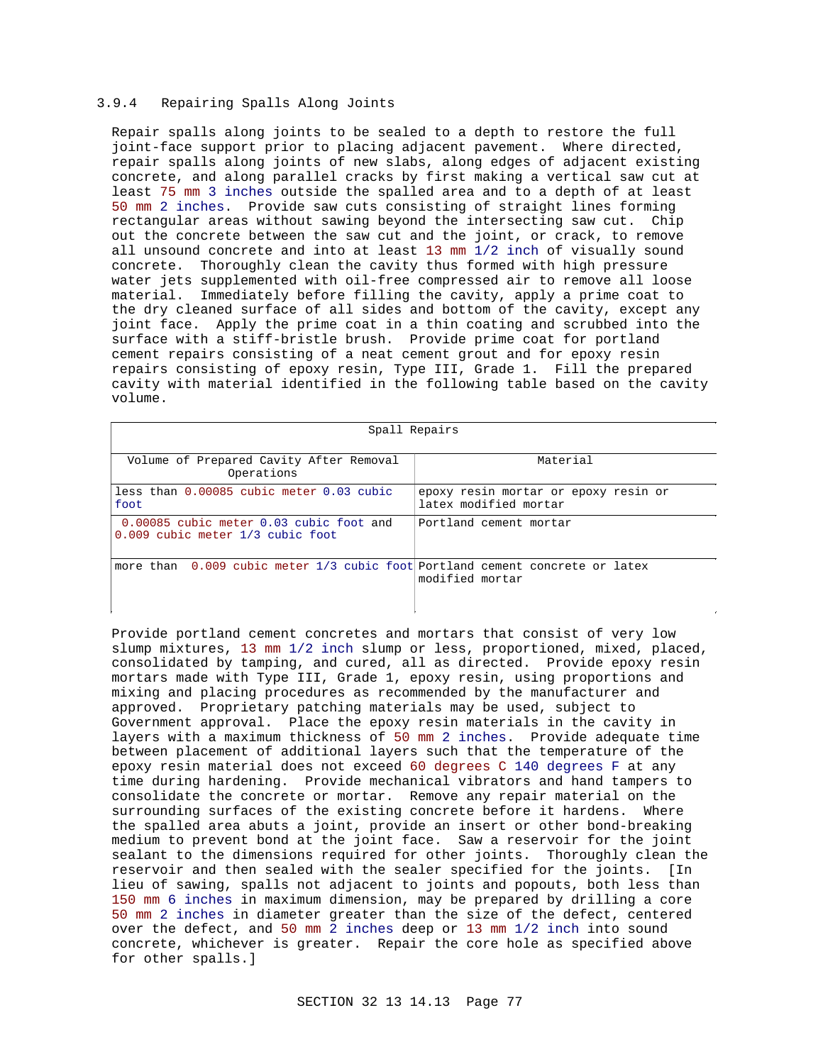### 3.9.4 Repairing Spalls Along Joints

Repair spalls along joints to be sealed to a depth to restore the full joint-face support prior to placing adjacent pavement. Where directed, repair spalls along joints of new slabs, along edges of adjacent existing concrete, and along parallel cracks by first making a vertical saw cut at least 75 mm 3 inches outside the spalled area and to a depth of at least 50 mm 2 inches. Provide saw cuts consisting of straight lines forming rectangular areas without sawing beyond the intersecting saw cut. Chip out the concrete between the saw cut and the joint, or crack, to remove all unsound concrete and into at least 13 mm 1/2 inch of visually sound concrete. Thoroughly clean the cavity thus formed with high pressure water jets supplemented with oil-free compressed air to remove all loose material. Immediately before filling the cavity, apply a prime coat to the dry cleaned surface of all sides and bottom of the cavity, except any joint face. Apply the prime coat in a thin coating and scrubbed into the surface with a stiff-bristle brush. Provide prime coat for portland cement repairs consisting of a neat cement grout and for epoxy resin repairs consisting of epoxy resin, Type III, Grade 1. Fill the prepared cavity with material identified in the following table based on the cavity volume.

| Spall Repairs                                                                                          |                                                               |  |  |
|--------------------------------------------------------------------------------------------------------|---------------------------------------------------------------|--|--|
| Volume of Prepared Cavity After Removal<br>Operations                                                  | Material                                                      |  |  |
| less than 0.00085 cubic meter 0.03 cubic<br>foot                                                       | epoxy resin mortar or epoxy resin or<br>latex modified mortar |  |  |
| 0.00085 cubic meter 0.03 cubic foot and<br>0.009 cubic meter 1/3 cubic foot                            | Portland cement mortar                                        |  |  |
| <code>more than 0.009</code> cubic meter 1/3 cubic foot <code>Portland</code> cement concrete or latex | modified mortar                                               |  |  |

Provide portland cement concretes and mortars that consist of very low slump mixtures, 13 mm 1/2 inch slump or less, proportioned, mixed, placed, consolidated by tamping, and cured, all as directed. Provide epoxy resin mortars made with Type III, Grade 1, epoxy resin, using proportions and mixing and placing procedures as recommended by the manufacturer and approved. Proprietary patching materials may be used, subject to Government approval. Place the epoxy resin materials in the cavity in layers with a maximum thickness of 50 mm 2 inches. Provide adequate time between placement of additional layers such that the temperature of the epoxy resin material does not exceed 60 degrees C 140 degrees F at any time during hardening. Provide mechanical vibrators and hand tampers to consolidate the concrete or mortar. Remove any repair material on the surrounding surfaces of the existing concrete before it hardens. Where the spalled area abuts a joint, provide an insert or other bond-breaking medium to prevent bond at the joint face. Saw a reservoir for the joint sealant to the dimensions required for other joints. Thoroughly clean the reservoir and then sealed with the sealer specified for the joints. [In lieu of sawing, spalls not adjacent to joints and popouts, both less than 150 mm 6 inches in maximum dimension, may be prepared by drilling a core 50 mm 2 inches in diameter greater than the size of the defect, centered over the defect, and 50 mm 2 inches deep or 13 mm 1/2 inch into sound concrete, whichever is greater. Repair the core hole as specified above for other spalls.]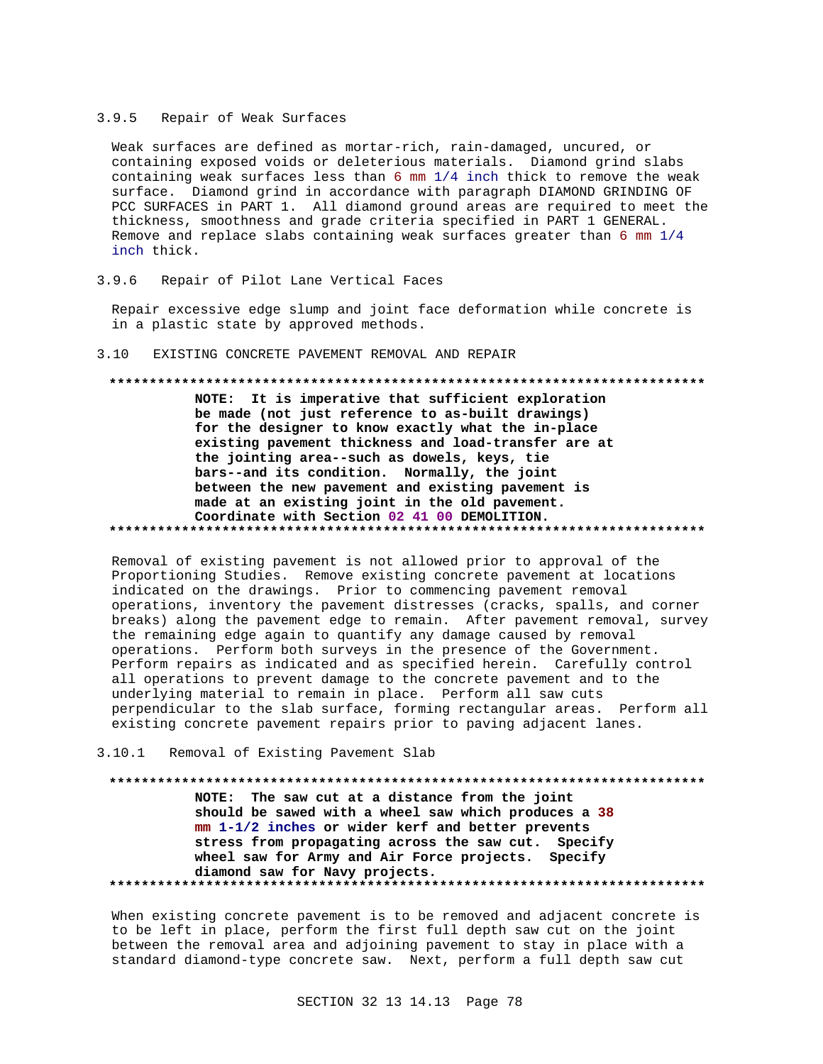#### $3.9.5$ Repair of Weak Surfaces

Weak surfaces are defined as mortar-rich, rain-damaged, uncured, or containing exposed voids or deleterious materials. Diamond grind slabs containing weak surfaces less than 6 mm 1/4 inch thick to remove the weak surface. Diamond grind in accordance with paragraph DIAMOND GRINDING OF PCC SURFACES in PART 1. All diamond ground areas are required to meet the thickness, smoothness and grade criteria specified in PART 1 GENERAL. Remove and replace slabs containing weak surfaces greater than 6 mm 1/4 inch thick.

#### $3.9.6$ Repair of Pilot Lane Vertical Faces

Repair excessive edge slump and joint face deformation while concrete is in a plastic state by approved methods.

#### $3.10$ EXISTING CONCRETE PAVEMENT REMOVAL AND REPAIR

#### 

NOTE: It is imperative that sufficient exploration be made (not just reference to as-built drawings) for the designer to know exactly what the in-place existing pavement thickness and load-transfer are at the jointing area--such as dowels, keys, tie bars--and its condition. Normally, the joint between the new pavement and existing pavement is made at an existing joint in the old pavement. Coordinate with Section 02 41 00 DEMOLITION. 

Removal of existing pavement is not allowed prior to approval of the Proportioning Studies. Remove existing concrete pavement at locations indicated on the drawings. Prior to commencing pavement removal operations, inventory the pavement distresses (cracks, spalls, and corner breaks) along the pavement edge to remain. After pavement removal, survey the remaining edge again to quantify any damage caused by removal operations. Perform both surveys in the presence of the Government. Perform repairs as indicated and as specified herein. Carefully control all operations to prevent damage to the concrete pavement and to the underlying material to remain in place. Perform all saw cuts perpendicular to the slab surface, forming rectangular areas. Perform all existing concrete pavement repairs prior to paving adjacent lanes.

 $3.10.1$ Removal of Existing Pavement Slab

NOTE: The saw cut at a distance from the joint should be sawed with a wheel saw which produces a 38 mm 1-1/2 inches or wider kerf and better prevents stress from propagating across the saw cut. Specify wheel saw for Army and Air Force projects. Specify diamond saw for Navy projects. 

When existing concrete pavement is to be removed and adjacent concrete is to be left in place, perform the first full depth saw cut on the joint between the removal area and adjoining pavement to stay in place with a standard diamond-type concrete saw. Next, perform a full depth saw cut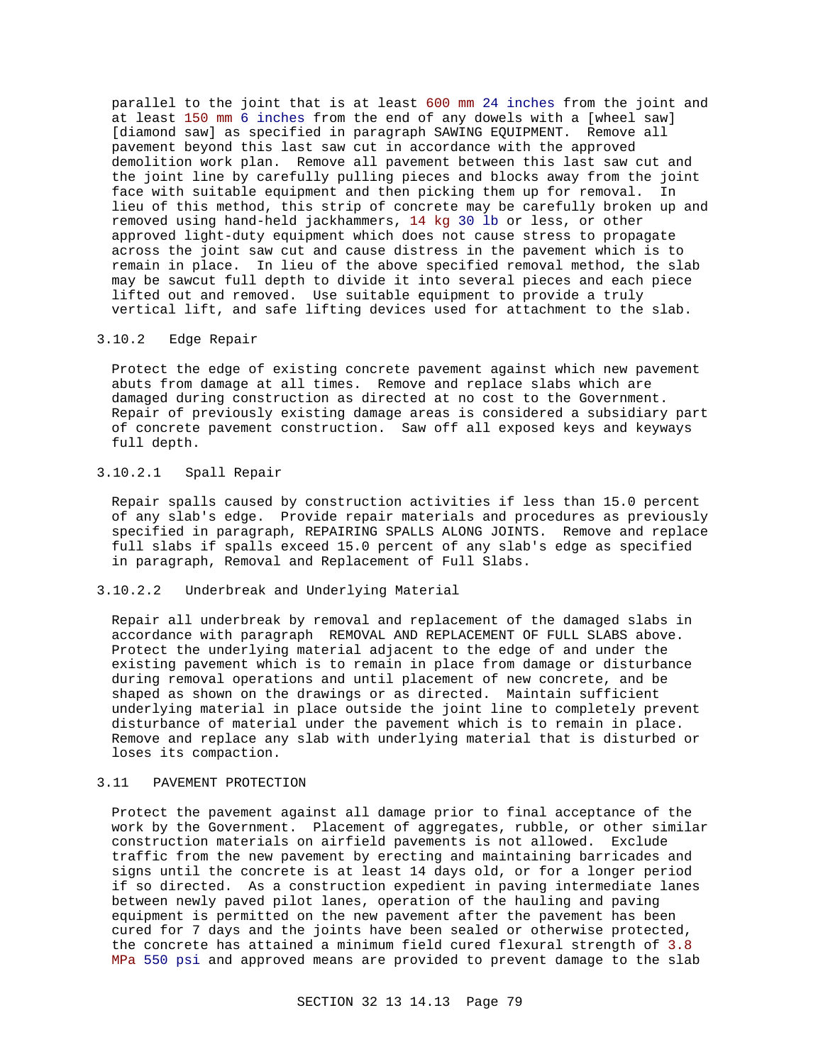parallel to the joint that is at least 600 mm 24 inches from the joint and at least 150 mm 6 inches from the end of any dowels with a [wheel saw] [diamond saw] as specified in paragraph SAWING EQUIPMENT. Remove all pavement beyond this last saw cut in accordance with the approved demolition work plan. Remove all pavement between this last saw cut and the joint line by carefully pulling pieces and blocks away from the joint face with suitable equipment and then picking them up for removal. In lieu of this method, this strip of concrete may be carefully broken up and removed using hand-held jackhammers, 14 kg 30 lb or less, or other approved light-duty equipment which does not cause stress to propagate across the joint saw cut and cause distress in the pavement which is to remain in place. In lieu of the above specified removal method, the slab may be sawcut full depth to divide it into several pieces and each piece lifted out and removed. Use suitable equipment to provide a truly vertical lift, and safe lifting devices used for attachment to the slab.

#### 3.10.2 Edge Repair

Protect the edge of existing concrete pavement against which new pavement abuts from damage at all times. Remove and replace slabs which are damaged during construction as directed at no cost to the Government. Repair of previously existing damage areas is considered a subsidiary part of concrete pavement construction. Saw off all exposed keys and keyways full depth.

### 3.10.2.1 Spall Repair

Repair spalls caused by construction activities if less than 15.0 percent of any slab's edge. Provide repair materials and procedures as previously specified in paragraph, REPAIRING SPALLS ALONG JOINTS. Remove and replace full slabs if spalls exceed 15.0 percent of any slab's edge as specified in paragraph, Removal and Replacement of Full Slabs.

# 3.10.2.2 Underbreak and Underlying Material

Repair all underbreak by removal and replacement of the damaged slabs in accordance with paragraph REMOVAL AND REPLACEMENT OF FULL SLABS above. Protect the underlying material adjacent to the edge of and under the existing pavement which is to remain in place from damage or disturbance during removal operations and until placement of new concrete, and be shaped as shown on the drawings or as directed. Maintain sufficient underlying material in place outside the joint line to completely prevent disturbance of material under the pavement which is to remain in place. Remove and replace any slab with underlying material that is disturbed or loses its compaction.

#### 3.11 PAVEMENT PROTECTION

Protect the pavement against all damage prior to final acceptance of the work by the Government. Placement of aggregates, rubble, or other similar construction materials on airfield pavements is not allowed. Exclude traffic from the new pavement by erecting and maintaining barricades and signs until the concrete is at least 14 days old, or for a longer period if so directed. As a construction expedient in paving intermediate lanes between newly paved pilot lanes, operation of the hauling and paving equipment is permitted on the new pavement after the pavement has been cured for 7 days and the joints have been sealed or otherwise protected, the concrete has attained a minimum field cured flexural strength of 3.8 MPa 550 psi and approved means are provided to prevent damage to the slab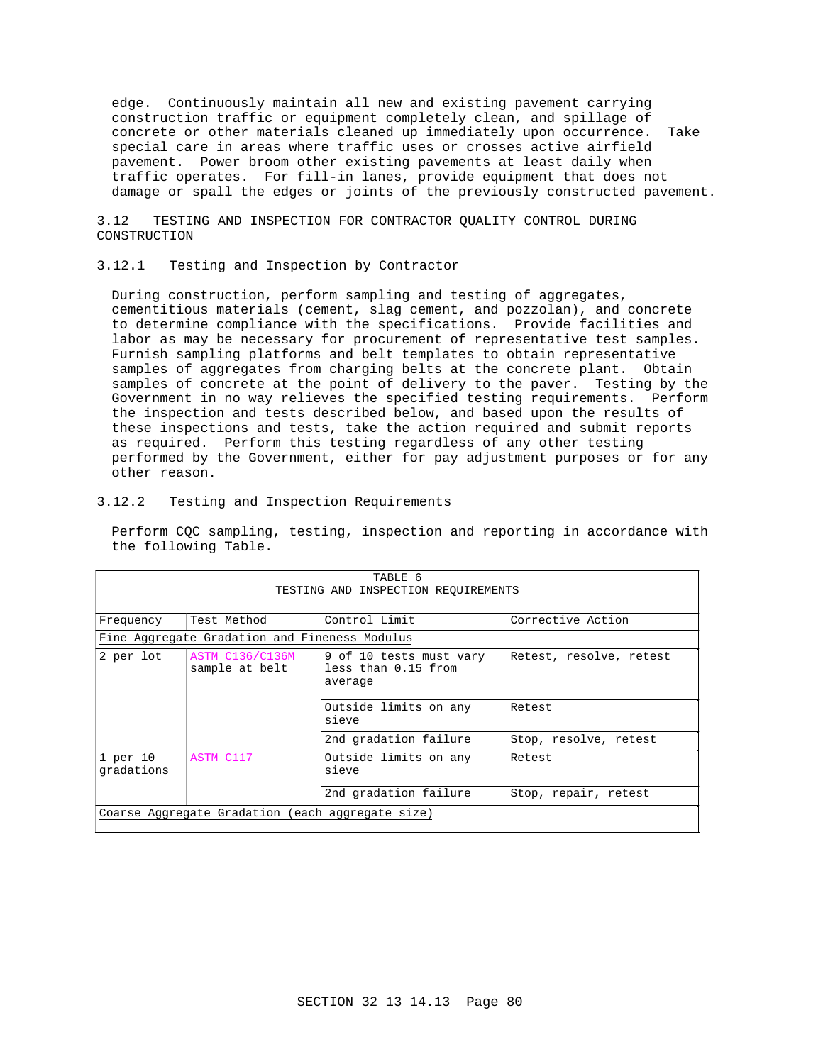edge. Continuously maintain all new and existing pavement carrying construction traffic or equipment completely clean, and spillage of concrete or other materials cleaned up immediately upon occurrence. Take special care in areas where traffic uses or crosses active airfield pavement. Power broom other existing pavements at least daily when traffic operates. For fill-in lanes, provide equipment that does not damage or spall the edges or joints of the previously constructed pavement.

3.12 TESTING AND INSPECTION FOR CONTRACTOR QUALITY CONTROL DURING CONSTRUCTION

## 3.12.1 Testing and Inspection by Contractor

During construction, perform sampling and testing of aggregates, cementitious materials (cement, slag cement, and pozzolan), and concrete to determine compliance with the specifications. Provide facilities and labor as may be necessary for procurement of representative test samples. Furnish sampling platforms and belt templates to obtain representative samples of aggregates from charging belts at the concrete plant. Obtain samples of concrete at the point of delivery to the paver. Testing by the Government in no way relieves the specified testing requirements. Perform the inspection and tests described below, and based upon the results of these inspections and tests, take the action required and submit reports as required. Perform this testing regardless of any other testing performed by the Government, either for pay adjustment purposes or for any other reason.

# 3.12.2 Testing and Inspection Requirements

Perform CQC sampling, testing, inspection and reporting in accordance with the following Table.

| TARLE 6<br>TESTING AND INSPECTION REOUIREMENTS   |                                               |                                                           |                         |
|--------------------------------------------------|-----------------------------------------------|-----------------------------------------------------------|-------------------------|
| Frequency                                        | Test Method                                   | Control Limit                                             | Corrective Action       |
|                                                  | Fine Aggregate Gradation and Fineness Modulus |                                                           |                         |
| 2 per lot                                        | ASTM C136/C136M<br>sample at belt             | 9 of 10 tests must vary<br>less than 0.15 from<br>average | Retest, resolve, retest |
|                                                  |                                               | Outside limits on any<br>sieve                            | Retest                  |
|                                                  |                                               | 2nd gradation failure                                     | Stop, resolve, retest   |
| 1 per 10<br>qradations                           | ASTM C117                                     | Outside limits on any<br>sieve                            | Retest                  |
|                                                  |                                               | 2nd gradation failure                                     | Stop, repair, retest    |
| Coarse Aggregate Gradation (each aggregate size) |                                               |                                                           |                         |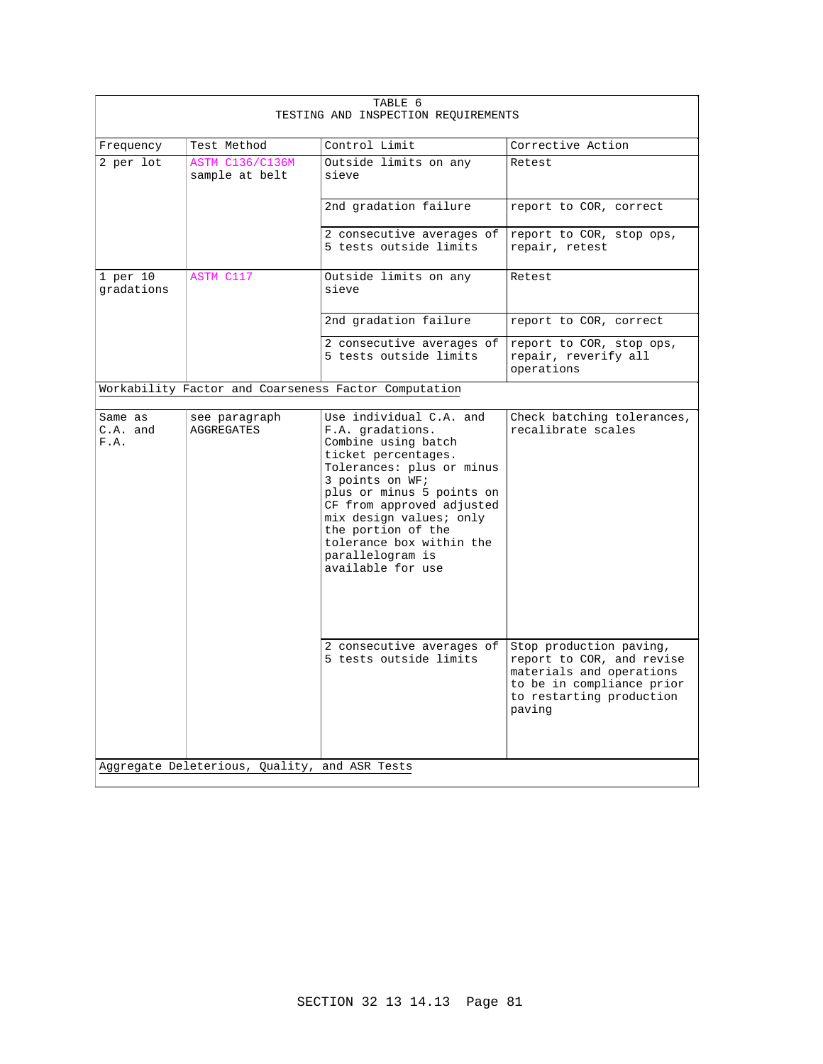| TABLE 6<br>TESTING AND INSPECTION REQUIREMENTS |                                          |                                                                                                                                                                                                                                                                                                                           |                                                                                                                                                     |
|------------------------------------------------|------------------------------------------|---------------------------------------------------------------------------------------------------------------------------------------------------------------------------------------------------------------------------------------------------------------------------------------------------------------------------|-----------------------------------------------------------------------------------------------------------------------------------------------------|
| Frequency                                      | Test Method                              | Control Limit                                                                                                                                                                                                                                                                                                             | Corrective Action                                                                                                                                   |
| 2 per lot                                      | <b>ASTM C136/C136M</b><br>sample at belt | Outside limits on any<br>sieve                                                                                                                                                                                                                                                                                            | Retest                                                                                                                                              |
|                                                |                                          | 2nd gradation failure                                                                                                                                                                                                                                                                                                     | report to COR, correct                                                                                                                              |
|                                                |                                          | 2 consecutive averages of<br>5 tests outside limits                                                                                                                                                                                                                                                                       | report to COR, stop ops,<br>repair, retest                                                                                                          |
| 1 per 10<br>qradations                         | ASTM C117                                | Outside limits on any<br>sieve                                                                                                                                                                                                                                                                                            | Retest                                                                                                                                              |
|                                                |                                          | 2nd gradation failure                                                                                                                                                                                                                                                                                                     | report to COR, correct                                                                                                                              |
|                                                |                                          | 2 consecutive averages of<br>5 tests outside limits                                                                                                                                                                                                                                                                       | report to COR, stop ops,<br>repair, reverify all<br>operations                                                                                      |
|                                                |                                          | Workability Factor and Coarseness Factor Computation                                                                                                                                                                                                                                                                      |                                                                                                                                                     |
| Same as<br>C.A. and<br>F.A.                    | see paragraph<br>AGGREGATES              | Use individual C.A. and<br>F.A. gradations.<br>Combine using batch<br>ticket percentages.<br>Tolerances: plus or minus<br>3 points on WF;<br>plus or minus 5 points on<br>CF from approved adjusted<br>mix design values; only<br>the portion of the<br>tolerance box within the<br>parallelogram is<br>available for use | Check batching tolerances,<br>recalibrate scales                                                                                                    |
|                                                |                                          | 2 consecutive averages of<br>5 tests outside limits                                                                                                                                                                                                                                                                       | Stop production paving,<br>report to COR, and revise<br>materials and operations<br>to be in compliance prior<br>to restarting production<br>paving |
| Aggregate Deleterious, Quality, and ASR Tests  |                                          |                                                                                                                                                                                                                                                                                                                           |                                                                                                                                                     |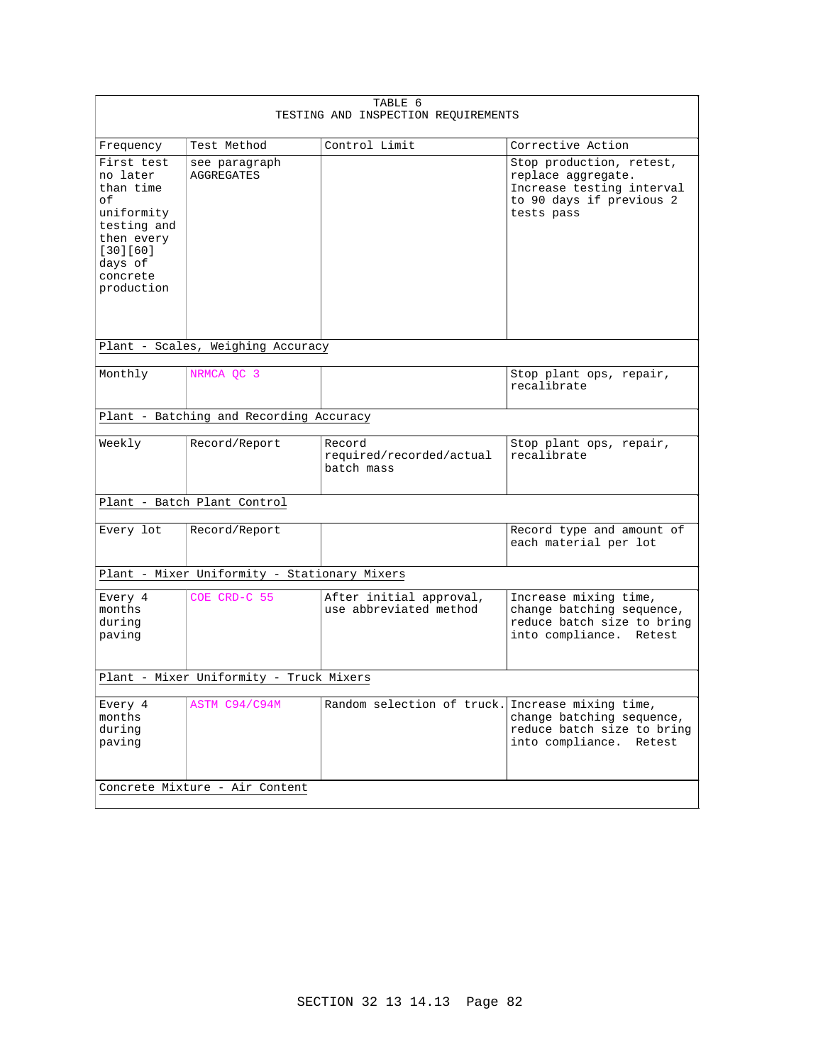| TABLE 6<br>TESTING AND INSPECTION REQUIREMENTS                                                                                        |                                              |                                                   |                                                                                                                       |
|---------------------------------------------------------------------------------------------------------------------------------------|----------------------------------------------|---------------------------------------------------|-----------------------------------------------------------------------------------------------------------------------|
| Frequency                                                                                                                             | Test Method                                  | Control Limit                                     | Corrective Action                                                                                                     |
| First test<br>no later<br>than time<br>оf<br>uniformity<br>testing and<br>then every<br>[30][60]<br>days of<br>concrete<br>production | see paragraph<br><b>AGGREGATES</b>           |                                                   | Stop production, retest,<br>replace aggregate.<br>Increase testing interval<br>to 90 days if previous 2<br>tests pass |
|                                                                                                                                       | Plant - Scales, Weighing Accuracy            |                                                   |                                                                                                                       |
| Monthly                                                                                                                               | NRMCA QC 3                                   |                                                   | Stop plant ops, repair,<br>recalibrate                                                                                |
| Plant - Batching and Recording Accuracy                                                                                               |                                              |                                                   |                                                                                                                       |
| Weekly                                                                                                                                | Record/Report                                | Record<br>required/recorded/actual<br>batch mass  | Stop plant ops, repair,<br>recalibrate                                                                                |
|                                                                                                                                       | Plant - Batch Plant Control                  |                                                   |                                                                                                                       |
| Every lot                                                                                                                             | Record/Report                                |                                                   | Record type and amount of<br>each material per lot                                                                    |
|                                                                                                                                       | Plant - Mixer Uniformity - Stationary Mixers |                                                   |                                                                                                                       |
| Every 4<br>months<br>during<br>paving                                                                                                 | COE CRD-C 55                                 | After initial approval,<br>use abbreviated method | Increase mixing time,<br>change batching sequence,<br>reduce batch size to bring<br>into compliance. Retest           |
| Plant - Mixer Uniformity - Truck Mixers                                                                                               |                                              |                                                   |                                                                                                                       |
| Every 4<br>months<br>during<br>paving                                                                                                 | ASTM C94/C94M                                | Random selection of truck. Increase mixing time,  | change batching sequence,<br>reduce batch size to bring<br>into compliance. Retest                                    |
|                                                                                                                                       | Concrete Mixture - Air Content               |                                                   |                                                                                                                       |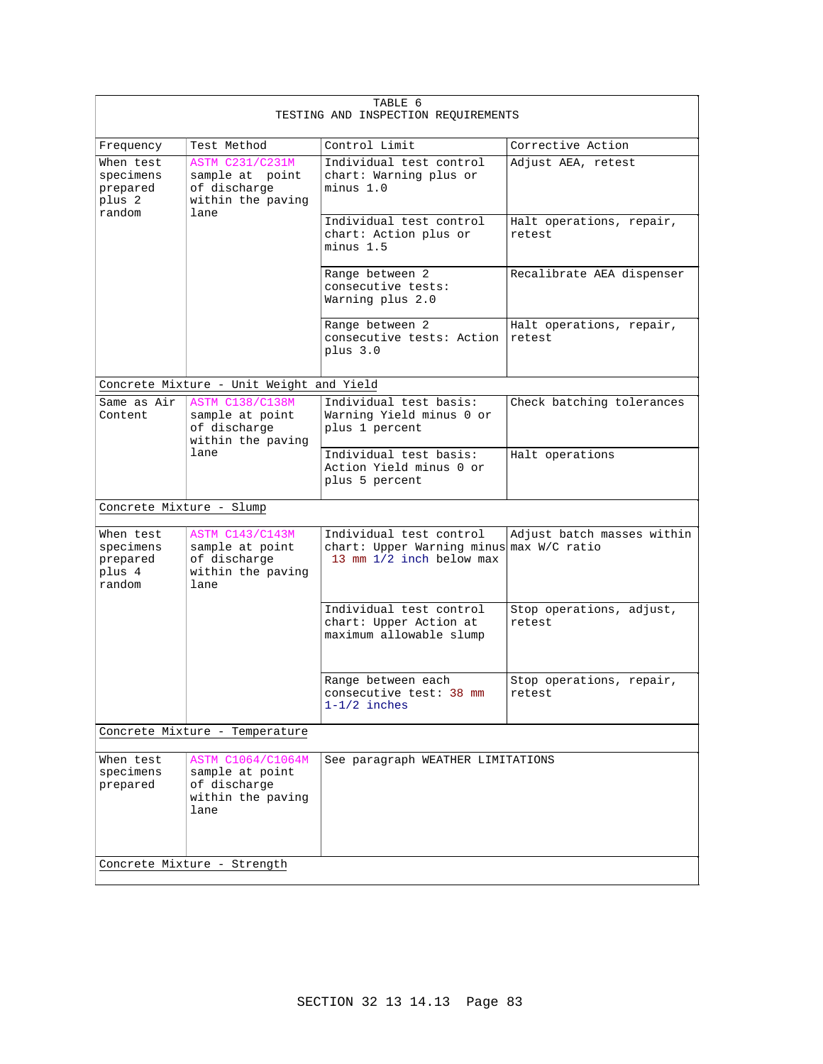| TABLE 6<br>TESTING AND INSPECTION REQUIREMENTS         |                                                                                          |                                                                                                 |                                    |  |
|--------------------------------------------------------|------------------------------------------------------------------------------------------|-------------------------------------------------------------------------------------------------|------------------------------------|--|
| Frequency                                              | Test Method                                                                              | Control Limit                                                                                   | Corrective Action                  |  |
| When test<br>specimens<br>prepared<br>plus 2           | <b>ASTM C231/C231M</b><br>sample at point<br>of discharge<br>within the paving           | Individual test control<br>chart: Warning plus or<br>minus 1.0                                  | Adjust AEA, retest                 |  |
| random                                                 | lane                                                                                     | Individual test control<br>chart: Action plus or<br>minus 1.5                                   | Halt operations, repair,<br>retest |  |
|                                                        |                                                                                          | Range between 2<br>consecutive tests:<br>Warning plus 2.0                                       | Recalibrate AEA dispenser          |  |
|                                                        |                                                                                          | Range between 2<br>consecutive tests: Action<br>plus 3.0                                        | Halt operations, repair,<br>retest |  |
|                                                        | Concrete Mixture - Unit Weight and Yield                                                 |                                                                                                 |                                    |  |
| Same as Air<br>Content                                 | <b>ASTM C138/C138M</b><br>sample at point<br>of discharge<br>within the paving           | Individual test basis:<br>Warning Yield minus 0 or<br>plus 1 percent                            | Check batching tolerances          |  |
|                                                        | lane                                                                                     | Individual test basis:<br>Action Yield minus 0 or<br>plus 5 percent                             | Halt operations                    |  |
| Concrete Mixture - Slump                               |                                                                                          |                                                                                                 |                                    |  |
| When test<br>specimens<br>prepared<br>plus 4<br>random | <b>ASTM C143/C143M</b><br>sample at point<br>of discharge<br>within the paving<br>lane   | Individual test control<br>chart: Upper Warning minus max W/C ratio<br>13 mm 1/2 inch below max | Adjust batch masses within         |  |
|                                                        |                                                                                          | Individual test control<br>chart: Upper Action at<br>maximum allowable slump                    | Stop operations, adjust,<br>retest |  |
|                                                        |                                                                                          | Range between each<br>consecutive test: 38 mm<br>$1-1/2$ inches                                 | Stop operations, repair,<br>retest |  |
| Concrete Mixture - Temperature                         |                                                                                          |                                                                                                 |                                    |  |
| When test<br>specimens<br>prepared                     | <b>ASTM C1064/C1064M</b><br>sample at point<br>of discharge<br>within the paving<br>lane | See paragraph WEATHER LIMITATIONS                                                               |                                    |  |
| Concrete Mixture - Strength                            |                                                                                          |                                                                                                 |                                    |  |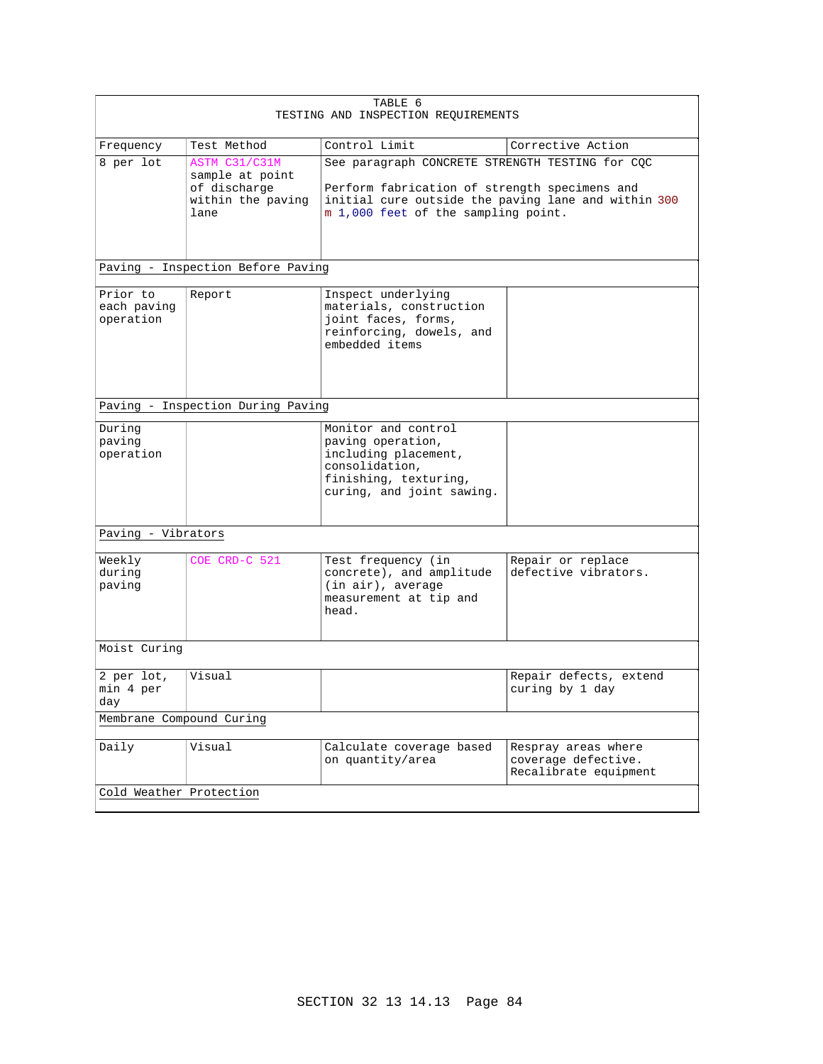| TABLE 6<br>TESTING AND INSPECTION REQUIREMENTS |                                                                               |                                                                                                                                                                                                |                                                                     |  |
|------------------------------------------------|-------------------------------------------------------------------------------|------------------------------------------------------------------------------------------------------------------------------------------------------------------------------------------------|---------------------------------------------------------------------|--|
| Frequency                                      | Test Method                                                                   | Control Limit                                                                                                                                                                                  | Corrective Action                                                   |  |
| 8 per lot                                      | ASTM C31/C31M<br>sample at point<br>of discharge<br>within the paving<br>lane | See paragraph CONCRETE STRENGTH TESTING for CQC<br>Perform fabrication of strength specimens and<br>initial cure outside the paving lane and within 300<br>m 1,000 feet of the sampling point. |                                                                     |  |
|                                                | Paving - Inspection Before Paving                                             |                                                                                                                                                                                                |                                                                     |  |
| Prior to<br>each paving<br>operation           | Report                                                                        | Inspect underlying<br>materials, construction<br>joint faces, forms,<br>reinforcing, dowels, and<br>embedded items                                                                             |                                                                     |  |
|                                                | Paving - Inspection During Paving                                             |                                                                                                                                                                                                |                                                                     |  |
| During<br>paving<br>operation                  |                                                                               | Monitor and control<br>paving operation,<br>including placement,<br>consolidation,<br>finishing, texturing,<br>curing, and joint sawing.                                                       |                                                                     |  |
| Paving - Vibrators                             |                                                                               |                                                                                                                                                                                                |                                                                     |  |
| Weekly<br>during<br>paving                     | COE CRD-C 521                                                                 | Test frequency (in<br>concrete), and amplitude<br>(in air), average<br>measurement at tip and<br>head.                                                                                         | Repair or replace<br>defective vibrators.                           |  |
| Moist Curing                                   |                                                                               |                                                                                                                                                                                                |                                                                     |  |
| 2 per lot,<br>min 4 per<br>day                 | Visual                                                                        |                                                                                                                                                                                                | Repair defects, extend<br>curing by 1 day                           |  |
| Membrane Compound Curing                       |                                                                               |                                                                                                                                                                                                |                                                                     |  |
| Daily                                          | Visual                                                                        | Calculate coverage based<br>on quantity/area                                                                                                                                                   | Respray areas where<br>coverage defective.<br>Recalibrate equipment |  |
| Cold Weather Protection                        |                                                                               |                                                                                                                                                                                                |                                                                     |  |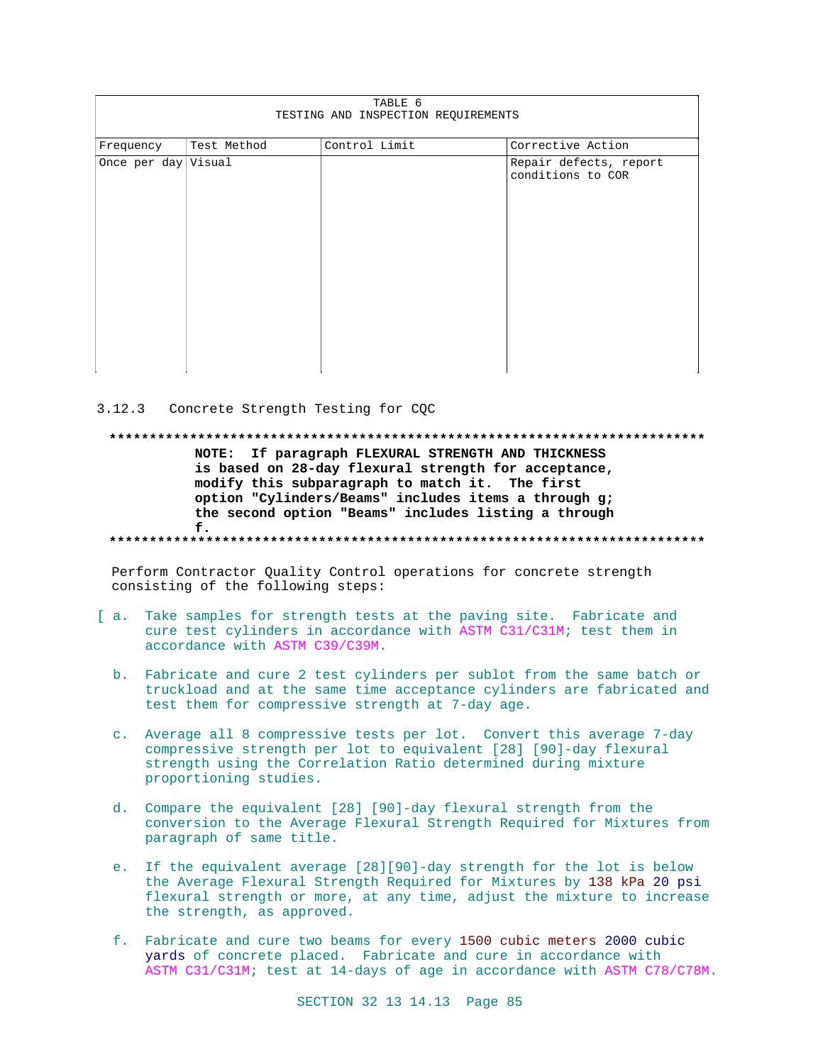| TABLE 6<br>TESTING AND INSPECTION REQUIREMENTS |             |               |                                             |
|------------------------------------------------|-------------|---------------|---------------------------------------------|
| Frequency                                      | Test Method | Control Limit | Corrective Action                           |
| Once per day Visual                            |             |               | Repair defects, report<br>conditions to COR |

#### 3.12.3 Concrete Strength Testing for COC

# NOTE: If paragraph FLEXURAL STRENGTH AND THICKNESS is based on 28-day flexural strength for acceptance, modify this subparagraph to match it. The first option "Cylinders/Beams" includes items a through g; the second option "Beams" includes listing a through

f. 

Perform Contractor Quality Control operations for concrete strength consisting of the following steps:

- [a. Take samples for strength tests at the paving site. Fabricate and cure test cylinders in accordance with ASTM C31/C31M; test them in accordance with ASTM C39/C39M.
	- b. Fabricate and cure 2 test cylinders per sublot from the same batch or truckload and at the same time acceptance cylinders are fabricated and test them for compressive strength at 7-day age.
	- c. Average all 8 compressive tests per lot. Convert this average 7-day compressive strength per lot to equivalent [28] [90]-day flexural strength using the Correlation Ratio determined during mixture proportioning studies.
	- d. Compare the equivalent [28] [90]-day flexural strength from the conversion to the Average Flexural Strength Required for Mixtures from paragraph of same title.
	- e. If the equivalent average [28][90]-day strength for the lot is below the Average Flexural Strength Required for Mixtures by 138 kPa 20 psi flexural strength or more, at any time, adjust the mixture to increase the strength, as approved.
	- f. Fabricate and cure two beams for every 1500 cubic meters 2000 cubic yards of concrete placed. Fabricate and cure in accordance with ASTM C31/C31M; test at 14-days of age in accordance with ASTM C78/C78M.